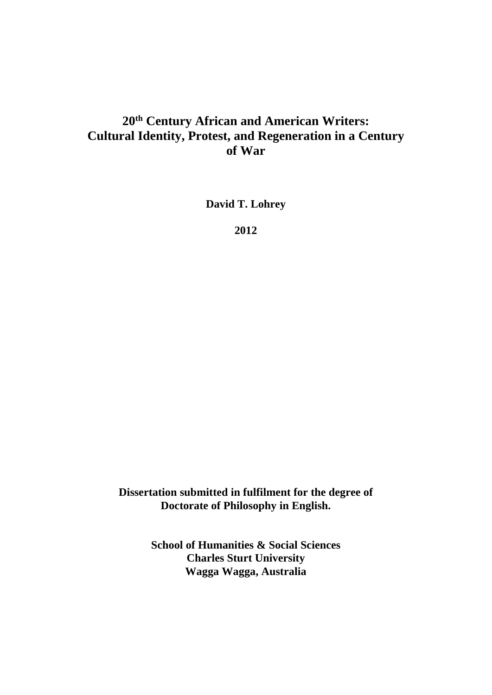## **20th Century African and American Writers: Cultural Identity, Protest, and Regeneration in a Century of War**

**David T. Lohrey** 

**2012** 

**Dissertation submitted in fulfilment for the degree of Doctorate of Philosophy in English.** 

> **School of Humanities & Social Sciences Charles Sturt University Wagga Wagga, Australia**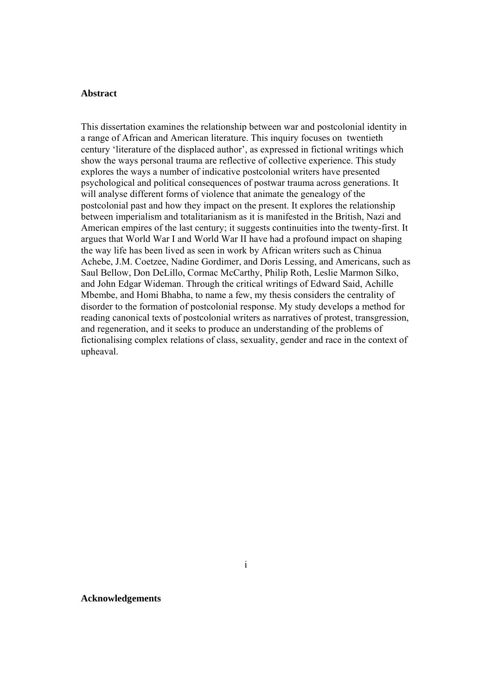## **Abstract**

This dissertation examines the relationship between war and postcolonial identity in a range of African and American literature. This inquiry focuses on twentieth century 'literature of the displaced author', as expressed in fictional writings which show the ways personal trauma are reflective of collective experience. This study explores the ways a number of indicative postcolonial writers have presented psychological and political consequences of postwar trauma across generations. It will analyse different forms of violence that animate the genealogy of the postcolonial past and how they impact on the present. It explores the relationship between imperialism and totalitarianism as it is manifested in the British, Nazi and American empires of the last century; it suggests continuities into the twenty-first. It argues that World War I and World War II have had a profound impact on shaping the way life has been lived as seen in work by African writers such as Chinua Achebe, J.M. Coetzee, Nadine Gordimer, and Doris Lessing, and Americans, such as Saul Bellow, Don DeLillo, Cormac McCarthy, Philip Roth, Leslie Marmon Silko, and John Edgar Wideman. Through the critical writings of Edward Said, Achille Mbembe, and Homi Bhabha, to name a few, my thesis considers the centrality of disorder to the formation of postcolonial response. My study develops a method for reading canonical texts of postcolonial writers as narratives of protest, transgression, and regeneration, and it seeks to produce an understanding of the problems of fictionalising complex relations of class, sexuality, gender and race in the context of upheaval.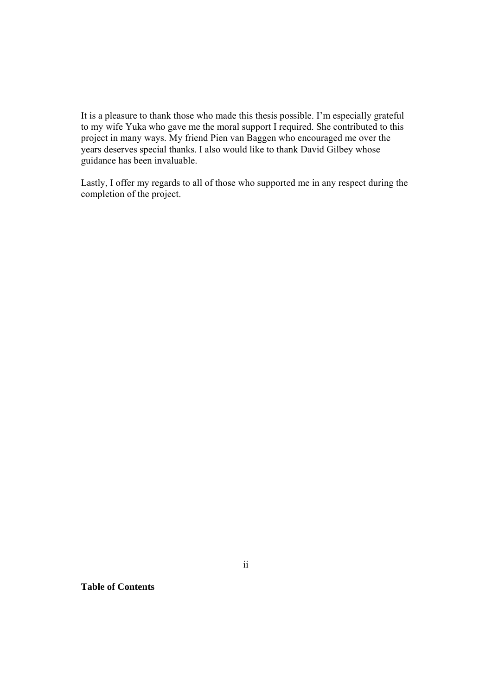It is a pleasure to thank those who made this thesis possible. I'm especially grateful to my wife Yuka who gave me the moral support I required. She contributed to this project in many ways. My friend Pien van Baggen who encouraged me over the years deserves special thanks. I also would like to thank David Gilbey whose guidance has been invaluable.

Lastly, I offer my regards to all of those who supported me in any respect during the completion of the project.

**Table of Contents**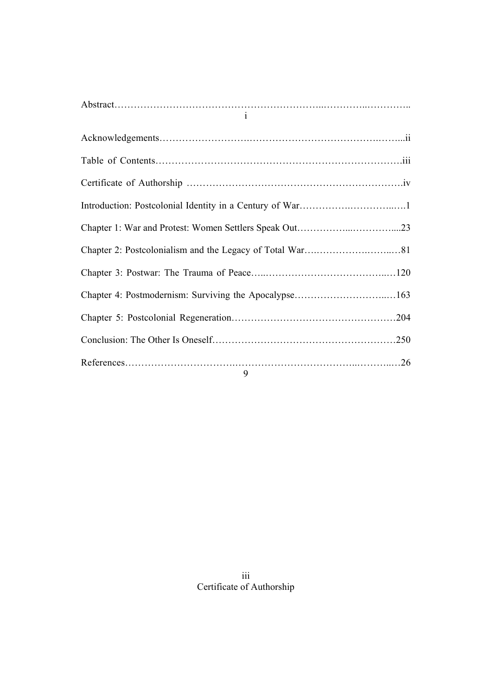| $\mathbf{i}$ |  |
|--------------|--|
|              |  |
|              |  |
|              |  |
|              |  |
|              |  |
|              |  |
|              |  |
|              |  |
|              |  |
|              |  |
| $\mathbf{a}$ |  |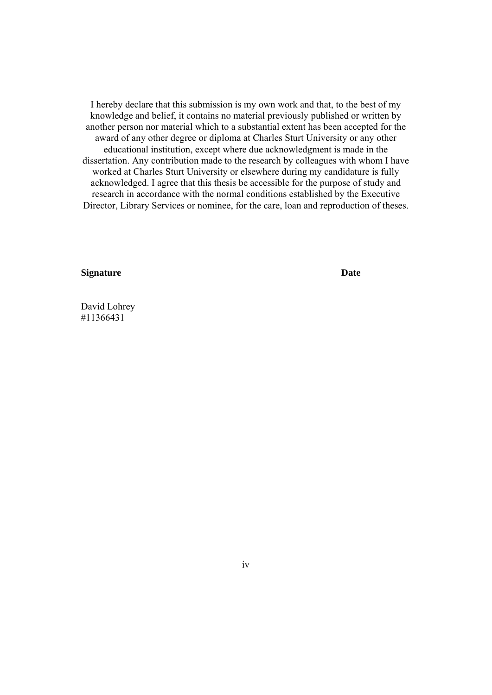I hereby declare that this submission is my own work and that, to the best of my knowledge and belief, it contains no material previously published or written by another person nor material which to a substantial extent has been accepted for the award of any other degree or diploma at Charles Sturt University or any other educational institution, except where due acknowledgment is made in the dissertation. Any contribution made to the research by colleagues with whom I have worked at Charles Sturt University or elsewhere during my candidature is fully acknowledged. I agree that this thesis be accessible for the purpose of study and research in accordance with the normal conditions established by the Executive Director, Library Services or nominee, for the care, loan and reproduction of theses.

**Signature** Date

David Lohrey #11366431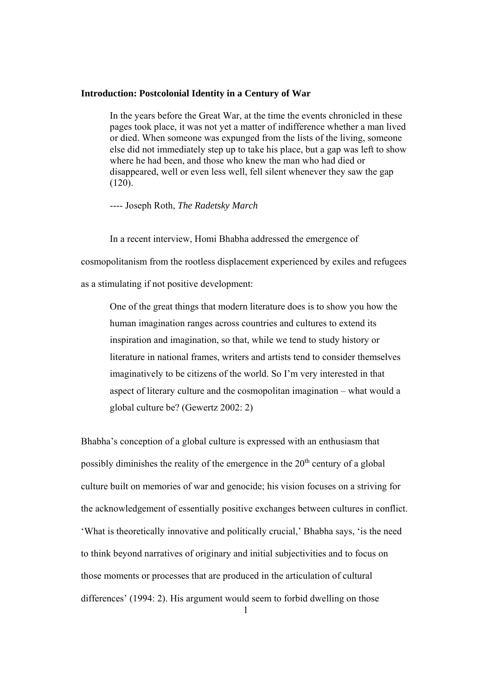## **Introduction: Postcolonial Identity in a Century of War**

In the years before the Great War, at the time the events chronicled in these pages took place, it was not yet a matter of indifference whether a man lived or died. When someone was expunged from the lists of the living, someone else did not immediately step up to take his place, but a gap was left to show where he had been, and those who knew the man who had died or disappeared, well or even less well, fell silent whenever they saw the gap (120).

---- Joseph Roth, *The Radetsky March* 

In a recent interview, Homi Bhabha addressed the emergence of cosmopolitanism from the rootless displacement experienced by exiles and refugees as a stimulating if not positive development:

One of the great things that modern literature does is to show you how the human imagination ranges across countries and cultures to extend its inspiration and imagination, so that, while we tend to study history or literature in national frames, writers and artists tend to consider themselves imaginatively to be citizens of the world. So I'm very interested in that aspect of literary culture and the cosmopolitan imagination – what would a global culture be? (Gewertz 2002: 2)

Bhabha's conception of a global culture is expressed with an enthusiasm that possibly diminishes the reality of the emergence in the  $20<sup>th</sup>$  century of a global culture built on memories of war and genocide; his vision focuses on a striving for the acknowledgement of essentially positive exchanges between cultures in conflict. 'What is theoretically innovative and politically crucial,' Bhabha says, 'is the need to think beyond narratives of originary and initial subjectivities and to focus on those moments or processes that are produced in the articulation of cultural differences' (1994: 2). His argument would seem to forbid dwelling on those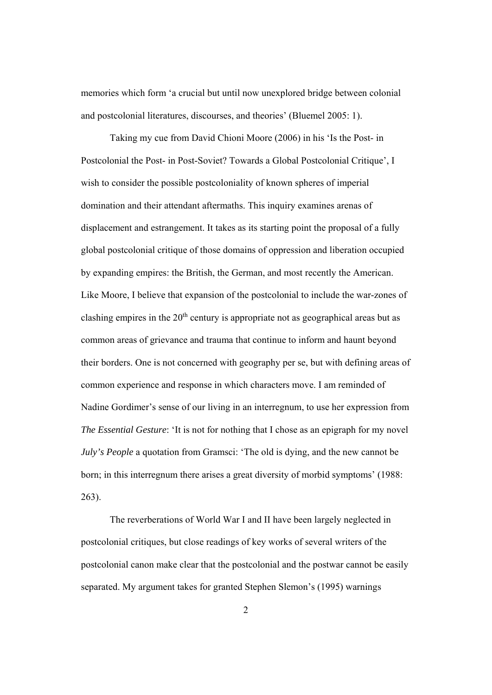memories which form 'a crucial but until now unexplored bridge between colonial and postcolonial literatures, discourses, and theories' (Bluemel 2005: 1).

 Taking my cue from David Chioni Moore (2006) in his 'Is the Post- in Postcolonial the Post- in Post-Soviet? Towards a Global Postcolonial Critique', I wish to consider the possible postcoloniality of known spheres of imperial domination and their attendant aftermaths. This inquiry examines arenas of displacement and estrangement. It takes as its starting point the proposal of a fully global postcolonial critique of those domains of oppression and liberation occupied by expanding empires: the British, the German, and most recently the American. Like Moore, I believe that expansion of the postcolonial to include the war-zones of clashing empires in the  $20<sup>th</sup>$  century is appropriate not as geographical areas but as common areas of grievance and trauma that continue to inform and haunt beyond their borders. One is not concerned with geography per se, but with defining areas of common experience and response in which characters move. I am reminded of Nadine Gordimer's sense of our living in an interregnum, to use her expression from *The Essential Gesture*: 'It is not for nothing that I chose as an epigraph for my novel *July's People* a quotation from Gramsci: 'The old is dying, and the new cannot be born; in this interregnum there arises a great diversity of morbid symptoms' (1988: 263).

 The reverberations of World War I and II have been largely neglected in postcolonial critiques, but close readings of key works of several writers of the postcolonial canon make clear that the postcolonial and the postwar cannot be easily separated. My argument takes for granted Stephen Slemon's (1995) warnings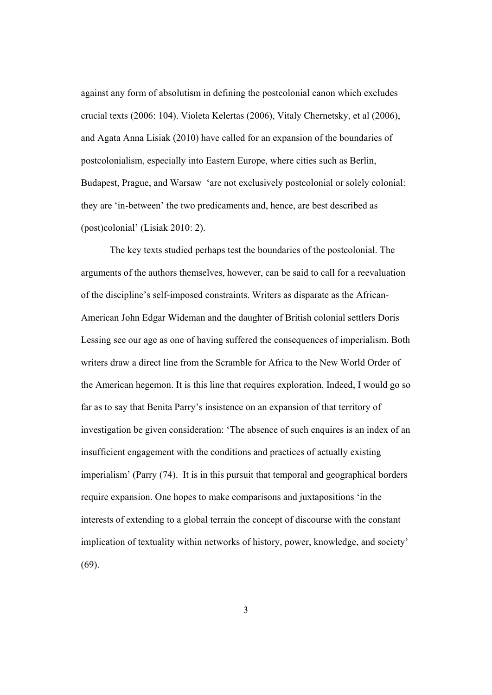against any form of absolutism in defining the postcolonial canon which excludes crucial texts (2006: 104). Violeta Kelertas (2006), Vitaly Chernetsky, et al (2006), and Agata Anna Lisiak (2010) have called for an expansion of the boundaries of postcolonialism, especially into Eastern Europe, where cities such as Berlin, Budapest, Prague, and Warsaw 'are not exclusively postcolonial or solely colonial: they are 'in-between' the two predicaments and, hence, are best described as (post)colonial' (Lisiak 2010: 2).

 The key texts studied perhaps test the boundaries of the postcolonial. The arguments of the authors themselves, however, can be said to call for a reevaluation of the discipline's self-imposed constraints. Writers as disparate as the African-American John Edgar Wideman and the daughter of British colonial settlers Doris Lessing see our age as one of having suffered the consequences of imperialism. Both writers draw a direct line from the Scramble for Africa to the New World Order of the American hegemon. It is this line that requires exploration. Indeed, I would go so far as to say that Benita Parry's insistence on an expansion of that territory of investigation be given consideration: 'The absence of such enquires is an index of an insufficient engagement with the conditions and practices of actually existing imperialism' (Parry (74). It is in this pursuit that temporal and geographical borders require expansion. One hopes to make comparisons and juxtapositions 'in the interests of extending to a global terrain the concept of discourse with the constant implication of textuality within networks of history, power, knowledge, and society'  $(69)$ .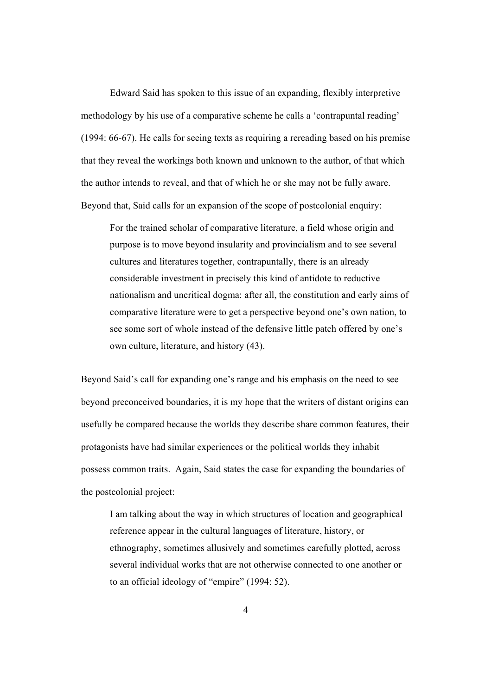Edward Said has spoken to this issue of an expanding, flexibly interpretive methodology by his use of a comparative scheme he calls a 'contrapuntal reading' (1994: 66-67). He calls for seeing texts as requiring a rereading based on his premise that they reveal the workings both known and unknown to the author, of that which the author intends to reveal, and that of which he or she may not be fully aware. Beyond that, Said calls for an expansion of the scope of postcolonial enquiry:

For the trained scholar of comparative literature, a field whose origin and purpose is to move beyond insularity and provincialism and to see several cultures and literatures together, contrapuntally, there is an already considerable investment in precisely this kind of antidote to reductive nationalism and uncritical dogma: after all, the constitution and early aims of comparative literature were to get a perspective beyond one's own nation, to see some sort of whole instead of the defensive little patch offered by one's own culture, literature, and history (43).

Beyond Said's call for expanding one's range and his emphasis on the need to see beyond preconceived boundaries, it is my hope that the writers of distant origins can usefully be compared because the worlds they describe share common features, their protagonists have had similar experiences or the political worlds they inhabit possess common traits. Again, Said states the case for expanding the boundaries of the postcolonial project:

I am talking about the way in which structures of location and geographical reference appear in the cultural languages of literature, history, or ethnography, sometimes allusively and sometimes carefully plotted, across several individual works that are not otherwise connected to one another or to an official ideology of "empire" (1994: 52).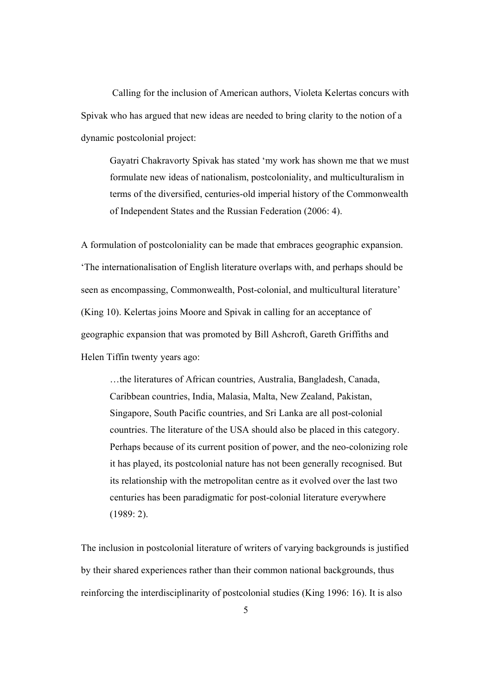Calling for the inclusion of American authors, Violeta Kelertas concurs with Spivak who has argued that new ideas are needed to bring clarity to the notion of a dynamic postcolonial project:

 Gayatri Chakravorty Spivak has stated 'my work has shown me that we must formulate new ideas of nationalism, postcoloniality, and multiculturalism in terms of the diversified, centuries-old imperial history of the Commonwealth of Independent States and the Russian Federation (2006: 4).

A formulation of postcoloniality can be made that embraces geographic expansion. 'The internationalisation of English literature overlaps with, and perhaps should be seen as encompassing, Commonwealth, Post-colonial, and multicultural literature' (King 10). Kelertas joins Moore and Spivak in calling for an acceptance of geographic expansion that was promoted by Bill Ashcroft, Gareth Griffiths and Helen Tiffin twenty years ago:

 …the literatures of African countries, Australia, Bangladesh, Canada, Caribbean countries, India, Malasia, Malta, New Zealand, Pakistan, Singapore, South Pacific countries, and Sri Lanka are all post-colonial countries. The literature of the USA should also be placed in this category. Perhaps because of its current position of power, and the neo-colonizing role it has played, its postcolonial nature has not been generally recognised. But its relationship with the metropolitan centre as it evolved over the last two centuries has been paradigmatic for post-colonial literature everywhere (1989: 2).

The inclusion in postcolonial literature of writers of varying backgrounds is justified by their shared experiences rather than their common national backgrounds, thus reinforcing the interdisciplinarity of postcolonial studies (King 1996: 16). It is also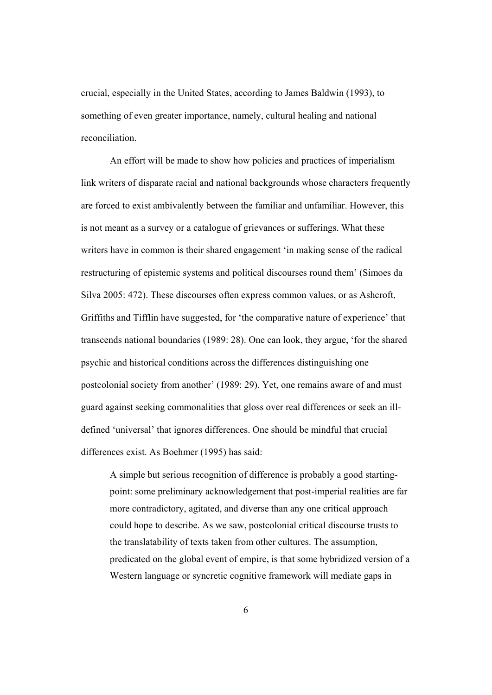crucial, especially in the United States, according to James Baldwin (1993), to something of even greater importance, namely, cultural healing and national reconciliation.

An effort will be made to show how policies and practices of imperialism link writers of disparate racial and national backgrounds whose characters frequently are forced to exist ambivalently between the familiar and unfamiliar. However, this is not meant as a survey or a catalogue of grievances or sufferings. What these writers have in common is their shared engagement 'in making sense of the radical restructuring of epistemic systems and political discourses round them' (Simoes da Silva 2005: 472). These discourses often express common values, or as Ashcroft, Griffiths and Tifflin have suggested, for 'the comparative nature of experience' that transcends national boundaries (1989: 28). One can look, they argue, 'for the shared psychic and historical conditions across the differences distinguishing one postcolonial society from another' (1989: 29). Yet, one remains aware of and must guard against seeking commonalities that gloss over real differences or seek an illdefined 'universal' that ignores differences. One should be mindful that crucial differences exist. As Boehmer (1995) has said:

A simple but serious recognition of difference is probably a good startingpoint: some preliminary acknowledgement that post-imperial realities are far more contradictory, agitated, and diverse than any one critical approach could hope to describe. As we saw, postcolonial critical discourse trusts to the translatability of texts taken from other cultures. The assumption, predicated on the global event of empire, is that some hybridized version of a Western language or syncretic cognitive framework will mediate gaps in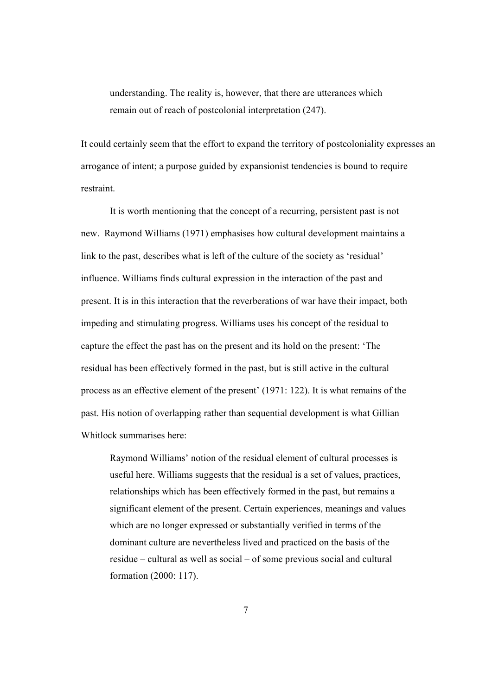understanding. The reality is, however, that there are utterances which remain out of reach of postcolonial interpretation (247).

It could certainly seem that the effort to expand the territory of postcoloniality expresses an arrogance of intent; a purpose guided by expansionist tendencies is bound to require restraint.

It is worth mentioning that the concept of a recurring, persistent past is not new. Raymond Williams (1971) emphasises how cultural development maintains a link to the past, describes what is left of the culture of the society as 'residual' influence. Williams finds cultural expression in the interaction of the past and present. It is in this interaction that the reverberations of war have their impact, both impeding and stimulating progress. Williams uses his concept of the residual to capture the effect the past has on the present and its hold on the present: 'The residual has been effectively formed in the past, but is still active in the cultural process as an effective element of the present' (1971: 122). It is what remains of the past. His notion of overlapping rather than sequential development is what Gillian Whitlock summarises here:

 Raymond Williams' notion of the residual element of cultural processes is useful here. Williams suggests that the residual is a set of values, practices, relationships which has been effectively formed in the past, but remains a significant element of the present. Certain experiences, meanings and values which are no longer expressed or substantially verified in terms of the dominant culture are nevertheless lived and practiced on the basis of the residue – cultural as well as social – of some previous social and cultural formation (2000: 117).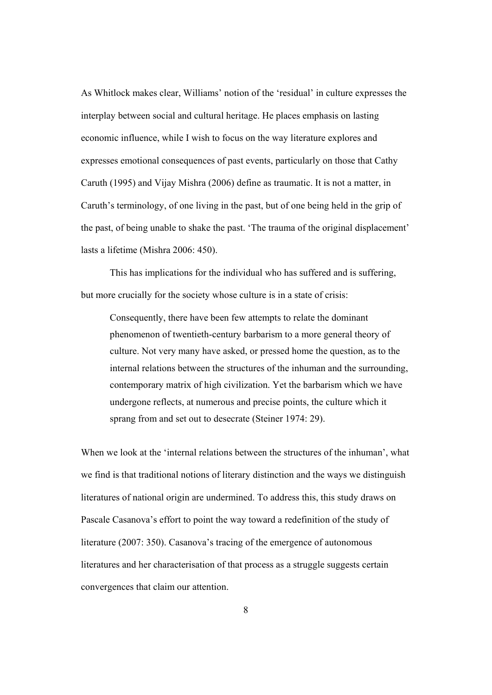As Whitlock makes clear, Williams' notion of the 'residual' in culture expresses the interplay between social and cultural heritage. He places emphasis on lasting economic influence, while I wish to focus on the way literature explores and expresses emotional consequences of past events, particularly on those that Cathy Caruth (1995) and Vijay Mishra (2006) define as traumatic. It is not a matter, in Caruth's terminology, of one living in the past, but of one being held in the grip of the past, of being unable to shake the past. 'The trauma of the original displacement' lasts a lifetime (Mishra 2006: 450).

 This has implications for the individual who has suffered and is suffering, but more crucially for the society whose culture is in a state of crisis:

 Consequently, there have been few attempts to relate the dominant phenomenon of twentieth-century barbarism to a more general theory of culture. Not very many have asked, or pressed home the question, as to the internal relations between the structures of the inhuman and the surrounding, contemporary matrix of high civilization. Yet the barbarism which we have undergone reflects, at numerous and precise points, the culture which it sprang from and set out to desecrate (Steiner 1974: 29).

When we look at the 'internal relations between the structures of the inhuman', what we find is that traditional notions of literary distinction and the ways we distinguish literatures of national origin are undermined. To address this, this study draws on Pascale Casanova's effort to point the way toward a redefinition of the study of literature (2007: 350). Casanova's tracing of the emergence of autonomous literatures and her characterisation of that process as a struggle suggests certain convergences that claim our attention.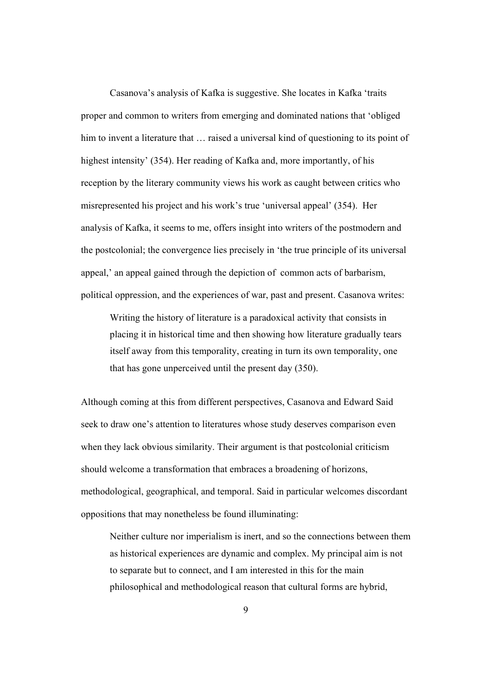Casanova's analysis of Kafka is suggestive. She locates in Kafka 'traits proper and common to writers from emerging and dominated nations that 'obliged him to invent a literature that ... raised a universal kind of questioning to its point of highest intensity' (354). Her reading of Kafka and, more importantly, of his reception by the literary community views his work as caught between critics who misrepresented his project and his work's true 'universal appeal' (354). Her analysis of Kafka, it seems to me, offers insight into writers of the postmodern and the postcolonial; the convergence lies precisely in 'the true principle of its universal appeal,' an appeal gained through the depiction of common acts of barbarism, political oppression, and the experiences of war, past and present. Casanova writes:

Writing the history of literature is a paradoxical activity that consists in placing it in historical time and then showing how literature gradually tears itself away from this temporality, creating in turn its own temporality, one that has gone unperceived until the present day (350).

Although coming at this from different perspectives, Casanova and Edward Said seek to draw one's attention to literatures whose study deserves comparison even when they lack obvious similarity. Their argument is that postcolonial criticism should welcome a transformation that embraces a broadening of horizons, methodological, geographical, and temporal. Said in particular welcomes discordant oppositions that may nonetheless be found illuminating:

Neither culture nor imperialism is inert, and so the connections between them as historical experiences are dynamic and complex. My principal aim is not to separate but to connect, and I am interested in this for the main philosophical and methodological reason that cultural forms are hybrid,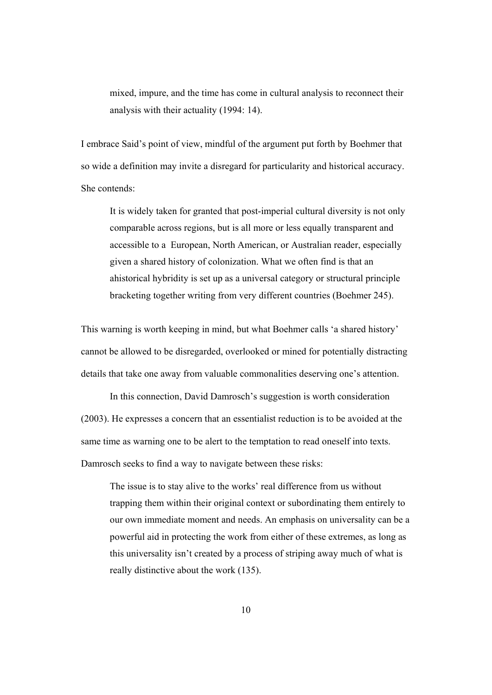mixed, impure, and the time has come in cultural analysis to reconnect their analysis with their actuality (1994: 14).

I embrace Said's point of view, mindful of the argument put forth by Boehmer that so wide a definition may invite a disregard for particularity and historical accuracy. She contends:

It is widely taken for granted that post-imperial cultural diversity is not only comparable across regions, but is all more or less equally transparent and accessible to a European, North American, or Australian reader, especially given a shared history of colonization. What we often find is that an ahistorical hybridity is set up as a universal category or structural principle bracketing together writing from very different countries (Boehmer 245).

This warning is worth keeping in mind, but what Boehmer calls 'a shared history' cannot be allowed to be disregarded, overlooked or mined for potentially distracting details that take one away from valuable commonalities deserving one's attention.

 In this connection, David Damrosch's suggestion is worth consideration (2003). He expresses a concern that an essentialist reduction is to be avoided at the same time as warning one to be alert to the temptation to read oneself into texts. Damrosch seeks to find a way to navigate between these risks:

The issue is to stay alive to the works' real difference from us without trapping them within their original context or subordinating them entirely to our own immediate moment and needs. An emphasis on universality can be a powerful aid in protecting the work from either of these extremes, as long as this universality isn't created by a process of striping away much of what is really distinctive about the work (135).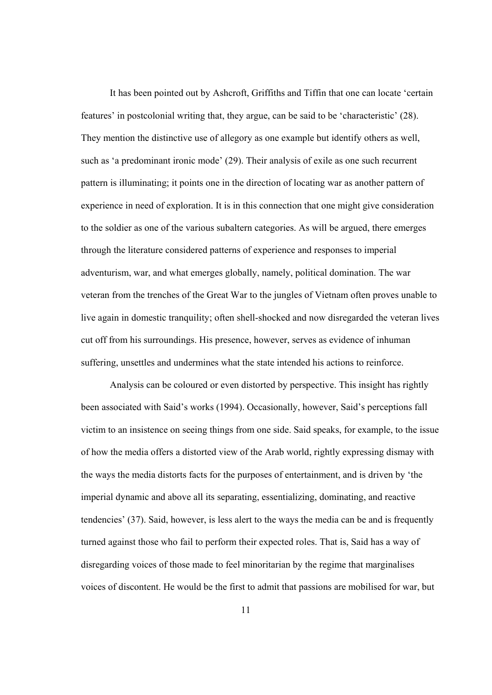It has been pointed out by Ashcroft, Griffiths and Tiffin that one can locate 'certain features' in postcolonial writing that, they argue, can be said to be 'characteristic' (28). They mention the distinctive use of allegory as one example but identify others as well, such as 'a predominant ironic mode' (29). Their analysis of exile as one such recurrent pattern is illuminating; it points one in the direction of locating war as another pattern of experience in need of exploration. It is in this connection that one might give consideration to the soldier as one of the various subaltern categories. As will be argued, there emerges through the literature considered patterns of experience and responses to imperial adventurism, war, and what emerges globally, namely, political domination. The war veteran from the trenches of the Great War to the jungles of Vietnam often proves unable to live again in domestic tranquility; often shell-shocked and now disregarded the veteran lives cut off from his surroundings. His presence, however, serves as evidence of inhuman suffering, unsettles and undermines what the state intended his actions to reinforce.

 Analysis can be coloured or even distorted by perspective. This insight has rightly been associated with Said's works (1994). Occasionally, however, Said's perceptions fall victim to an insistence on seeing things from one side. Said speaks, for example, to the issue of how the media offers a distorted view of the Arab world, rightly expressing dismay with the ways the media distorts facts for the purposes of entertainment, and is driven by 'the imperial dynamic and above all its separating, essentializing, dominating, and reactive tendencies' (37). Said, however, is less alert to the ways the media can be and is frequently turned against those who fail to perform their expected roles. That is, Said has a way of disregarding voices of those made to feel minoritarian by the regime that marginalises voices of discontent. He would be the first to admit that passions are mobilised for war, but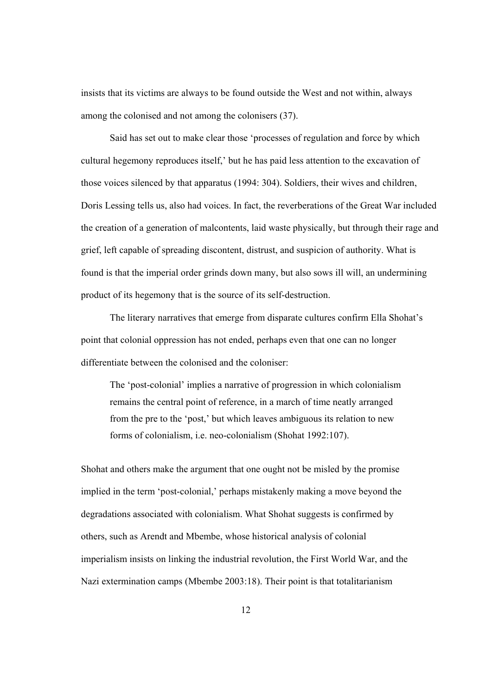insists that its victims are always to be found outside the West and not within, always among the colonised and not among the colonisers (37).

 Said has set out to make clear those 'processes of regulation and force by which cultural hegemony reproduces itself,' but he has paid less attention to the excavation of those voices silenced by that apparatus (1994: 304). Soldiers, their wives and children, Doris Lessing tells us, also had voices. In fact, the reverberations of the Great War included the creation of a generation of malcontents, laid waste physically, but through their rage and grief, left capable of spreading discontent, distrust, and suspicion of authority. What is found is that the imperial order grinds down many, but also sows ill will, an undermining product of its hegemony that is the source of its self-destruction.

The literary narratives that emerge from disparate cultures confirm Ella Shohat's point that colonial oppression has not ended, perhaps even that one can no longer differentiate between the colonised and the coloniser:

The 'post-colonial' implies a narrative of progression in which colonialism remains the central point of reference, in a march of time neatly arranged from the pre to the 'post,' but which leaves ambiguous its relation to new forms of colonialism, i.e. neo-colonialism (Shohat 1992:107).

Shohat and others make the argument that one ought not be misled by the promise implied in the term 'post-colonial,' perhaps mistakenly making a move beyond the degradations associated with colonialism. What Shohat suggests is confirmed by others, such as Arendt and Mbembe, whose historical analysis of colonial imperialism insists on linking the industrial revolution, the First World War, and the Nazi extermination camps (Mbembe 2003:18). Their point is that totalitarianism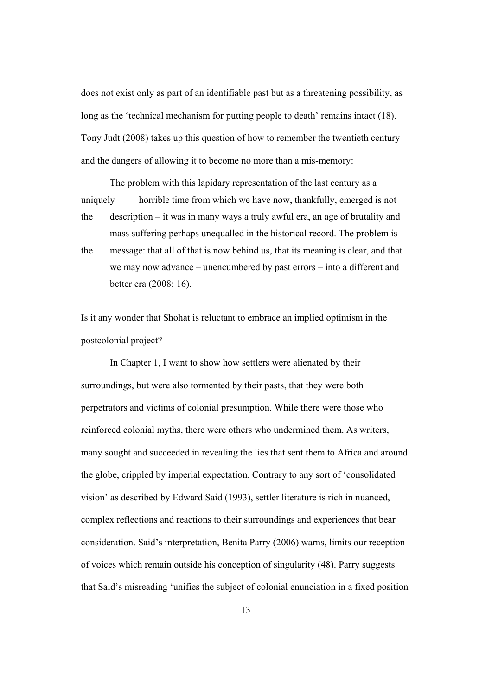does not exist only as part of an identifiable past but as a threatening possibility, as long as the 'technical mechanism for putting people to death' remains intact (18). Tony Judt (2008) takes up this question of how to remember the twentieth century and the dangers of allowing it to become no more than a mis-memory:

 The problem with this lapidary representation of the last century as a uniquely horrible time from which we have now, thankfully, emerged is not the description – it was in many ways a truly awful era, an age of brutality and mass suffering perhaps unequalled in the historical record. The problem is the message: that all of that is now behind us, that its meaning is clear, and that we may now advance – unencumbered by past errors – into a different and better era (2008: 16).

Is it any wonder that Shohat is reluctant to embrace an implied optimism in the postcolonial project?

 In Chapter 1, I want to show how settlers were alienated by their surroundings, but were also tormented by their pasts, that they were both perpetrators and victims of colonial presumption. While there were those who reinforced colonial myths, there were others who undermined them. As writers, many sought and succeeded in revealing the lies that sent them to Africa and around the globe, crippled by imperial expectation. Contrary to any sort of 'consolidated vision' as described by Edward Said (1993), settler literature is rich in nuanced, complex reflections and reactions to their surroundings and experiences that bear consideration. Said's interpretation, Benita Parry (2006) warns, limits our reception of voices which remain outside his conception of singularity (48). Parry suggests that Said's misreading 'unifies the subject of colonial enunciation in a fixed position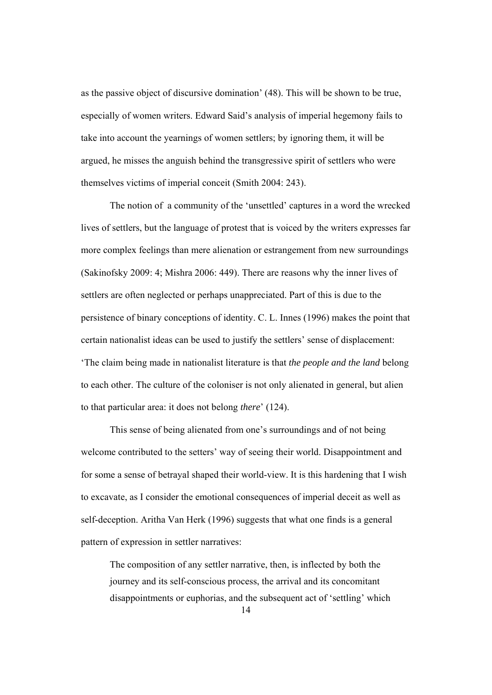as the passive object of discursive domination' (48). This will be shown to be true, especially of women writers. Edward Said's analysis of imperial hegemony fails to take into account the yearnings of women settlers; by ignoring them, it will be argued, he misses the anguish behind the transgressive spirit of settlers who were themselves victims of imperial conceit (Smith 2004: 243).

The notion of a community of the 'unsettled' captures in a word the wrecked lives of settlers, but the language of protest that is voiced by the writers expresses far more complex feelings than mere alienation or estrangement from new surroundings (Sakinofsky 2009: 4; Mishra 2006: 449). There are reasons why the inner lives of settlers are often neglected or perhaps unappreciated. Part of this is due to the persistence of binary conceptions of identity. C. L. Innes (1996) makes the point that certain nationalist ideas can be used to justify the settlers' sense of displacement: 'The claim being made in nationalist literature is that *the people and the land* belong to each other. The culture of the coloniser is not only alienated in general, but alien to that particular area: it does not belong *there*' (124).

 This sense of being alienated from one's surroundings and of not being welcome contributed to the setters' way of seeing their world. Disappointment and for some a sense of betrayal shaped their world-view. It is this hardening that I wish to excavate, as I consider the emotional consequences of imperial deceit as well as self-deception. Aritha Van Herk (1996) suggests that what one finds is a general pattern of expression in settler narratives:

The composition of any settler narrative, then, is inflected by both the journey and its self-conscious process, the arrival and its concomitant disappointments or euphorias, and the subsequent act of 'settling' which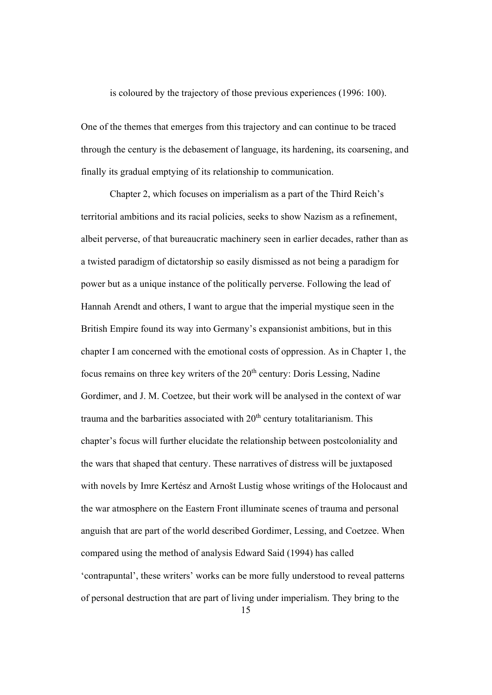is coloured by the trajectory of those previous experiences (1996: 100).

One of the themes that emerges from this trajectory and can continue to be traced through the century is the debasement of language, its hardening, its coarsening, and finally its gradual emptying of its relationship to communication.

Chapter 2, which focuses on imperialism as a part of the Third Reich's territorial ambitions and its racial policies, seeks to show Nazism as a refinement, albeit perverse, of that bureaucratic machinery seen in earlier decades, rather than as a twisted paradigm of dictatorship so easily dismissed as not being a paradigm for power but as a unique instance of the politically perverse. Following the lead of Hannah Arendt and others, I want to argue that the imperial mystique seen in the British Empire found its way into Germany's expansionist ambitions, but in this chapter I am concerned with the emotional costs of oppression. As in Chapter 1, the focus remains on three key writers of the  $20<sup>th</sup>$  century: Doris Lessing, Nadine Gordimer, and J. M. Coetzee, but their work will be analysed in the context of war trauma and the barbarities associated with  $20<sup>th</sup>$  century totalitarianism. This chapter's focus will further elucidate the relationship between postcoloniality and the wars that shaped that century. These narratives of distress will be juxtaposed with novels by Imre Kertész and Arnošt Lustig whose writings of the Holocaust and the war atmosphere on the Eastern Front illuminate scenes of trauma and personal anguish that are part of the world described Gordimer, Lessing, and Coetzee. When compared using the method of analysis Edward Said (1994) has called 'contrapuntal', these writers' works can be more fully understood to reveal patterns of personal destruction that are part of living under imperialism. They bring to the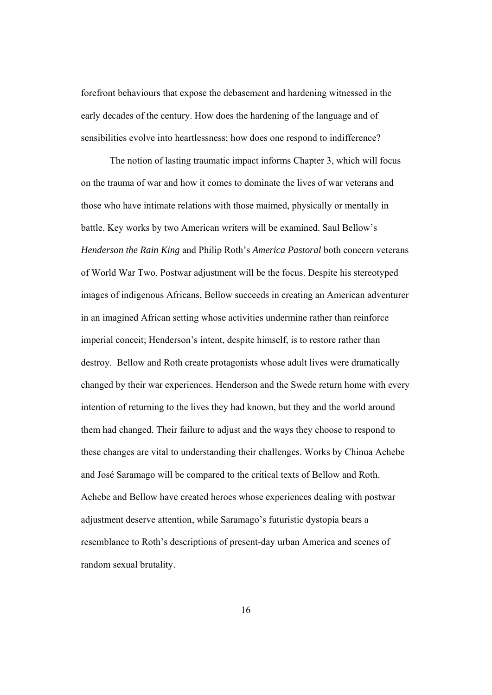forefront behaviours that expose the debasement and hardening witnessed in the early decades of the century. How does the hardening of the language and of sensibilities evolve into heartlessness; how does one respond to indifference?

The notion of lasting traumatic impact informs Chapter 3, which will focus on the trauma of war and how it comes to dominate the lives of war veterans and those who have intimate relations with those maimed, physically or mentally in battle. Key works by two American writers will be examined. Saul Bellow's *Henderson the Rain King* and Philip Roth's *America Pastoral* both concern veterans of World War Two. Postwar adjustment will be the focus. Despite his stereotyped images of indigenous Africans, Bellow succeeds in creating an American adventurer in an imagined African setting whose activities undermine rather than reinforce imperial conceit; Henderson's intent, despite himself, is to restore rather than destroy. Bellow and Roth create protagonists whose adult lives were dramatically changed by their war experiences. Henderson and the Swede return home with every intention of returning to the lives they had known, but they and the world around them had changed. Their failure to adjust and the ways they choose to respond to these changes are vital to understanding their challenges. Works by Chinua Achebe and José Saramago will be compared to the critical texts of Bellow and Roth. Achebe and Bellow have created heroes whose experiences dealing with postwar adjustment deserve attention, while Saramago's futuristic dystopia bears a resemblance to Roth's descriptions of present-day urban America and scenes of random sexual brutality.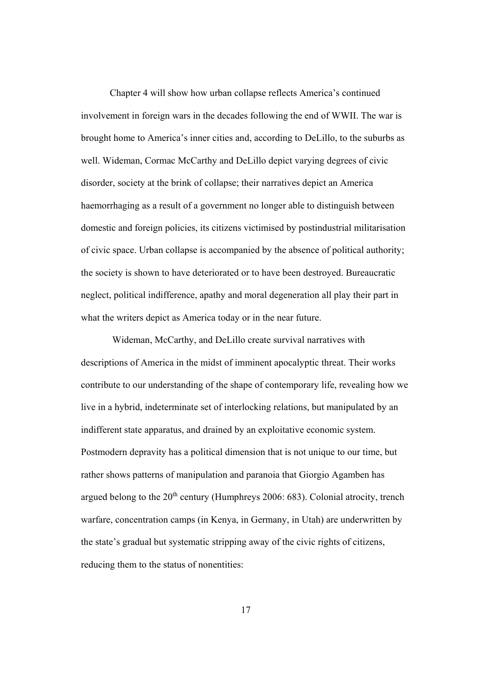Chapter 4 will show how urban collapse reflects America's continued involvement in foreign wars in the decades following the end of WWII. The war is brought home to America's inner cities and, according to DeLillo, to the suburbs as well. Wideman, Cormac McCarthy and DeLillo depict varying degrees of civic disorder, society at the brink of collapse; their narratives depict an America haemorrhaging as a result of a government no longer able to distinguish between domestic and foreign policies, its citizens victimised by postindustrial militarisation of civic space. Urban collapse is accompanied by the absence of political authority; the society is shown to have deteriorated or to have been destroyed. Bureaucratic neglect, political indifference, apathy and moral degeneration all play their part in what the writers depict as America today or in the near future.

 Wideman, McCarthy, and DeLillo create survival narratives with descriptions of America in the midst of imminent apocalyptic threat. Their works contribute to our understanding of the shape of contemporary life, revealing how we live in a hybrid, indeterminate set of interlocking relations, but manipulated by an indifferent state apparatus, and drained by an exploitative economic system. Postmodern depravity has a political dimension that is not unique to our time, but rather shows patterns of manipulation and paranoia that Giorgio Agamben has argued belong to the  $20<sup>th</sup>$  century (Humphreys 2006: 683). Colonial atrocity, trench warfare, concentration camps (in Kenya, in Germany, in Utah) are underwritten by the state's gradual but systematic stripping away of the civic rights of citizens, reducing them to the status of nonentities: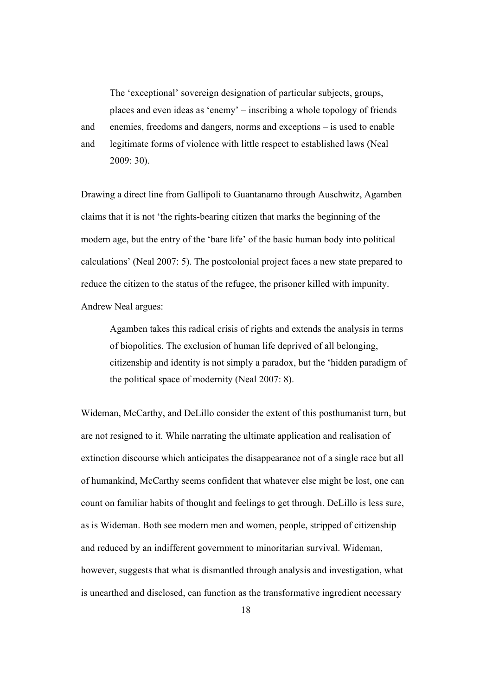The 'exceptional' sovereign designation of particular subjects, groups, places and even ideas as 'enemy' – inscribing a whole topology of friends and enemies, freedoms and dangers, norms and exceptions – is used to enable and legitimate forms of violence with little respect to established laws (Neal 2009: 30).

Drawing a direct line from Gallipoli to Guantanamo through Auschwitz, Agamben claims that it is not 'the rights-bearing citizen that marks the beginning of the modern age, but the entry of the 'bare life' of the basic human body into political calculations' (Neal 2007: 5). The postcolonial project faces a new state prepared to reduce the citizen to the status of the refugee, the prisoner killed with impunity. Andrew Neal argues:

 Agamben takes this radical crisis of rights and extends the analysis in terms of biopolitics. The exclusion of human life deprived of all belonging, citizenship and identity is not simply a paradox, but the 'hidden paradigm of the political space of modernity (Neal 2007: 8).

Wideman, McCarthy, and DeLillo consider the extent of this posthumanist turn, but are not resigned to it. While narrating the ultimate application and realisation of extinction discourse which anticipates the disappearance not of a single race but all of humankind, McCarthy seems confident that whatever else might be lost, one can count on familiar habits of thought and feelings to get through. DeLillo is less sure, as is Wideman. Both see modern men and women, people, stripped of citizenship and reduced by an indifferent government to minoritarian survival. Wideman, however, suggests that what is dismantled through analysis and investigation, what is unearthed and disclosed, can function as the transformative ingredient necessary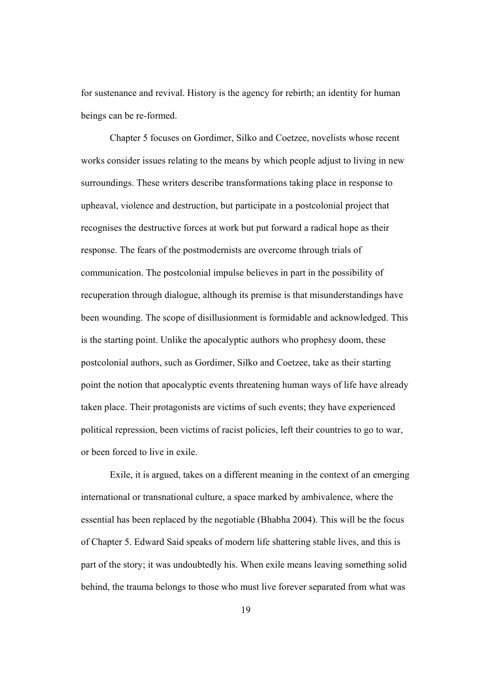for sustenance and revival. History is the agency for rebirth; an identity for human beings can be re-formed.

Chapter 5 focuses on Gordimer, Silko and Coetzee, novelists whose recent works consider issues relating to the means by which people adjust to living in new surroundings. These writers describe transformations taking place in response to upheaval, violence and destruction, but participate in a postcolonial project that recognises the destructive forces at work but put forward a radical hope as their response. The fears of the postmodernists are overcome through trials of communication. The postcolonial impulse believes in part in the possibility of recuperation through dialogue, although its premise is that misunderstandings have been wounding. The scope of disillusionment is formidable and acknowledged. This is the starting point. Unlike the apocalyptic authors who prophesy doom, these postcolonial authors, such as Gordimer, Silko and Coetzee, take as their starting point the notion that apocalyptic events threatening human ways of life have already taken place. Their protagonists are victims of such events; they have experienced political repression, been victims of racist policies, left their countries to go to war, or been forced to live in exile.

Exile, it is argued, takes on a different meaning in the context of an emerging international or transnational culture, a space marked by ambivalence, where the essential has been replaced by the negotiable (Bhabha 2004). This will be the focus of Chapter 5. Edward Said speaks of modern life shattering stable lives, and this is part of the story; it was undoubtedly his. When exile means leaving something solid behind, the trauma belongs to those who must live forever separated from what was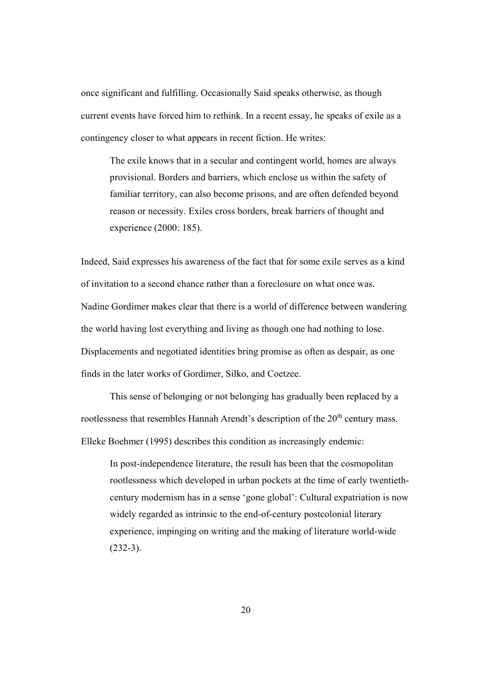once significant and fulfilling. Occasionally Said speaks otherwise, as though current events have forced him to rethink. In a recent essay, he speaks of exile as a contingency closer to what appears in recent fiction. He writes:

The exile knows that in a secular and contingent world, homes are always provisional. Borders and barriers, which enclose us within the safety of familiar territory, can also become prisons, and are often defended beyond reason or necessity. Exiles cross borders, break barriers of thought and experience (2000: 185).

Indeed, Said expresses his awareness of the fact that for some exile serves as a kind of invitation to a second chance rather than a foreclosure on what once was. Nadine Gordimer makes clear that there is a world of difference between wandering the world having lost everything and living as though one had nothing to lose. Displacements and negotiated identities bring promise as often as despair, as one finds in the later works of Gordimer, Silko, and Coetzee.

This sense of belonging or not belonging has gradually been replaced by a rootlessness that resembles Hannah Arendt's description of the 20<sup>th</sup> century mass. Elleke Boehmer (1995) describes this condition as increasingly endemic:

In post-independence literature, the result has been that the cosmopolitan rootlessness which developed in urban pockets at the time of early twentiethcentury modernism has in a sense 'gone global': Cultural expatriation is now widely regarded as intrinsic to the end-of-century postcolonial literary experience, impinging on writing and the making of literature world-wide  $(232-3)$ .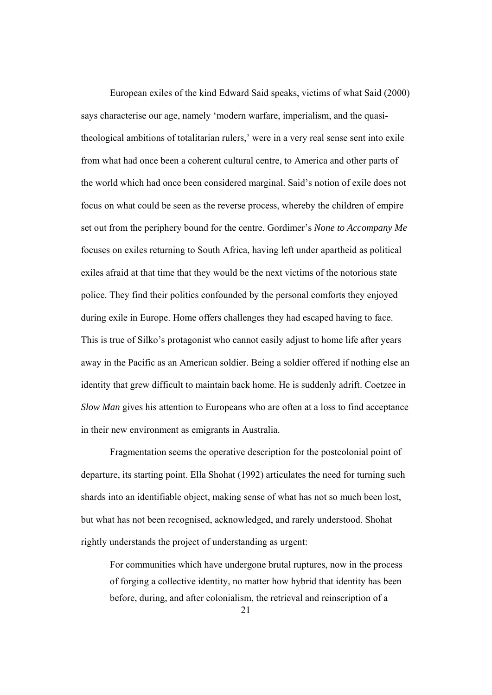European exiles of the kind Edward Said speaks, victims of what Said (2000) says characterise our age, namely 'modern warfare, imperialism, and the quasitheological ambitions of totalitarian rulers,' were in a very real sense sent into exile from what had once been a coherent cultural centre, to America and other parts of the world which had once been considered marginal. Said's notion of exile does not focus on what could be seen as the reverse process, whereby the children of empire set out from the periphery bound for the centre. Gordimer's *None to Accompany Me* focuses on exiles returning to South Africa, having left under apartheid as political exiles afraid at that time that they would be the next victims of the notorious state police. They find their politics confounded by the personal comforts they enjoyed during exile in Europe. Home offers challenges they had escaped having to face. This is true of Silko's protagonist who cannot easily adjust to home life after years away in the Pacific as an American soldier. Being a soldier offered if nothing else an identity that grew difficult to maintain back home. He is suddenly adrift. Coetzee in *Slow Man* gives his attention to Europeans who are often at a loss to find acceptance in their new environment as emigrants in Australia.

 Fragmentation seems the operative description for the postcolonial point of departure, its starting point. Ella Shohat (1992) articulates the need for turning such shards into an identifiable object, making sense of what has not so much been lost, but what has not been recognised, acknowledged, and rarely understood. Shohat rightly understands the project of understanding as urgent:

For communities which have undergone brutal ruptures, now in the process of forging a collective identity, no matter how hybrid that identity has been before, during, and after colonialism, the retrieval and reinscription of a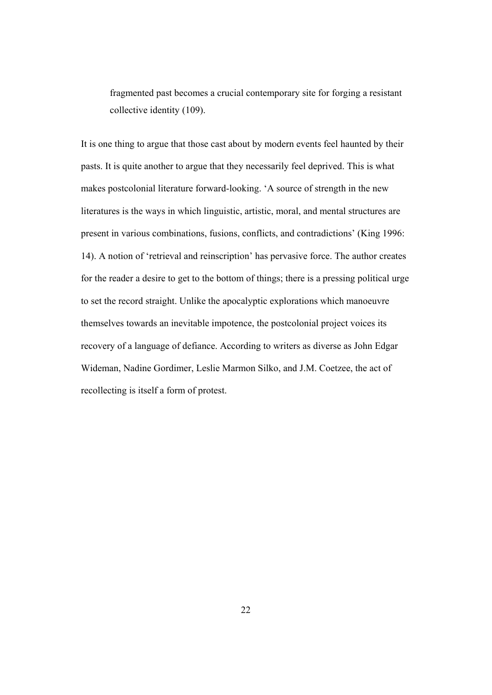fragmented past becomes a crucial contemporary site for forging a resistant collective identity (109).

It is one thing to argue that those cast about by modern events feel haunted by their pasts. It is quite another to argue that they necessarily feel deprived. This is what makes postcolonial literature forward-looking. 'A source of strength in the new literatures is the ways in which linguistic, artistic, moral, and mental structures are present in various combinations, fusions, conflicts, and contradictions' (King 1996: 14). A notion of 'retrieval and reinscription' has pervasive force. The author creates for the reader a desire to get to the bottom of things; there is a pressing political urge to set the record straight. Unlike the apocalyptic explorations which manoeuvre themselves towards an inevitable impotence, the postcolonial project voices its recovery of a language of defiance. According to writers as diverse as John Edgar Wideman, Nadine Gordimer, Leslie Marmon Silko, and J.M. Coetzee, the act of recollecting is itself a form of protest.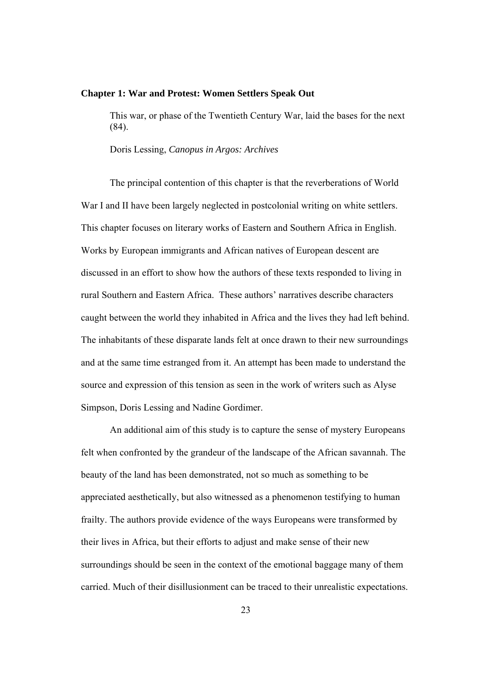## **Chapter 1: War and Protest: Women Settlers Speak Out**

This war, or phase of the Twentieth Century War, laid the bases for the next (84).

Doris Lessing, *Canopus in Argos: Archives* 

 The principal contention of this chapter is that the reverberations of World War I and II have been largely neglected in postcolonial writing on white settlers. This chapter focuses on literary works of Eastern and Southern Africa in English. Works by European immigrants and African natives of European descent are discussed in an effort to show how the authors of these texts responded to living in rural Southern and Eastern Africa. These authors' narratives describe characters caught between the world they inhabited in Africa and the lives they had left behind. The inhabitants of these disparate lands felt at once drawn to their new surroundings and at the same time estranged from it. An attempt has been made to understand the source and expression of this tension as seen in the work of writers such as Alyse Simpson, Doris Lessing and Nadine Gordimer.

An additional aim of this study is to capture the sense of mystery Europeans felt when confronted by the grandeur of the landscape of the African savannah. The beauty of the land has been demonstrated, not so much as something to be appreciated aesthetically, but also witnessed as a phenomenon testifying to human frailty. The authors provide evidence of the ways Europeans were transformed by their lives in Africa, but their efforts to adjust and make sense of their new surroundings should be seen in the context of the emotional baggage many of them carried. Much of their disillusionment can be traced to their unrealistic expectations.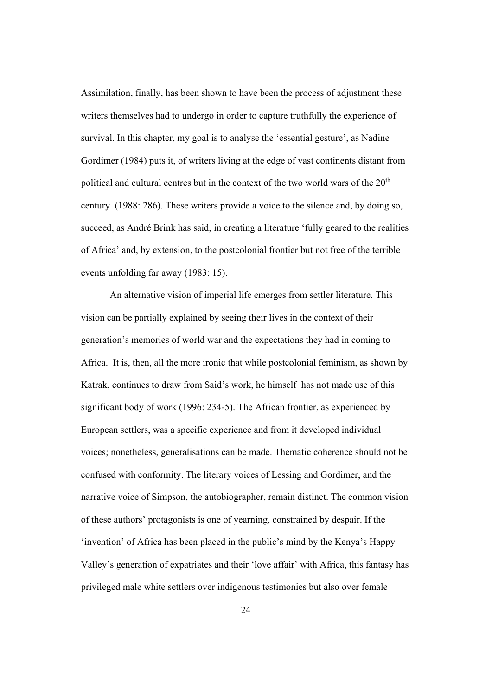Assimilation, finally, has been shown to have been the process of adjustment these writers themselves had to undergo in order to capture truthfully the experience of survival. In this chapter, my goal is to analyse the 'essential gesture', as Nadine Gordimer (1984) puts it, of writers living at the edge of vast continents distant from political and cultural centres but in the context of the two world wars of the  $20<sup>th</sup>$ century (1988: 286). These writers provide a voice to the silence and, by doing so, succeed, as André Brink has said, in creating a literature 'fully geared to the realities of Africa' and, by extension, to the postcolonial frontier but not free of the terrible events unfolding far away (1983: 15).

An alternative vision of imperial life emerges from settler literature. This vision can be partially explained by seeing their lives in the context of their generation's memories of world war and the expectations they had in coming to Africa. It is, then, all the more ironic that while postcolonial feminism, as shown by Katrak, continues to draw from Said's work, he himself has not made use of this significant body of work (1996: 234-5). The African frontier, as experienced by European settlers, was a specific experience and from it developed individual voices; nonetheless, generalisations can be made. Thematic coherence should not be confused with conformity. The literary voices of Lessing and Gordimer, and the narrative voice of Simpson, the autobiographer, remain distinct. The common vision of these authors' protagonists is one of yearning, constrained by despair. If the 'invention' of Africa has been placed in the public's mind by the Kenya's Happy Valley's generation of expatriates and their 'love affair' with Africa, this fantasy has privileged male white settlers over indigenous testimonies but also over female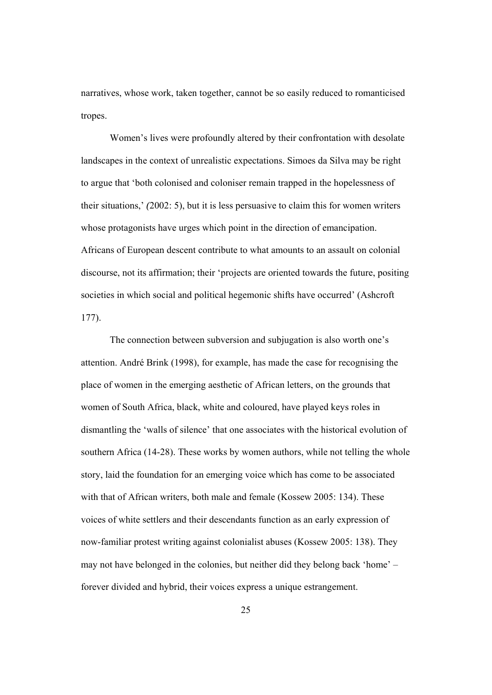narratives, whose work, taken together, cannot be so easily reduced to romanticised tropes.

Women's lives were profoundly altered by their confrontation with desolate landscapes in the context of unrealistic expectations. Simoes da Silva may be right to argue that 'both colonised and coloniser remain trapped in the hopelessness of their situations,' *(*2002: 5), but it is less persuasive to claim this for women writers whose protagonists have urges which point in the direction of emancipation. Africans of European descent contribute to what amounts to an assault on colonial discourse, not its affirmation; their 'projects are oriented towards the future, positing societies in which social and political hegemonic shifts have occurred' (Ashcroft 177).

The connection between subversion and subjugation is also worth one's attention. André Brink (1998), for example, has made the case for recognising the place of women in the emerging aesthetic of African letters, on the grounds that women of South Africa, black, white and coloured, have played keys roles in dismantling the 'walls of silence' that one associates with the historical evolution of southern Africa (14-28). These works by women authors, while not telling the whole story, laid the foundation for an emerging voice which has come to be associated with that of African writers, both male and female (Kossew 2005: 134). These voices of white settlers and their descendants function as an early expression of now-familiar protest writing against colonialist abuses (Kossew 2005: 138). They may not have belonged in the colonies, but neither did they belong back 'home' – forever divided and hybrid, their voices express a unique estrangement.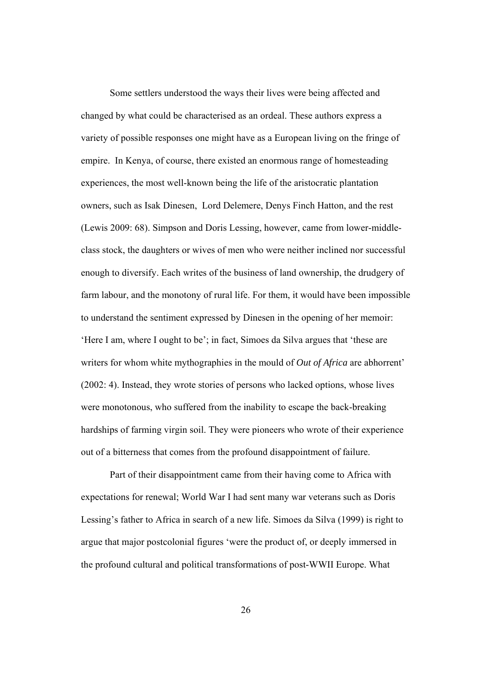Some settlers understood the ways their lives were being affected and changed by what could be characterised as an ordeal. These authors express a variety of possible responses one might have as a European living on the fringe of empire. In Kenya, of course, there existed an enormous range of homesteading experiences, the most well-known being the life of the aristocratic plantation owners, such as Isak Dinesen, Lord Delemere, Denys Finch Hatton, and the rest (Lewis 2009: 68). Simpson and Doris Lessing, however, came from lower-middleclass stock, the daughters or wives of men who were neither inclined nor successful enough to diversify. Each writes of the business of land ownership, the drudgery of farm labour, and the monotony of rural life. For them, it would have been impossible to understand the sentiment expressed by Dinesen in the opening of her memoir: 'Here I am, where I ought to be'; in fact, Simoes da Silva argues that 'these are writers for whom white mythographies in the mould of *Out of Africa* are abhorrent' (2002: 4). Instead, they wrote stories of persons who lacked options, whose lives were monotonous, who suffered from the inability to escape the back-breaking hardships of farming virgin soil. They were pioneers who wrote of their experience out of a bitterness that comes from the profound disappointment of failure.

Part of their disappointment came from their having come to Africa with expectations for renewal; World War I had sent many war veterans such as Doris Lessing's father to Africa in search of a new life. Simoes da Silva (1999) is right to argue that major postcolonial figures 'were the product of, or deeply immersed in the profound cultural and political transformations of post-WWII Europe. What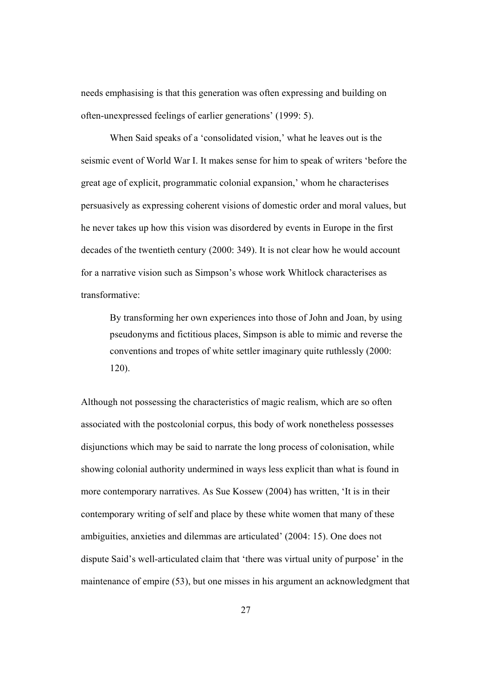needs emphasising is that this generation was often expressing and building on often-unexpressed feelings of earlier generations' (1999: 5).

When Said speaks of a 'consolidated vision,' what he leaves out is the seismic event of World War I. It makes sense for him to speak of writers 'before the great age of explicit, programmatic colonial expansion,' whom he characterises persuasively as expressing coherent visions of domestic order and moral values, but he never takes up how this vision was disordered by events in Europe in the first decades of the twentieth century (2000: 349). It is not clear how he would account for a narrative vision such as Simpson's whose work Whitlock characterises as transformative:

By transforming her own experiences into those of John and Joan, by using pseudonyms and fictitious places, Simpson is able to mimic and reverse the conventions and tropes of white settler imaginary quite ruthlessly (2000: 120).

Although not possessing the characteristics of magic realism, which are so often associated with the postcolonial corpus, this body of work nonetheless possesses disjunctions which may be said to narrate the long process of colonisation, while showing colonial authority undermined in ways less explicit than what is found in more contemporary narratives. As Sue Kossew (2004) has written, 'It is in their contemporary writing of self and place by these white women that many of these ambiguities, anxieties and dilemmas are articulated' (2004: 15). One does not dispute Said's well-articulated claim that 'there was virtual unity of purpose' in the maintenance of empire (53), but one misses in his argument an acknowledgment that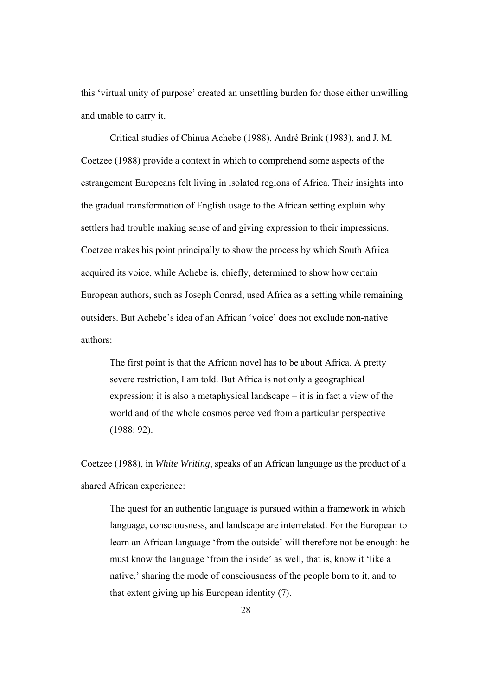this 'virtual unity of purpose' created an unsettling burden for those either unwilling and unable to carry it.

Critical studies of Chinua Achebe (1988), André Brink (1983), and J. M. Coetzee (1988) provide a context in which to comprehend some aspects of the estrangement Europeans felt living in isolated regions of Africa. Their insights into the gradual transformation of English usage to the African setting explain why settlers had trouble making sense of and giving expression to their impressions. Coetzee makes his point principally to show the process by which South Africa acquired its voice, while Achebe is, chiefly, determined to show how certain European authors, such as Joseph Conrad, used Africa as a setting while remaining outsiders. But Achebe's idea of an African 'voice' does not exclude non-native authors:

The first point is that the African novel has to be about Africa. A pretty severe restriction, I am told. But Africa is not only a geographical expression; it is also a metaphysical landscape – it is in fact a view of the world and of the whole cosmos perceived from a particular perspective (1988: 92).

Coetzee (1988), in *White Writing*, speaks of an African language as the product of a shared African experience:

The quest for an authentic language is pursued within a framework in which language, consciousness, and landscape are interrelated. For the European to learn an African language 'from the outside' will therefore not be enough: he must know the language 'from the inside' as well, that is, know it 'like a native,' sharing the mode of consciousness of the people born to it, and to that extent giving up his European identity (7).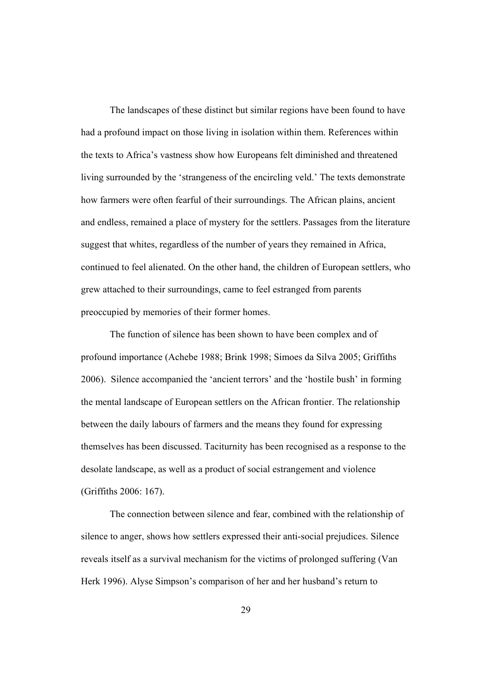The landscapes of these distinct but similar regions have been found to have had a profound impact on those living in isolation within them. References within the texts to Africa's vastness show how Europeans felt diminished and threatened living surrounded by the 'strangeness of the encircling veld.' The texts demonstrate how farmers were often fearful of their surroundings. The African plains, ancient and endless, remained a place of mystery for the settlers. Passages from the literature suggest that whites, regardless of the number of years they remained in Africa, continued to feel alienated. On the other hand, the children of European settlers, who grew attached to their surroundings, came to feel estranged from parents preoccupied by memories of their former homes.

The function of silence has been shown to have been complex and of profound importance (Achebe 1988; Brink 1998; Simoes da Silva 2005; Griffiths 2006). Silence accompanied the 'ancient terrors' and the 'hostile bush' in forming the mental landscape of European settlers on the African frontier. The relationship between the daily labours of farmers and the means they found for expressing themselves has been discussed. Taciturnity has been recognised as a response to the desolate landscape, as well as a product of social estrangement and violence (Griffiths 2006: 167).

The connection between silence and fear, combined with the relationship of silence to anger, shows how settlers expressed their anti-social prejudices. Silence reveals itself as a survival mechanism for the victims of prolonged suffering (Van Herk 1996). Alyse Simpson's comparison of her and her husband's return to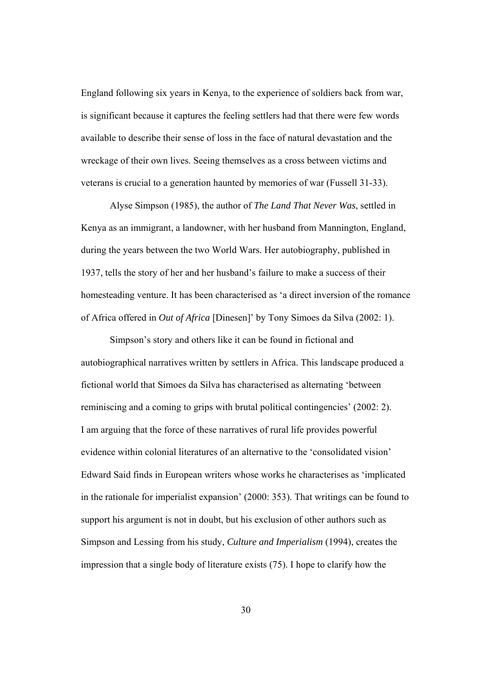England following six years in Kenya, to the experience of soldiers back from war, is significant because it captures the feeling settlers had that there were few words available to describe their sense of loss in the face of natural devastation and the wreckage of their own lives. Seeing themselves as a cross between victims and veterans is crucial to a generation haunted by memories of war (Fussell 31-33).

Alyse Simpson (1985), the author of *The Land That Never Was*, settled in Kenya as an immigrant, a landowner, with her husband from Mannington, England, during the years between the two World Wars. Her autobiography, published in 1937, tells the story of her and her husband's failure to make a success of their homesteading venture. It has been characterised as 'a direct inversion of the romance of Africa offered in *Out of Africa* [Dinesen]' by Tony Simoes da Silva (2002: 1).

Simpson's story and others like it can be found in fictional and autobiographical narratives written by settlers in Africa. This landscape produced a fictional world that Simoes da Silva has characterised as alternating 'between reminiscing and a coming to grips with brutal political contingencies' (2002: 2). I am arguing that the force of these narratives of rural life provides powerful evidence within colonial literatures of an alternative to the 'consolidated vision' Edward Said finds in European writers whose works he characterises as 'implicated in the rationale for imperialist expansion' (2000: 353). That writings can be found to support his argument is not in doubt, but his exclusion of other authors such as Simpson and Lessing from his study, *Culture and Imperialism* (1994), creates the impression that a single body of literature exists (75). I hope to clarify how the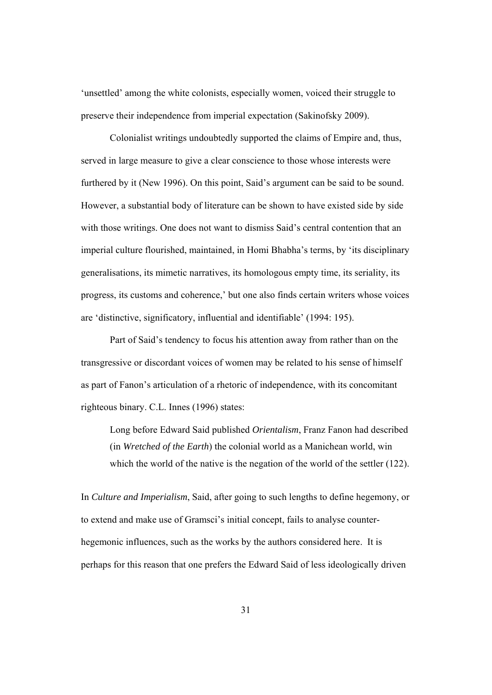'unsettled' among the white colonists, especially women, voiced their struggle to preserve their independence from imperial expectation (Sakinofsky 2009).

Colonialist writings undoubtedly supported the claims of Empire and, thus, served in large measure to give a clear conscience to those whose interests were furthered by it (New 1996). On this point, Said's argument can be said to be sound. However, a substantial body of literature can be shown to have existed side by side with those writings. One does not want to dismiss Said's central contention that an imperial culture flourished, maintained, in Homi Bhabha's terms, by 'its disciplinary generalisations, its mimetic narratives, its homologous empty time, its seriality, its progress, its customs and coherence,' but one also finds certain writers whose voices are 'distinctive, significatory, influential and identifiable' (1994: 195).

Part of Said's tendency to focus his attention away from rather than on the transgressive or discordant voices of women may be related to his sense of himself as part of Fanon's articulation of a rhetoric of independence, with its concomitant righteous binary. C.L. Innes (1996) states:

Long before Edward Said published *Orientalism*, Franz Fanon had described (in *Wretched of the Earth*) the colonial world as a Manichean world, win which the world of the native is the negation of the world of the settler (122).

In *Culture and Imperialism*, Said, after going to such lengths to define hegemony, or to extend and make use of Gramsci's initial concept, fails to analyse counterhegemonic influences, such as the works by the authors considered here. It is perhaps for this reason that one prefers the Edward Said of less ideologically driven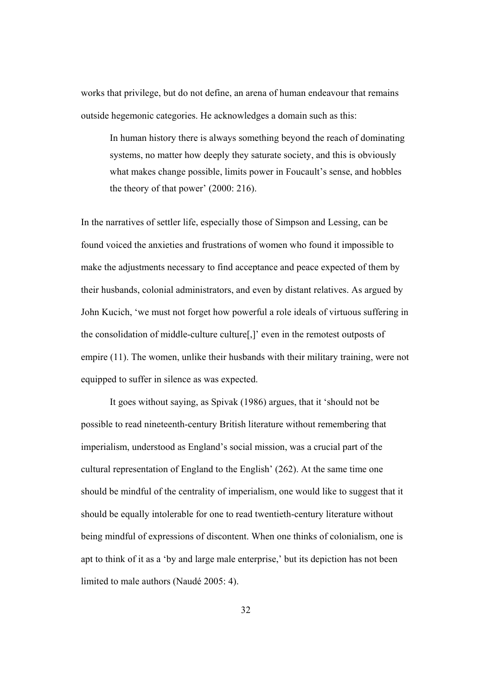works that privilege, but do not define, an arena of human endeavour that remains outside hegemonic categories. He acknowledges a domain such as this:

In human history there is always something beyond the reach of dominating systems, no matter how deeply they saturate society, and this is obviously what makes change possible, limits power in Foucault's sense, and hobbles the theory of that power' (2000: 216).

In the narratives of settler life, especially those of Simpson and Lessing, can be found voiced the anxieties and frustrations of women who found it impossible to make the adjustments necessary to find acceptance and peace expected of them by their husbands, colonial administrators, and even by distant relatives. As argued by John Kucich, 'we must not forget how powerful a role ideals of virtuous suffering in the consolidation of middle-culture culture[,]' even in the remotest outposts of empire (11). The women, unlike their husbands with their military training, were not equipped to suffer in silence as was expected.

It goes without saying, as Spivak (1986) argues, that it 'should not be possible to read nineteenth-century British literature without remembering that imperialism, understood as England's social mission, was a crucial part of the cultural representation of England to the English' (262). At the same time one should be mindful of the centrality of imperialism, one would like to suggest that it should be equally intolerable for one to read twentieth-century literature without being mindful of expressions of discontent. When one thinks of colonialism, one is apt to think of it as a 'by and large male enterprise,' but its depiction has not been limited to male authors (Naudé 2005: 4).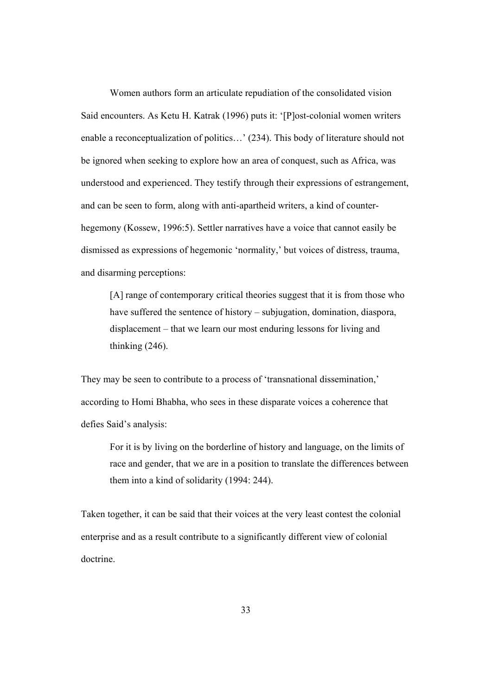Women authors form an articulate repudiation of the consolidated vision Said encounters. As Ketu H. Katrak (1996) puts it: '[P]ost-colonial women writers enable a reconceptualization of politics…' (234). This body of literature should not be ignored when seeking to explore how an area of conquest, such as Africa, was understood and experienced. They testify through their expressions of estrangement, and can be seen to form, along with anti-apartheid writers, a kind of counterhegemony (Kossew, 1996:5). Settler narratives have a voice that cannot easily be dismissed as expressions of hegemonic 'normality,' but voices of distress, trauma, and disarming perceptions:

[A] range of contemporary critical theories suggest that it is from those who have suffered the sentence of history – subjugation, domination, diaspora, displacement – that we learn our most enduring lessons for living and thinking (246).

They may be seen to contribute to a process of 'transnational dissemination,' according to Homi Bhabha, who sees in these disparate voices a coherence that defies Said's analysis:

For it is by living on the borderline of history and language, on the limits of race and gender, that we are in a position to translate the differences between them into a kind of solidarity (1994: 244).

Taken together, it can be said that their voices at the very least contest the colonial enterprise and as a result contribute to a significantly different view of colonial doctrine.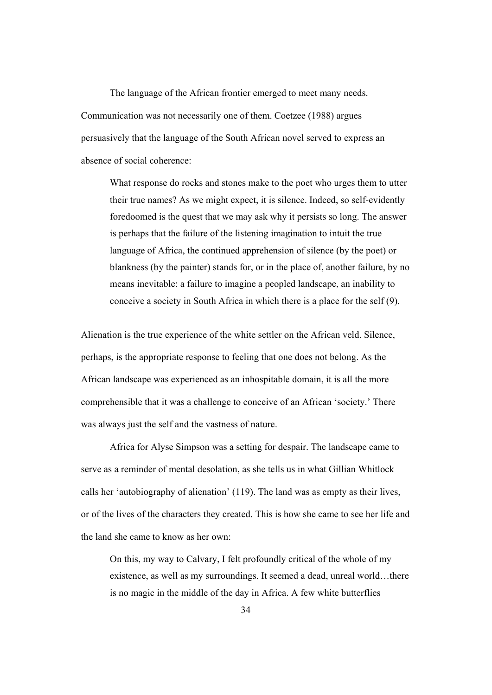The language of the African frontier emerged to meet many needs. Communication was not necessarily one of them. Coetzee (1988) argues persuasively that the language of the South African novel served to express an absence of social coherence:

What response do rocks and stones make to the poet who urges them to utter their true names? As we might expect, it is silence. Indeed, so self-evidently foredoomed is the quest that we may ask why it persists so long. The answer is perhaps that the failure of the listening imagination to intuit the true language of Africa, the continued apprehension of silence (by the poet) or blankness (by the painter) stands for, or in the place of, another failure, by no means inevitable: a failure to imagine a peopled landscape, an inability to conceive a society in South Africa in which there is a place for the self (9).

Alienation is the true experience of the white settler on the African veld. Silence, perhaps, is the appropriate response to feeling that one does not belong. As the African landscape was experienced as an inhospitable domain, it is all the more comprehensible that it was a challenge to conceive of an African 'society.' There was always just the self and the vastness of nature.

Africa for Alyse Simpson was a setting for despair. The landscape came to serve as a reminder of mental desolation, as she tells us in what Gillian Whitlock calls her 'autobiography of alienation' (119). The land was as empty as their lives, or of the lives of the characters they created. This is how she came to see her life and the land she came to know as her own:

On this, my way to Calvary, I felt profoundly critical of the whole of my existence, as well as my surroundings. It seemed a dead, unreal world…there is no magic in the middle of the day in Africa. A few white butterflies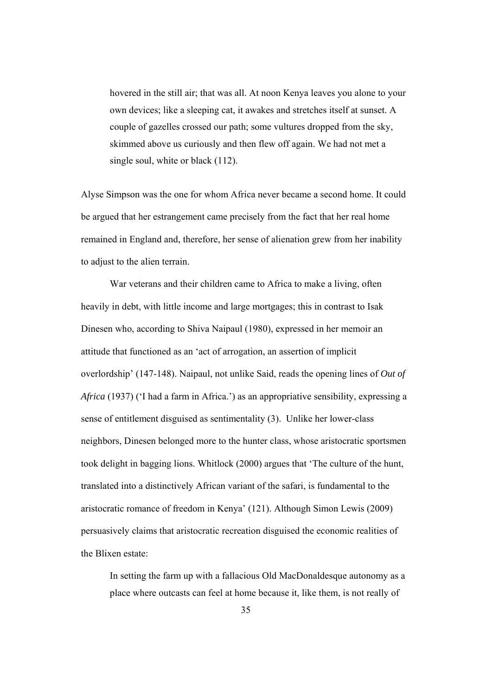hovered in the still air; that was all. At noon Kenya leaves you alone to your own devices; like a sleeping cat, it awakes and stretches itself at sunset. A couple of gazelles crossed our path; some vultures dropped from the sky, skimmed above us curiously and then flew off again. We had not met a single soul, white or black (112).

Alyse Simpson was the one for whom Africa never became a second home. It could be argued that her estrangement came precisely from the fact that her real home remained in England and, therefore, her sense of alienation grew from her inability to adjust to the alien terrain.

 War veterans and their children came to Africa to make a living, often heavily in debt, with little income and large mortgages; this in contrast to Isak Dinesen who, according to Shiva Naipaul (1980), expressed in her memoir an attitude that functioned as an 'act of arrogation, an assertion of implicit overlordship' (147-148). Naipaul, not unlike Said, reads the opening lines of *Out of Africa* (1937) ('I had a farm in Africa.') as an appropriative sensibility, expressing a sense of entitlement disguised as sentimentality (3). Unlike her lower-class neighbors, Dinesen belonged more to the hunter class, whose aristocratic sportsmen took delight in bagging lions. Whitlock (2000) argues that 'The culture of the hunt, translated into a distinctively African variant of the safari, is fundamental to the aristocratic romance of freedom in Kenya' (121). Although Simon Lewis (2009) persuasively claims that aristocratic recreation disguised the economic realities of the Blixen estate:

In setting the farm up with a fallacious Old MacDonaldesque autonomy as a place where outcasts can feel at home because it, like them, is not really of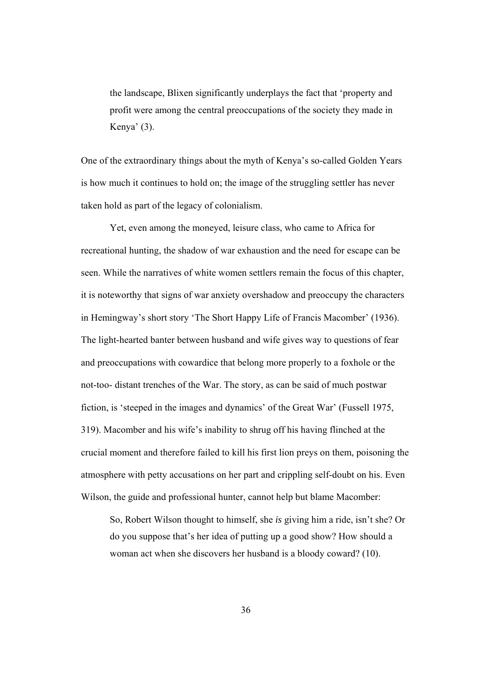the landscape, Blixen significantly underplays the fact that 'property and profit were among the central preoccupations of the society they made in Kenya' (3).

One of the extraordinary things about the myth of Kenya's so-called Golden Years is how much it continues to hold on; the image of the struggling settler has never taken hold as part of the legacy of colonialism.

Yet, even among the moneyed, leisure class, who came to Africa for recreational hunting, the shadow of war exhaustion and the need for escape can be seen. While the narratives of white women settlers remain the focus of this chapter, it is noteworthy that signs of war anxiety overshadow and preoccupy the characters in Hemingway's short story 'The Short Happy Life of Francis Macomber' (1936). The light-hearted banter between husband and wife gives way to questions of fear and preoccupations with cowardice that belong more properly to a foxhole or the not-too- distant trenches of the War. The story, as can be said of much postwar fiction, is 'steeped in the images and dynamics' of the Great War' (Fussell 1975, 319). Macomber and his wife's inability to shrug off his having flinched at the crucial moment and therefore failed to kill his first lion preys on them, poisoning the atmosphere with petty accusations on her part and crippling self-doubt on his. Even Wilson, the guide and professional hunter, cannot help but blame Macomber:

So, Robert Wilson thought to himself, she *is* giving him a ride, isn't she? Or do you suppose that's her idea of putting up a good show? How should a woman act when she discovers her husband is a bloody coward? (10).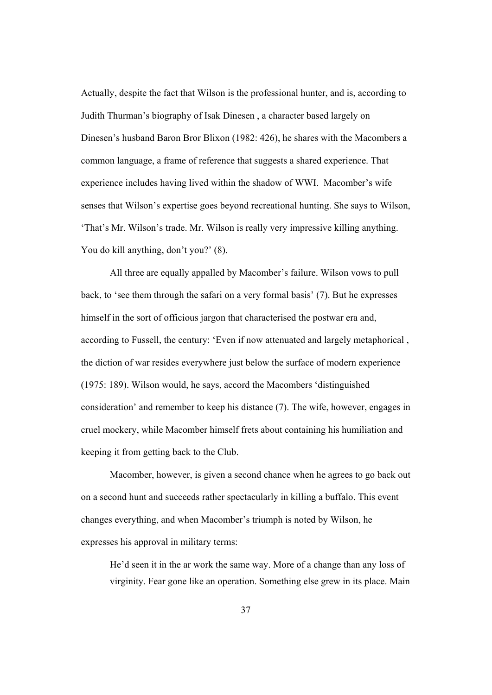Actually, despite the fact that Wilson is the professional hunter, and is, according to Judith Thurman's biography of Isak Dinesen , a character based largely on Dinesen's husband Baron Bror Blixon (1982: 426), he shares with the Macombers a common language, a frame of reference that suggests a shared experience. That experience includes having lived within the shadow of WWI. Macomber's wife senses that Wilson's expertise goes beyond recreational hunting. She says to Wilson, 'That's Mr. Wilson's trade. Mr. Wilson is really very impressive killing anything. You do kill anything, don't you?' (8).

 All three are equally appalled by Macomber's failure. Wilson vows to pull back, to 'see them through the safari on a very formal basis' (7). But he expresses himself in the sort of officious jargon that characterised the postwar era and, according to Fussell, the century: 'Even if now attenuated and largely metaphorical , the diction of war resides everywhere just below the surface of modern experience (1975: 189). Wilson would, he says, accord the Macombers 'distinguished consideration' and remember to keep his distance (7). The wife, however, engages in cruel mockery, while Macomber himself frets about containing his humiliation and keeping it from getting back to the Club.

Macomber, however, is given a second chance when he agrees to go back out on a second hunt and succeeds rather spectacularly in killing a buffalo. This event changes everything, and when Macomber's triumph is noted by Wilson, he expresses his approval in military terms:

He'd seen it in the ar work the same way. More of a change than any loss of virginity. Fear gone like an operation. Something else grew in its place. Main

37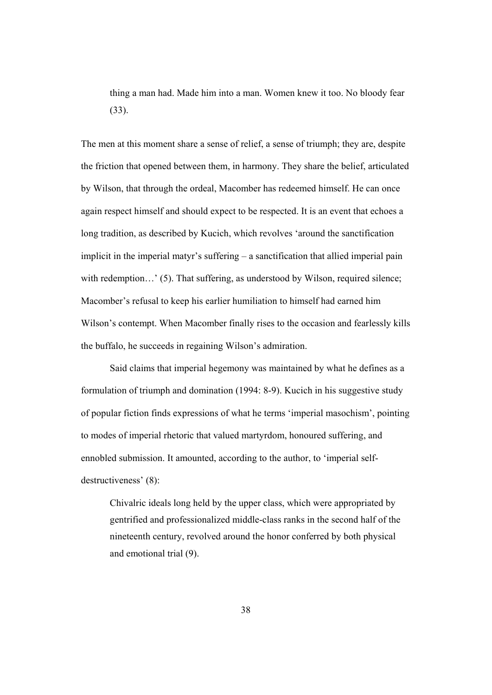thing a man had. Made him into a man. Women knew it too. No bloody fear (33).

The men at this moment share a sense of relief, a sense of triumph; they are, despite the friction that opened between them, in harmony. They share the belief, articulated by Wilson, that through the ordeal, Macomber has redeemed himself. He can once again respect himself and should expect to be respected. It is an event that echoes a long tradition, as described by Kucich, which revolves 'around the sanctification implicit in the imperial matyr's suffering – a sanctification that allied imperial pain with redemption…' (5). That suffering, as understood by Wilson, required silence; Macomber's refusal to keep his earlier humiliation to himself had earned him Wilson's contempt. When Macomber finally rises to the occasion and fearlessly kills the buffalo, he succeeds in regaining Wilson's admiration.

Said claims that imperial hegemony was maintained by what he defines as a formulation of triumph and domination (1994: 8-9). Kucich in his suggestive study of popular fiction finds expressions of what he terms 'imperial masochism', pointing to modes of imperial rhetoric that valued martyrdom, honoured suffering, and ennobled submission. It amounted, according to the author, to 'imperial selfdestructiveness' (8):

Chivalric ideals long held by the upper class, which were appropriated by gentrified and professionalized middle-class ranks in the second half of the nineteenth century, revolved around the honor conferred by both physical and emotional trial (9).

38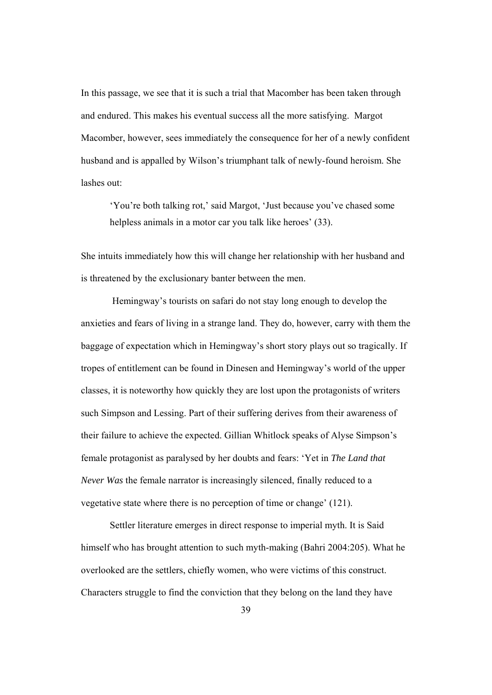In this passage, we see that it is such a trial that Macomber has been taken through and endured. This makes his eventual success all the more satisfying. Margot Macomber, however, sees immediately the consequence for her of a newly confident husband and is appalled by Wilson's triumphant talk of newly-found heroism. She lashes out:

'You're both talking rot,' said Margot, 'Just because you've chased some helpless animals in a motor car you talk like heroes' (33).

She intuits immediately how this will change her relationship with her husband and is threatened by the exclusionary banter between the men.

 Hemingway's tourists on safari do not stay long enough to develop the anxieties and fears of living in a strange land. They do, however, carry with them the baggage of expectation which in Hemingway's short story plays out so tragically. If tropes of entitlement can be found in Dinesen and Hemingway's world of the upper classes, it is noteworthy how quickly they are lost upon the protagonists of writers such Simpson and Lessing. Part of their suffering derives from their awareness of their failure to achieve the expected. Gillian Whitlock speaks of Alyse Simpson's female protagonist as paralysed by her doubts and fears: 'Yet in *The Land that Never Was* the female narrator is increasingly silenced, finally reduced to a vegetative state where there is no perception of time or change' (121).

Settler literature emerges in direct response to imperial myth. It is Said himself who has brought attention to such myth-making (Bahri 2004:205). What he overlooked are the settlers, chiefly women, who were victims of this construct. Characters struggle to find the conviction that they belong on the land they have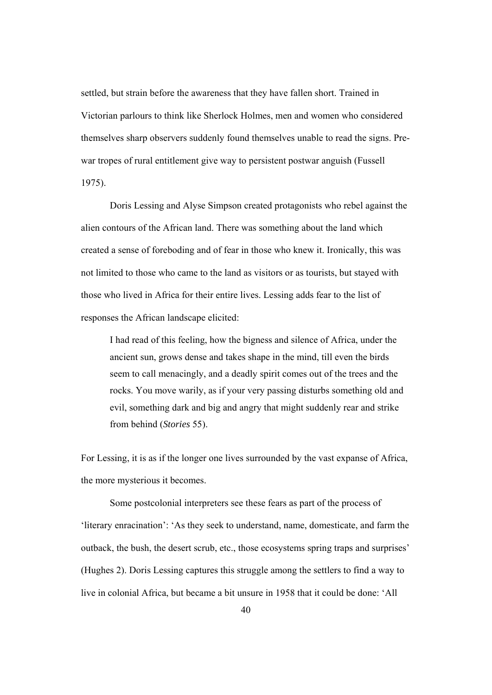settled, but strain before the awareness that they have fallen short. Trained in Victorian parlours to think like Sherlock Holmes, men and women who considered themselves sharp observers suddenly found themselves unable to read the signs. Prewar tropes of rural entitlement give way to persistent postwar anguish (Fussell 1975).

Doris Lessing and Alyse Simpson created protagonists who rebel against the alien contours of the African land. There was something about the land which created a sense of foreboding and of fear in those who knew it. Ironically, this was not limited to those who came to the land as visitors or as tourists, but stayed with those who lived in Africa for their entire lives. Lessing adds fear to the list of responses the African landscape elicited:

I had read of this feeling, how the bigness and silence of Africa, under the ancient sun, grows dense and takes shape in the mind, till even the birds seem to call menacingly, and a deadly spirit comes out of the trees and the rocks. You move warily, as if your very passing disturbs something old and evil, something dark and big and angry that might suddenly rear and strike from behind (*Stories* 55).

For Lessing, it is as if the longer one lives surrounded by the vast expanse of Africa, the more mysterious it becomes.

 Some postcolonial interpreters see these fears as part of the process of 'literary enracination': 'As they seek to understand, name, domesticate, and farm the outback, the bush, the desert scrub, etc., those ecosystems spring traps and surprises' (Hughes 2). Doris Lessing captures this struggle among the settlers to find a way to live in colonial Africa, but became a bit unsure in 1958 that it could be done: 'All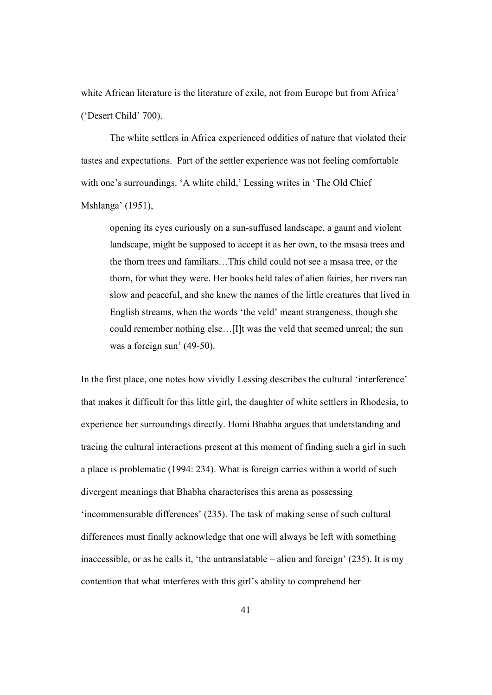white African literature is the literature of exile, not from Europe but from Africa' ('Desert Child' 700).

The white settlers in Africa experienced oddities of nature that violated their tastes and expectations. Part of the settler experience was not feeling comfortable with one's surroundings. 'A white child,' Lessing writes in 'The Old Chief Mshlanga' (1951),

opening its eyes curiously on a sun-suffused landscape, a gaunt and violent landscape, might be supposed to accept it as her own, to the msasa trees and the thorn trees and familiars…This child could not see a msasa tree, or the thorn, for what they were. Her books held tales of alien fairies, her rivers ran slow and peaceful, and she knew the names of the little creatures that lived in English streams, when the words 'the veld' meant strangeness, though she could remember nothing else…[I]t was the veld that seemed unreal; the sun was a foreign sun' (49-50).

In the first place, one notes how vividly Lessing describes the cultural 'interference' that makes it difficult for this little girl, the daughter of white settlers in Rhodesia, to experience her surroundings directly. Homi Bhabha argues that understanding and tracing the cultural interactions present at this moment of finding such a girl in such a place is problematic (1994: 234). What is foreign carries within a world of such divergent meanings that Bhabha characterises this arena as possessing 'incommensurable differences' (235). The task of making sense of such cultural differences must finally acknowledge that one will always be left with something inaccessible, or as he calls it, 'the untranslatable – alien and foreign' (235). It is my contention that what interferes with this girl's ability to comprehend her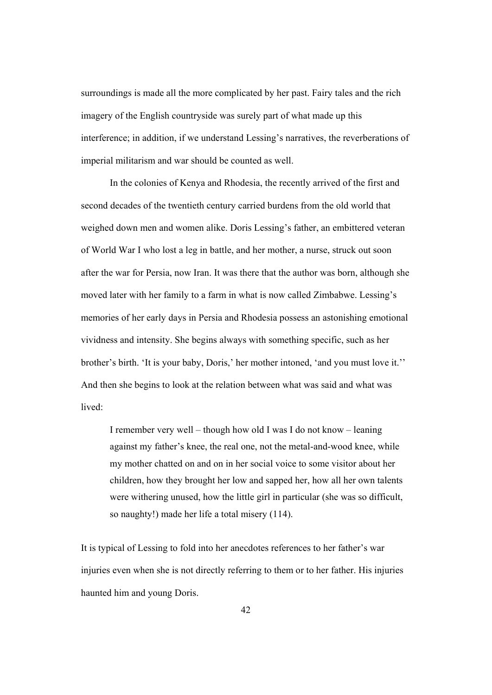surroundings is made all the more complicated by her past. Fairy tales and the rich imagery of the English countryside was surely part of what made up this interference; in addition, if we understand Lessing's narratives, the reverberations of imperial militarism and war should be counted as well.

In the colonies of Kenya and Rhodesia, the recently arrived of the first and second decades of the twentieth century carried burdens from the old world that weighed down men and women alike. Doris Lessing's father, an embittered veteran of World War I who lost a leg in battle, and her mother, a nurse, struck out soon after the war for Persia, now Iran. It was there that the author was born, although she moved later with her family to a farm in what is now called Zimbabwe. Lessing's memories of her early days in Persia and Rhodesia possess an astonishing emotional vividness and intensity. She begins always with something specific, such as her brother's birth. 'It is your baby, Doris,' her mother intoned, 'and you must love it.'' And then she begins to look at the relation between what was said and what was lived:

I remember very well – though how old I was I do not know – leaning against my father's knee, the real one, not the metal-and-wood knee, while my mother chatted on and on in her social voice to some visitor about her children, how they brought her low and sapped her, how all her own talents were withering unused, how the little girl in particular (she was so difficult, so naughty!) made her life a total misery (114).

It is typical of Lessing to fold into her anecdotes references to her father's war injuries even when she is not directly referring to them or to her father. His injuries haunted him and young Doris.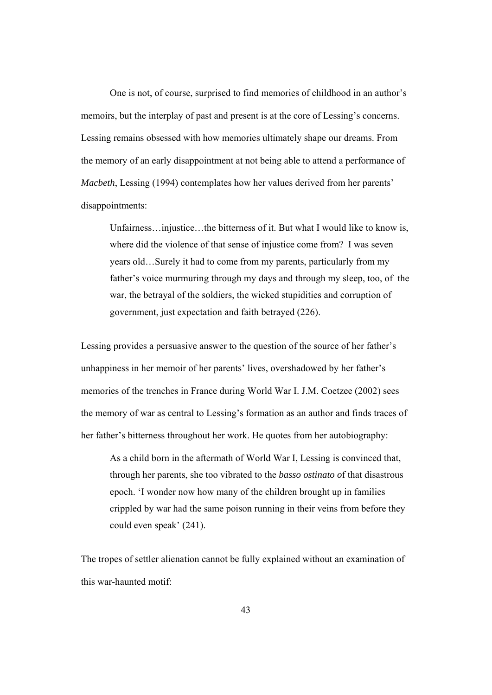One is not, of course, surprised to find memories of childhood in an author's memoirs, but the interplay of past and present is at the core of Lessing's concerns. Lessing remains obsessed with how memories ultimately shape our dreams. From the memory of an early disappointment at not being able to attend a performance of *Macbeth*, Lessing (1994) contemplates how her values derived from her parents' disappointments:

Unfairness…injustice…the bitterness of it. But what I would like to know is, where did the violence of that sense of injustice come from? I was seven years old…Surely it had to come from my parents, particularly from my father's voice murmuring through my days and through my sleep, too, of the war, the betrayal of the soldiers, the wicked stupidities and corruption of government, just expectation and faith betrayed (226).

Lessing provides a persuasive answer to the question of the source of her father's unhappiness in her memoir of her parents' lives, overshadowed by her father's memories of the trenches in France during World War I. J.M. Coetzee (2002) sees the memory of war as central to Lessing's formation as an author and finds traces of her father's bitterness throughout her work. He quotes from her autobiography:

As a child born in the aftermath of World War I, Lessing is convinced that, through her parents, she too vibrated to the *basso ostinato o*f that disastrous epoch. 'I wonder now how many of the children brought up in families crippled by war had the same poison running in their veins from before they could even speak' (241).

The tropes of settler alienation cannot be fully explained without an examination of this war-haunted motif:

43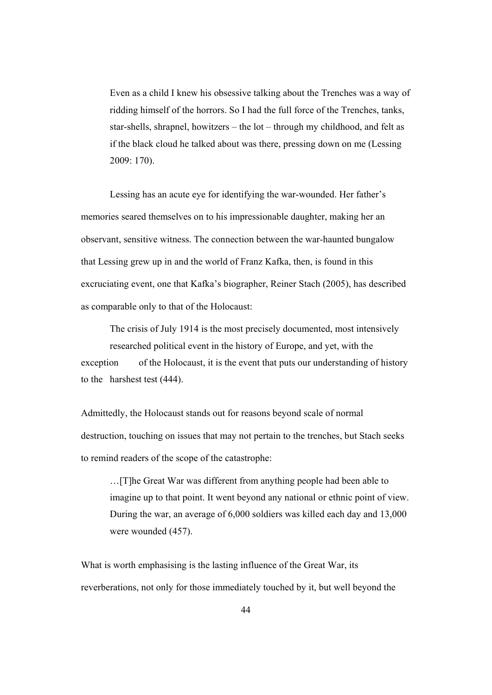Even as a child I knew his obsessive talking about the Trenches was a way of ridding himself of the horrors. So I had the full force of the Trenches, tanks, star-shells, shrapnel, howitzers – the lot – through my childhood, and felt as if the black cloud he talked about was there, pressing down on me (Lessing 2009: 170).

Lessing has an acute eye for identifying the war-wounded. Her father's memories seared themselves on to his impressionable daughter, making her an observant, sensitive witness. The connection between the war-haunted bungalow that Lessing grew up in and the world of Franz Kafka, then, is found in this excruciating event, one that Kafka's biographer, Reiner Stach (2005), has described as comparable only to that of the Holocaust:

 The crisis of July 1914 is the most precisely documented, most intensively researched political event in the history of Europe, and yet, with the exception of the Holocaust, it is the event that puts our understanding of history to the harshest test (444).

Admittedly, the Holocaust stands out for reasons beyond scale of normal destruction, touching on issues that may not pertain to the trenches, but Stach seeks to remind readers of the scope of the catastrophe:

 …[T]he Great War was different from anything people had been able to imagine up to that point. It went beyond any national or ethnic point of view. During the war, an average of 6,000 soldiers was killed each day and 13,000 were wounded (457).

What is worth emphasising is the lasting influence of the Great War, its reverberations, not only for those immediately touched by it, but well beyond the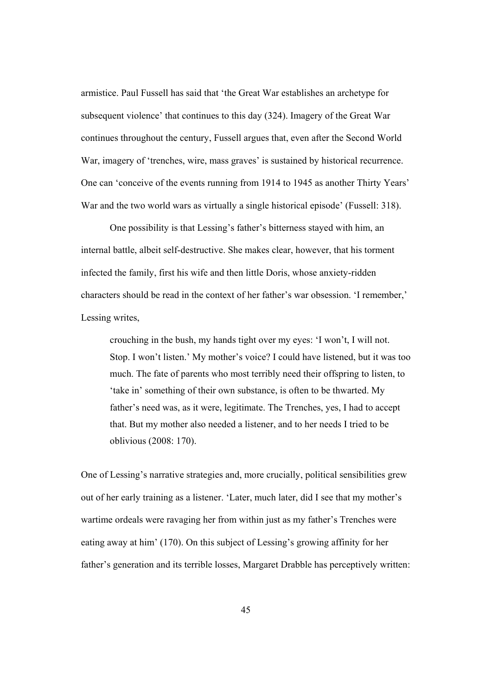armistice. Paul Fussell has said that 'the Great War establishes an archetype for subsequent violence' that continues to this day (324). Imagery of the Great War continues throughout the century, Fussell argues that, even after the Second World War, imagery of 'trenches, wire, mass graves' is sustained by historical recurrence. One can 'conceive of the events running from 1914 to 1945 as another Thirty Years' War and the two world wars as virtually a single historical episode' (Fussell: 318).

One possibility is that Lessing's father's bitterness stayed with him, an internal battle, albeit self-destructive. She makes clear, however, that his torment infected the family, first his wife and then little Doris, whose anxiety-ridden characters should be read in the context of her father's war obsession. 'I remember,' Lessing writes,

crouching in the bush, my hands tight over my eyes: 'I won't, I will not. Stop. I won't listen.' My mother's voice? I could have listened, but it was too much. The fate of parents who most terribly need their offspring to listen, to 'take in' something of their own substance, is often to be thwarted. My father's need was, as it were, legitimate. The Trenches, yes, I had to accept that. But my mother also needed a listener, and to her needs I tried to be oblivious (2008: 170).

One of Lessing's narrative strategies and, more crucially, political sensibilities grew out of her early training as a listener. 'Later, much later, did I see that my mother's wartime ordeals were ravaging her from within just as my father's Trenches were eating away at him' (170). On this subject of Lessing's growing affinity for her father's generation and its terrible losses, Margaret Drabble has perceptively written: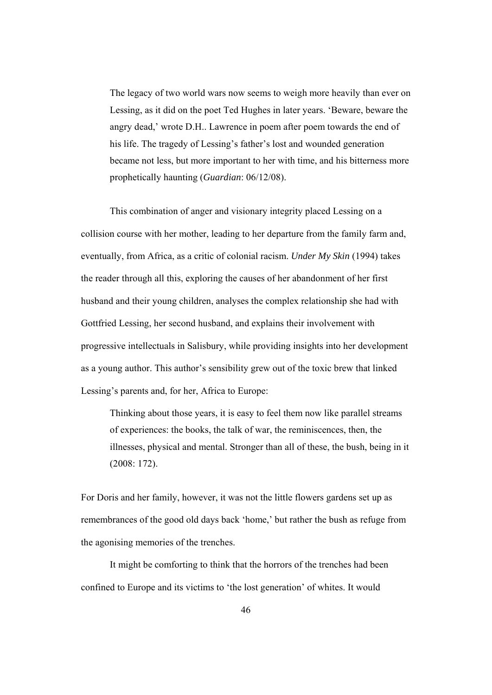The legacy of two world wars now seems to weigh more heavily than ever on Lessing, as it did on the poet Ted Hughes in later years. 'Beware, beware the angry dead,' wrote D.H.. Lawrence in poem after poem towards the end of his life. The tragedy of Lessing's father's lost and wounded generation became not less, but more important to her with time, and his bitterness more prophetically haunting (*Guardian*: 06/12/08).

 This combination of anger and visionary integrity placed Lessing on a collision course with her mother, leading to her departure from the family farm and, eventually, from Africa, as a critic of colonial racism. *Under My Skin* (1994) takes the reader through all this, exploring the causes of her abandonment of her first husband and their young children, analyses the complex relationship she had with Gottfried Lessing, her second husband, and explains their involvement with progressive intellectuals in Salisbury, while providing insights into her development as a young author. This author's sensibility grew out of the toxic brew that linked Lessing's parents and, for her, Africa to Europe:

Thinking about those years, it is easy to feel them now like parallel streams of experiences: the books, the talk of war, the reminiscences, then, the illnesses, physical and mental. Stronger than all of these, the bush, being in it (2008: 172).

For Doris and her family, however, it was not the little flowers gardens set up as remembrances of the good old days back 'home,' but rather the bush as refuge from the agonising memories of the trenches.

 It might be comforting to think that the horrors of the trenches had been confined to Europe and its victims to 'the lost generation' of whites. It would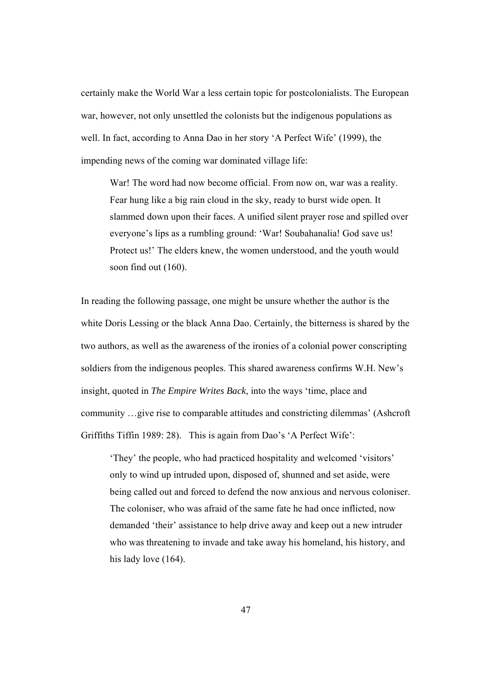certainly make the World War a less certain topic for postcolonialists. The European war, however, not only unsettled the colonists but the indigenous populations as well. In fact, according to Anna Dao in her story 'A Perfect Wife' (1999), the impending news of the coming war dominated village life:

War! The word had now become official. From now on, war was a reality. Fear hung like a big rain cloud in the sky, ready to burst wide open. It slammed down upon their faces. A unified silent prayer rose and spilled over everyone's lips as a rumbling ground: 'War! Soubahanalia! God save us! Protect us!' The elders knew, the women understood, and the youth would soon find out (160).

In reading the following passage, one might be unsure whether the author is the white Doris Lessing or the black Anna Dao. Certainly, the bitterness is shared by the two authors, as well as the awareness of the ironies of a colonial power conscripting soldiers from the indigenous peoples. This shared awareness confirms W.H. New's insight, quoted in *The Empire Writes Back*, into the ways 'time, place and community …give rise to comparable attitudes and constricting dilemmas' (Ashcroft Griffiths Tiffin 1989: 28). This is again from Dao's 'A Perfect Wife':

'They' the people, who had practiced hospitality and welcomed 'visitors' only to wind up intruded upon, disposed of, shunned and set aside, were being called out and forced to defend the now anxious and nervous coloniser. The coloniser, who was afraid of the same fate he had once inflicted, now demanded 'their' assistance to help drive away and keep out a new intruder who was threatening to invade and take away his homeland, his history, and his lady love  $(164)$ .

47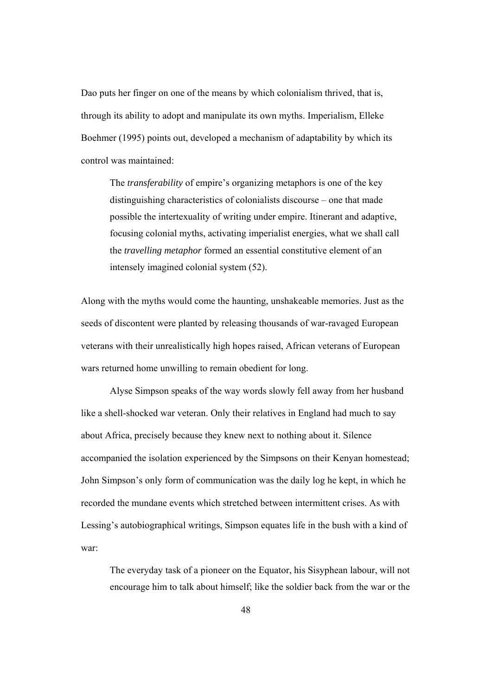Dao puts her finger on one of the means by which colonialism thrived, that is, through its ability to adopt and manipulate its own myths. Imperialism, Elleke Boehmer (1995) points out, developed a mechanism of adaptability by which its control was maintained:

The *transferability* of empire's organizing metaphors is one of the key distinguishing characteristics of colonialists discourse – one that made possible the intertexuality of writing under empire. Itinerant and adaptive, focusing colonial myths, activating imperialist energies, what we shall call the *travelling metaphor* formed an essential constitutive element of an intensely imagined colonial system (52).

Along with the myths would come the haunting, unshakeable memories. Just as the seeds of discontent were planted by releasing thousands of war-ravaged European veterans with their unrealistically high hopes raised, African veterans of European wars returned home unwilling to remain obedient for long.

Alyse Simpson speaks of the way words slowly fell away from her husband like a shell-shocked war veteran. Only their relatives in England had much to say about Africa, precisely because they knew next to nothing about it. Silence accompanied the isolation experienced by the Simpsons on their Kenyan homestead; John Simpson's only form of communication was the daily log he kept, in which he recorded the mundane events which stretched between intermittent crises. As with Lessing's autobiographical writings, Simpson equates life in the bush with a kind of war:

The everyday task of a pioneer on the Equator, his Sisyphean labour, will not encourage him to talk about himself; like the soldier back from the war or the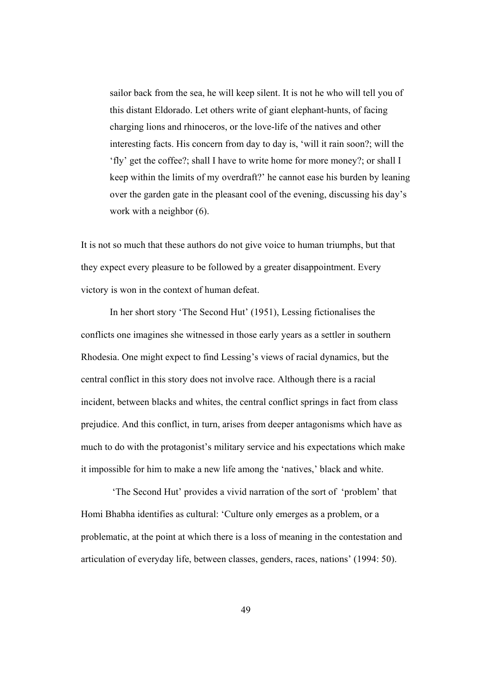sailor back from the sea, he will keep silent. It is not he who will tell you of this distant Eldorado. Let others write of giant elephant-hunts, of facing charging lions and rhinoceros, or the love-life of the natives and other interesting facts. His concern from day to day is, 'will it rain soon?; will the 'fly' get the coffee?; shall I have to write home for more money?; or shall I keep within the limits of my overdraft?' he cannot ease his burden by leaning over the garden gate in the pleasant cool of the evening, discussing his day's work with a neighbor (6).

It is not so much that these authors do not give voice to human triumphs, but that they expect every pleasure to be followed by a greater disappointment. Every victory is won in the context of human defeat.

In her short story 'The Second Hut' (1951), Lessing fictionalises the conflicts one imagines she witnessed in those early years as a settler in southern Rhodesia. One might expect to find Lessing's views of racial dynamics, but the central conflict in this story does not involve race. Although there is a racial incident, between blacks and whites, the central conflict springs in fact from class prejudice. And this conflict, in turn, arises from deeper antagonisms which have as much to do with the protagonist's military service and his expectations which make it impossible for him to make a new life among the 'natives,' black and white.

 'The Second Hut' provides a vivid narration of the sort of 'problem' that Homi Bhabha identifies as cultural: 'Culture only emerges as a problem, or a problematic, at the point at which there is a loss of meaning in the contestation and articulation of everyday life, between classes, genders, races, nations' (1994: 50).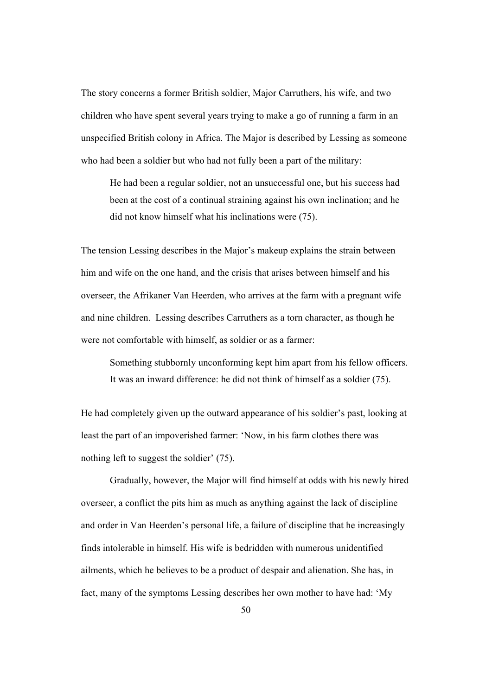The story concerns a former British soldier, Major Carruthers, his wife, and two children who have spent several years trying to make a go of running a farm in an unspecified British colony in Africa. The Major is described by Lessing as someone who had been a soldier but who had not fully been a part of the military:

He had been a regular soldier, not an unsuccessful one, but his success had been at the cost of a continual straining against his own inclination; and he did not know himself what his inclinations were (75).

The tension Lessing describes in the Major's makeup explains the strain between him and wife on the one hand, and the crisis that arises between himself and his overseer, the Afrikaner Van Heerden, who arrives at the farm with a pregnant wife and nine children. Lessing describes Carruthers as a torn character, as though he were not comfortable with himself, as soldier or as a farmer:

Something stubbornly unconforming kept him apart from his fellow officers. It was an inward difference: he did not think of himself as a soldier (75).

He had completely given up the outward appearance of his soldier's past, looking at least the part of an impoverished farmer: 'Now, in his farm clothes there was nothing left to suggest the soldier' (75).

 Gradually, however, the Major will find himself at odds with his newly hired overseer, a conflict the pits him as much as anything against the lack of discipline and order in Van Heerden's personal life, a failure of discipline that he increasingly finds intolerable in himself. His wife is bedridden with numerous unidentified ailments, which he believes to be a product of despair and alienation. She has, in fact, many of the symptoms Lessing describes her own mother to have had: 'My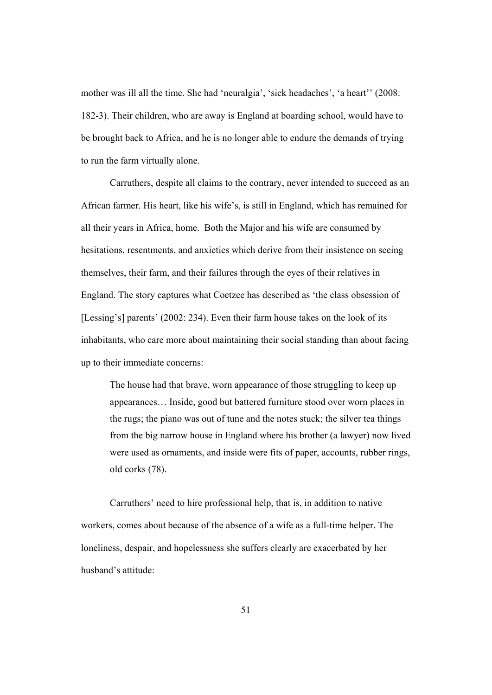mother was ill all the time. She had 'neuralgia', 'sick headaches', 'a heart'' (2008: 182-3). Their children, who are away is England at boarding school, would have to be brought back to Africa, and he is no longer able to endure the demands of trying to run the farm virtually alone.

Carruthers, despite all claims to the contrary, never intended to succeed as an African farmer. His heart, like his wife's, is still in England, which has remained for all their years in Africa, home. Both the Major and his wife are consumed by hesitations, resentments, and anxieties which derive from their insistence on seeing themselves, their farm, and their failures through the eyes of their relatives in England. The story captures what Coetzee has described as 'the class obsession of [Lessing's] parents' (2002: 234). Even their farm house takes on the look of its inhabitants, who care more about maintaining their social standing than about facing up to their immediate concerns:

The house had that brave, worn appearance of those struggling to keep up appearances… Inside, good but battered furniture stood over worn places in the rugs; the piano was out of tune and the notes stuck; the silver tea things from the big narrow house in England where his brother (a lawyer) now lived were used as ornaments, and inside were fits of paper, accounts, rubber rings, old corks (78).

Carruthers' need to hire professional help, that is, in addition to native workers, comes about because of the absence of a wife as a full-time helper. The loneliness, despair, and hopelessness she suffers clearly are exacerbated by her husband's attitude: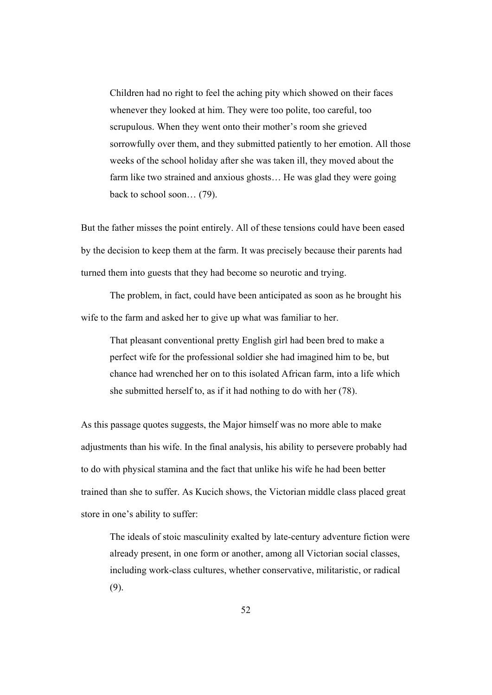Children had no right to feel the aching pity which showed on their faces whenever they looked at him. They were too polite, too careful, too scrupulous. When they went onto their mother's room she grieved sorrowfully over them, and they submitted patiently to her emotion. All those weeks of the school holiday after she was taken ill, they moved about the farm like two strained and anxious ghosts… He was glad they were going back to school soon… (79).

But the father misses the point entirely. All of these tensions could have been eased by the decision to keep them at the farm. It was precisely because their parents had turned them into guests that they had become so neurotic and trying.

The problem, in fact, could have been anticipated as soon as he brought his wife to the farm and asked her to give up what was familiar to her.

That pleasant conventional pretty English girl had been bred to make a perfect wife for the professional soldier she had imagined him to be, but chance had wrenched her on to this isolated African farm, into a life which she submitted herself to, as if it had nothing to do with her (78).

As this passage quotes suggests, the Major himself was no more able to make adjustments than his wife. In the final analysis, his ability to persevere probably had to do with physical stamina and the fact that unlike his wife he had been better trained than she to suffer. As Kucich shows, the Victorian middle class placed great store in one's ability to suffer:

The ideals of stoic masculinity exalted by late-century adventure fiction were already present, in one form or another, among all Victorian social classes, including work-class cultures, whether conservative, militaristic, or radical (9).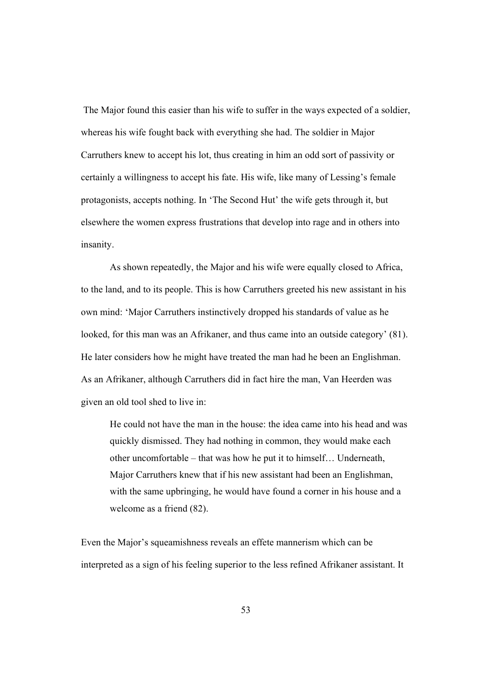The Major found this easier than his wife to suffer in the ways expected of a soldier, whereas his wife fought back with everything she had. The soldier in Major Carruthers knew to accept his lot, thus creating in him an odd sort of passivity or certainly a willingness to accept his fate. His wife, like many of Lessing's female protagonists, accepts nothing. In 'The Second Hut' the wife gets through it, but elsewhere the women express frustrations that develop into rage and in others into insanity.

As shown repeatedly, the Major and his wife were equally closed to Africa, to the land, and to its people. This is how Carruthers greeted his new assistant in his own mind: 'Major Carruthers instinctively dropped his standards of value as he looked, for this man was an Afrikaner, and thus came into an outside category' (81). He later considers how he might have treated the man had he been an Englishman. As an Afrikaner, although Carruthers did in fact hire the man, Van Heerden was given an old tool shed to live in:

He could not have the man in the house: the idea came into his head and was quickly dismissed. They had nothing in common, they would make each other uncomfortable – that was how he put it to himself… Underneath, Major Carruthers knew that if his new assistant had been an Englishman, with the same upbringing, he would have found a corner in his house and a welcome as a friend (82).

Even the Major's squeamishness reveals an effete mannerism which can be interpreted as a sign of his feeling superior to the less refined Afrikaner assistant. It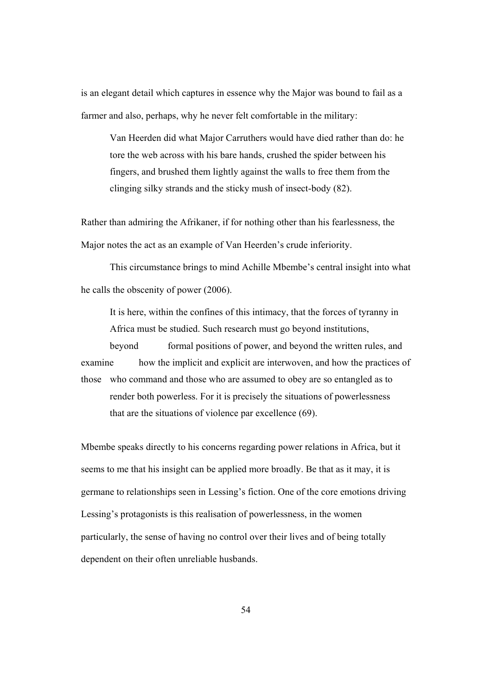is an elegant detail which captures in essence why the Major was bound to fail as a farmer and also, perhaps, why he never felt comfortable in the military:

Van Heerden did what Major Carruthers would have died rather than do: he tore the web across with his bare hands, crushed the spider between his fingers, and brushed them lightly against the walls to free them from the clinging silky strands and the sticky mush of insect-body (82).

Rather than admiring the Afrikaner, if for nothing other than his fearlessness, the Major notes the act as an example of Van Heerden's crude inferiority.

This circumstance brings to mind Achille Mbembe's central insight into what he calls the obscenity of power (2006).

 It is here, within the confines of this intimacy, that the forces of tyranny in Africa must be studied. Such research must go beyond institutions,

beyond formal positions of power, and beyond the written rules, and examine how the implicit and explicit are interwoven, and how the practices of those who command and those who are assumed to obey are so entangled as to render both powerless. For it is precisely the situations of powerlessness that are the situations of violence par excellence (69).

Mbembe speaks directly to his concerns regarding power relations in Africa, but it seems to me that his insight can be applied more broadly. Be that as it may, it is germane to relationships seen in Lessing's fiction. One of the core emotions driving Lessing's protagonists is this realisation of powerlessness, in the women particularly, the sense of having no control over their lives and of being totally dependent on their often unreliable husbands.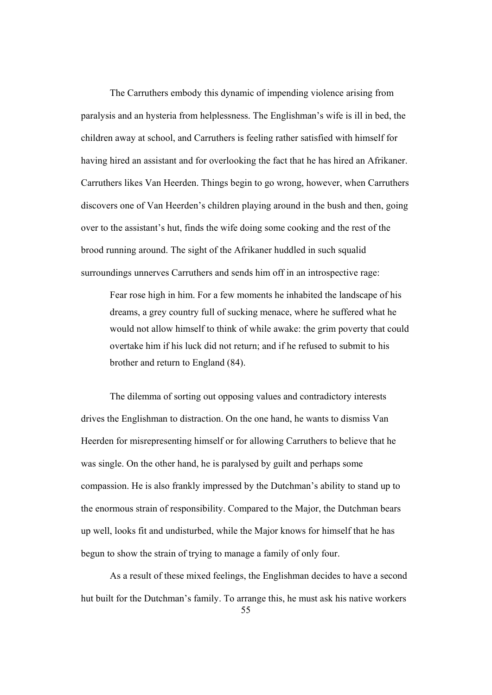The Carruthers embody this dynamic of impending violence arising from paralysis and an hysteria from helplessness. The Englishman's wife is ill in bed, the children away at school, and Carruthers is feeling rather satisfied with himself for having hired an assistant and for overlooking the fact that he has hired an Afrikaner. Carruthers likes Van Heerden. Things begin to go wrong, however, when Carruthers discovers one of Van Heerden's children playing around in the bush and then, going over to the assistant's hut, finds the wife doing some cooking and the rest of the brood running around. The sight of the Afrikaner huddled in such squalid surroundings unnerves Carruthers and sends him off in an introspective rage:

Fear rose high in him. For a few moments he inhabited the landscape of his dreams, a grey country full of sucking menace, where he suffered what he would not allow himself to think of while awake: the grim poverty that could overtake him if his luck did not return; and if he refused to submit to his brother and return to England (84).

 The dilemma of sorting out opposing values and contradictory interests drives the Englishman to distraction. On the one hand, he wants to dismiss Van Heerden for misrepresenting himself or for allowing Carruthers to believe that he was single. On the other hand, he is paralysed by guilt and perhaps some compassion. He is also frankly impressed by the Dutchman's ability to stand up to the enormous strain of responsibility. Compared to the Major, the Dutchman bears up well, looks fit and undisturbed, while the Major knows for himself that he has begun to show the strain of trying to manage a family of only four.

 As a result of these mixed feelings, the Englishman decides to have a second hut built for the Dutchman's family. To arrange this, he must ask his native workers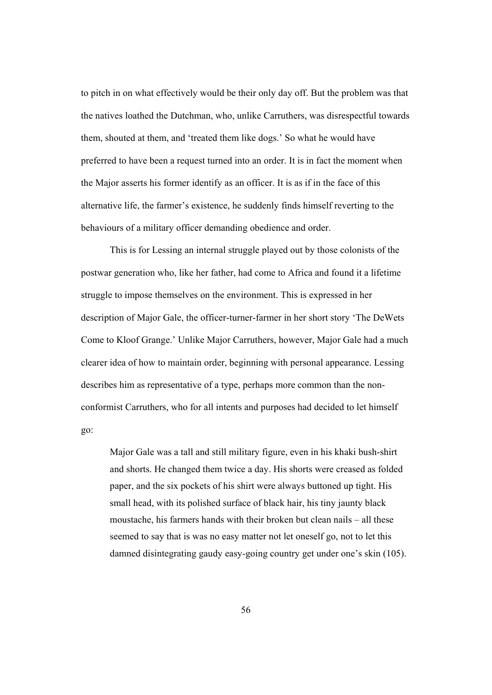to pitch in on what effectively would be their only day off. But the problem was that the natives loathed the Dutchman, who, unlike Carruthers, was disrespectful towards them, shouted at them, and 'treated them like dogs.' So what he would have preferred to have been a request turned into an order. It is in fact the moment when the Major asserts his former identify as an officer. It is as if in the face of this alternative life, the farmer's existence, he suddenly finds himself reverting to the behaviours of a military officer demanding obedience and order.

 This is for Lessing an internal struggle played out by those colonists of the postwar generation who, like her father, had come to Africa and found it a lifetime struggle to impose themselves on the environment. This is expressed in her description of Major Gale, the officer-turner-farmer in her short story 'The DeWets Come to Kloof Grange.' Unlike Major Carruthers, however, Major Gale had a much clearer idea of how to maintain order, beginning with personal appearance. Lessing describes him as representative of a type, perhaps more common than the nonconformist Carruthers, who for all intents and purposes had decided to let himself go:

Major Gale was a tall and still military figure, even in his khaki bush-shirt and shorts. He changed them twice a day. His shorts were creased as folded paper, and the six pockets of his shirt were always buttoned up tight. His small head, with its polished surface of black hair, his tiny jaunty black moustache, his farmers hands with their broken but clean nails – all these seemed to say that is was no easy matter not let oneself go, not to let this damned disintegrating gaudy easy-going country get under one's skin (105).

56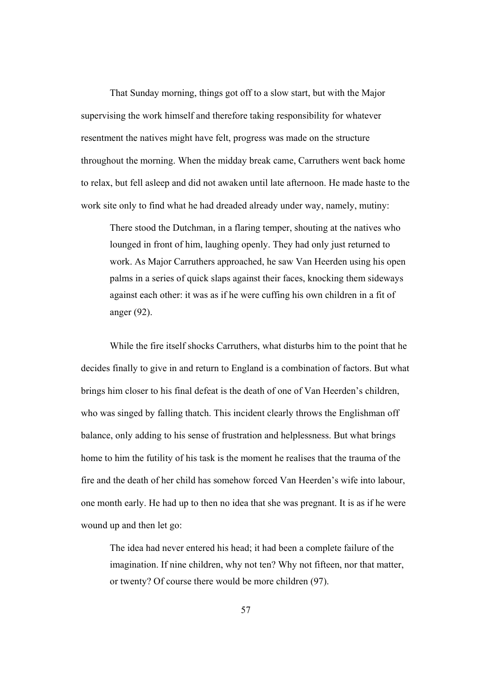That Sunday morning, things got off to a slow start, but with the Major supervising the work himself and therefore taking responsibility for whatever resentment the natives might have felt, progress was made on the structure throughout the morning. When the midday break came, Carruthers went back home to relax, but fell asleep and did not awaken until late afternoon. He made haste to the work site only to find what he had dreaded already under way, namely, mutiny:

There stood the Dutchman, in a flaring temper, shouting at the natives who lounged in front of him, laughing openly. They had only just returned to work. As Major Carruthers approached, he saw Van Heerden using his open palms in a series of quick slaps against their faces, knocking them sideways against each other: it was as if he were cuffing his own children in a fit of anger (92).

While the fire itself shocks Carruthers, what disturbs him to the point that he decides finally to give in and return to England is a combination of factors. But what brings him closer to his final defeat is the death of one of Van Heerden's children, who was singed by falling thatch. This incident clearly throws the Englishman off balance, only adding to his sense of frustration and helplessness. But what brings home to him the futility of his task is the moment he realises that the trauma of the fire and the death of her child has somehow forced Van Heerden's wife into labour, one month early. He had up to then no idea that she was pregnant. It is as if he were wound up and then let go:

The idea had never entered his head; it had been a complete failure of the imagination. If nine children, why not ten? Why not fifteen, nor that matter, or twenty? Of course there would be more children (97).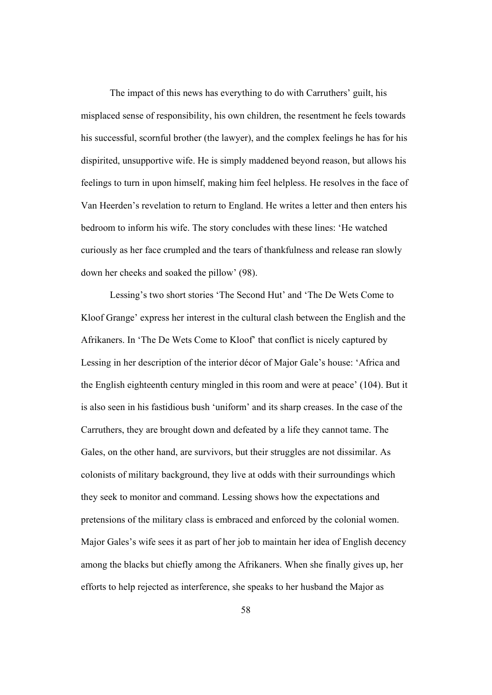The impact of this news has everything to do with Carruthers' guilt, his misplaced sense of responsibility, his own children, the resentment he feels towards his successful, scornful brother (the lawyer), and the complex feelings he has for his dispirited, unsupportive wife. He is simply maddened beyond reason, but allows his feelings to turn in upon himself, making him feel helpless. He resolves in the face of Van Heerden's revelation to return to England. He writes a letter and then enters his bedroom to inform his wife. The story concludes with these lines: 'He watched curiously as her face crumpled and the tears of thankfulness and release ran slowly down her cheeks and soaked the pillow' (98).

Lessing's two short stories 'The Second Hut' and 'The De Wets Come to Kloof Grange' express her interest in the cultural clash between the English and the Afrikaners. In 'The De Wets Come to Kloof' that conflict is nicely captured by Lessing in her description of the interior décor of Major Gale's house: 'Africa and the English eighteenth century mingled in this room and were at peace' (104). But it is also seen in his fastidious bush 'uniform' and its sharp creases. In the case of the Carruthers, they are brought down and defeated by a life they cannot tame. The Gales, on the other hand, are survivors, but their struggles are not dissimilar. As colonists of military background, they live at odds with their surroundings which they seek to monitor and command. Lessing shows how the expectations and pretensions of the military class is embraced and enforced by the colonial women. Major Gales's wife sees it as part of her job to maintain her idea of English decency among the blacks but chiefly among the Afrikaners. When she finally gives up, her efforts to help rejected as interference, she speaks to her husband the Major as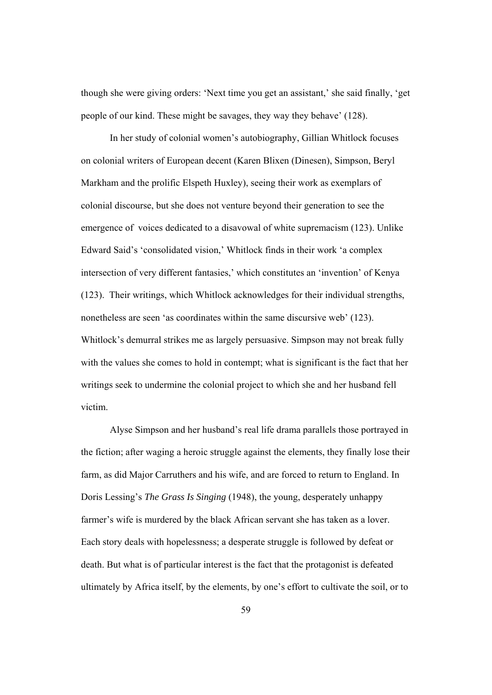though she were giving orders: 'Next time you get an assistant,' she said finally, 'get people of our kind. These might be savages, they way they behave' (128).

In her study of colonial women's autobiography, Gillian Whitlock focuses on colonial writers of European decent (Karen Blixen (Dinesen), Simpson, Beryl Markham and the prolific Elspeth Huxley), seeing their work as exemplars of colonial discourse, but she does not venture beyond their generation to see the emergence of voices dedicated to a disavowal of white supremacism (123). Unlike Edward Said's 'consolidated vision,' Whitlock finds in their work 'a complex intersection of very different fantasies,' which constitutes an 'invention' of Kenya (123). Their writings, which Whitlock acknowledges for their individual strengths, nonetheless are seen 'as coordinates within the same discursive web' (123). Whitlock's demurral strikes me as largely persuasive. Simpson may not break fully with the values she comes to hold in contempt; what is significant is the fact that her writings seek to undermine the colonial project to which she and her husband fell victim.

Alyse Simpson and her husband's real life drama parallels those portrayed in the fiction; after waging a heroic struggle against the elements, they finally lose their farm, as did Major Carruthers and his wife, and are forced to return to England. In Doris Lessing's *The Grass Is Singing* (1948), the young, desperately unhappy farmer's wife is murdered by the black African servant she has taken as a lover. Each story deals with hopelessness; a desperate struggle is followed by defeat or death. But what is of particular interest is the fact that the protagonist is defeated ultimately by Africa itself, by the elements, by one's effort to cultivate the soil, or to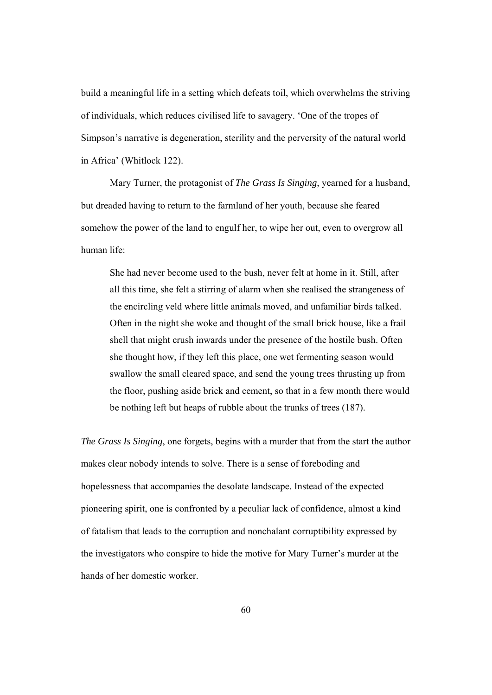build a meaningful life in a setting which defeats toil, which overwhelms the striving of individuals, which reduces civilised life to savagery. 'One of the tropes of Simpson's narrative is degeneration, sterility and the perversity of the natural world in Africa' (Whitlock 122).

Mary Turner, the protagonist of *The Grass Is Singing*, yearned for a husband, but dreaded having to return to the farmland of her youth, because she feared somehow the power of the land to engulf her, to wipe her out, even to overgrow all human life:

She had never become used to the bush, never felt at home in it. Still, after all this time, she felt a stirring of alarm when she realised the strangeness of the encircling veld where little animals moved, and unfamiliar birds talked. Often in the night she woke and thought of the small brick house, like a frail shell that might crush inwards under the presence of the hostile bush. Often she thought how, if they left this place, one wet fermenting season would swallow the small cleared space, and send the young trees thrusting up from the floor, pushing aside brick and cement, so that in a few month there would be nothing left but heaps of rubble about the trunks of trees (187).

*The Grass Is Singing*, one forgets, begins with a murder that from the start the author makes clear nobody intends to solve. There is a sense of foreboding and hopelessness that accompanies the desolate landscape. Instead of the expected pioneering spirit, one is confronted by a peculiar lack of confidence, almost a kind of fatalism that leads to the corruption and nonchalant corruptibility expressed by the investigators who conspire to hide the motive for Mary Turner's murder at the hands of her domestic worker.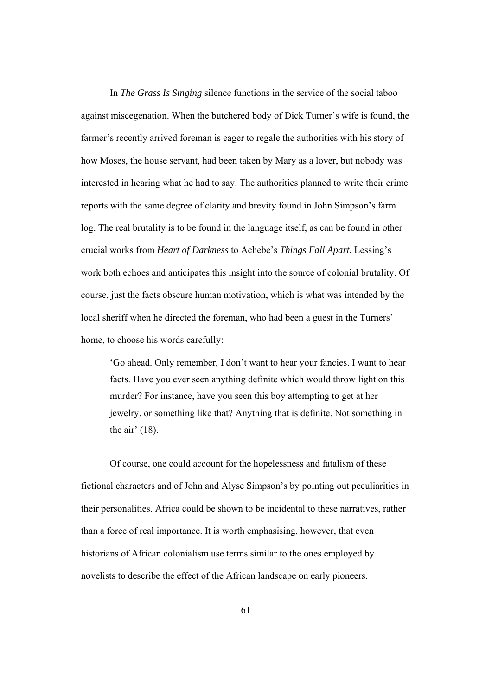In *The Grass Is Singing* silence functions in the service of the social taboo against miscegenation. When the butchered body of Dick Turner's wife is found, the farmer's recently arrived foreman is eager to regale the authorities with his story of how Moses, the house servant, had been taken by Mary as a lover, but nobody was interested in hearing what he had to say. The authorities planned to write their crime reports with the same degree of clarity and brevity found in John Simpson's farm log. The real brutality is to be found in the language itself, as can be found in other crucial works from *Heart of Darkness* to Achebe's *Things Fall Apart.* Lessing's work both echoes and anticipates this insight into the source of colonial brutality. Of course, just the facts obscure human motivation, which is what was intended by the local sheriff when he directed the foreman, who had been a guest in the Turners' home, to choose his words carefully:

'Go ahead. Only remember, I don't want to hear your fancies. I want to hear facts. Have you ever seen anything definite which would throw light on this murder? For instance, have you seen this boy attempting to get at her jewelry, or something like that? Anything that is definite. Not something in the air' (18).

Of course, one could account for the hopelessness and fatalism of these fictional characters and of John and Alyse Simpson's by pointing out peculiarities in their personalities. Africa could be shown to be incidental to these narratives, rather than a force of real importance. It is worth emphasising, however, that even historians of African colonialism use terms similar to the ones employed by novelists to describe the effect of the African landscape on early pioneers.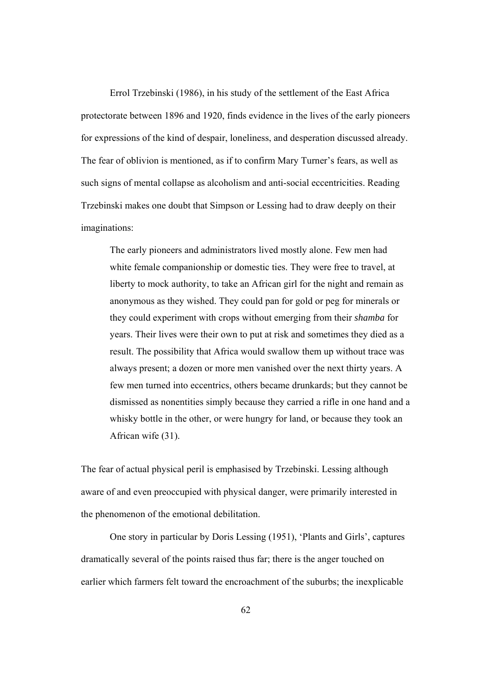Errol Trzebinski (1986), in his study of the settlement of the East Africa protectorate between 1896 and 1920, finds evidence in the lives of the early pioneers for expressions of the kind of despair, loneliness, and desperation discussed already. The fear of oblivion is mentioned, as if to confirm Mary Turner's fears, as well as such signs of mental collapse as alcoholism and anti-social eccentricities. Reading Trzebinski makes one doubt that Simpson or Lessing had to draw deeply on their imaginations:

The early pioneers and administrators lived mostly alone. Few men had white female companionship or domestic ties. They were free to travel, at liberty to mock authority, to take an African girl for the night and remain as anonymous as they wished. They could pan for gold or peg for minerals or they could experiment with crops without emerging from their *shamba* for years. Their lives were their own to put at risk and sometimes they died as a result. The possibility that Africa would swallow them up without trace was always present; a dozen or more men vanished over the next thirty years. A few men turned into eccentrics, others became drunkards; but they cannot be dismissed as nonentities simply because they carried a rifle in one hand and a whisky bottle in the other, or were hungry for land, or because they took an African wife (31).

The fear of actual physical peril is emphasised by Trzebinski. Lessing although aware of and even preoccupied with physical danger, were primarily interested in the phenomenon of the emotional debilitation.

One story in particular by Doris Lessing (1951), 'Plants and Girls', captures dramatically several of the points raised thus far; there is the anger touched on earlier which farmers felt toward the encroachment of the suburbs; the inexplicable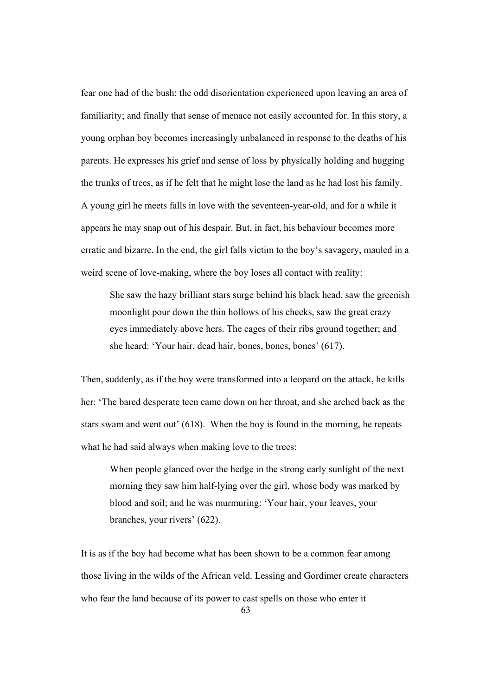fear one had of the bush; the odd disorientation experienced upon leaving an area of familiarity; and finally that sense of menace not easily accounted for. In this story, a young orphan boy becomes increasingly unbalanced in response to the deaths of his parents. He expresses his grief and sense of loss by physically holding and hugging the trunks of trees, as if he felt that he might lose the land as he had lost his family. A young girl he meets falls in love with the seventeen-year-old, and for a while it appears he may snap out of his despair. But, in fact, his behaviour becomes more erratic and bizarre. In the end, the girl falls victim to the boy's savagery, mauled in a weird scene of love-making, where the boy loses all contact with reality:

She saw the hazy brilliant stars surge behind his black head, saw the greenish moonlight pour down the thin hollows of his cheeks, saw the great crazy eyes immediately above hers. The cages of their ribs ground together; and she heard: 'Your hair, dead hair, bones, bones, bones' (617).

Then, suddenly, as if the boy were transformed into a leopard on the attack, he kills her: 'The bared desperate teen came down on her throat, and she arched back as the stars swam and went out' (618). When the boy is found in the morning, he repeats what he had said always when making love to the trees:

When people glanced over the hedge in the strong early sunlight of the next morning they saw him half-lying over the girl, whose body was marked by blood and soil; and he was murmuring: 'Your hair, your leaves, your branches, your rivers' (622).

It is as if the boy had become what has been shown to be a common fear among those living in the wilds of the African veld. Lessing and Gordimer create characters who fear the land because of its power to cast spells on those who enter it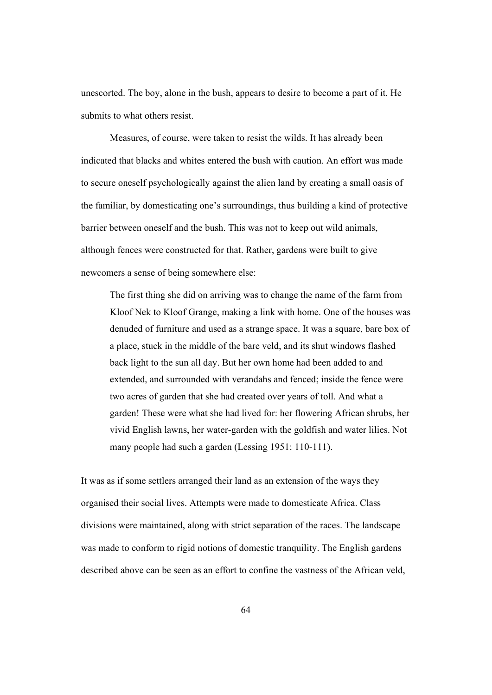unescorted. The boy, alone in the bush, appears to desire to become a part of it. He submits to what others resist.

Measures, of course, were taken to resist the wilds. It has already been indicated that blacks and whites entered the bush with caution. An effort was made to secure oneself psychologically against the alien land by creating a small oasis of the familiar, by domesticating one's surroundings, thus building a kind of protective barrier between oneself and the bush. This was not to keep out wild animals, although fences were constructed for that. Rather, gardens were built to give newcomers a sense of being somewhere else:

The first thing she did on arriving was to change the name of the farm from Kloof Nek to Kloof Grange, making a link with home. One of the houses was denuded of furniture and used as a strange space. It was a square, bare box of a place, stuck in the middle of the bare veld, and its shut windows flashed back light to the sun all day. But her own home had been added to and extended, and surrounded with verandahs and fenced; inside the fence were two acres of garden that she had created over years of toll. And what a garden! These were what she had lived for: her flowering African shrubs, her vivid English lawns, her water-garden with the goldfish and water lilies. Not many people had such a garden (Lessing 1951: 110-111).

It was as if some settlers arranged their land as an extension of the ways they organised their social lives. Attempts were made to domesticate Africa. Class divisions were maintained, along with strict separation of the races. The landscape was made to conform to rigid notions of domestic tranquility. The English gardens described above can be seen as an effort to confine the vastness of the African veld,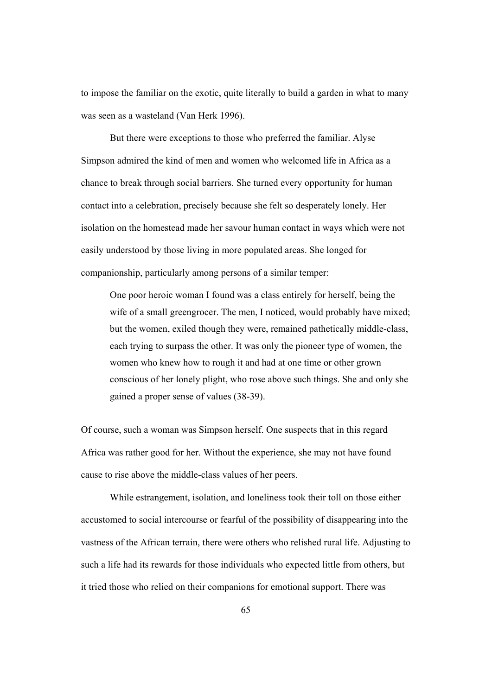to impose the familiar on the exotic, quite literally to build a garden in what to many was seen as a wasteland (Van Herk 1996).

But there were exceptions to those who preferred the familiar. Alyse Simpson admired the kind of men and women who welcomed life in Africa as a chance to break through social barriers. She turned every opportunity for human contact into a celebration, precisely because she felt so desperately lonely. Her isolation on the homestead made her savour human contact in ways which were not easily understood by those living in more populated areas. She longed for companionship, particularly among persons of a similar temper:

One poor heroic woman I found was a class entirely for herself, being the wife of a small greengrocer. The men, I noticed, would probably have mixed; but the women, exiled though they were, remained pathetically middle-class, each trying to surpass the other. It was only the pioneer type of women, the women who knew how to rough it and had at one time or other grown conscious of her lonely plight, who rose above such things. She and only she gained a proper sense of values (38-39).

Of course, such a woman was Simpson herself. One suspects that in this regard Africa was rather good for her. Without the experience, she may not have found cause to rise above the middle-class values of her peers.

While estrangement, isolation, and loneliness took their toll on those either accustomed to social intercourse or fearful of the possibility of disappearing into the vastness of the African terrain, there were others who relished rural life. Adjusting to such a life had its rewards for those individuals who expected little from others, but it tried those who relied on their companions for emotional support. There was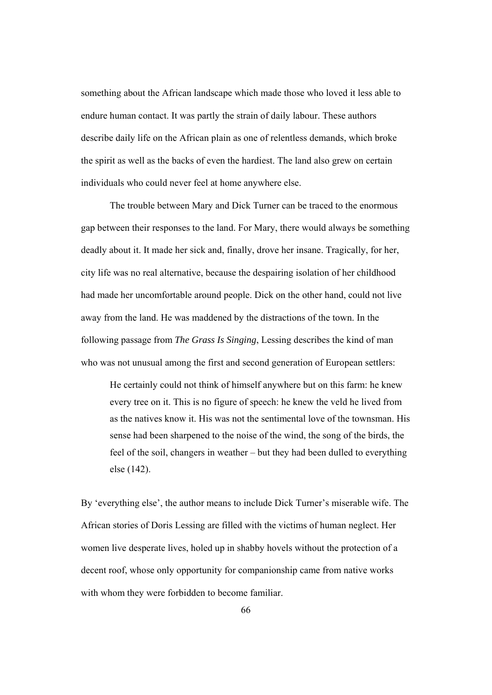something about the African landscape which made those who loved it less able to endure human contact. It was partly the strain of daily labour. These authors describe daily life on the African plain as one of relentless demands, which broke the spirit as well as the backs of even the hardiest. The land also grew on certain individuals who could never feel at home anywhere else.

The trouble between Mary and Dick Turner can be traced to the enormous gap between their responses to the land. For Mary, there would always be something deadly about it. It made her sick and, finally, drove her insane. Tragically, for her, city life was no real alternative, because the despairing isolation of her childhood had made her uncomfortable around people. Dick on the other hand, could not live away from the land. He was maddened by the distractions of the town. In the following passage from *The Grass Is Singing*, Lessing describes the kind of man who was not unusual among the first and second generation of European settlers:

He certainly could not think of himself anywhere but on this farm: he knew every tree on it. This is no figure of speech: he knew the veld he lived from as the natives know it. His was not the sentimental love of the townsman. His sense had been sharpened to the noise of the wind, the song of the birds, the feel of the soil, changers in weather – but they had been dulled to everything else (142).

By 'everything else', the author means to include Dick Turner's miserable wife. The African stories of Doris Lessing are filled with the victims of human neglect. Her women live desperate lives, holed up in shabby hovels without the protection of a decent roof, whose only opportunity for companionship came from native works with whom they were forbidden to become familiar.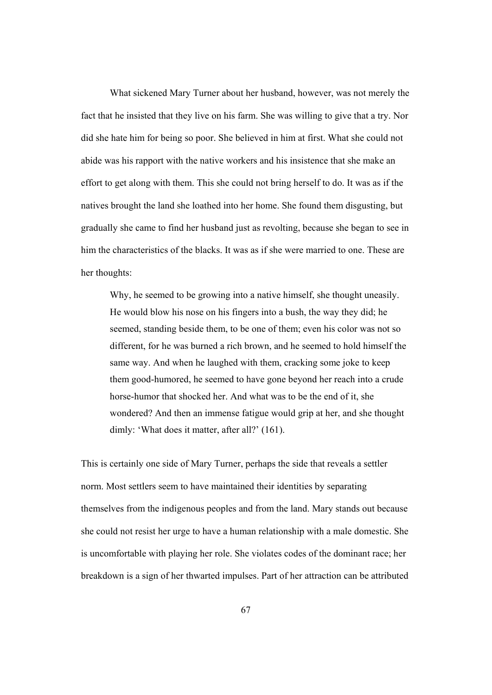What sickened Mary Turner about her husband, however, was not merely the fact that he insisted that they live on his farm. She was willing to give that a try. Nor did she hate him for being so poor. She believed in him at first. What she could not abide was his rapport with the native workers and his insistence that she make an effort to get along with them. This she could not bring herself to do. It was as if the natives brought the land she loathed into her home. She found them disgusting, but gradually she came to find her husband just as revolting, because she began to see in him the characteristics of the blacks. It was as if she were married to one. These are her thoughts:

Why, he seemed to be growing into a native himself, she thought uneasily. He would blow his nose on his fingers into a bush, the way they did; he seemed, standing beside them, to be one of them; even his color was not so different, for he was burned a rich brown, and he seemed to hold himself the same way. And when he laughed with them, cracking some joke to keep them good-humored, he seemed to have gone beyond her reach into a crude horse-humor that shocked her. And what was to be the end of it, she wondered? And then an immense fatigue would grip at her, and she thought dimly: 'What does it matter, after all?' (161).

This is certainly one side of Mary Turner, perhaps the side that reveals a settler norm. Most settlers seem to have maintained their identities by separating themselves from the indigenous peoples and from the land. Mary stands out because she could not resist her urge to have a human relationship with a male domestic. She is uncomfortable with playing her role. She violates codes of the dominant race; her breakdown is a sign of her thwarted impulses. Part of her attraction can be attributed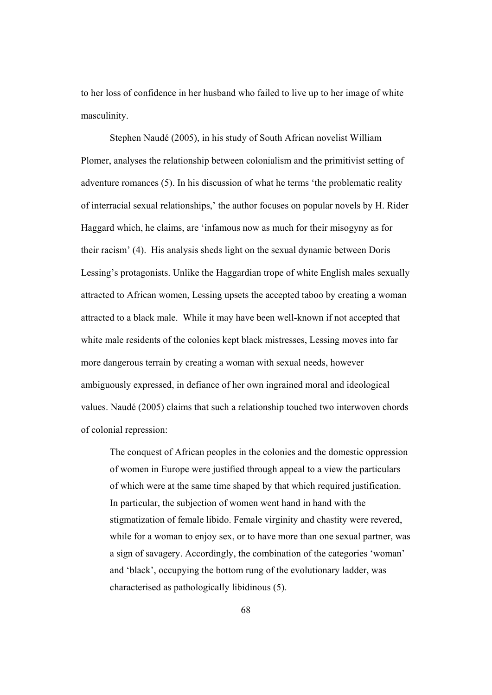to her loss of confidence in her husband who failed to live up to her image of white masculinity.

 Stephen Naudé (2005), in his study of South African novelist William Plomer, analyses the relationship between colonialism and the primitivist setting of adventure romances (5). In his discussion of what he terms 'the problematic reality of interracial sexual relationships,' the author focuses on popular novels by H. Rider Haggard which, he claims, are 'infamous now as much for their misogyny as for their racism' (4). His analysis sheds light on the sexual dynamic between Doris Lessing's protagonists. Unlike the Haggardian trope of white English males sexually attracted to African women, Lessing upsets the accepted taboo by creating a woman attracted to a black male. While it may have been well-known if not accepted that white male residents of the colonies kept black mistresses, Lessing moves into far more dangerous terrain by creating a woman with sexual needs, however ambiguously expressed, in defiance of her own ingrained moral and ideological values. Naudé (2005) claims that such a relationship touched two interwoven chords of colonial repression:

The conquest of African peoples in the colonies and the domestic oppression of women in Europe were justified through appeal to a view the particulars of which were at the same time shaped by that which required justification. In particular, the subjection of women went hand in hand with the stigmatization of female libido. Female virginity and chastity were revered, while for a woman to enjoy sex, or to have more than one sexual partner, was a sign of savagery. Accordingly, the combination of the categories 'woman' and 'black', occupying the bottom rung of the evolutionary ladder, was characterised as pathologically libidinous (5).

68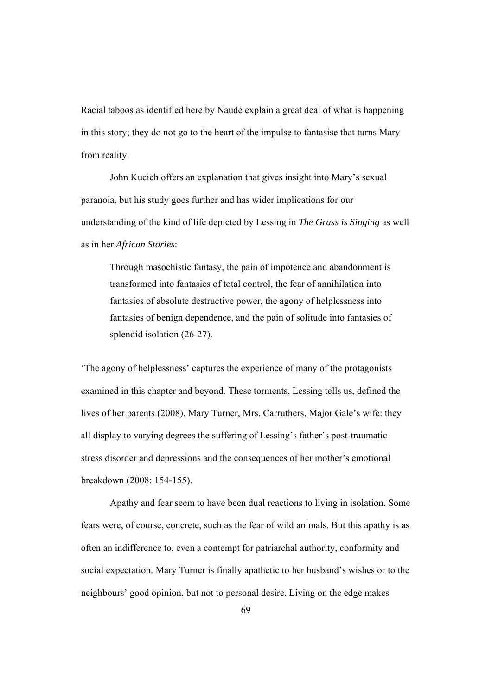Racial taboos as identified here by Naudé explain a great deal of what is happening in this story; they do not go to the heart of the impulse to fantasise that turns Mary from reality.

John Kucich offers an explanation that gives insight into Mary's sexual paranoia, but his study goes further and has wider implications for our understanding of the kind of life depicted by Lessing in *The Grass is Singing* as well as in her *African Stories*:

Through masochistic fantasy, the pain of impotence and abandonment is transformed into fantasies of total control, the fear of annihilation into fantasies of absolute destructive power, the agony of helplessness into fantasies of benign dependence, and the pain of solitude into fantasies of splendid isolation (26-27).

'The agony of helplessness' captures the experience of many of the protagonists examined in this chapter and beyond. These torments, Lessing tells us, defined the lives of her parents (2008). Mary Turner, Mrs. Carruthers, Major Gale's wife: they all display to varying degrees the suffering of Lessing's father's post-traumatic stress disorder and depressions and the consequences of her mother's emotional breakdown (2008: 154-155).

Apathy and fear seem to have been dual reactions to living in isolation. Some fears were, of course, concrete, such as the fear of wild animals. But this apathy is as often an indifference to, even a contempt for patriarchal authority, conformity and social expectation. Mary Turner is finally apathetic to her husband's wishes or to the neighbours' good opinion, but not to personal desire. Living on the edge makes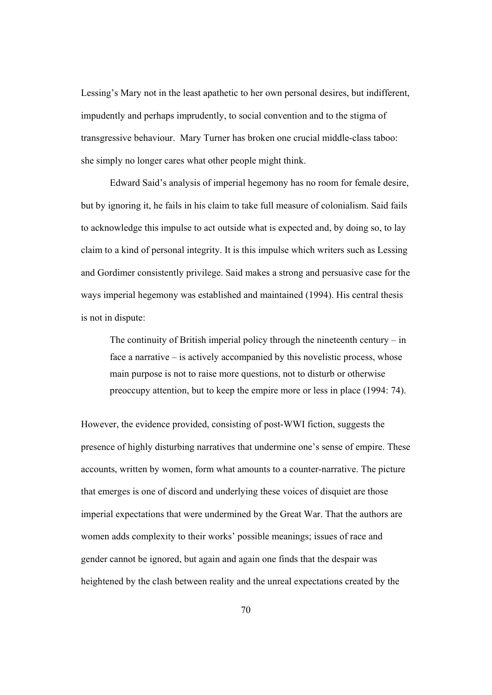Lessing's Mary not in the least apathetic to her own personal desires, but indifferent, impudently and perhaps imprudently, to social convention and to the stigma of transgressive behaviour. Mary Turner has broken one crucial middle-class taboo: she simply no longer cares what other people might think.

Edward Said's analysis of imperial hegemony has no room for female desire, but by ignoring it, he fails in his claim to take full measure of colonialism. Said fails to acknowledge this impulse to act outside what is expected and, by doing so, to lay claim to a kind of personal integrity. It is this impulse which writers such as Lessing and Gordimer consistently privilege. Said makes a strong and persuasive case for the ways imperial hegemony was established and maintained (1994). His central thesis is not in dispute:

The continuity of British imperial policy through the nineteenth century – in face a narrative – is actively accompanied by this novelistic process, whose main purpose is not to raise more questions, not to disturb or otherwise preoccupy attention, but to keep the empire more or less in place (1994: 74).

However, the evidence provided, consisting of post-WWI fiction, suggests the presence of highly disturbing narratives that undermine one's sense of empire. These accounts, written by women, form what amounts to a counter-narrative. The picture that emerges is one of discord and underlying these voices of disquiet are those imperial expectations that were undermined by the Great War. That the authors are women adds complexity to their works' possible meanings; issues of race and gender cannot be ignored, but again and again one finds that the despair was heightened by the clash between reality and the unreal expectations created by the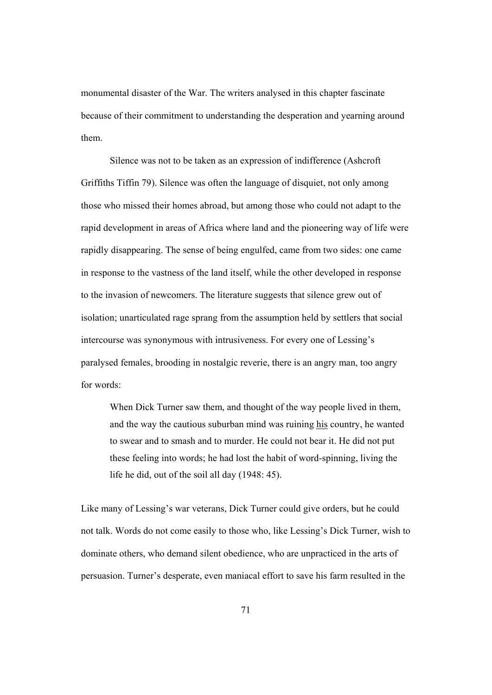monumental disaster of the War. The writers analysed in this chapter fascinate because of their commitment to understanding the desperation and yearning around them.

Silence was not to be taken as an expression of indifference (Ashcroft Griffiths Tiffin 79). Silence was often the language of disquiet, not only among those who missed their homes abroad, but among those who could not adapt to the rapid development in areas of Africa where land and the pioneering way of life were rapidly disappearing. The sense of being engulfed, came from two sides: one came in response to the vastness of the land itself, while the other developed in response to the invasion of newcomers. The literature suggests that silence grew out of isolation; unarticulated rage sprang from the assumption held by settlers that social intercourse was synonymous with intrusiveness. For every one of Lessing's paralysed females, brooding in nostalgic reverie, there is an angry man, too angry for words:

When Dick Turner saw them, and thought of the way people lived in them, and the way the cautious suburban mind was ruining his country, he wanted to swear and to smash and to murder. He could not bear it. He did not put these feeling into words; he had lost the habit of word-spinning, living the life he did, out of the soil all day (1948: 45).

Like many of Lessing's war veterans, Dick Turner could give orders, but he could not talk. Words do not come easily to those who, like Lessing's Dick Turner, wish to dominate others, who demand silent obedience, who are unpracticed in the arts of persuasion. Turner's desperate, even maniacal effort to save his farm resulted in the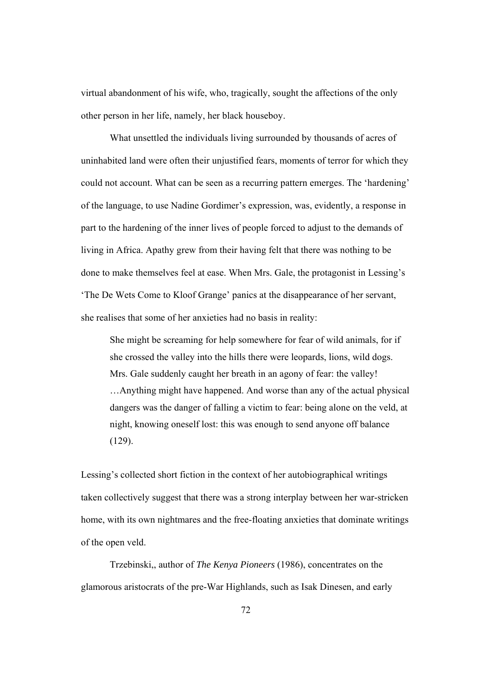virtual abandonment of his wife, who, tragically, sought the affections of the only other person in her life, namely, her black houseboy.

What unsettled the individuals living surrounded by thousands of acres of uninhabited land were often their unjustified fears, moments of terror for which they could not account. What can be seen as a recurring pattern emerges. The 'hardening' of the language, to use Nadine Gordimer's expression, was, evidently, a response in part to the hardening of the inner lives of people forced to adjust to the demands of living in Africa. Apathy grew from their having felt that there was nothing to be done to make themselves feel at ease. When Mrs. Gale, the protagonist in Lessing's 'The De Wets Come to Kloof Grange' panics at the disappearance of her servant, she realises that some of her anxieties had no basis in reality:

She might be screaming for help somewhere for fear of wild animals, for if she crossed the valley into the hills there were leopards, lions, wild dogs. Mrs. Gale suddenly caught her breath in an agony of fear: the valley! …Anything might have happened. And worse than any of the actual physical dangers was the danger of falling a victim to fear: being alone on the veld, at night, knowing oneself lost: this was enough to send anyone off balance (129).

Lessing's collected short fiction in the context of her autobiographical writings taken collectively suggest that there was a strong interplay between her war-stricken home, with its own nightmares and the free-floating anxieties that dominate writings of the open veld.

Trzebinski,, author of *The Kenya Pioneers* (1986), concentrates on the glamorous aristocrats of the pre-War Highlands, such as Isak Dinesen, and early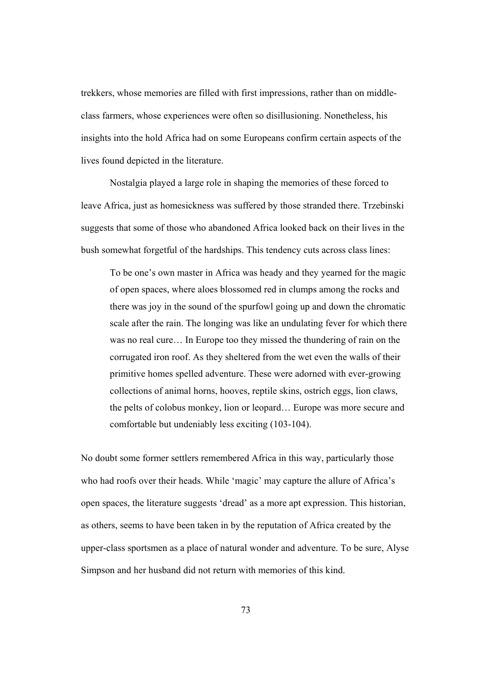trekkers, whose memories are filled with first impressions, rather than on middleclass farmers, whose experiences were often so disillusioning. Nonetheless, his insights into the hold Africa had on some Europeans confirm certain aspects of the lives found depicted in the literature.

Nostalgia played a large role in shaping the memories of these forced to leave Africa, just as homesickness was suffered by those stranded there. Trzebinski suggests that some of those who abandoned Africa looked back on their lives in the bush somewhat forgetful of the hardships. This tendency cuts across class lines:

To be one's own master in Africa was heady and they yearned for the magic of open spaces, where aloes blossomed red in clumps among the rocks and there was joy in the sound of the spurfowl going up and down the chromatic scale after the rain. The longing was like an undulating fever for which there was no real cure… In Europe too they missed the thundering of rain on the corrugated iron roof. As they sheltered from the wet even the walls of their primitive homes spelled adventure. These were adorned with ever-growing collections of animal horns, hooves, reptile skins, ostrich eggs, lion claws, the pelts of colobus monkey, lion or leopard… Europe was more secure and comfortable but undeniably less exciting (103-104).

No doubt some former settlers remembered Africa in this way, particularly those who had roofs over their heads. While 'magic' may capture the allure of Africa's open spaces, the literature suggests 'dread' as a more apt expression. This historian, as others, seems to have been taken in by the reputation of Africa created by the upper-class sportsmen as a place of natural wonder and adventure. To be sure, Alyse Simpson and her husband did not return with memories of this kind.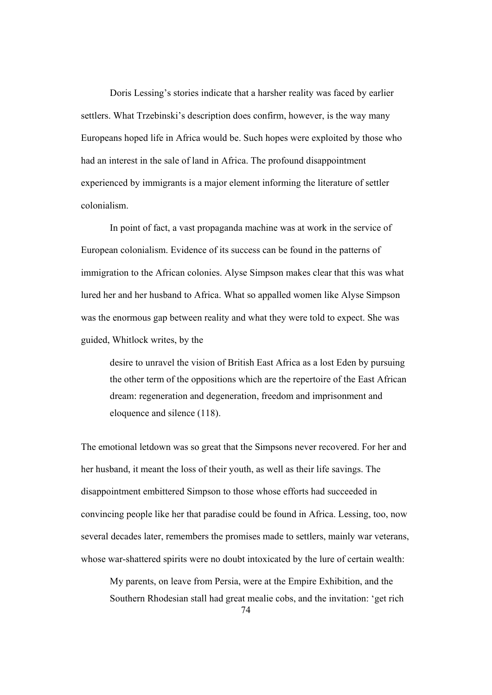Doris Lessing's stories indicate that a harsher reality was faced by earlier settlers. What Trzebinski's description does confirm, however, is the way many Europeans hoped life in Africa would be. Such hopes were exploited by those who had an interest in the sale of land in Africa. The profound disappointment experienced by immigrants is a major element informing the literature of settler colonialism.

In point of fact, a vast propaganda machine was at work in the service of European colonialism. Evidence of its success can be found in the patterns of immigration to the African colonies. Alyse Simpson makes clear that this was what lured her and her husband to Africa. What so appalled women like Alyse Simpson was the enormous gap between reality and what they were told to expect. She was guided, Whitlock writes, by the

desire to unravel the vision of British East Africa as a lost Eden by pursuing the other term of the oppositions which are the repertoire of the East African dream: regeneration and degeneration, freedom and imprisonment and eloquence and silence (118).

The emotional letdown was so great that the Simpsons never recovered. For her and her husband, it meant the loss of their youth, as well as their life savings. The disappointment embittered Simpson to those whose efforts had succeeded in convincing people like her that paradise could be found in Africa. Lessing, too, now several decades later, remembers the promises made to settlers, mainly war veterans, whose war-shattered spirits were no doubt intoxicated by the lure of certain wealth:

My parents, on leave from Persia, were at the Empire Exhibition, and the Southern Rhodesian stall had great mealie cobs, and the invitation: 'get rich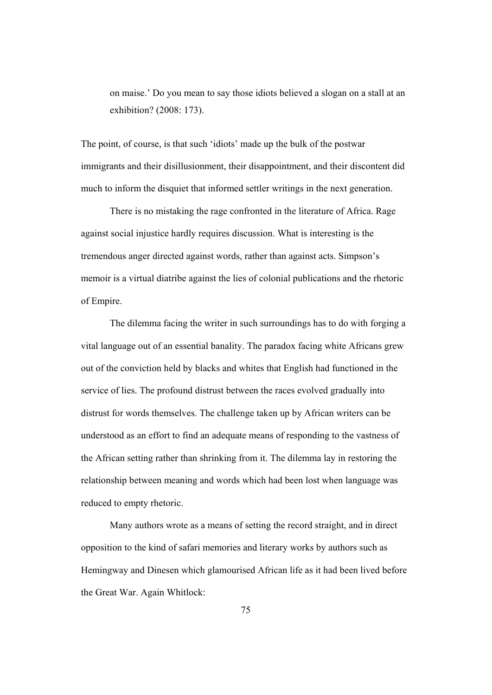on maise.' Do you mean to say those idiots believed a slogan on a stall at an exhibition? (2008: 173).

The point, of course, is that such 'idiots' made up the bulk of the postwar immigrants and their disillusionment, their disappointment, and their discontent did much to inform the disquiet that informed settler writings in the next generation.

There is no mistaking the rage confronted in the literature of Africa. Rage against social injustice hardly requires discussion. What is interesting is the tremendous anger directed against words, rather than against acts. Simpson's memoir is a virtual diatribe against the lies of colonial publications and the rhetoric of Empire.

The dilemma facing the writer in such surroundings has to do with forging a vital language out of an essential banality. The paradox facing white Africans grew out of the conviction held by blacks and whites that English had functioned in the service of lies. The profound distrust between the races evolved gradually into distrust for words themselves. The challenge taken up by African writers can be understood as an effort to find an adequate means of responding to the vastness of the African setting rather than shrinking from it. The dilemma lay in restoring the relationship between meaning and words which had been lost when language was reduced to empty rhetoric.

Many authors wrote as a means of setting the record straight, and in direct opposition to the kind of safari memories and literary works by authors such as Hemingway and Dinesen which glamourised African life as it had been lived before the Great War. Again Whitlock: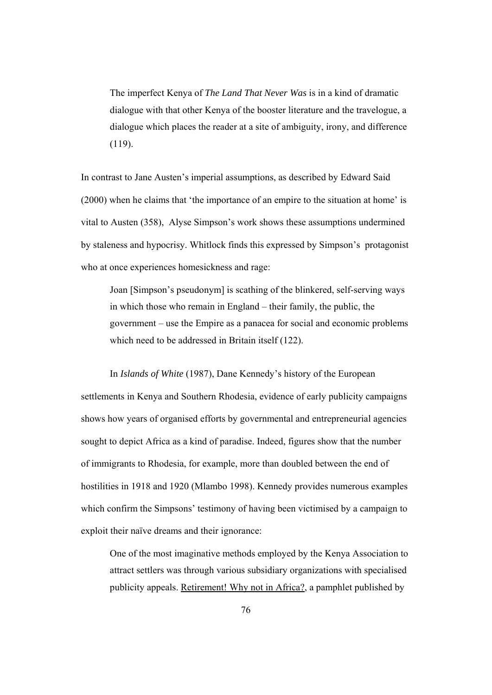The imperfect Kenya of *The Land That Never Was* is in a kind of dramatic dialogue with that other Kenya of the booster literature and the travelogue, a dialogue which places the reader at a site of ambiguity, irony, and difference (119).

In contrast to Jane Austen's imperial assumptions, as described by Edward Said (2000) when he claims that 'the importance of an empire to the situation at home' is vital to Austen (358), Alyse Simpson's work shows these assumptions undermined by staleness and hypocrisy. Whitlock finds this expressed by Simpson's protagonist who at once experiences homesickness and rage:

Joan [Simpson's pseudonym] is scathing of the blinkered, self-serving ways in which those who remain in England – their family, the public, the government – use the Empire as a panacea for social and economic problems which need to be addressed in Britain itself (122).

In *Islands of White* (1987), Dane Kennedy's history of the European settlements in Kenya and Southern Rhodesia, evidence of early publicity campaigns shows how years of organised efforts by governmental and entrepreneurial agencies sought to depict Africa as a kind of paradise. Indeed, figures show that the number of immigrants to Rhodesia, for example, more than doubled between the end of hostilities in 1918 and 1920 (Mlambo 1998). Kennedy provides numerous examples which confirm the Simpsons' testimony of having been victimised by a campaign to exploit their naïve dreams and their ignorance:

One of the most imaginative methods employed by the Kenya Association to attract settlers was through various subsidiary organizations with specialised publicity appeals. Retirement! Why not in Africa?, a pamphlet published by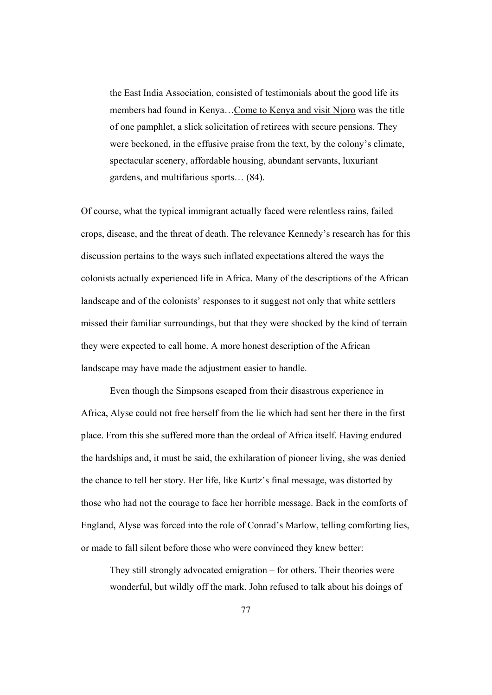the East India Association, consisted of testimonials about the good life its members had found in Kenya…Come to Kenya and visit Njoro was the title of one pamphlet, a slick solicitation of retirees with secure pensions. They were beckoned, in the effusive praise from the text, by the colony's climate, spectacular scenery, affordable housing, abundant servants, luxuriant gardens, and multifarious sports… (84).

Of course, what the typical immigrant actually faced were relentless rains, failed crops, disease, and the threat of death. The relevance Kennedy's research has for this discussion pertains to the ways such inflated expectations altered the ways the colonists actually experienced life in Africa. Many of the descriptions of the African landscape and of the colonists' responses to it suggest not only that white settlers missed their familiar surroundings, but that they were shocked by the kind of terrain they were expected to call home. A more honest description of the African landscape may have made the adjustment easier to handle.

Even though the Simpsons escaped from their disastrous experience in Africa, Alyse could not free herself from the lie which had sent her there in the first place. From this she suffered more than the ordeal of Africa itself. Having endured the hardships and, it must be said, the exhilaration of pioneer living, she was denied the chance to tell her story. Her life, like Kurtz's final message, was distorted by those who had not the courage to face her horrible message. Back in the comforts of England, Alyse was forced into the role of Conrad's Marlow, telling comforting lies, or made to fall silent before those who were convinced they knew better:

They still strongly advocated emigration – for others. Their theories were wonderful, but wildly off the mark. John refused to talk about his doings of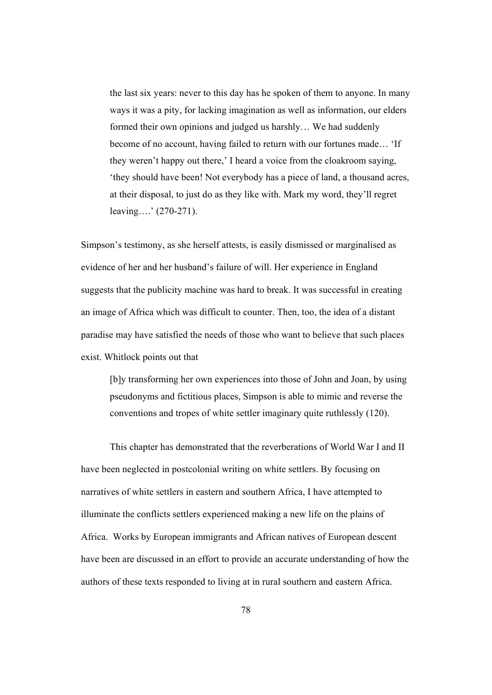the last six years: never to this day has he spoken of them to anyone. In many ways it was a pity, for lacking imagination as well as information, our elders formed their own opinions and judged us harshly… We had suddenly become of no account, having failed to return with our fortunes made… 'If they weren't happy out there,' I heard a voice from the cloakroom saying, 'they should have been! Not everybody has a piece of land, a thousand acres, at their disposal, to just do as they like with. Mark my word, they'll regret leaving….' (270-271).

Simpson's testimony, as she herself attests, is easily dismissed or marginalised as evidence of her and her husband's failure of will. Her experience in England suggests that the publicity machine was hard to break. It was successful in creating an image of Africa which was difficult to counter. Then, too, the idea of a distant paradise may have satisfied the needs of those who want to believe that such places exist. Whitlock points out that

[b]y transforming her own experiences into those of John and Joan, by using pseudonyms and fictitious places, Simpson is able to mimic and reverse the conventions and tropes of white settler imaginary quite ruthlessly (120).

 This chapter has demonstrated that the reverberations of World War I and II have been neglected in postcolonial writing on white settlers. By focusing on narratives of white settlers in eastern and southern Africa, I have attempted to illuminate the conflicts settlers experienced making a new life on the plains of Africa. Works by European immigrants and African natives of European descent have been are discussed in an effort to provide an accurate understanding of how the authors of these texts responded to living at in rural southern and eastern Africa.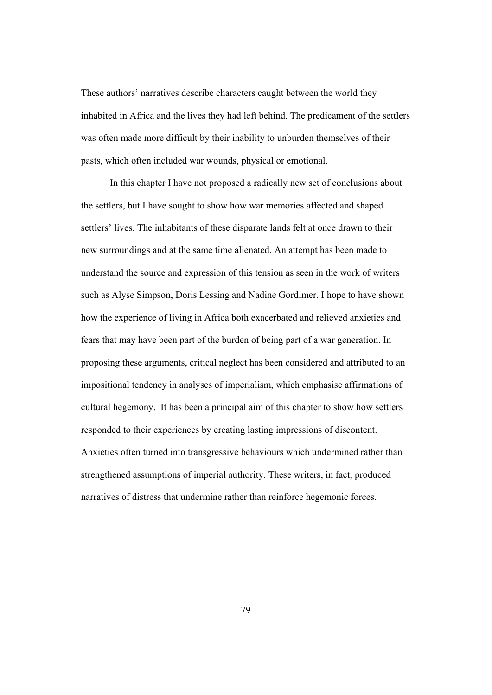These authors' narratives describe characters caught between the world they inhabited in Africa and the lives they had left behind. The predicament of the settlers was often made more difficult by their inability to unburden themselves of their pasts, which often included war wounds, physical or emotional.

In this chapter I have not proposed a radically new set of conclusions about the settlers, but I have sought to show how war memories affected and shaped settlers' lives. The inhabitants of these disparate lands felt at once drawn to their new surroundings and at the same time alienated. An attempt has been made to understand the source and expression of this tension as seen in the work of writers such as Alyse Simpson, Doris Lessing and Nadine Gordimer. I hope to have shown how the experience of living in Africa both exacerbated and relieved anxieties and fears that may have been part of the burden of being part of a war generation. In proposing these arguments, critical neglect has been considered and attributed to an impositional tendency in analyses of imperialism, which emphasise affirmations of cultural hegemony. It has been a principal aim of this chapter to show how settlers responded to their experiences by creating lasting impressions of discontent. Anxieties often turned into transgressive behaviours which undermined rather than strengthened assumptions of imperial authority. These writers, in fact, produced narratives of distress that undermine rather than reinforce hegemonic forces.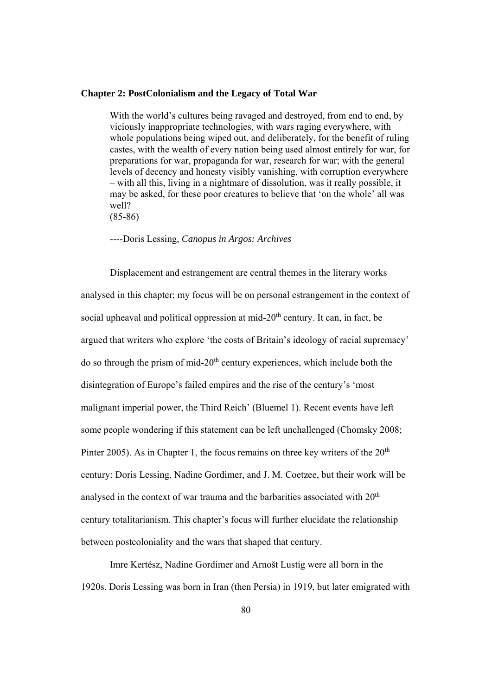## **Chapter 2: PostColonialism and the Legacy of Total War**

With the world's cultures being ravaged and destroyed, from end to end, by viciously inappropriate technologies, with wars raging everywhere, with whole populations being wiped out, and deliberately, for the benefit of ruling castes, with the wealth of every nation being used almost entirely for war, for preparations for war, propaganda for war, research for war; with the general levels of decency and honesty visibly vanishing, with corruption everywhere – with all this, living in a nightmare of dissolution, was it really possible, it may be asked, for these poor creatures to believe that 'on the whole' all was well?

(85-86)

----Doris Lessing, *Canopus in Argos: Archives*

Displacement and estrangement are central themes in the literary works analysed in this chapter; my focus will be on personal estrangement in the context of social upheaval and political oppression at mid- $20<sup>th</sup>$  century. It can, in fact, be argued that writers who explore 'the costs of Britain's ideology of racial supremacy' do so through the prism of mid-20<sup>th</sup> century experiences, which include both the disintegration of Europe's failed empires and the rise of the century's 'most malignant imperial power, the Third Reich' (Bluemel 1). Recent events have left some people wondering if this statement can be left unchallenged (Chomsky 2008; Pinter 2005). As in Chapter 1, the focus remains on three key writers of the  $20<sup>th</sup>$ century: Doris Lessing, Nadine Gordimer, and J. M. Coetzee, but their work will be analysed in the context of war trauma and the barbarities associated with  $20<sup>th</sup>$ century totalitarianism. This chapter's focus will further elucidate the relationship between postcoloniality and the wars that shaped that century.

Imre Kertész, Nadine Gordimer and Arnošt Lustig were all born in the 1920s. Doris Lessing was born in Iran (then Persia) in 1919, but later emigrated with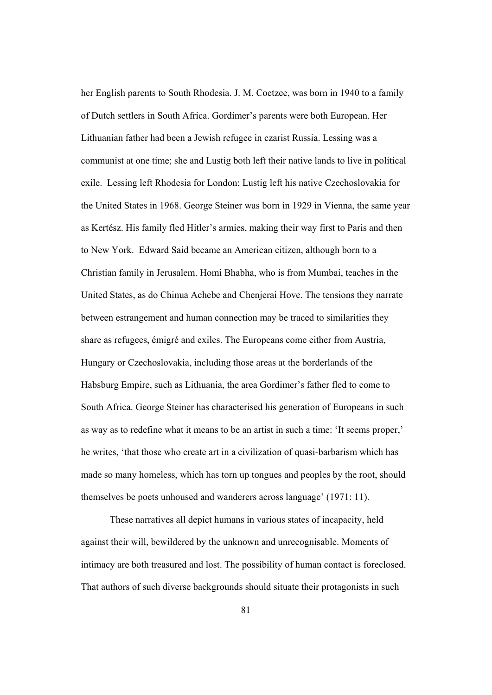her English parents to South Rhodesia. J. M. Coetzee, was born in 1940 to a family of Dutch settlers in South Africa. Gordimer's parents were both European. Her Lithuanian father had been a Jewish refugee in czarist Russia. Lessing was a communist at one time; she and Lustig both left their native lands to live in political exile. Lessing left Rhodesia for London; Lustig left his native Czechoslovakia for the United States in 1968. George Steiner was born in 1929 in Vienna, the same year as Kertész. His family fled Hitler's armies, making their way first to Paris and then to New York. Edward Said became an American citizen, although born to a Christian family in Jerusalem. Homi Bhabha, who is from Mumbai, teaches in the United States, as do Chinua Achebe and Chenjerai Hove. The tensions they narrate between estrangement and human connection may be traced to similarities they share as refugees, émigré and exiles. The Europeans come either from Austria, Hungary or Czechoslovakia, including those areas at the borderlands of the Habsburg Empire, such as Lithuania, the area Gordimer's father fled to come to South Africa. George Steiner has characterised his generation of Europeans in such as way as to redefine what it means to be an artist in such a time: 'It seems proper,' he writes, 'that those who create art in a civilization of quasi-barbarism which has made so many homeless, which has torn up tongues and peoples by the root, should themselves be poets unhoused and wanderers across language' (1971: 11).

These narratives all depict humans in various states of incapacity, held against their will, bewildered by the unknown and unrecognisable. Moments of intimacy are both treasured and lost. The possibility of human contact is foreclosed. That authors of such diverse backgrounds should situate their protagonists in such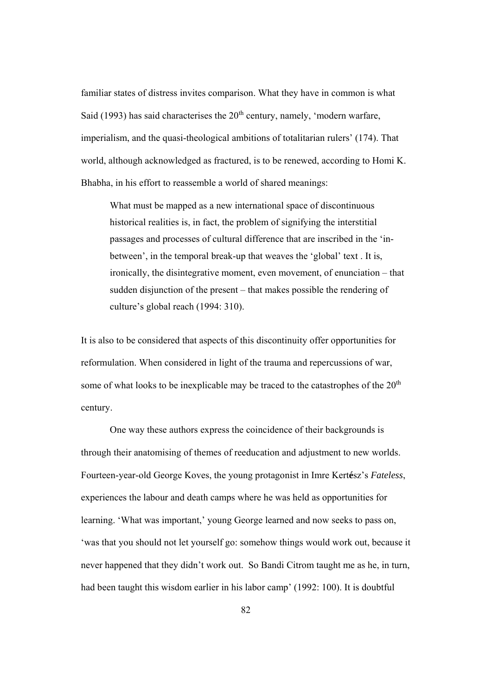familiar states of distress invites comparison. What they have in common is what Said (1993) has said characterises the  $20<sup>th</sup>$  century, namely, 'modern warfare, imperialism, and the quasi-theological ambitions of totalitarian rulers' (174). That world, although acknowledged as fractured, is to be renewed, according to Homi K. Bhabha, in his effort to reassemble a world of shared meanings:

What must be mapped as a new international space of discontinuous historical realities is, in fact, the problem of signifying the interstitial passages and processes of cultural difference that are inscribed in the 'inbetween', in the temporal break-up that weaves the 'global' text . It is, ironically, the disintegrative moment, even movement, of enunciation – that sudden disjunction of the present – that makes possible the rendering of culture's global reach (1994: 310).

It is also to be considered that aspects of this discontinuity offer opportunities for reformulation. When considered in light of the trauma and repercussions of war, some of what looks to be inexplicable may be traced to the catastrophes of the  $20<sup>th</sup>$ century.

One way these authors express the coincidence of their backgrounds is through their anatomising of themes of reeducation and adjustment to new worlds. Fourteen-year-old George Koves, the young protagonist in Imre Kert**é**sz's *Fateless*, experiences the labour and death camps where he was held as opportunities for learning. 'What was important,' young George learned and now seeks to pass on, 'was that you should not let yourself go: somehow things would work out, because it never happened that they didn't work out. So Bandi Citrom taught me as he, in turn, had been taught this wisdom earlier in his labor camp' (1992: 100). It is doubtful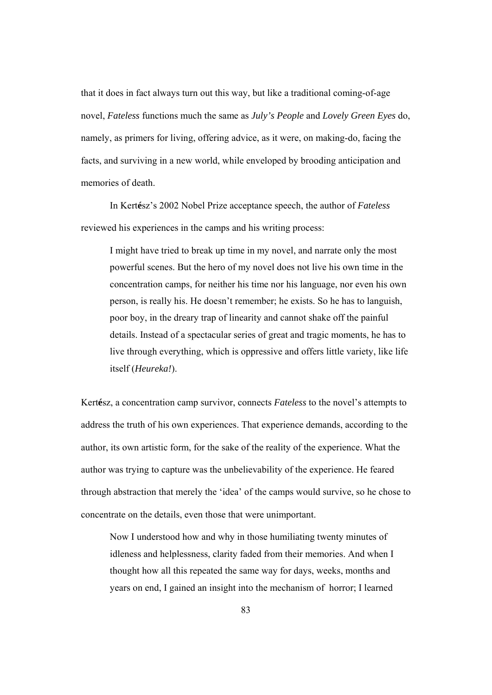that it does in fact always turn out this way, but like a traditional coming-of-age novel, *Fateless* functions much the same as *July's People* and *Lovely Green Eyes* do, namely, as primers for living, offering advice, as it were, on making-do, facing the facts, and surviving in a new world, while enveloped by brooding anticipation and memories of death.

In Kert**é**sz's 2002 Nobel Prize acceptance speech, the author of *Fateless* reviewed his experiences in the camps and his writing process:

I might have tried to break up time in my novel, and narrate only the most powerful scenes. But the hero of my novel does not live his own time in the concentration camps, for neither his time nor his language, nor even his own person, is really his. He doesn't remember; he exists. So he has to languish, poor boy, in the dreary trap of linearity and cannot shake off the painful details. Instead of a spectacular series of great and tragic moments, he has to live through everything, which is oppressive and offers little variety, like life itself (*Heureka!*).

Kert**é**sz, a concentration camp survivor, connects *Fateless* to the novel's attempts to address the truth of his own experiences. That experience demands, according to the author, its own artistic form, for the sake of the reality of the experience. What the author was trying to capture was the unbelievability of the experience. He feared through abstraction that merely the 'idea' of the camps would survive, so he chose to concentrate on the details, even those that were unimportant.

Now I understood how and why in those humiliating twenty minutes of idleness and helplessness, clarity faded from their memories. And when I thought how all this repeated the same way for days, weeks, months and years on end, I gained an insight into the mechanism of horror; I learned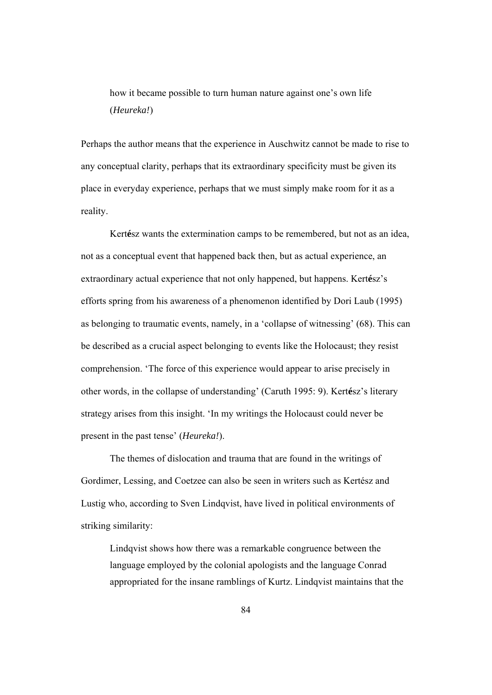how it became possible to turn human nature against one's own life (*Heureka!*)

Perhaps the author means that the experience in Auschwitz cannot be made to rise to any conceptual clarity, perhaps that its extraordinary specificity must be given its place in everyday experience, perhaps that we must simply make room for it as a reality.

Kert**é**sz wants the extermination camps to be remembered, but not as an idea, not as a conceptual event that happened back then, but as actual experience, an extraordinary actual experience that not only happened, but happens. Kert**é**sz's efforts spring from his awareness of a phenomenon identified by Dori Laub (1995) as belonging to traumatic events, namely, in a 'collapse of witnessing' (68). This can be described as a crucial aspect belonging to events like the Holocaust; they resist comprehension. 'The force of this experience would appear to arise precisely in other words, in the collapse of understanding' (Caruth 1995: 9). Kert**é**sz's literary strategy arises from this insight. 'In my writings the Holocaust could never be present in the past tense' (*Heureka!*).

The themes of dislocation and trauma that are found in the writings of Gordimer, Lessing, and Coetzee can also be seen in writers such as Kertész and Lustig who, according to Sven Lindqvist, have lived in political environments of striking similarity:

Lindqvist shows how there was a remarkable congruence between the language employed by the colonial apologists and the language Conrad appropriated for the insane ramblings of Kurtz. Lindqvist maintains that the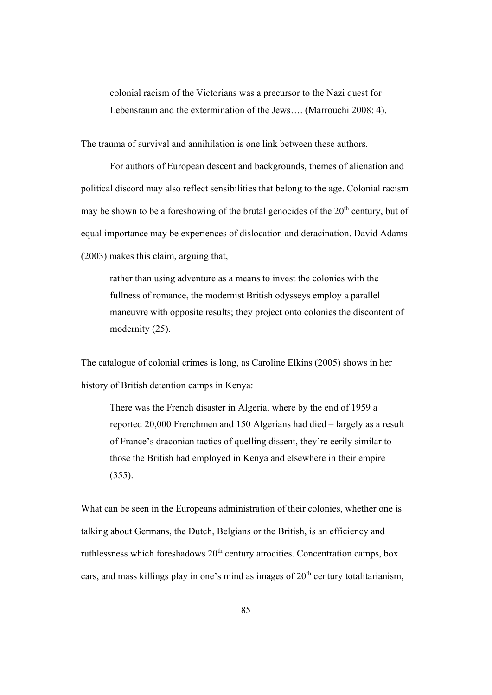colonial racism of the Victorians was a precursor to the Nazi quest for Lebensraum and the extermination of the Jews…. (Marrouchi 2008: 4).

The trauma of survival and annihilation is one link between these authors.

 For authors of European descent and backgrounds, themes of alienation and political discord may also reflect sensibilities that belong to the age. Colonial racism may be shown to be a foreshowing of the brutal genocides of the  $20<sup>th</sup>$  century, but of equal importance may be experiences of dislocation and deracination. David Adams (2003) makes this claim, arguing that,

rather than using adventure as a means to invest the colonies with the fullness of romance, the modernist British odysseys employ a parallel maneuvre with opposite results; they project onto colonies the discontent of modernity (25).

The catalogue of colonial crimes is long, as Caroline Elkins (2005) shows in her history of British detention camps in Kenya:

There was the French disaster in Algeria, where by the end of 1959 a reported 20,000 Frenchmen and 150 Algerians had died – largely as a result of France's draconian tactics of quelling dissent, they're eerily similar to those the British had employed in Kenya and elsewhere in their empire (355).

What can be seen in the Europeans administration of their colonies, whether one is talking about Germans, the Dutch, Belgians or the British, is an efficiency and ruthlessness which foreshadows  $20<sup>th</sup>$  century atrocities. Concentration camps, box cars, and mass killings play in one's mind as images of  $20<sup>th</sup>$  century totalitarianism,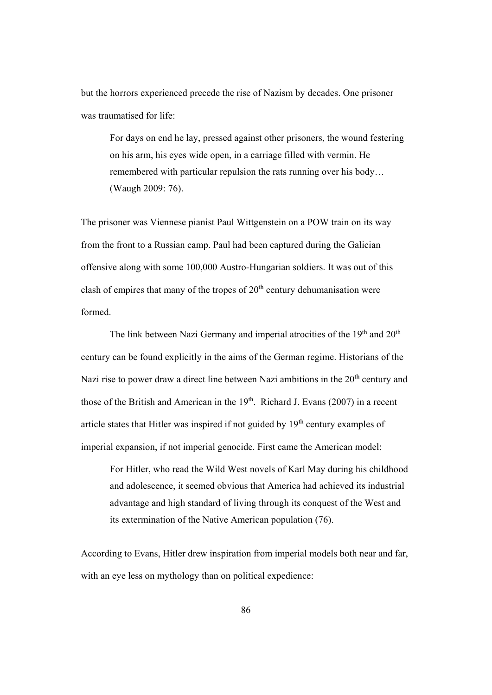but the horrors experienced precede the rise of Nazism by decades. One prisoner was traumatised for life:

For days on end he lay, pressed against other prisoners, the wound festering on his arm, his eyes wide open, in a carriage filled with vermin. He remembered with particular repulsion the rats running over his body… (Waugh 2009: 76).

The prisoner was Viennese pianist Paul Wittgenstein on a POW train on its way from the front to a Russian camp. Paul had been captured during the Galician offensive along with some 100,000 Austro-Hungarian soldiers. It was out of this clash of empires that many of the tropes of  $20<sup>th</sup>$  century dehumanisation were formed.

The link between Nazi Germany and imperial atrocities of the 19<sup>th</sup> and 20<sup>th</sup> century can be found explicitly in the aims of the German regime. Historians of the Nazi rise to power draw a direct line between Nazi ambitions in the 20<sup>th</sup> century and those of the British and American in the  $19<sup>th</sup>$ . Richard J. Evans (2007) in a recent article states that Hitler was inspired if not guided by  $19<sup>th</sup>$  century examples of imperial expansion, if not imperial genocide. First came the American model:

For Hitler, who read the Wild West novels of Karl May during his childhood and adolescence, it seemed obvious that America had achieved its industrial advantage and high standard of living through its conquest of the West and its extermination of the Native American population (76).

According to Evans, Hitler drew inspiration from imperial models both near and far, with an eye less on mythology than on political expedience: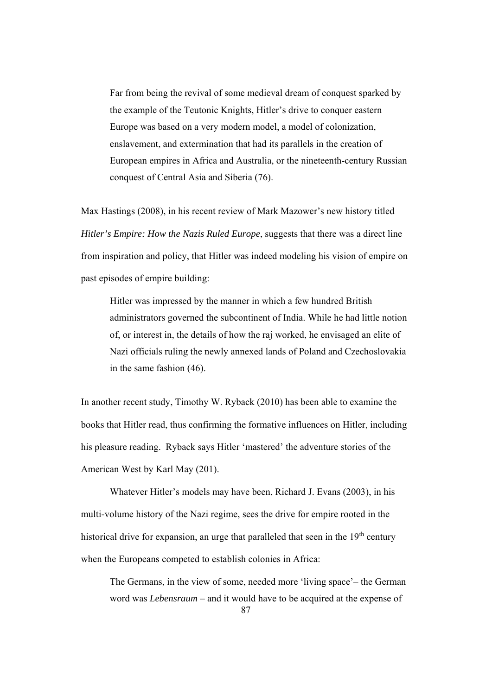Far from being the revival of some medieval dream of conquest sparked by the example of the Teutonic Knights, Hitler's drive to conquer eastern Europe was based on a very modern model, a model of colonization, enslavement, and extermination that had its parallels in the creation of European empires in Africa and Australia, or the nineteenth-century Russian conquest of Central Asia and Siberia (76).

Max Hastings (2008), in his recent review of Mark Mazower's new history titled *Hitler's Empire: How the Nazis Ruled Europe*, suggests that there was a direct line from inspiration and policy, that Hitler was indeed modeling his vision of empire on past episodes of empire building:

Hitler was impressed by the manner in which a few hundred British administrators governed the subcontinent of India. While he had little notion of, or interest in, the details of how the raj worked, he envisaged an elite of Nazi officials ruling the newly annexed lands of Poland and Czechoslovakia in the same fashion (46).

In another recent study, Timothy W. Ryback (2010) has been able to examine the books that Hitler read, thus confirming the formative influences on Hitler, including his pleasure reading. Ryback says Hitler 'mastered' the adventure stories of the American West by Karl May (201).

Whatever Hitler's models may have been, Richard J. Evans (2003), in his multi-volume history of the Nazi regime, sees the drive for empire rooted in the historical drive for expansion, an urge that paralleled that seen in the  $19<sup>th</sup>$  century when the Europeans competed to establish colonies in Africa:

The Germans, in the view of some, needed more 'living space'– the German word was *Lebensraum* – and it would have to be acquired at the expense of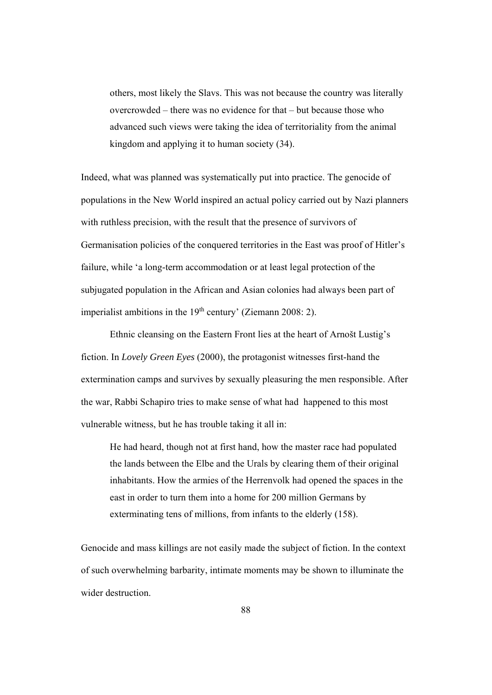others, most likely the Slavs. This was not because the country was literally overcrowded – there was no evidence for that – but because those who advanced such views were taking the idea of territoriality from the animal kingdom and applying it to human society (34).

Indeed, what was planned was systematically put into practice. The genocide of populations in the New World inspired an actual policy carried out by Nazi planners with ruthless precision, with the result that the presence of survivors of Germanisation policies of the conquered territories in the East was proof of Hitler's failure, while 'a long-term accommodation or at least legal protection of the subjugated population in the African and Asian colonies had always been part of imperialist ambitions in the  $19<sup>th</sup>$  century' (Ziemann 2008: 2).

Ethnic cleansing on the Eastern Front lies at the heart of Arnošt Lustig's fiction. In *Lovely Green Eyes* (2000), the protagonist witnesses first-hand the extermination camps and survives by sexually pleasuring the men responsible. After the war, Rabbi Schapiro tries to make sense of what had happened to this most vulnerable witness, but he has trouble taking it all in:

He had heard, though not at first hand, how the master race had populated the lands between the Elbe and the Urals by clearing them of their original inhabitants. How the armies of the Herrenvolk had opened the spaces in the east in order to turn them into a home for 200 million Germans by exterminating tens of millions, from infants to the elderly (158).

Genocide and mass killings are not easily made the subject of fiction. In the context of such overwhelming barbarity, intimate moments may be shown to illuminate the wider destruction.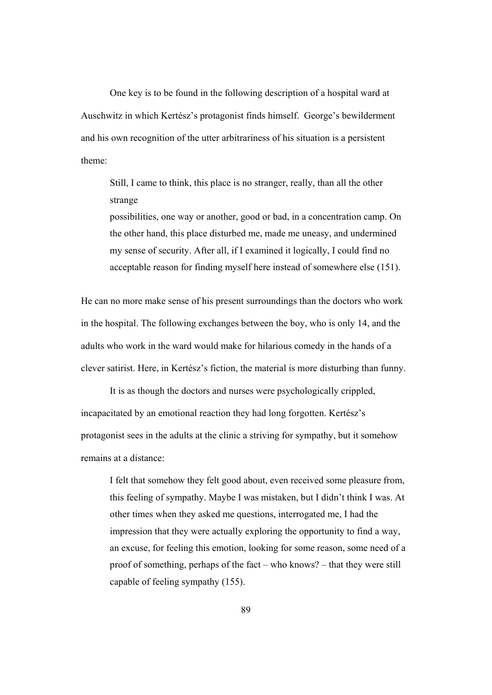One key is to be found in the following description of a hospital ward at Auschwitz in which Kertész's protagonist finds himself. George's bewilderment and his own recognition of the utter arbitrariness of his situation is a persistent theme:

Still, I came to think, this place is no stranger, really, than all the other strange

possibilities, one way or another, good or bad, in a concentration camp. On the other hand, this place disturbed me, made me uneasy, and undermined my sense of security. After all, if I examined it logically, I could find no acceptable reason for finding myself here instead of somewhere else (151).

He can no more make sense of his present surroundings than the doctors who work in the hospital. The following exchanges between the boy, who is only 14, and the adults who work in the ward would make for hilarious comedy in the hands of a clever satirist. Here, in Kertész's fiction, the material is more disturbing than funny.

It is as though the doctors and nurses were psychologically crippled, incapacitated by an emotional reaction they had long forgotten. Kertész's protagonist sees in the adults at the clinic a striving for sympathy, but it somehow remains at a distance:

I felt that somehow they felt good about, even received some pleasure from, this feeling of sympathy. Maybe I was mistaken, but I didn't think I was. At other times when they asked me questions, interrogated me, I had the impression that they were actually exploring the opportunity to find a way, an excuse, for feeling this emotion, looking for some reason, some need of a proof of something, perhaps of the fact – who knows? – that they were still capable of feeling sympathy (155).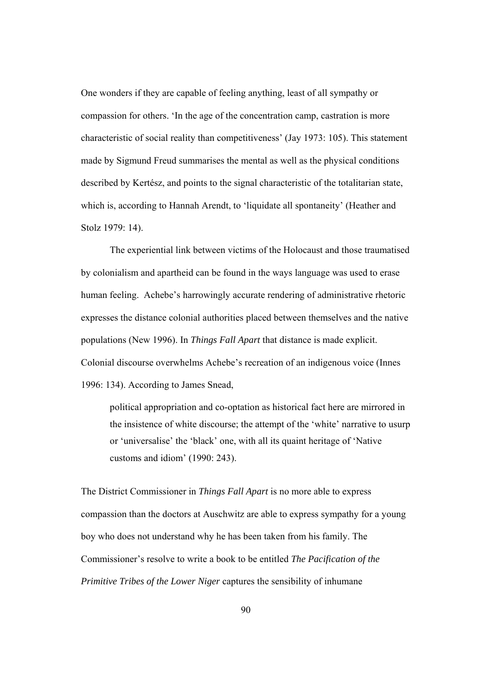One wonders if they are capable of feeling anything, least of all sympathy or compassion for others. 'In the age of the concentration camp, castration is more characteristic of social reality than competitiveness' (Jay 1973: 105). This statement made by Sigmund Freud summarises the mental as well as the physical conditions described by Kertész, and points to the signal characteristic of the totalitarian state, which is, according to Hannah Arendt, to 'liquidate all spontaneity' (Heather and Stolz 1979: 14).

The experiential link between victims of the Holocaust and those traumatised by colonialism and apartheid can be found in the ways language was used to erase human feeling. Achebe's harrowingly accurate rendering of administrative rhetoric expresses the distance colonial authorities placed between themselves and the native populations (New 1996). In *Things Fall Apart* that distance is made explicit. Colonial discourse overwhelms Achebe's recreation of an indigenous voice (Innes 1996: 134). According to James Snead,

political appropriation and co-optation as historical fact here are mirrored in the insistence of white discourse; the attempt of the 'white' narrative to usurp or 'universalise' the 'black' one, with all its quaint heritage of 'Native customs and idiom' (1990: 243).

The District Commissioner in *Things Fall Apart* is no more able to express compassion than the doctors at Auschwitz are able to express sympathy for a young boy who does not understand why he has been taken from his family. The Commissioner's resolve to write a book to be entitled *The Pacification of the Primitive Tribes of the Lower Niger* captures the sensibility of inhumane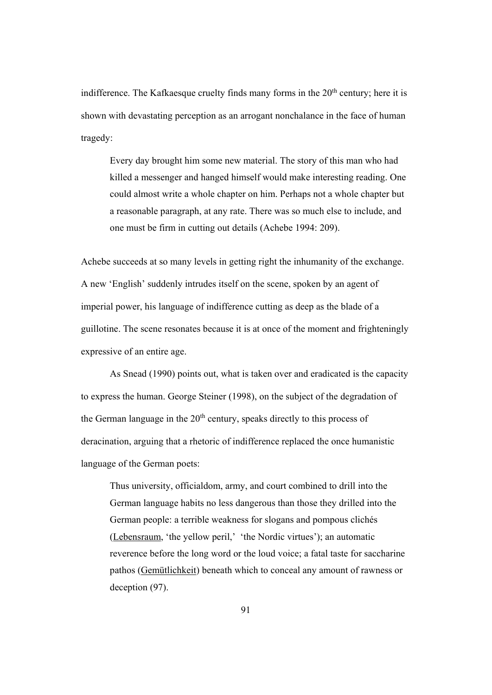indifference. The Kafkaesque cruelty finds many forms in the  $20<sup>th</sup>$  century; here it is shown with devastating perception as an arrogant nonchalance in the face of human tragedy:

Every day brought him some new material. The story of this man who had killed a messenger and hanged himself would make interesting reading. One could almost write a whole chapter on him. Perhaps not a whole chapter but a reasonable paragraph, at any rate. There was so much else to include, and one must be firm in cutting out details (Achebe 1994: 209).

Achebe succeeds at so many levels in getting right the inhumanity of the exchange. A new 'English' suddenly intrudes itself on the scene, spoken by an agent of imperial power, his language of indifference cutting as deep as the blade of a guillotine. The scene resonates because it is at once of the moment and frighteningly expressive of an entire age.

As Snead (1990) points out, what is taken over and eradicated is the capacity to express the human. George Steiner (1998), on the subject of the degradation of the German language in the  $20<sup>th</sup>$  century, speaks directly to this process of deracination, arguing that a rhetoric of indifference replaced the once humanistic language of the German poets:

Thus university, officialdom, army, and court combined to drill into the German language habits no less dangerous than those they drilled into the German people: a terrible weakness for slogans and pompous clichés (Lebensraum, 'the yellow peril,' 'the Nordic virtues'); an automatic reverence before the long word or the loud voice; a fatal taste for saccharine pathos (Gemütlichkeit) beneath which to conceal any amount of rawness or deception (97).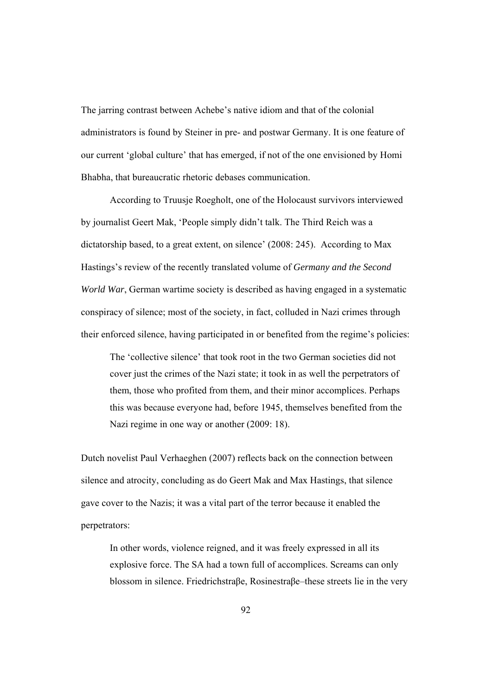The jarring contrast between Achebe's native idiom and that of the colonial administrators is found by Steiner in pre- and postwar Germany. It is one feature of our current 'global culture' that has emerged, if not of the one envisioned by Homi Bhabha, that bureaucratic rhetoric debases communication.

 According to Truusje Roegholt, one of the Holocaust survivors interviewed by journalist Geert Mak, 'People simply didn't talk. The Third Reich was a dictatorship based, to a great extent, on silence' (2008: 245). According to Max Hastings's review of the recently translated volume of *Germany and the Second World War*, German wartime society is described as having engaged in a systematic conspiracy of silence; most of the society, in fact, colluded in Nazi crimes through their enforced silence, having participated in or benefited from the regime's policies:

The 'collective silence' that took root in the two German societies did not cover just the crimes of the Nazi state; it took in as well the perpetrators of them, those who profited from them, and their minor accomplices. Perhaps this was because everyone had, before 1945, themselves benefited from the Nazi regime in one way or another (2009: 18).

Dutch novelist Paul Verhaeghen (2007) reflects back on the connection between silence and atrocity, concluding as do Geert Mak and Max Hastings, that silence gave cover to the Nazis; it was a vital part of the terror because it enabled the perpetrators:

In other words, violence reigned, and it was freely expressed in all its explosive force. The SA had a town full of accomplices. Screams can only blossom in silence. Friedrichstraβe, Rosinestraβe–these streets lie in the very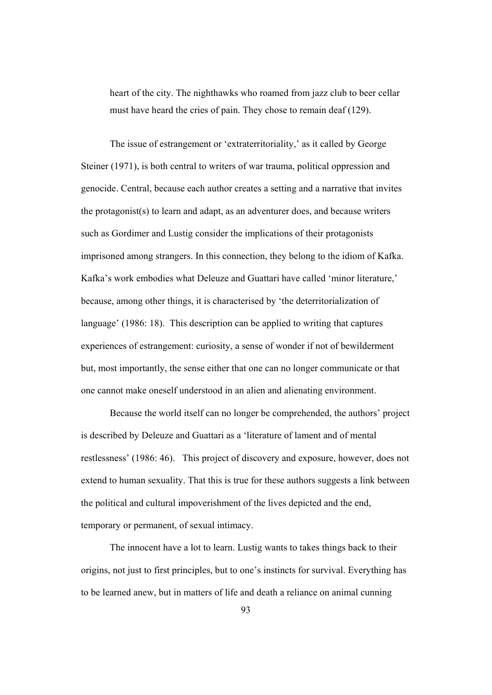heart of the city. The nighthawks who roamed from jazz club to beer cellar must have heard the cries of pain. They chose to remain deaf (129).

The issue of estrangement or 'extraterritoriality,' as it called by George Steiner (1971), is both central to writers of war trauma, political oppression and genocide. Central, because each author creates a setting and a narrative that invites the protagonist(s) to learn and adapt, as an adventurer does, and because writers such as Gordimer and Lustig consider the implications of their protagonists imprisoned among strangers. In this connection, they belong to the idiom of Kafka. Kafka's work embodies what Deleuze and Guattari have called 'minor literature,' because, among other things, it is characterised by 'the deterritorialization of language' (1986: 18). This description can be applied to writing that captures experiences of estrangement: curiosity, a sense of wonder if not of bewilderment but, most importantly, the sense either that one can no longer communicate or that one cannot make oneself understood in an alien and alienating environment.

Because the world itself can no longer be comprehended, the authors' project is described by Deleuze and Guattari as a 'literature of lament and of mental restlessness' (1986: 46). This project of discovery and exposure, however, does not extend to human sexuality. That this is true for these authors suggests a link between the political and cultural impoverishment of the lives depicted and the end, temporary or permanent, of sexual intimacy.

The innocent have a lot to learn. Lustig wants to takes things back to their origins, not just to first principles, but to one's instincts for survival. Everything has to be learned anew, but in matters of life and death a reliance on animal cunning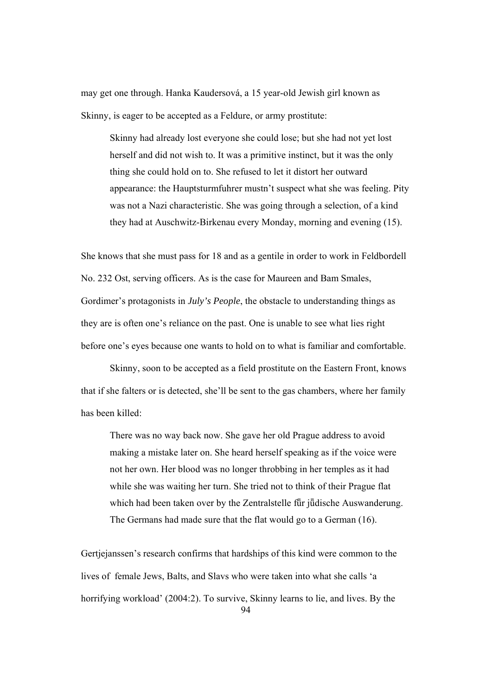may get one through. Hanka Kaudersová, a 15 year-old Jewish girl known as Skinny, is eager to be accepted as a Feldure, or army prostitute:

Skinny had already lost everyone she could lose; but she had not yet lost herself and did not wish to. It was a primitive instinct, but it was the only thing she could hold on to. She refused to let it distort her outward appearance: the Hauptsturmfuhrer mustn't suspect what she was feeling. Pity was not a Nazi characteristic. She was going through a selection, of a kind they had at Auschwitz-Birkenau every Monday, morning and evening (15).

She knows that she must pass for 18 and as a gentile in order to work in Feldbordell No. 232 Ost, serving officers. As is the case for Maureen and Bam Smales, Gordimer's protagonists in *July's People*, the obstacle to understanding things as they are is often one's reliance on the past. One is unable to see what lies right before one's eyes because one wants to hold on to what is familiar and comfortable.

Skinny, soon to be accepted as a field prostitute on the Eastern Front, knows that if she falters or is detected, she'll be sent to the gas chambers, where her family has been killed:

There was no way back now. She gave her old Prague address to avoid making a mistake later on. She heard herself speaking as if the voice were not her own. Her blood was no longer throbbing in her temples as it had while she was waiting her turn. She tried not to think of their Prague flat which had been taken over by the Zentralstelle für jūdische Auswanderung. The Germans had made sure that the flat would go to a German (16).

Gertjejanssen's research confirms that hardships of this kind were common to the lives of female Jews, Balts, and Slavs who were taken into what she calls 'a horrifying workload' (2004:2). To survive, Skinny learns to lie, and lives. By the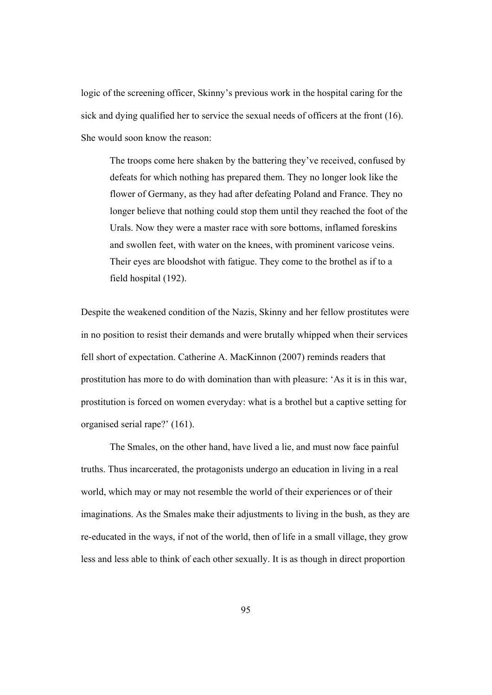logic of the screening officer, Skinny's previous work in the hospital caring for the sick and dying qualified her to service the sexual needs of officers at the front (16). She would soon know the reason:

The troops come here shaken by the battering they've received, confused by defeats for which nothing has prepared them. They no longer look like the flower of Germany, as they had after defeating Poland and France. They no longer believe that nothing could stop them until they reached the foot of the Urals. Now they were a master race with sore bottoms, inflamed foreskins and swollen feet, with water on the knees, with prominent varicose veins. Their eyes are bloodshot with fatigue. They come to the brothel as if to a field hospital (192).

Despite the weakened condition of the Nazis, Skinny and her fellow prostitutes were in no position to resist their demands and were brutally whipped when their services fell short of expectation. Catherine A. MacKinnon (2007) reminds readers that prostitution has more to do with domination than with pleasure: 'As it is in this war, prostitution is forced on women everyday: what is a brothel but a captive setting for organised serial rape?' (161).

The Smales, on the other hand, have lived a lie, and must now face painful truths. Thus incarcerated, the protagonists undergo an education in living in a real world, which may or may not resemble the world of their experiences or of their imaginations. As the Smales make their adjustments to living in the bush, as they are re-educated in the ways, if not of the world, then of life in a small village, they grow less and less able to think of each other sexually. It is as though in direct proportion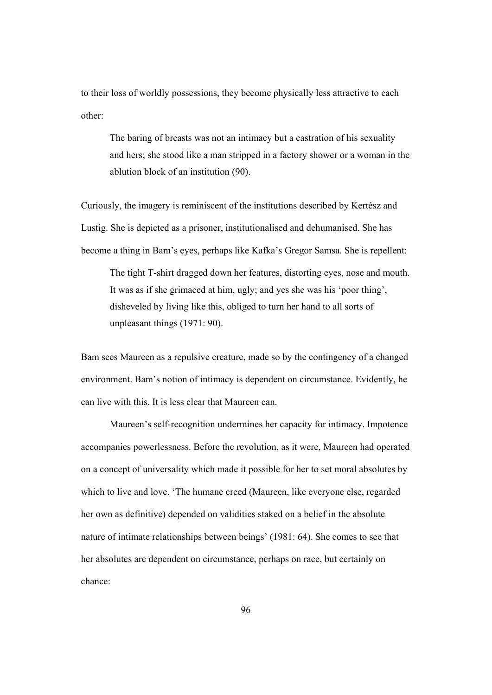to their loss of worldly possessions, they become physically less attractive to each other:

The baring of breasts was not an intimacy but a castration of his sexuality and hers; she stood like a man stripped in a factory shower or a woman in the ablution block of an institution (90).

Curiously, the imagery is reminiscent of the institutions described by Kertész and Lustig. She is depicted as a prisoner, institutionalised and dehumanised. She has become a thing in Bam's eyes, perhaps like Kafka's Gregor Samsa. She is repellent:

The tight T-shirt dragged down her features, distorting eyes, nose and mouth. It was as if she grimaced at him, ugly; and yes she was his 'poor thing', disheveled by living like this, obliged to turn her hand to all sorts of unpleasant things (1971: 90).

Bam sees Maureen as a repulsive creature, made so by the contingency of a changed environment. Bam's notion of intimacy is dependent on circumstance. Evidently, he can live with this. It is less clear that Maureen can.

Maureen's self-recognition undermines her capacity for intimacy. Impotence accompanies powerlessness. Before the revolution, as it were, Maureen had operated on a concept of universality which made it possible for her to set moral absolutes by which to live and love. 'The humane creed (Maureen, like everyone else, regarded her own as definitive) depended on validities staked on a belief in the absolute nature of intimate relationships between beings' (1981: 64). She comes to see that her absolutes are dependent on circumstance, perhaps on race, but certainly on chance: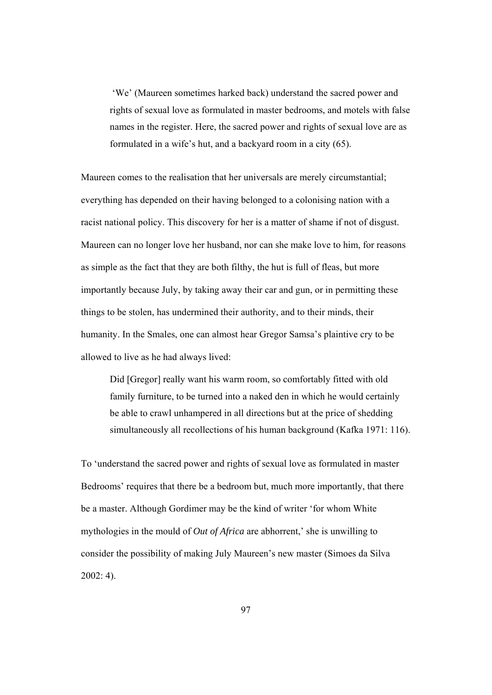'We' (Maureen sometimes harked back) understand the sacred power and rights of sexual love as formulated in master bedrooms, and motels with false names in the register. Here, the sacred power and rights of sexual love are as formulated in a wife's hut, and a backyard room in a city (65).

Maureen comes to the realisation that her universals are merely circumstantial; everything has depended on their having belonged to a colonising nation with a racist national policy. This discovery for her is a matter of shame if not of disgust. Maureen can no longer love her husband, nor can she make love to him, for reasons as simple as the fact that they are both filthy, the hut is full of fleas, but more importantly because July, by taking away their car and gun, or in permitting these things to be stolen, has undermined their authority, and to their minds, their humanity. In the Smales, one can almost hear Gregor Samsa's plaintive cry to be allowed to live as he had always lived:

Did [Gregor] really want his warm room, so comfortably fitted with old family furniture, to be turned into a naked den in which he would certainly be able to crawl unhampered in all directions but at the price of shedding simultaneously all recollections of his human background (Kafka 1971: 116).

To 'understand the sacred power and rights of sexual love as formulated in master Bedrooms' requires that there be a bedroom but, much more importantly, that there be a master. Although Gordimer may be the kind of writer 'for whom White mythologies in the mould of *Out of Africa* are abhorrent,' she is unwilling to consider the possibility of making July Maureen's new master (Simoes da Silva 2002: 4).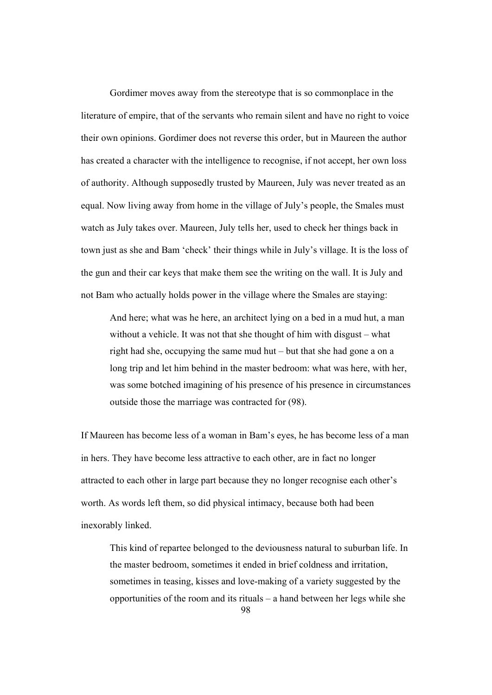Gordimer moves away from the stereotype that is so commonplace in the literature of empire, that of the servants who remain silent and have no right to voice their own opinions. Gordimer does not reverse this order, but in Maureen the author has created a character with the intelligence to recognise, if not accept, her own loss of authority. Although supposedly trusted by Maureen, July was never treated as an equal. Now living away from home in the village of July's people, the Smales must watch as July takes over. Maureen, July tells her, used to check her things back in town just as she and Bam 'check' their things while in July's village. It is the loss of the gun and their car keys that make them see the writing on the wall. It is July and not Bam who actually holds power in the village where the Smales are staying:

And here; what was he here, an architect lying on a bed in a mud hut, a man without a vehicle. It was not that she thought of him with disgust – what right had she, occupying the same mud hut – but that she had gone a on a long trip and let him behind in the master bedroom: what was here, with her, was some botched imagining of his presence of his presence in circumstances outside those the marriage was contracted for (98).

If Maureen has become less of a woman in Bam's eyes, he has become less of a man in hers. They have become less attractive to each other, are in fact no longer attracted to each other in large part because they no longer recognise each other's worth. As words left them, so did physical intimacy, because both had been inexorably linked.

This kind of repartee belonged to the deviousness natural to suburban life. In the master bedroom, sometimes it ended in brief coldness and irritation, sometimes in teasing, kisses and love-making of a variety suggested by the opportunities of the room and its rituals – a hand between her legs while she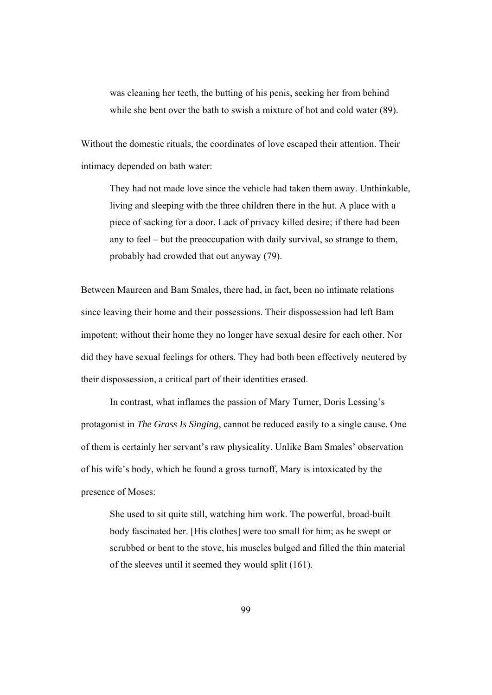was cleaning her teeth, the butting of his penis, seeking her from behind while she bent over the bath to swish a mixture of hot and cold water (89).

Without the domestic rituals, the coordinates of love escaped their attention. Their intimacy depended on bath water:

They had not made love since the vehicle had taken them away. Unthinkable, living and sleeping with the three children there in the hut. A place with a piece of sacking for a door. Lack of privacy killed desire; if there had been any to feel – but the preoccupation with daily survival, so strange to them, probably had crowded that out anyway (79).

Between Maureen and Bam Smales, there had, in fact, been no intimate relations since leaving their home and their possessions. Their dispossession had left Bam impotent; without their home they no longer have sexual desire for each other. Nor did they have sexual feelings for others. They had both been effectively neutered by their dispossession, a critical part of their identities erased.

In contrast, what inflames the passion of Mary Turner, Doris Lessing's protagonist in *The Grass Is Singing*, cannot be reduced easily to a single cause. One of them is certainly her servant's raw physicality. Unlike Bam Smales' observation of his wife's body, which he found a gross turnoff, Mary is intoxicated by the presence of Moses:

She used to sit quite still, watching him work. The powerful, broad-built body fascinated her. [His clothes] were too small for him; as he swept or scrubbed or bent to the stove, his muscles bulged and filled the thin material of the sleeves until it seemed they would split (161).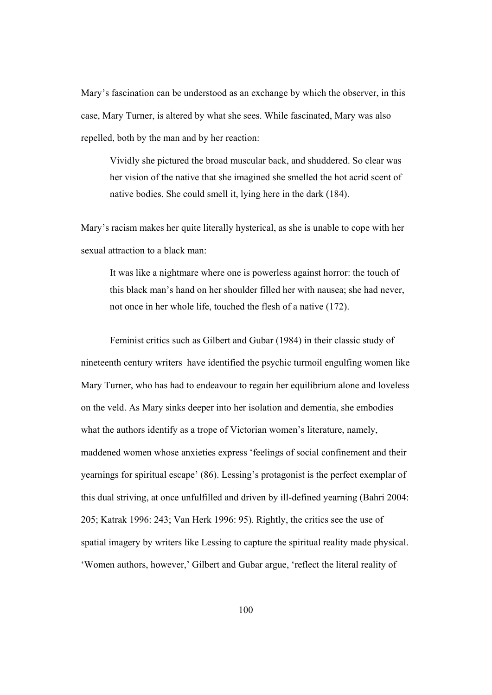Mary's fascination can be understood as an exchange by which the observer, in this case, Mary Turner, is altered by what she sees. While fascinated, Mary was also repelled, both by the man and by her reaction:

Vividly she pictured the broad muscular back, and shuddered. So clear was her vision of the native that she imagined she smelled the hot acrid scent of native bodies. She could smell it, lying here in the dark (184).

Mary's racism makes her quite literally hysterical, as she is unable to cope with her sexual attraction to a black man:

It was like a nightmare where one is powerless against horror: the touch of this black man's hand on her shoulder filled her with nausea; she had never, not once in her whole life, touched the flesh of a native (172).

Feminist critics such as Gilbert and Gubar (1984) in their classic study of nineteenth century writers have identified the psychic turmoil engulfing women like Mary Turner, who has had to endeavour to regain her equilibrium alone and loveless on the veld. As Mary sinks deeper into her isolation and dementia, she embodies what the authors identify as a trope of Victorian women's literature, namely, maddened women whose anxieties express 'feelings of social confinement and their yearnings for spiritual escape' (86). Lessing's protagonist is the perfect exemplar of this dual striving, at once unfulfilled and driven by ill-defined yearning (Bahri 2004: 205; Katrak 1996: 243; Van Herk 1996: 95). Rightly, the critics see the use of spatial imagery by writers like Lessing to capture the spiritual reality made physical. 'Women authors, however,' Gilbert and Gubar argue, 'reflect the literal reality of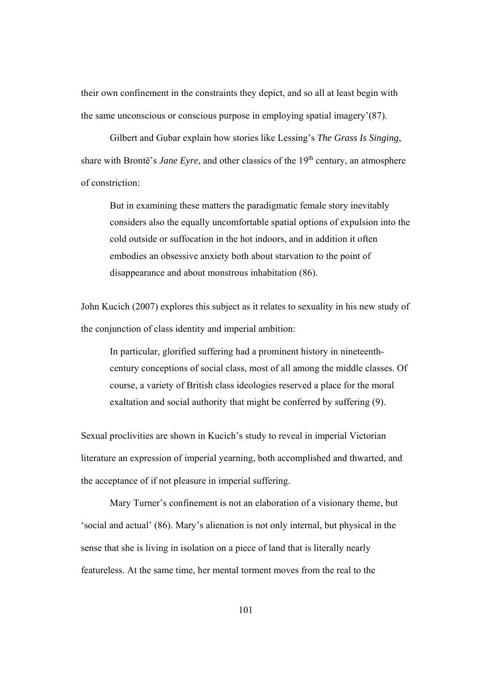their own confinement in the constraints they depict, and so all at least begin with the same unconscious or conscious purpose in employing spatial imagery'(87).

Gilbert and Gubar explain how stories like Lessing's *The Grass Is Singing*, share with Brontë's *Jane Eyre*, and other classics of the 19<sup>th</sup> century, an atmosphere of constriction:

But in examining these matters the paradigmatic female story inevitably considers also the equally uncomfortable spatial options of expulsion into the cold outside or suffocation in the hot indoors, and in addition it often embodies an obsessive anxiety both about starvation to the point of disappearance and about monstrous inhabitation (86).

John Kucich (2007) explores this subject as it relates to sexuality in his new study of the conjunction of class identity and imperial ambition:

In particular, glorified suffering had a prominent history in nineteenthcentury conceptions of social class, most of all among the middle classes. Of course, a variety of British class ideologies reserved a place for the moral exaltation and social authority that might be conferred by suffering (9).

Sexual proclivities are shown in Kucich's study to reveal in imperial Victorian literature an expression of imperial yearning, both accomplished and thwarted, and the acceptance of if not pleasure in imperial suffering.

Mary Turner's confinement is not an elaboration of a visionary theme, but 'social and actual' (86). Mary's alienation is not only internal, but physical in the sense that she is living in isolation on a piece of land that is literally nearly featureless. At the same time, her mental torment moves from the real to the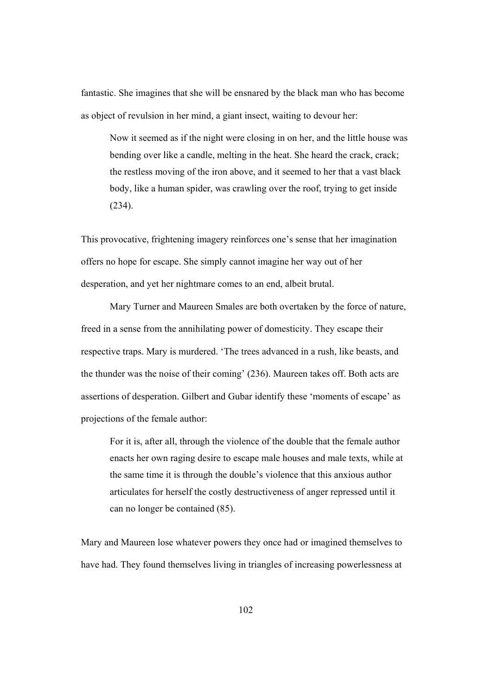fantastic. She imagines that she will be ensnared by the black man who has become as object of revulsion in her mind, a giant insect, waiting to devour her:

Now it seemed as if the night were closing in on her, and the little house was bending over like a candle, melting in the heat. She heard the crack, crack; the restless moving of the iron above, and it seemed to her that a vast black body, like a human spider, was crawling over the roof, trying to get inside (234).

This provocative, frightening imagery reinforces one's sense that her imagination offers no hope for escape. She simply cannot imagine her way out of her desperation, and yet her nightmare comes to an end, albeit brutal.

Mary Turner and Maureen Smales are both overtaken by the force of nature, freed in a sense from the annihilating power of domesticity. They escape their respective traps. Mary is murdered. 'The trees advanced in a rush, like beasts, and the thunder was the noise of their coming' (236). Maureen takes off. Both acts are assertions of desperation. Gilbert and Gubar identify these 'moments of escape' as projections of the female author:

For it is, after all, through the violence of the double that the female author enacts her own raging desire to escape male houses and male texts, while at the same time it is through the double's violence that this anxious author articulates for herself the costly destructiveness of anger repressed until it can no longer be contained (85).

Mary and Maureen lose whatever powers they once had or imagined themselves to have had. They found themselves living in triangles of increasing powerlessness at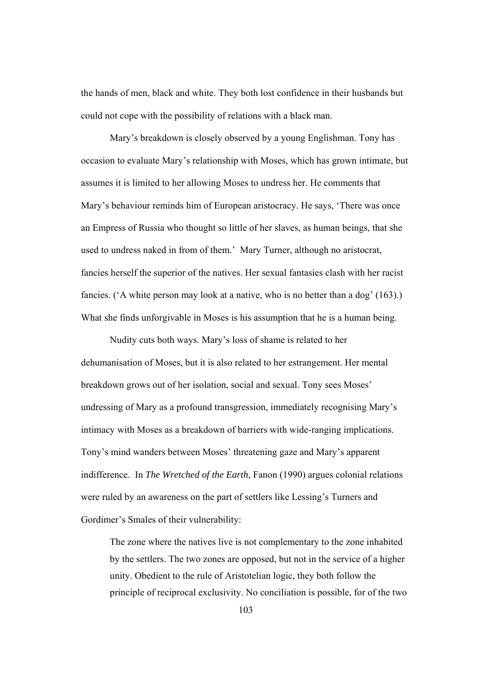the hands of men, black and white. They both lost confidence in their husbands but could not cope with the possibility of relations with a black man.

Mary's breakdown is closely observed by a young Englishman. Tony has occasion to evaluate Mary's relationship with Moses, which has grown intimate, but assumes it is limited to her allowing Moses to undress her. He comments that Mary's behaviour reminds him of European aristocracy. He says, 'There was once an Empress of Russia who thought so little of her slaves, as human beings, that she used to undress naked in from of them.' Mary Turner, although no aristocrat, fancies herself the superior of the natives. Her sexual fantasies clash with her racist fancies. ('A white person may look at a native, who is no better than a dog' (163).) What she finds unforgivable in Moses is his assumption that he is a human being.

Nudity cuts both ways. Mary's loss of shame is related to her dehumanisation of Moses, but it is also related to her estrangement. Her mental breakdown grows out of her isolation, social and sexual. Tony sees Moses' undressing of Mary as a profound transgression, immediately recognising Mary's intimacy with Moses as a breakdown of barriers with wide-ranging implications. Tony's mind wanders between Moses' threatening gaze and Mary's apparent indifference. In *The Wretched of the Earth*, Fanon (1990) argues colonial relations were ruled by an awareness on the part of settlers like Lessing's Turners and Gordimer's Smales of their vulnerability:

The zone where the natives live is not complementary to the zone inhabited by the settlers. The two zones are opposed, but not in the service of a higher unity. Obedient to the rule of Aristotelian logic, they both follow the principle of reciprocal exclusivity. No conciliation is possible, for of the two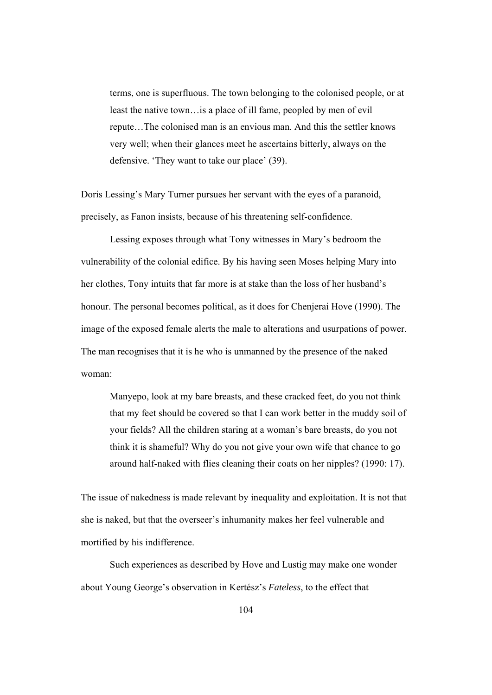terms, one is superfluous. The town belonging to the colonised people, or at least the native town…is a place of ill fame, peopled by men of evil repute…The colonised man is an envious man. And this the settler knows very well; when their glances meet he ascertains bitterly, always on the defensive. 'They want to take our place' (39).

Doris Lessing's Mary Turner pursues her servant with the eyes of a paranoid, precisely, as Fanon insists, because of his threatening self-confidence.

 Lessing exposes through what Tony witnesses in Mary's bedroom the vulnerability of the colonial edifice. By his having seen Moses helping Mary into her clothes, Tony intuits that far more is at stake than the loss of her husband's honour. The personal becomes political, as it does for Chenjerai Hove (1990). The image of the exposed female alerts the male to alterations and usurpations of power. The man recognises that it is he who is unmanned by the presence of the naked woman:

Manyepo, look at my bare breasts, and these cracked feet, do you not think that my feet should be covered so that I can work better in the muddy soil of your fields? All the children staring at a woman's bare breasts, do you not think it is shameful? Why do you not give your own wife that chance to go around half-naked with flies cleaning their coats on her nipples? (1990: 17).

The issue of nakedness is made relevant by inequality and exploitation. It is not that she is naked, but that the overseer's inhumanity makes her feel vulnerable and mortified by his indifference.

Such experiences as described by Hove and Lustig may make one wonder about Young George's observation in Kertész's *Fateless*, to the effect that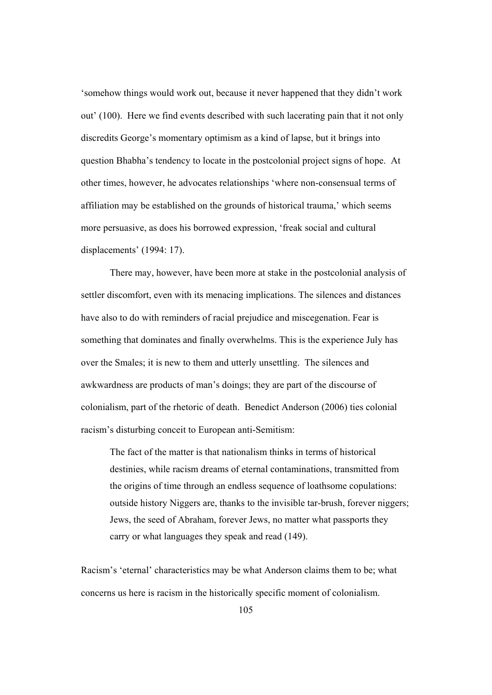'somehow things would work out, because it never happened that they didn't work out' (100). Here we find events described with such lacerating pain that it not only discredits George's momentary optimism as a kind of lapse, but it brings into question Bhabha's tendency to locate in the postcolonial project signs of hope. At other times, however, he advocates relationships 'where non-consensual terms of affiliation may be established on the grounds of historical trauma,' which seems more persuasive, as does his borrowed expression, 'freak social and cultural displacements' (1994: 17).

 There may, however, have been more at stake in the postcolonial analysis of settler discomfort, even with its menacing implications. The silences and distances have also to do with reminders of racial prejudice and miscegenation. Fear is something that dominates and finally overwhelms. This is the experience July has over the Smales; it is new to them and utterly unsettling. The silences and awkwardness are products of man's doings; they are part of the discourse of colonialism, part of the rhetoric of death. Benedict Anderson (2006) ties colonial racism's disturbing conceit to European anti-Semitism:

The fact of the matter is that nationalism thinks in terms of historical destinies, while racism dreams of eternal contaminations, transmitted from the origins of time through an endless sequence of loathsome copulations: outside history Niggers are, thanks to the invisible tar-brush, forever niggers; Jews, the seed of Abraham, forever Jews, no matter what passports they carry or what languages they speak and read (149).

Racism's 'eternal' characteristics may be what Anderson claims them to be; what concerns us here is racism in the historically specific moment of colonialism.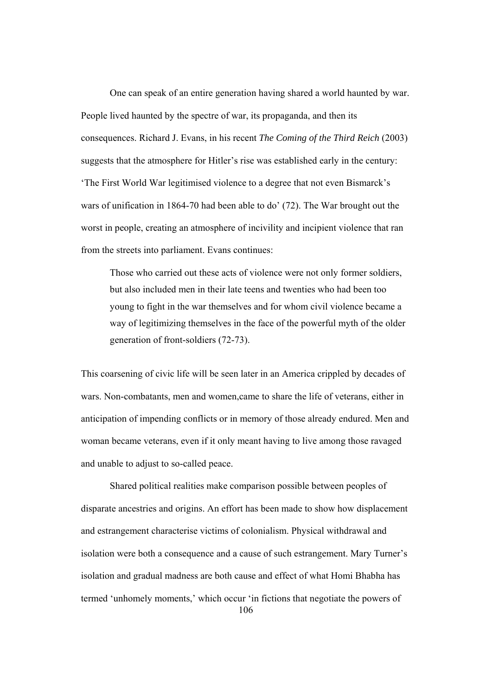One can speak of an entire generation having shared a world haunted by war. People lived haunted by the spectre of war, its propaganda, and then its consequences. Richard J. Evans, in his recent *The Coming of the Third Reich* (2003) suggests that the atmosphere for Hitler's rise was established early in the century: 'The First World War legitimised violence to a degree that not even Bismarck's wars of unification in 1864-70 had been able to do' (72). The War brought out the worst in people, creating an atmosphere of incivility and incipient violence that ran from the streets into parliament. Evans continues:

Those who carried out these acts of violence were not only former soldiers, but also included men in their late teens and twenties who had been too young to fight in the war themselves and for whom civil violence became a way of legitimizing themselves in the face of the powerful myth of the older generation of front-soldiers (72-73).

This coarsening of civic life will be seen later in an America crippled by decades of wars. Non-combatants, men and women,came to share the life of veterans, either in anticipation of impending conflicts or in memory of those already endured. Men and woman became veterans, even if it only meant having to live among those ravaged and unable to adjust to so-called peace.

106 Shared political realities make comparison possible between peoples of disparate ancestries and origins. An effort has been made to show how displacement and estrangement characterise victims of colonialism. Physical withdrawal and isolation were both a consequence and a cause of such estrangement. Mary Turner's isolation and gradual madness are both cause and effect of what Homi Bhabha has termed 'unhomely moments,' which occur 'in fictions that negotiate the powers of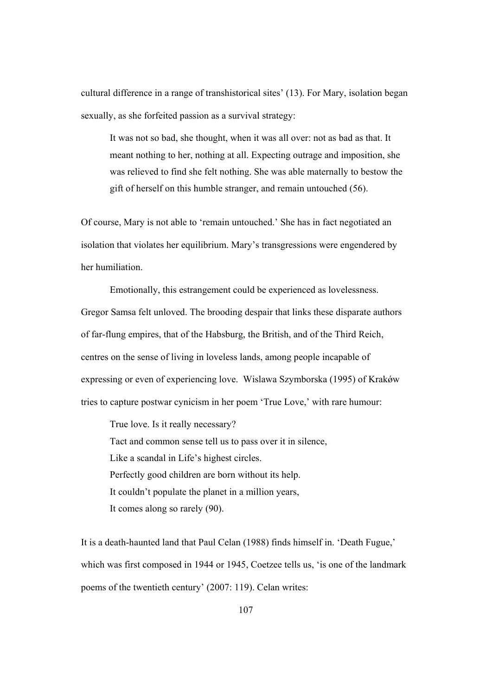cultural difference in a range of transhistorical sites' (13). For Mary, isolation began sexually, as she forfeited passion as a survival strategy:

It was not so bad, she thought, when it was all over: not as bad as that. It meant nothing to her, nothing at all. Expecting outrage and imposition, she was relieved to find she felt nothing. She was able maternally to bestow the gift of herself on this humble stranger, and remain untouched (56).

Of course, Mary is not able to 'remain untouched.' She has in fact negotiated an isolation that violates her equilibrium. Mary's transgressions were engendered by her humiliation.

Emotionally, this estrangement could be experienced as lovelessness. Gregor Samsa felt unloved. The brooding despair that links these disparate authors of far-flung empires, that of the Habsburg, the British, and of the Third Reich, centres on the sense of living in loveless lands, among people incapable of expressing or even of experiencing love. Wislawa Szymborska (1995) of Kraków tries to capture postwar cynicism in her poem 'True Love,' with rare humour:

True love. Is it really necessary? Tact and common sense tell us to pass over it in silence, Like a scandal in Life's highest circles. Perfectly good children are born without its help. It couldn't populate the planet in a million years, It comes along so rarely (90).

It is a death-haunted land that Paul Celan (1988) finds himself in. 'Death Fugue,' which was first composed in 1944 or 1945, Coetzee tells us, 'is one of the landmark poems of the twentieth century' (2007: 119). Celan writes: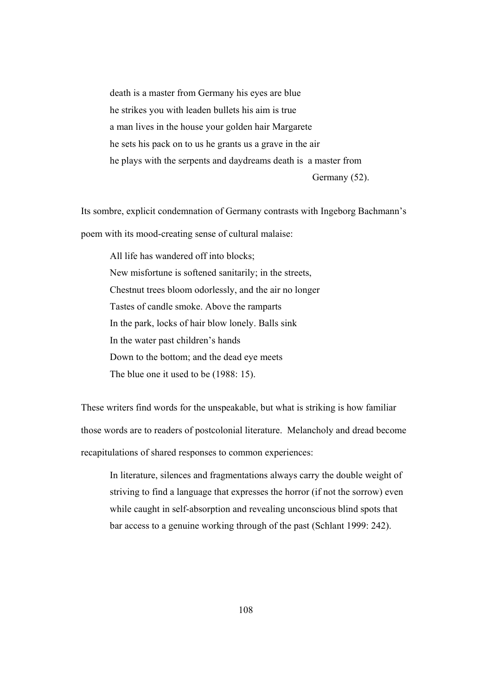death is a master from Germany his eyes are blue he strikes you with leaden bullets his aim is true a man lives in the house your golden hair Margarete he sets his pack on to us he grants us a grave in the air he plays with the serpents and daydreams death is a master from

Germany (52).

Its sombre, explicit condemnation of Germany contrasts with Ingeborg Bachmann's poem with its mood-creating sense of cultural malaise:

 All life has wandered off into blocks; New misfortune is softened sanitarily; in the streets, Chestnut trees bloom odorlessly, and the air no longer Tastes of candle smoke. Above the ramparts In the park, locks of hair blow lonely. Balls sink In the water past children's hands Down to the bottom; and the dead eye meets The blue one it used to be (1988: 15).

These writers find words for the unspeakable, but what is striking is how familiar those words are to readers of postcolonial literature. Melancholy and dread become recapitulations of shared responses to common experiences:

In literature, silences and fragmentations always carry the double weight of striving to find a language that expresses the horror (if not the sorrow) even while caught in self-absorption and revealing unconscious blind spots that bar access to a genuine working through of the past (Schlant 1999: 242).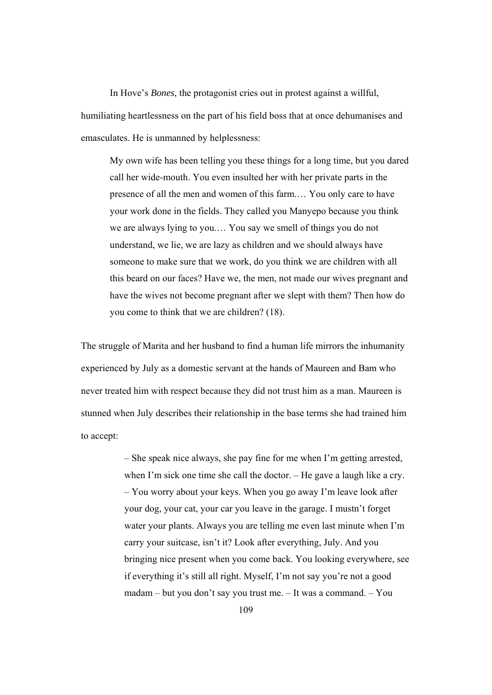In Hove's *Bones*, the protagonist cries out in protest against a willful, humiliating heartlessness on the part of his field boss that at once dehumanises and emasculates. He is unmanned by helplessness:

My own wife has been telling you these things for a long time, but you dared call her wide-mouth. You even insulted her with her private parts in the presence of all the men and women of this farm.… You only care to have your work done in the fields. They called you Manyepo because you think we are always lying to you.… You say we smell of things you do not understand, we lie, we are lazy as children and we should always have someone to make sure that we work, do you think we are children with all this beard on our faces? Have we, the men, not made our wives pregnant and have the wives not become pregnant after we slept with them? Then how do you come to think that we are children? (18).

The struggle of Marita and her husband to find a human life mirrors the inhumanity experienced by July as a domestic servant at the hands of Maureen and Bam who never treated him with respect because they did not trust him as a man. Maureen is stunned when July describes their relationship in the base terms she had trained him to accept:

> – She speak nice always, she pay fine for me when I'm getting arrested, when I'm sick one time she call the doctor. – He gave a laugh like a cry. – You worry about your keys. When you go away I'm leave look after your dog, your cat, your car you leave in the garage. I mustn't forget water your plants. Always you are telling me even last minute when I'm carry your suitcase, isn't it? Look after everything, July. And you bringing nice present when you come back. You looking everywhere, see if everything it's still all right. Myself, I'm not say you're not a good madam – but you don't say you trust me. – It was a command. – You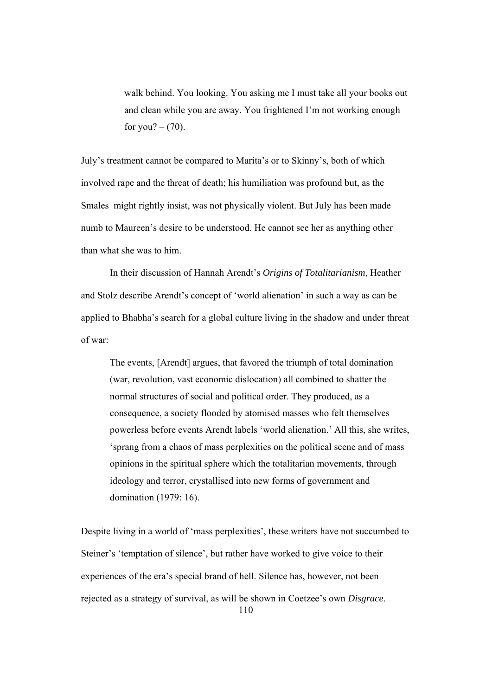walk behind. You looking. You asking me I must take all your books out and clean while you are away. You frightened I'm not working enough for you?  $-$  (70).

July's treatment cannot be compared to Marita's or to Skinny's, both of which involved rape and the threat of death; his humiliation was profound but, as the Smales might rightly insist, was not physically violent. But July has been made numb to Maureen's desire to be understood. He cannot see her as anything other than what she was to him.

In their discussion of Hannah Arendt's *Origins of Totalitarianism*, Heather and Stolz describe Arendt's concept of 'world alienation' in such a way as can be applied to Bhabha's search for a global culture living in the shadow and under threat of war:

The events, [Arendt] argues, that favored the triumph of total domination (war, revolution, vast economic dislocation) all combined to shatter the normal structures of social and political order. They produced, as a consequence, a society flooded by atomised masses who felt themselves powerless before events Arendt labels 'world alienation.' All this, she writes, 'sprang from a chaos of mass perplexities on the political scene and of mass opinions in the spiritual sphere which the totalitarian movements, through ideology and terror, crystallised into new forms of government and domination (1979: 16).

110 Despite living in a world of 'mass perplexities', these writers have not succumbed to Steiner's 'temptation of silence', but rather have worked to give voice to their experiences of the era's special brand of hell. Silence has, however, not been rejected as a strategy of survival, as will be shown in Coetzee's own *Disgrace*.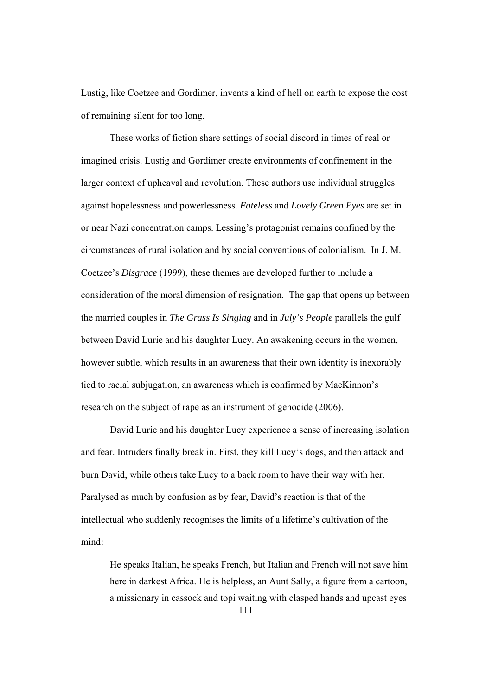Lustig, like Coetzee and Gordimer, invents a kind of hell on earth to expose the cost of remaining silent for too long.

 These works of fiction share settings of social discord in times of real or imagined crisis. Lustig and Gordimer create environments of confinement in the larger context of upheaval and revolution. These authors use individual struggles against hopelessness and powerlessness. *Fateless* and *Lovely Green Eyes* are set in or near Nazi concentration camps. Lessing's protagonist remains confined by the circumstances of rural isolation and by social conventions of colonialism. In J. M. Coetzee's *Disgrace* (1999), these themes are developed further to include a consideration of the moral dimension of resignation. The gap that opens up between the married couples in *The Grass Is Singing* and in *July's People* parallels the gulf between David Lurie and his daughter Lucy. An awakening occurs in the women, however subtle, which results in an awareness that their own identity is inexorably tied to racial subjugation, an awareness which is confirmed by MacKinnon's research on the subject of rape as an instrument of genocide (2006).

David Lurie and his daughter Lucy experience a sense of increasing isolation and fear. Intruders finally break in. First, they kill Lucy's dogs, and then attack and burn David, while others take Lucy to a back room to have their way with her. Paralysed as much by confusion as by fear, David's reaction is that of the intellectual who suddenly recognises the limits of a lifetime's cultivation of the mind:

111 He speaks Italian, he speaks French, but Italian and French will not save him here in darkest Africa. He is helpless, an Aunt Sally, a figure from a cartoon, a missionary in cassock and topi waiting with clasped hands and upcast eyes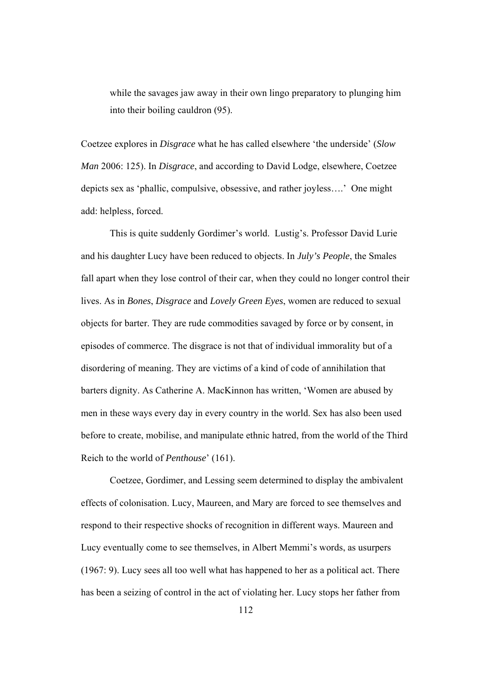while the savages jaw away in their own lingo preparatory to plunging him into their boiling cauldron (95).

Coetzee explores in *Disgrace* what he has called elsewhere 'the underside' (*Slow Man* 2006: 125). In *Disgrace*, and according to David Lodge, elsewhere, Coetzee depicts sex as 'phallic, compulsive, obsessive, and rather joyless….' One might add: helpless, forced.

This is quite suddenly Gordimer's world. Lustig's. Professor David Lurie and his daughter Lucy have been reduced to objects. In *July's People*, the Smales fall apart when they lose control of their car, when they could no longer control their lives. As in *Bones*, *Disgrace* and *Lovely Green Eyes*, women are reduced to sexual objects for barter. They are rude commodities savaged by force or by consent, in episodes of commerce. The disgrace is not that of individual immorality but of a disordering of meaning. They are victims of a kind of code of annihilation that barters dignity. As Catherine A. MacKinnon has written, 'Women are abused by men in these ways every day in every country in the world. Sex has also been used before to create, mobilise, and manipulate ethnic hatred, from the world of the Third Reich to the world of *Penthouse*' (161).

Coetzee, Gordimer, and Lessing seem determined to display the ambivalent effects of colonisation. Lucy, Maureen, and Mary are forced to see themselves and respond to their respective shocks of recognition in different ways. Maureen and Lucy eventually come to see themselves, in Albert Memmi's words, as usurpers (1967: 9). Lucy sees all too well what has happened to her as a political act. There has been a seizing of control in the act of violating her. Lucy stops her father from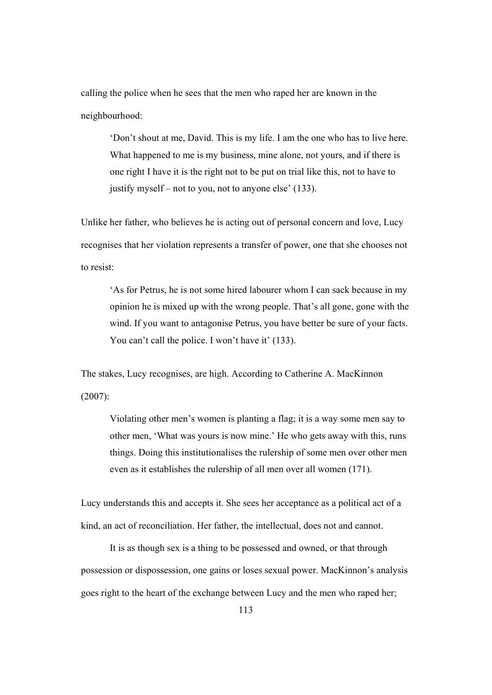calling the police when he sees that the men who raped her are known in the neighbourhood:

'Don't shout at me, David. This is my life. I am the one who has to live here. What happened to me is my business, mine alone, not yours, and if there is one right I have it is the right not to be put on trial like this, not to have to justify myself – not to you, not to anyone else' (133).

Unlike her father, who believes he is acting out of personal concern and love, Lucy recognises that her violation represents a transfer of power, one that she chooses not to resist:

'As for Petrus, he is not some hired labourer whom I can sack because in my opinion he is mixed up with the wrong people. That's all gone, gone with the wind. If you want to antagonise Petrus, you have better be sure of your facts. You can't call the police. I won't have it' (133).

The stakes, Lucy recognises, are high. According to Catherine A. MacKinnon

(2007):

Violating other men's women is planting a flag; it is a way some men say to other men, 'What was yours is now mine.' He who gets away with this, runs things. Doing this institutionalises the rulership of some men over other men even as it establishes the rulership of all men over all women (171).

Lucy understands this and accepts it. She sees her acceptance as a political act of a kind, an act of reconciliation. Her father, the intellectual, does not and cannot.

It is as though sex is a thing to be possessed and owned, or that through possession or dispossession, one gains or loses sexual power. MacKinnon's analysis goes right to the heart of the exchange between Lucy and the men who raped her;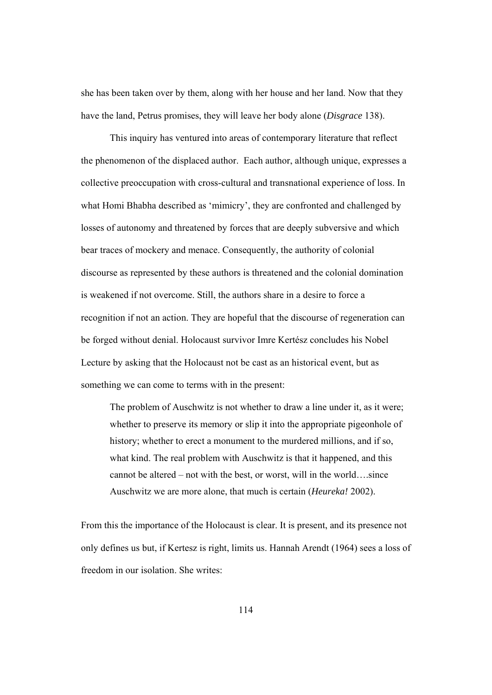she has been taken over by them, along with her house and her land. Now that they have the land, Petrus promises, they will leave her body alone (*Disgrace* 138).

This inquiry has ventured into areas of contemporary literature that reflect the phenomenon of the displaced author. Each author, although unique, expresses a collective preoccupation with cross-cultural and transnational experience of loss. In what Homi Bhabha described as 'mimicry', they are confronted and challenged by losses of autonomy and threatened by forces that are deeply subversive and which bear traces of mockery and menace. Consequently, the authority of colonial discourse as represented by these authors is threatened and the colonial domination is weakened if not overcome. Still, the authors share in a desire to force a recognition if not an action. They are hopeful that the discourse of regeneration can be forged without denial. Holocaust survivor Imre Kertész concludes his Nobel Lecture by asking that the Holocaust not be cast as an historical event, but as something we can come to terms with in the present:

The problem of Auschwitz is not whether to draw a line under it, as it were; whether to preserve its memory or slip it into the appropriate pigeonhole of history; whether to erect a monument to the murdered millions, and if so, what kind. The real problem with Auschwitz is that it happened, and this cannot be altered – not with the best, or worst, will in the world….since Auschwitz we are more alone, that much is certain (*Heureka!* 2002).

From this the importance of the Holocaust is clear. It is present, and its presence not only defines us but, if Kertesz is right, limits us. Hannah Arendt (1964) sees a loss of freedom in our isolation. She writes: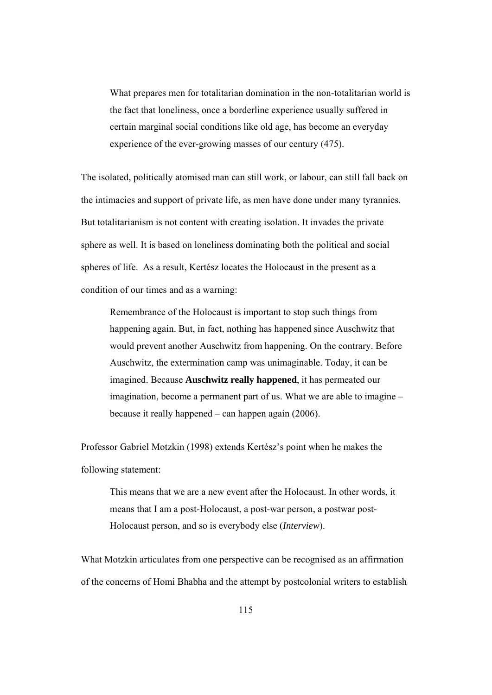What prepares men for totalitarian domination in the non-totalitarian world is the fact that loneliness, once a borderline experience usually suffered in certain marginal social conditions like old age, has become an everyday experience of the ever-growing masses of our century (475).

The isolated, politically atomised man can still work, or labour, can still fall back on the intimacies and support of private life, as men have done under many tyrannies. But totalitarianism is not content with creating isolation. It invades the private sphere as well. It is based on loneliness dominating both the political and social spheres of life. As a result, Kertész locates the Holocaust in the present as a condition of our times and as a warning:

Remembrance of the Holocaust is important to stop such things from happening again. But, in fact, nothing has happened since Auschwitz that would prevent another Auschwitz from happening. On the contrary. Before Auschwitz, the extermination camp was unimaginable. Today, it can be imagined. Because **Auschwitz really happened**, it has permeated our imagination, become a permanent part of us. What we are able to imagine – because it really happened – can happen again (2006).

Professor Gabriel Motzkin (1998) extends Kertész's point when he makes the following statement:

This means that we are a new event after the Holocaust. In other words, it means that I am a post-Holocaust, a post-war person, a postwar post-Holocaust person, and so is everybody else (*Interview*).

What Motzkin articulates from one perspective can be recognised as an affirmation of the concerns of Homi Bhabha and the attempt by postcolonial writers to establish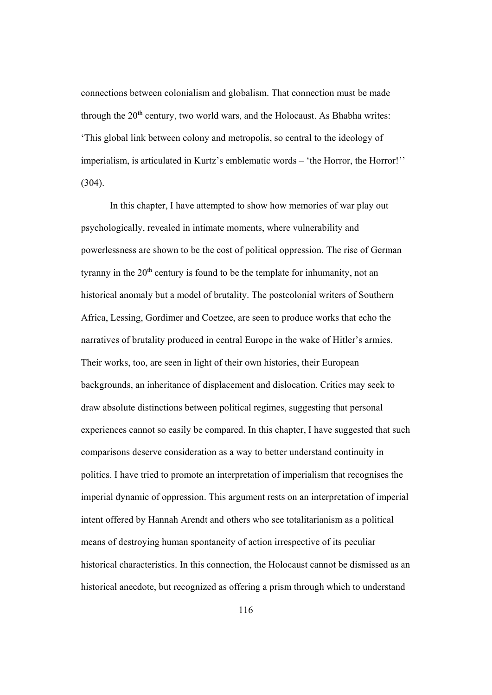connections between colonialism and globalism. That connection must be made through the  $20<sup>th</sup>$  century, two world wars, and the Holocaust. As Bhabha writes: 'This global link between colony and metropolis, so central to the ideology of imperialism, is articulated in Kurtz's emblematic words – 'the Horror, the Horror!'' (304).

In this chapter, I have attempted to show how memories of war play out psychologically, revealed in intimate moments, where vulnerability and powerlessness are shown to be the cost of political oppression. The rise of German tyranny in the  $20<sup>th</sup>$  century is found to be the template for inhumanity, not an historical anomaly but a model of brutality. The postcolonial writers of Southern Africa, Lessing, Gordimer and Coetzee, are seen to produce works that echo the narratives of brutality produced in central Europe in the wake of Hitler's armies. Their works, too, are seen in light of their own histories, their European backgrounds, an inheritance of displacement and dislocation. Critics may seek to draw absolute distinctions between political regimes, suggesting that personal experiences cannot so easily be compared. In this chapter, I have suggested that such comparisons deserve consideration as a way to better understand continuity in politics. I have tried to promote an interpretation of imperialism that recognises the imperial dynamic of oppression. This argument rests on an interpretation of imperial intent offered by Hannah Arendt and others who see totalitarianism as a political means of destroying human spontaneity of action irrespective of its peculiar historical characteristics. In this connection, the Holocaust cannot be dismissed as an historical anecdote, but recognized as offering a prism through which to understand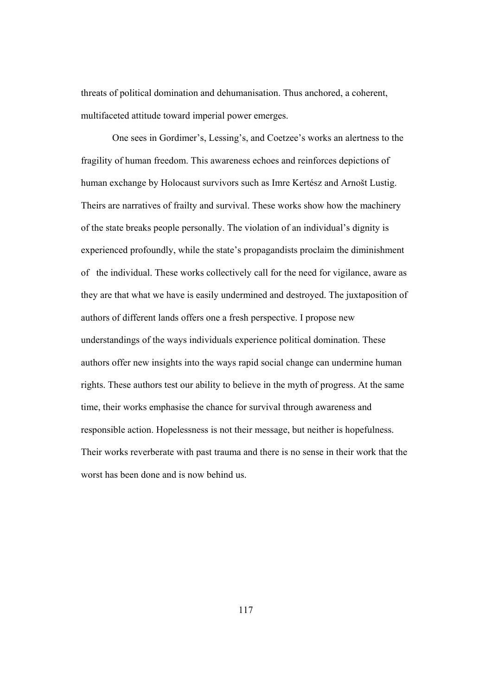threats of political domination and dehumanisation. Thus anchored, a coherent, multifaceted attitude toward imperial power emerges.

 One sees in Gordimer's, Lessing's, and Coetzee's works an alertness to the fragility of human freedom. This awareness echoes and reinforces depictions of human exchange by Holocaust survivors such as Imre Kertész and Arnošt Lustig. Theirs are narratives of frailty and survival. These works show how the machinery of the state breaks people personally. The violation of an individual's dignity is experienced profoundly, while the state's propagandists proclaim the diminishment of the individual. These works collectively call for the need for vigilance, aware as they are that what we have is easily undermined and destroyed. The juxtaposition of authors of different lands offers one a fresh perspective. I propose new understandings of the ways individuals experience political domination. These authors offer new insights into the ways rapid social change can undermine human rights. These authors test our ability to believe in the myth of progress. At the same time, their works emphasise the chance for survival through awareness and responsible action. Hopelessness is not their message, but neither is hopefulness. Their works reverberate with past trauma and there is no sense in their work that the worst has been done and is now behind us.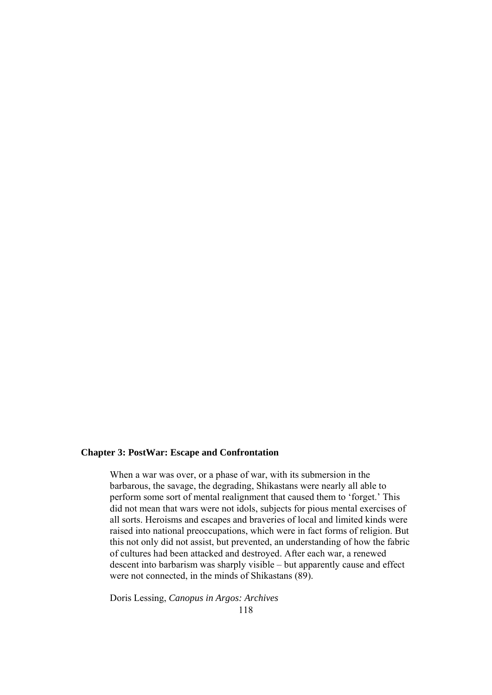## **Chapter 3: PostWar: Escape and Confrontation**

When a war was over, or a phase of war, with its submersion in the barbarous, the savage, the degrading, Shikastans were nearly all able to perform some sort of mental realignment that caused them to 'forget.' This did not mean that wars were not idols, subjects for pious mental exercises of all sorts. Heroisms and escapes and braveries of local and limited kinds were raised into national preoccupations, which were in fact forms of religion. But this not only did not assist, but prevented, an understanding of how the fabric of cultures had been attacked and destroyed. After each war, a renewed descent into barbarism was sharply visible – but apparently cause and effect were not connected, in the minds of Shikastans (89).

118 Doris Lessing, *Canopus in Argos: Archives*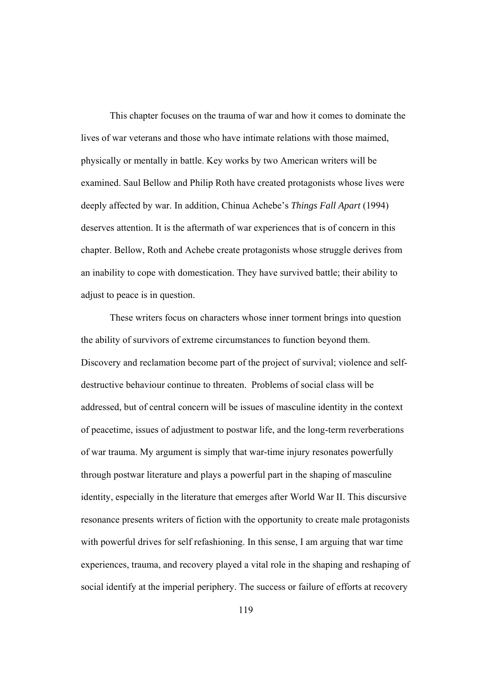This chapter focuses on the trauma of war and how it comes to dominate the lives of war veterans and those who have intimate relations with those maimed, physically or mentally in battle. Key works by two American writers will be examined. Saul Bellow and Philip Roth have created protagonists whose lives were deeply affected by war. In addition, Chinua Achebe's *Things Fall Apart* (1994) deserves attention. It is the aftermath of war experiences that is of concern in this chapter. Bellow, Roth and Achebe create protagonists whose struggle derives from an inability to cope with domestication. They have survived battle; their ability to adjust to peace is in question.

These writers focus on characters whose inner torment brings into question the ability of survivors of extreme circumstances to function beyond them. Discovery and reclamation become part of the project of survival; violence and selfdestructive behaviour continue to threaten. Problems of social class will be addressed, but of central concern will be issues of masculine identity in the context of peacetime, issues of adjustment to postwar life, and the long-term reverberations of war trauma. My argument is simply that war-time injury resonates powerfully through postwar literature and plays a powerful part in the shaping of masculine identity, especially in the literature that emerges after World War II. This discursive resonance presents writers of fiction with the opportunity to create male protagonists with powerful drives for self refashioning. In this sense, I am arguing that war time experiences, trauma, and recovery played a vital role in the shaping and reshaping of social identify at the imperial periphery. The success or failure of efforts at recovery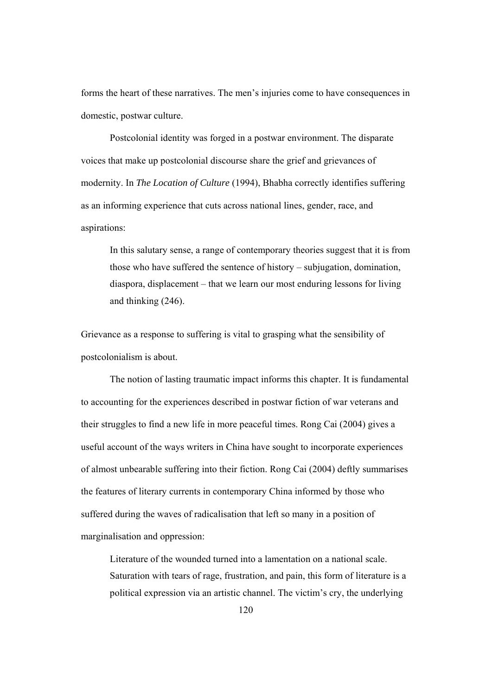forms the heart of these narratives. The men's injuries come to have consequences in domestic, postwar culture.

Postcolonial identity was forged in a postwar environment. The disparate voices that make up postcolonial discourse share the grief and grievances of modernity. In *The Location of Culture* (1994), Bhabha correctly identifies suffering as an informing experience that cuts across national lines, gender, race, and aspirations:

In this salutary sense, a range of contemporary theories suggest that it is from those who have suffered the sentence of history – subjugation, domination, diaspora, displacement – that we learn our most enduring lessons for living and thinking (246).

Grievance as a response to suffering is vital to grasping what the sensibility of postcolonialism is about.

 The notion of lasting traumatic impact informs this chapter. It is fundamental to accounting for the experiences described in postwar fiction of war veterans and their struggles to find a new life in more peaceful times. Rong Cai (2004) gives a useful account of the ways writers in China have sought to incorporate experiences of almost unbearable suffering into their fiction. Rong Cai (2004) deftly summarises the features of literary currents in contemporary China informed by those who suffered during the waves of radicalisation that left so many in a position of marginalisation and oppression:

Literature of the wounded turned into a lamentation on a national scale. Saturation with tears of rage, frustration, and pain, this form of literature is a political expression via an artistic channel. The victim's cry, the underlying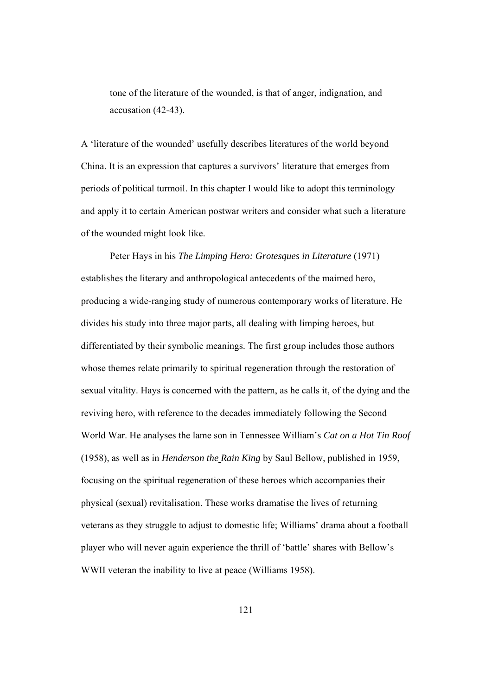tone of the literature of the wounded, is that of anger, indignation, and accusation (42-43).

A 'literature of the wounded' usefully describes literatures of the world beyond China. It is an expression that captures a survivors' literature that emerges from periods of political turmoil. In this chapter I would like to adopt this terminology and apply it to certain American postwar writers and consider what such a literature of the wounded might look like.

Peter Hays in his *The Limping Hero: Grotesques in Literature* (1971) establishes the literary and anthropological antecedents of the maimed hero, producing a wide-ranging study of numerous contemporary works of literature. He divides his study into three major parts, all dealing with limping heroes, but differentiated by their symbolic meanings. The first group includes those authors whose themes relate primarily to spiritual regeneration through the restoration of sexual vitality. Hays is concerned with the pattern, as he calls it, of the dying and the reviving hero, with reference to the decades immediately following the Second World War. He analyses the lame son in Tennessee William's *Cat on a Hot Tin Roof*  (1958), as well as in *Henderson the Rain King* by Saul Bellow, published in 1959, focusing on the spiritual regeneration of these heroes which accompanies their physical (sexual) revitalisation. These works dramatise the lives of returning veterans as they struggle to adjust to domestic life; Williams' drama about a football player who will never again experience the thrill of 'battle' shares with Bellow's WWII veteran the inability to live at peace (Williams 1958).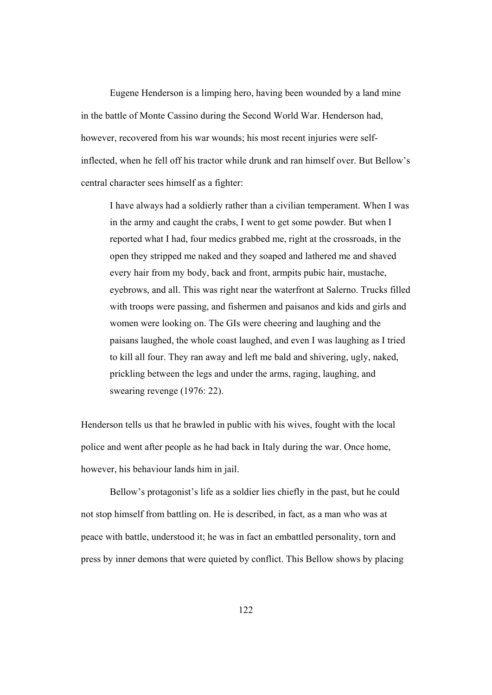Eugene Henderson is a limping hero, having been wounded by a land mine in the battle of Monte Cassino during the Second World War. Henderson had, however, recovered from his war wounds; his most recent injuries were selfinflected, when he fell off his tractor while drunk and ran himself over. But Bellow's central character sees himself as a fighter:

I have always had a soldierly rather than a civilian temperament. When I was in the army and caught the crabs, I went to get some powder. But when I reported what I had, four medics grabbed me, right at the crossroads, in the open they stripped me naked and they soaped and lathered me and shaved every hair from my body, back and front, armpits pubic hair, mustache, eyebrows, and all. This was right near the waterfront at Salerno. Trucks filled with troops were passing, and fishermen and paisanos and kids and girls and women were looking on. The GIs were cheering and laughing and the paisans laughed, the whole coast laughed, and even I was laughing as I tried to kill all four. They ran away and left me bald and shivering, ugly, naked, prickling between the legs and under the arms, raging, laughing, and swearing revenge (1976: 22).

Henderson tells us that he brawled in public with his wives, fought with the local police and went after people as he had back in Italy during the war. Once home, however, his behaviour lands him in jail.

Bellow's protagonist's life as a soldier lies chiefly in the past, but he could not stop himself from battling on. He is described, in fact, as a man who was at peace with battle, understood it; he was in fact an embattled personality, torn and press by inner demons that were quieted by conflict. This Bellow shows by placing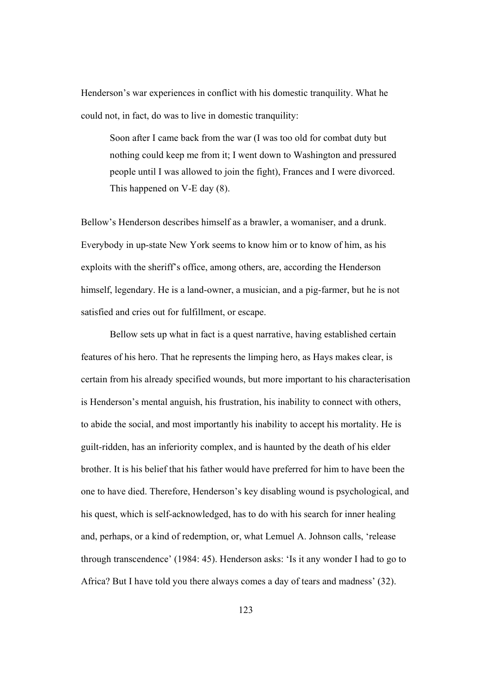Henderson's war experiences in conflict with his domestic tranquility. What he could not, in fact, do was to live in domestic tranquility:

Soon after I came back from the war (I was too old for combat duty but nothing could keep me from it; I went down to Washington and pressured people until I was allowed to join the fight), Frances and I were divorced. This happened on V-E day (8).

Bellow's Henderson describes himself as a brawler, a womaniser, and a drunk. Everybody in up-state New York seems to know him or to know of him, as his exploits with the sheriff's office, among others, are, according the Henderson himself, legendary. He is a land-owner, a musician, and a pig-farmer, but he is not satisfied and cries out for fulfillment, or escape.

Bellow sets up what in fact is a quest narrative, having established certain features of his hero. That he represents the limping hero, as Hays makes clear, is certain from his already specified wounds, but more important to his characterisation is Henderson's mental anguish, his frustration, his inability to connect with others, to abide the social, and most importantly his inability to accept his mortality. He is guilt-ridden, has an inferiority complex, and is haunted by the death of his elder brother. It is his belief that his father would have preferred for him to have been the one to have died. Therefore, Henderson's key disabling wound is psychological, and his quest, which is self-acknowledged, has to do with his search for inner healing and, perhaps, or a kind of redemption, or, what Lemuel A. Johnson calls, 'release through transcendence' (1984: 45). Henderson asks: 'Is it any wonder I had to go to Africa? But I have told you there always comes a day of tears and madness' (32).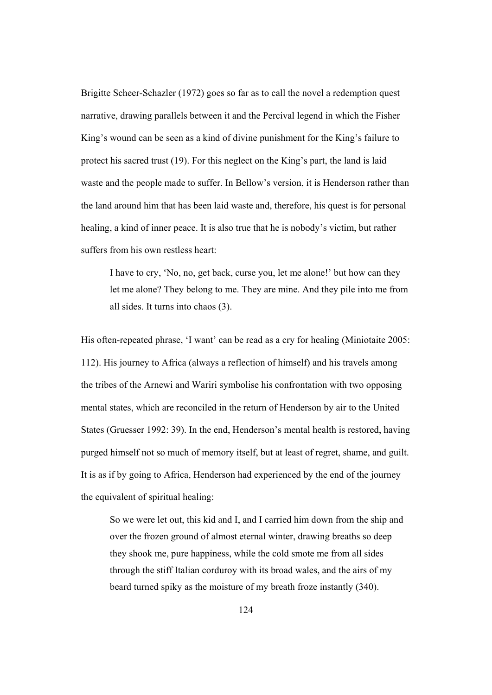Brigitte Scheer-Schazler (1972) goes so far as to call the novel a redemption quest narrative, drawing parallels between it and the Percival legend in which the Fisher King's wound can be seen as a kind of divine punishment for the King's failure to protect his sacred trust (19). For this neglect on the King's part, the land is laid waste and the people made to suffer. In Bellow's version, it is Henderson rather than the land around him that has been laid waste and, therefore, his quest is for personal healing, a kind of inner peace. It is also true that he is nobody's victim, but rather suffers from his own restless heart:

I have to cry, 'No, no, get back, curse you, let me alone!' but how can they let me alone? They belong to me. They are mine. And they pile into me from all sides. It turns into chaos (3).

His often-repeated phrase, 'I want' can be read as a cry for healing (Miniotaite 2005: 112). His journey to Africa (always a reflection of himself) and his travels among the tribes of the Arnewi and Wariri symbolise his confrontation with two opposing mental states, which are reconciled in the return of Henderson by air to the United States (Gruesser 1992: 39). In the end, Henderson's mental health is restored, having purged himself not so much of memory itself, but at least of regret, shame, and guilt. It is as if by going to Africa, Henderson had experienced by the end of the journey the equivalent of spiritual healing:

So we were let out, this kid and I, and I carried him down from the ship and over the frozen ground of almost eternal winter, drawing breaths so deep they shook me, pure happiness, while the cold smote me from all sides through the stiff Italian corduroy with its broad wales, and the airs of my beard turned spiky as the moisture of my breath froze instantly (340).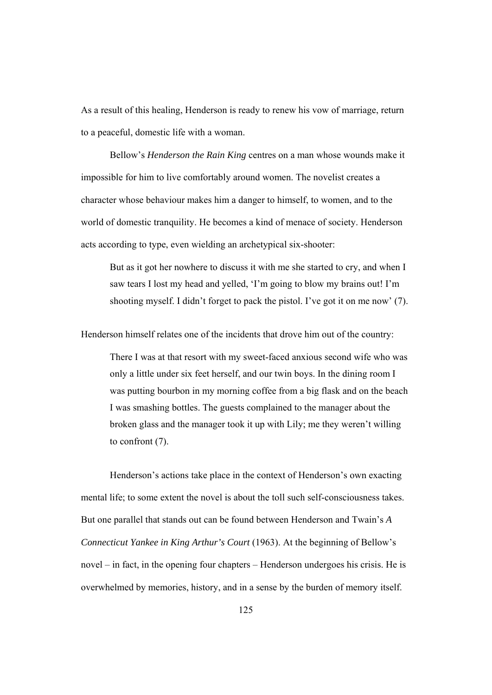As a result of this healing, Henderson is ready to renew his vow of marriage, return to a peaceful, domestic life with a woman.

 Bellow's *Henderson the Rain King* centres on a man whose wounds make it impossible for him to live comfortably around women. The novelist creates a character whose behaviour makes him a danger to himself, to women, and to the world of domestic tranquility. He becomes a kind of menace of society. Henderson acts according to type, even wielding an archetypical six-shooter:

But as it got her nowhere to discuss it with me she started to cry, and when I saw tears I lost my head and yelled, 'I'm going to blow my brains out! I'm shooting myself. I didn't forget to pack the pistol. I've got it on me now' (7).

Henderson himself relates one of the incidents that drove him out of the country:

There I was at that resort with my sweet-faced anxious second wife who was only a little under six feet herself, and our twin boys. In the dining room I was putting bourbon in my morning coffee from a big flask and on the beach I was smashing bottles. The guests complained to the manager about the broken glass and the manager took it up with Lily; me they weren't willing to confront (7).

Henderson's actions take place in the context of Henderson's own exacting mental life; to some extent the novel is about the toll such self-consciousness takes. But one parallel that stands out can be found between Henderson and Twain's *A Connecticut Yankee in King Arthur's Court* (1963). At the beginning of Bellow's novel – in fact, in the opening four chapters – Henderson undergoes his crisis. He is overwhelmed by memories, history, and in a sense by the burden of memory itself.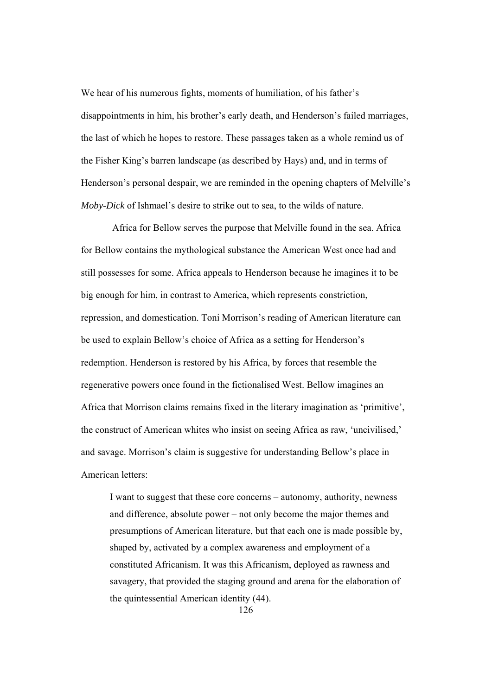We hear of his numerous fights, moments of humiliation, of his father's disappointments in him, his brother's early death, and Henderson's failed marriages, the last of which he hopes to restore. These passages taken as a whole remind us of the Fisher King's barren landscape (as described by Hays) and, and in terms of Henderson's personal despair, we are reminded in the opening chapters of Melville's *Moby-Dick* of Ishmael's desire to strike out to sea, to the wilds of nature.

 Africa for Bellow serves the purpose that Melville found in the sea. Africa for Bellow contains the mythological substance the American West once had and still possesses for some. Africa appeals to Henderson because he imagines it to be big enough for him, in contrast to America, which represents constriction, repression, and domestication. Toni Morrison's reading of American literature can be used to explain Bellow's choice of Africa as a setting for Henderson's redemption. Henderson is restored by his Africa, by forces that resemble the regenerative powers once found in the fictionalised West. Bellow imagines an Africa that Morrison claims remains fixed in the literary imagination as 'primitive', the construct of American whites who insist on seeing Africa as raw, 'uncivilised,' and savage. Morrison's claim is suggestive for understanding Bellow's place in American letters:

I want to suggest that these core concerns – autonomy, authority, newness and difference, absolute power – not only become the major themes and presumptions of American literature, but that each one is made possible by, shaped by, activated by a complex awareness and employment of a constituted Africanism. It was this Africanism, deployed as rawness and savagery, that provided the staging ground and arena for the elaboration of the quintessential American identity (44).

126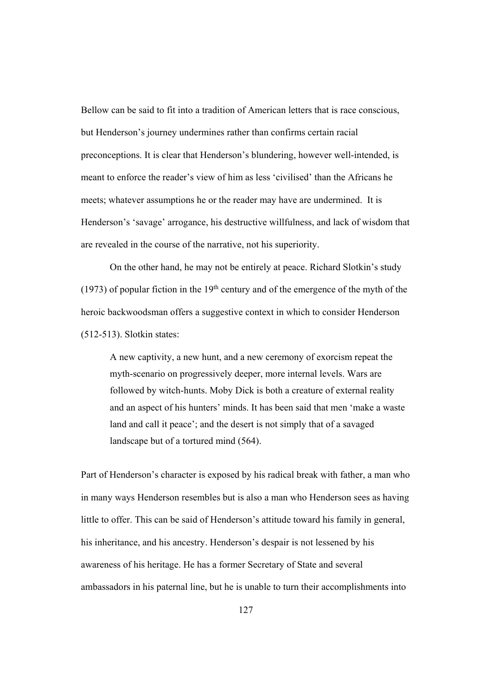Bellow can be said to fit into a tradition of American letters that is race conscious, but Henderson's journey undermines rather than confirms certain racial preconceptions. It is clear that Henderson's blundering, however well-intended, is meant to enforce the reader's view of him as less 'civilised' than the Africans he meets; whatever assumptions he or the reader may have are undermined. It is Henderson's 'savage' arrogance, his destructive willfulness, and lack of wisdom that are revealed in the course of the narrative, not his superiority.

On the other hand, he may not be entirely at peace. Richard Slotkin's study (1973) of popular fiction in the  $19<sup>th</sup>$  century and of the emergence of the myth of the heroic backwoodsman offers a suggestive context in which to consider Henderson (512-513). Slotkin states:

A new captivity, a new hunt, and a new ceremony of exorcism repeat the myth-scenario on progressively deeper, more internal levels. Wars are followed by witch-hunts. Moby Dick is both a creature of external reality and an aspect of his hunters' minds. It has been said that men 'make a waste land and call it peace'; and the desert is not simply that of a savaged landscape but of a tortured mind (564).

Part of Henderson's character is exposed by his radical break with father, a man who in many ways Henderson resembles but is also a man who Henderson sees as having little to offer. This can be said of Henderson's attitude toward his family in general, his inheritance, and his ancestry. Henderson's despair is not lessened by his awareness of his heritage. He has a former Secretary of State and several ambassadors in his paternal line, but he is unable to turn their accomplishments into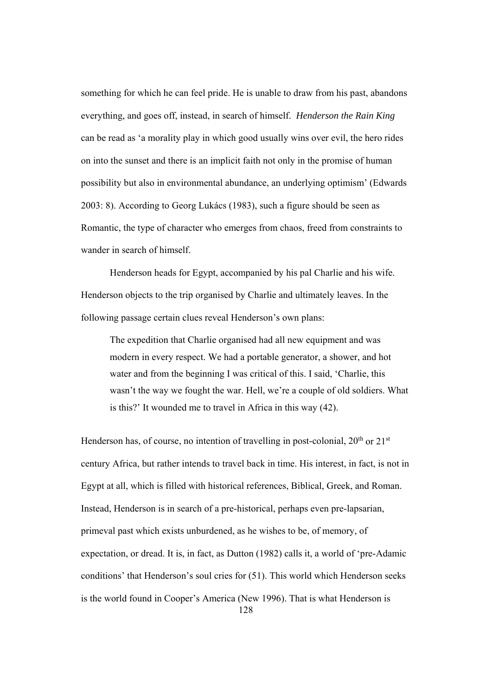something for which he can feel pride. He is unable to draw from his past, abandons everything, and goes off, instead, in search of himself. *Henderson the Rain King* can be read as 'a morality play in which good usually wins over evil, the hero rides on into the sunset and there is an implicit faith not only in the promise of human possibility but also in environmental abundance, an underlying optimism' (Edwards 2003: 8). According to Georg Lukács (1983), such a figure should be seen as Romantic, the type of character who emerges from chaos, freed from constraints to wander in search of himself.

Henderson heads for Egypt, accompanied by his pal Charlie and his wife. Henderson objects to the trip organised by Charlie and ultimately leaves. In the following passage certain clues reveal Henderson's own plans:

The expedition that Charlie organised had all new equipment and was modern in every respect. We had a portable generator, a shower, and hot water and from the beginning I was critical of this. I said, 'Charlie, this wasn't the way we fought the war. Hell, we're a couple of old soldiers. What is this?' It wounded me to travel in Africa in this way (42).

128 Henderson has, of course, no intention of travelling in post-colonial,  $20<sup>th</sup>$  or  $21<sup>st</sup>$ century Africa, but rather intends to travel back in time. His interest, in fact, is not in Egypt at all, which is filled with historical references, Biblical, Greek, and Roman. Instead, Henderson is in search of a pre-historical, perhaps even pre-lapsarian, primeval past which exists unburdened, as he wishes to be, of memory, of expectation, or dread. It is, in fact, as Dutton (1982) calls it, a world of 'pre-Adamic conditions' that Henderson's soul cries for (51). This world which Henderson seeks is the world found in Cooper's America (New 1996). That is what Henderson is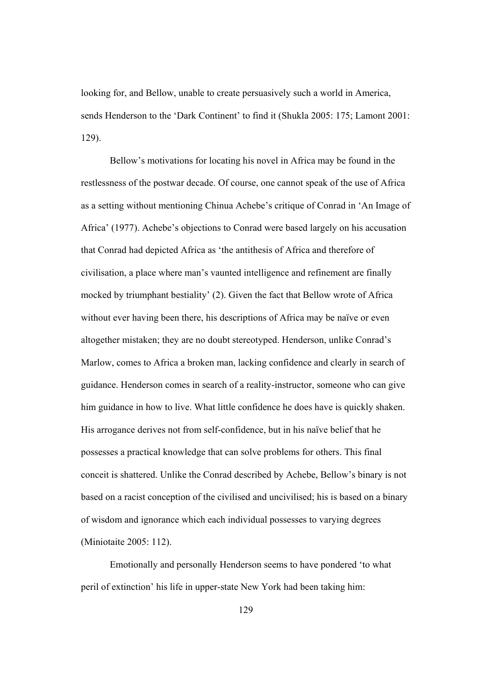looking for, and Bellow, unable to create persuasively such a world in America, sends Henderson to the 'Dark Continent' to find it (Shukla 2005: 175; Lamont 2001: 129).

 Bellow's motivations for locating his novel in Africa may be found in the restlessness of the postwar decade. Of course, one cannot speak of the use of Africa as a setting without mentioning Chinua Achebe's critique of Conrad in 'An Image of Africa' (1977). Achebe's objections to Conrad were based largely on his accusation that Conrad had depicted Africa as 'the antithesis of Africa and therefore of civilisation, a place where man's vaunted intelligence and refinement are finally mocked by triumphant bestiality' (2). Given the fact that Bellow wrote of Africa without ever having been there, his descriptions of Africa may be naïve or even altogether mistaken; they are no doubt stereotyped. Henderson, unlike Conrad's Marlow, comes to Africa a broken man, lacking confidence and clearly in search of guidance. Henderson comes in search of a reality-instructor, someone who can give him guidance in how to live. What little confidence he does have is quickly shaken. His arrogance derives not from self-confidence, but in his naïve belief that he possesses a practical knowledge that can solve problems for others. This final conceit is shattered. Unlike the Conrad described by Achebe, Bellow's binary is not based on a racist conception of the civilised and uncivilised; his is based on a binary of wisdom and ignorance which each individual possesses to varying degrees (Miniotaite 2005: 112).

Emotionally and personally Henderson seems to have pondered 'to what peril of extinction' his life in upper-state New York had been taking him: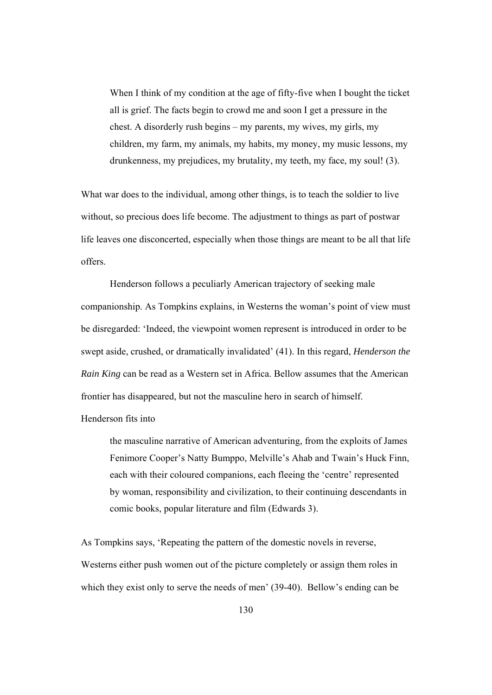When I think of my condition at the age of fifty-five when I bought the ticket all is grief. The facts begin to crowd me and soon I get a pressure in the chest. A disorderly rush begins – my parents, my wives, my girls, my children, my farm, my animals, my habits, my money, my music lessons, my drunkenness, my prejudices, my brutality, my teeth, my face, my soul! (3).

What war does to the individual, among other things, is to teach the soldier to live without, so precious does life become. The adjustment to things as part of postwar life leaves one disconcerted, especially when those things are meant to be all that life offers.

Henderson follows a peculiarly American trajectory of seeking male companionship. As Tompkins explains, in Westerns the woman's point of view must be disregarded: 'Indeed, the viewpoint women represent is introduced in order to be swept aside, crushed, or dramatically invalidated' (41). In this regard, *Henderson the Rain King* can be read as a Western set in Africa. Bellow assumes that the American frontier has disappeared, but not the masculine hero in search of himself.

Henderson fits into

the masculine narrative of American adventuring, from the exploits of James Fenimore Cooper's Natty Bumppo, Melville's Ahab and Twain's Huck Finn, each with their coloured companions, each fleeing the 'centre' represented by woman, responsibility and civilization, to their continuing descendants in comic books, popular literature and film (Edwards 3).

As Tompkins says, 'Repeating the pattern of the domestic novels in reverse, Westerns either push women out of the picture completely or assign them roles in which they exist only to serve the needs of men' (39-40). Bellow's ending can be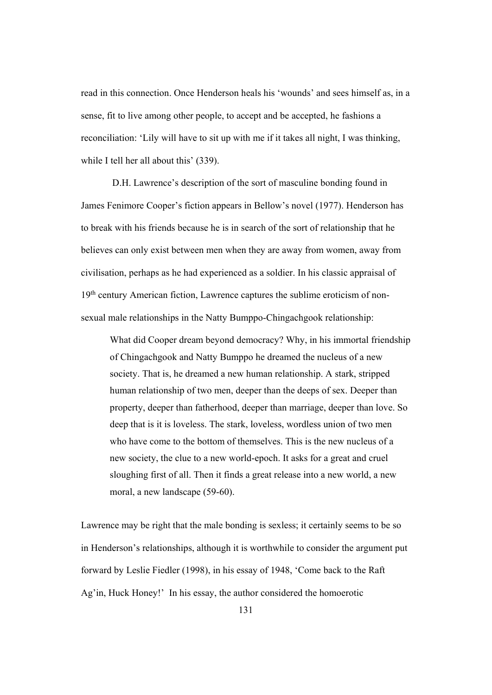read in this connection. Once Henderson heals his 'wounds' and sees himself as, in a sense, fit to live among other people, to accept and be accepted, he fashions a reconciliation: 'Lily will have to sit up with me if it takes all night, I was thinking, while I tell her all about this' (339).

 D.H. Lawrence's description of the sort of masculine bonding found in James Fenimore Cooper's fiction appears in Bellow's novel (1977). Henderson has to break with his friends because he is in search of the sort of relationship that he believes can only exist between men when they are away from women, away from civilisation, perhaps as he had experienced as a soldier. In his classic appraisal of 19<sup>th</sup> century American fiction, Lawrence captures the sublime eroticism of nonsexual male relationships in the Natty Bumppo-Chingachgook relationship:

What did Cooper dream beyond democracy? Why, in his immortal friendship of Chingachgook and Natty Bumppo he dreamed the nucleus of a new society. That is, he dreamed a new human relationship. A stark, stripped human relationship of two men, deeper than the deeps of sex. Deeper than property, deeper than fatherhood, deeper than marriage, deeper than love. So deep that is it is loveless. The stark, loveless, wordless union of two men who have come to the bottom of themselves. This is the new nucleus of a new society, the clue to a new world-epoch. It asks for a great and cruel sloughing first of all. Then it finds a great release into a new world, a new moral, a new landscape (59-60).

Lawrence may be right that the male bonding is sexless; it certainly seems to be so in Henderson's relationships, although it is worthwhile to consider the argument put forward by Leslie Fiedler (1998), in his essay of 1948, 'Come back to the Raft Ag'in, Huck Honey!' In his essay, the author considered the homoerotic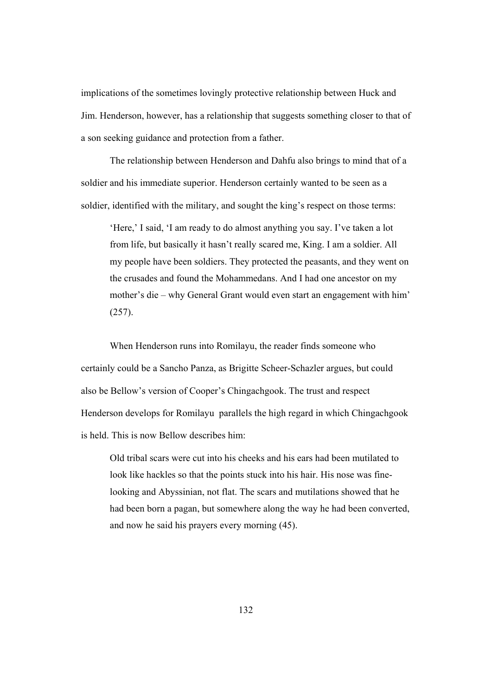implications of the sometimes lovingly protective relationship between Huck and Jim. Henderson, however, has a relationship that suggests something closer to that of a son seeking guidance and protection from a father.

The relationship between Henderson and Dahfu also brings to mind that of a soldier and his immediate superior. Henderson certainly wanted to be seen as a soldier, identified with the military, and sought the king's respect on those terms:

'Here,' I said, 'I am ready to do almost anything you say. I've taken a lot from life, but basically it hasn't really scared me, King. I am a soldier. All my people have been soldiers. They protected the peasants, and they went on the crusades and found the Mohammedans. And I had one ancestor on my mother's die – why General Grant would even start an engagement with him' (257).

When Henderson runs into Romilayu, the reader finds someone who certainly could be a Sancho Panza, as Brigitte Scheer-Schazler argues, but could also be Bellow's version of Cooper's Chingachgook. The trust and respect Henderson develops for Romilayu parallels the high regard in which Chingachgook is held. This is now Bellow describes him:

Old tribal scars were cut into his cheeks and his ears had been mutilated to look like hackles so that the points stuck into his hair. His nose was finelooking and Abyssinian, not flat. The scars and mutilations showed that he had been born a pagan, but somewhere along the way he had been converted, and now he said his prayers every morning (45).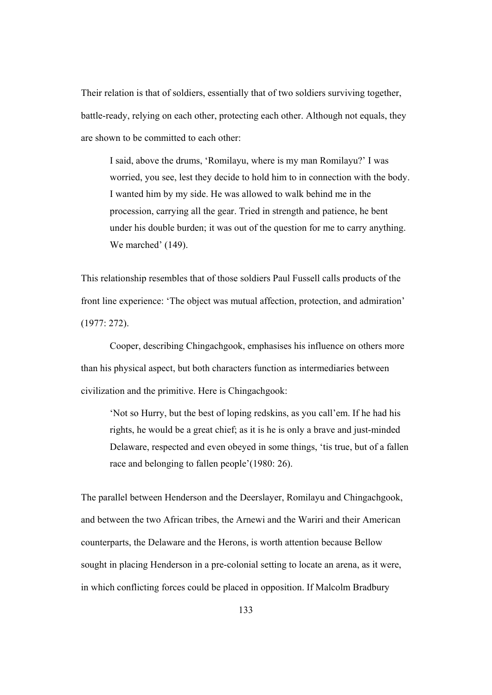Their relation is that of soldiers, essentially that of two soldiers surviving together, battle-ready, relying on each other, protecting each other. Although not equals, they are shown to be committed to each other:

I said, above the drums, 'Romilayu, where is my man Romilayu?' I was worried, you see, lest they decide to hold him to in connection with the body. I wanted him by my side. He was allowed to walk behind me in the procession, carrying all the gear. Tried in strength and patience, he bent under his double burden; it was out of the question for me to carry anything. We marched'  $(149)$ .

This relationship resembles that of those soldiers Paul Fussell calls products of the front line experience: 'The object was mutual affection, protection, and admiration' (1977: 272).

Cooper, describing Chingachgook, emphasises his influence on others more than his physical aspect, but both characters function as intermediaries between civilization and the primitive. Here is Chingachgook:

'Not so Hurry, but the best of loping redskins, as you call'em. If he had his rights, he would be a great chief; as it is he is only a brave and just-minded Delaware, respected and even obeyed in some things, 'tis true, but of a fallen race and belonging to fallen people'(1980: 26).

The parallel between Henderson and the Deerslayer, Romilayu and Chingachgook, and between the two African tribes, the Arnewi and the Wariri and their American counterparts, the Delaware and the Herons, is worth attention because Bellow sought in placing Henderson in a pre-colonial setting to locate an arena, as it were, in which conflicting forces could be placed in opposition. If Malcolm Bradbury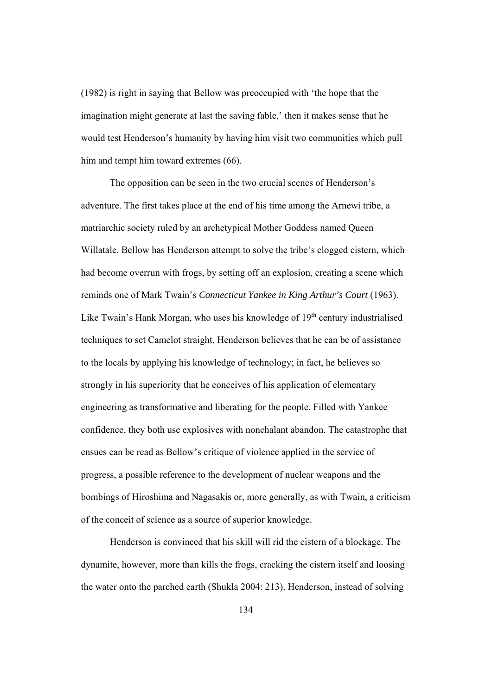(1982) is right in saying that Bellow was preoccupied with 'the hope that the imagination might generate at last the saving fable,' then it makes sense that he would test Henderson's humanity by having him visit two communities which pull him and tempt him toward extremes (66).

The opposition can be seen in the two crucial scenes of Henderson's adventure. The first takes place at the end of his time among the Arnewi tribe, a matriarchic society ruled by an archetypical Mother Goddess named Queen Willatale. Bellow has Henderson attempt to solve the tribe's clogged cistern, which had become overrun with frogs, by setting off an explosion, creating a scene which reminds one of Mark Twain's *Connecticut Yankee in King Arthur's Court* (1963). Like Twain's Hank Morgan, who uses his knowledge of 19<sup>th</sup> century industrialised techniques to set Camelot straight, Henderson believes that he can be of assistance to the locals by applying his knowledge of technology; in fact, he believes so strongly in his superiority that he conceives of his application of elementary engineering as transformative and liberating for the people. Filled with Yankee confidence, they both use explosives with nonchalant abandon. The catastrophe that ensues can be read as Bellow's critique of violence applied in the service of progress, a possible reference to the development of nuclear weapons and the bombings of Hiroshima and Nagasakis or, more generally, as with Twain, a criticism of the conceit of science as a source of superior knowledge.

Henderson is convinced that his skill will rid the cistern of a blockage. The dynamite, however, more than kills the frogs, cracking the cistern itself and loosing the water onto the parched earth (Shukla 2004: 213). Henderson, instead of solving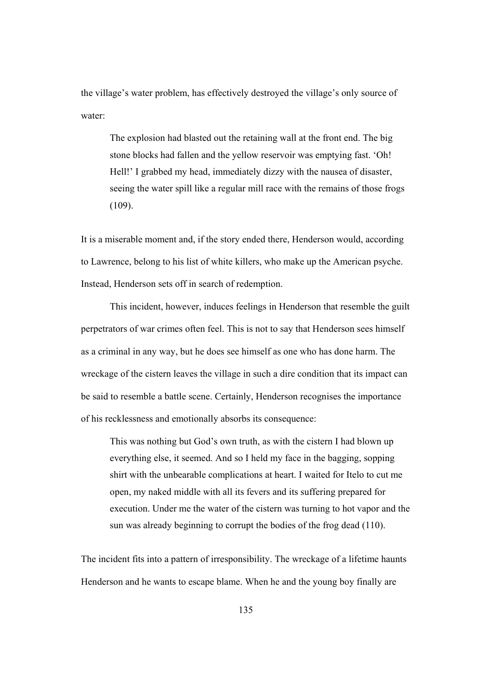the village's water problem, has effectively destroyed the village's only source of water:

The explosion had blasted out the retaining wall at the front end. The big stone blocks had fallen and the yellow reservoir was emptying fast. 'Oh! Hell!' I grabbed my head, immediately dizzy with the nausea of disaster, seeing the water spill like a regular mill race with the remains of those frogs  $(109)$ .

It is a miserable moment and, if the story ended there, Henderson would, according to Lawrence, belong to his list of white killers, who make up the American psyche. Instead, Henderson sets off in search of redemption.

This incident, however, induces feelings in Henderson that resemble the guilt perpetrators of war crimes often feel. This is not to say that Henderson sees himself as a criminal in any way, but he does see himself as one who has done harm. The wreckage of the cistern leaves the village in such a dire condition that its impact can be said to resemble a battle scene. Certainly, Henderson recognises the importance of his recklessness and emotionally absorbs its consequence:

This was nothing but God's own truth, as with the cistern I had blown up everything else, it seemed. And so I held my face in the bagging, sopping shirt with the unbearable complications at heart. I waited for Itelo to cut me open, my naked middle with all its fevers and its suffering prepared for execution. Under me the water of the cistern was turning to hot vapor and the sun was already beginning to corrupt the bodies of the frog dead (110).

The incident fits into a pattern of irresponsibility. The wreckage of a lifetime haunts Henderson and he wants to escape blame. When he and the young boy finally are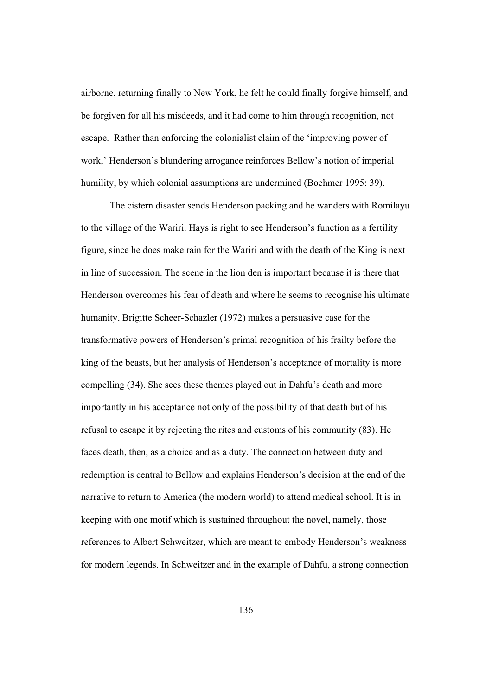airborne, returning finally to New York, he felt he could finally forgive himself, and be forgiven for all his misdeeds, and it had come to him through recognition, not escape. Rather than enforcing the colonialist claim of the 'improving power of work,' Henderson's blundering arrogance reinforces Bellow's notion of imperial humility, by which colonial assumptions are undermined (Boehmer 1995: 39).

The cistern disaster sends Henderson packing and he wanders with Romilayu to the village of the Wariri. Hays is right to see Henderson's function as a fertility figure, since he does make rain for the Wariri and with the death of the King is next in line of succession. The scene in the lion den is important because it is there that Henderson overcomes his fear of death and where he seems to recognise his ultimate humanity. Brigitte Scheer-Schazler (1972) makes a persuasive case for the transformative powers of Henderson's primal recognition of his frailty before the king of the beasts, but her analysis of Henderson's acceptance of mortality is more compelling (34). She sees these themes played out in Dahfu's death and more importantly in his acceptance not only of the possibility of that death but of his refusal to escape it by rejecting the rites and customs of his community (83). He faces death, then, as a choice and as a duty. The connection between duty and redemption is central to Bellow and explains Henderson's decision at the end of the narrative to return to America (the modern world) to attend medical school. It is in keeping with one motif which is sustained throughout the novel, namely, those references to Albert Schweitzer, which are meant to embody Henderson's weakness for modern legends. In Schweitzer and in the example of Dahfu, a strong connection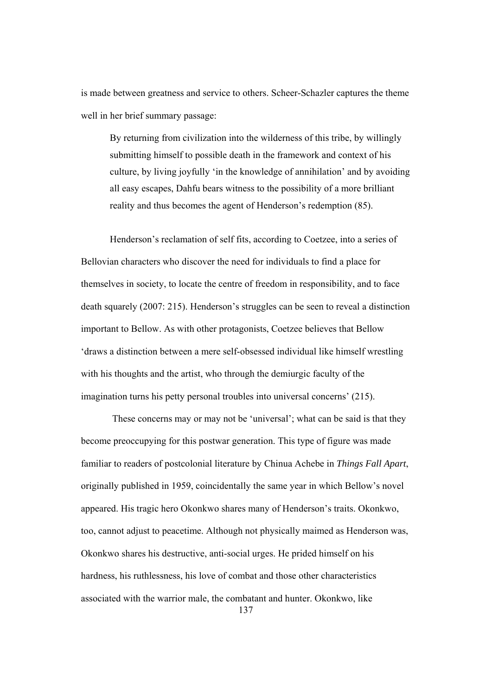is made between greatness and service to others. Scheer-Schazler captures the theme well in her brief summary passage:

By returning from civilization into the wilderness of this tribe, by willingly submitting himself to possible death in the framework and context of his culture, by living joyfully 'in the knowledge of annihilation' and by avoiding all easy escapes, Dahfu bears witness to the possibility of a more brilliant reality and thus becomes the agent of Henderson's redemption (85).

Henderson's reclamation of self fits, according to Coetzee, into a series of Bellovian characters who discover the need for individuals to find a place for themselves in society, to locate the centre of freedom in responsibility, and to face death squarely (2007: 215). Henderson's struggles can be seen to reveal a distinction important to Bellow. As with other protagonists, Coetzee believes that Bellow 'draws a distinction between a mere self-obsessed individual like himself wrestling with his thoughts and the artist, who through the demiurgic faculty of the imagination turns his petty personal troubles into universal concerns' (215).

137 These concerns may or may not be 'universal'; what can be said is that they become preoccupying for this postwar generation. This type of figure was made familiar to readers of postcolonial literature by Chinua Achebe in *Things Fall Apart*, originally published in 1959, coincidentally the same year in which Bellow's novel appeared. His tragic hero Okonkwo shares many of Henderson's traits. Okonkwo, too, cannot adjust to peacetime. Although not physically maimed as Henderson was, Okonkwo shares his destructive, anti-social urges. He prided himself on his hardness, his ruthlessness, his love of combat and those other characteristics associated with the warrior male, the combatant and hunter. Okonkwo, like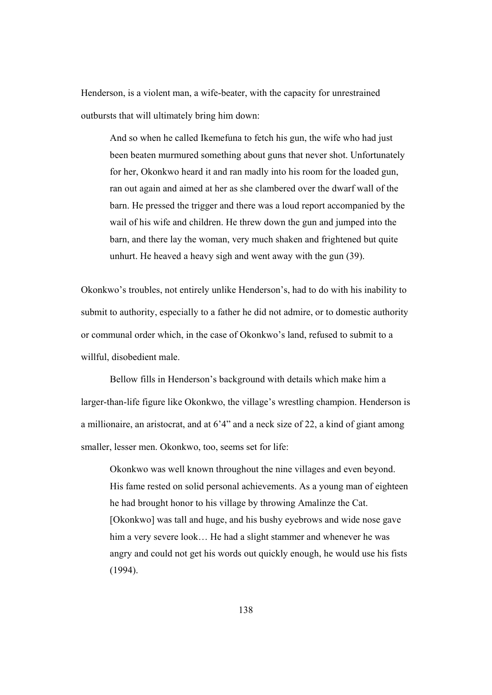Henderson, is a violent man, a wife-beater, with the capacity for unrestrained outbursts that will ultimately bring him down:

And so when he called Ikemefuna to fetch his gun, the wife who had just been beaten murmured something about guns that never shot. Unfortunately for her, Okonkwo heard it and ran madly into his room for the loaded gun, ran out again and aimed at her as she clambered over the dwarf wall of the barn. He pressed the trigger and there was a loud report accompanied by the wail of his wife and children. He threw down the gun and jumped into the barn, and there lay the woman, very much shaken and frightened but quite unhurt. He heaved a heavy sigh and went away with the gun (39).

Okonkwo's troubles, not entirely unlike Henderson's, had to do with his inability to submit to authority, especially to a father he did not admire, or to domestic authority or communal order which, in the case of Okonkwo's land, refused to submit to a willful, disobedient male.

Bellow fills in Henderson's background with details which make him a larger-than-life figure like Okonkwo, the village's wrestling champion. Henderson is a millionaire, an aristocrat, and at 6'4" and a neck size of 22, a kind of giant among smaller, lesser men. Okonkwo, too, seems set for life:

Okonkwo was well known throughout the nine villages and even beyond. His fame rested on solid personal achievements. As a young man of eighteen he had brought honor to his village by throwing Amalinze the Cat. [Okonkwo] was tall and huge, and his bushy eyebrows and wide nose gave him a very severe look... He had a slight stammer and whenever he was angry and could not get his words out quickly enough, he would use his fists (1994).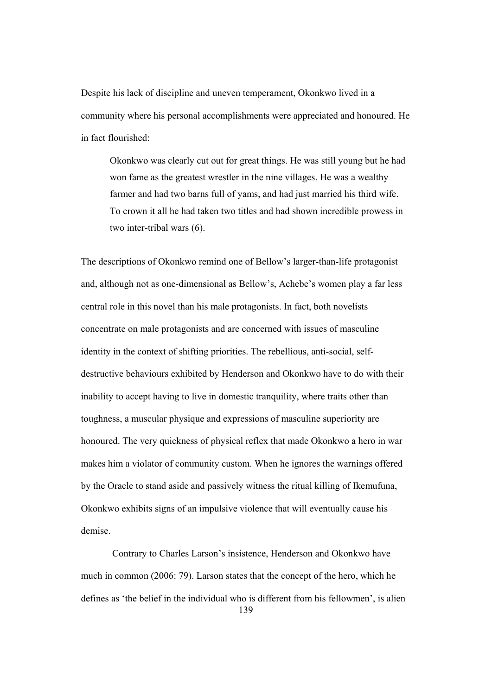Despite his lack of discipline and uneven temperament, Okonkwo lived in a community where his personal accomplishments were appreciated and honoured. He in fact flourished:

Okonkwo was clearly cut out for great things. He was still young but he had won fame as the greatest wrestler in the nine villages. He was a wealthy farmer and had two barns full of yams, and had just married his third wife. To crown it all he had taken two titles and had shown incredible prowess in two inter-tribal wars (6).

The descriptions of Okonkwo remind one of Bellow's larger-than-life protagonist and, although not as one-dimensional as Bellow's, Achebe's women play a far less central role in this novel than his male protagonists. In fact, both novelists concentrate on male protagonists and are concerned with issues of masculine identity in the context of shifting priorities. The rebellious, anti-social, selfdestructive behaviours exhibited by Henderson and Okonkwo have to do with their inability to accept having to live in domestic tranquility, where traits other than toughness, a muscular physique and expressions of masculine superiority are honoured. The very quickness of physical reflex that made Okonkwo a hero in war makes him a violator of community custom. When he ignores the warnings offered by the Oracle to stand aside and passively witness the ritual killing of Ikemufuna, Okonkwo exhibits signs of an impulsive violence that will eventually cause his demise.

139 Contrary to Charles Larson's insistence, Henderson and Okonkwo have much in common (2006: 79). Larson states that the concept of the hero, which he defines as 'the belief in the individual who is different from his fellowmen', is alien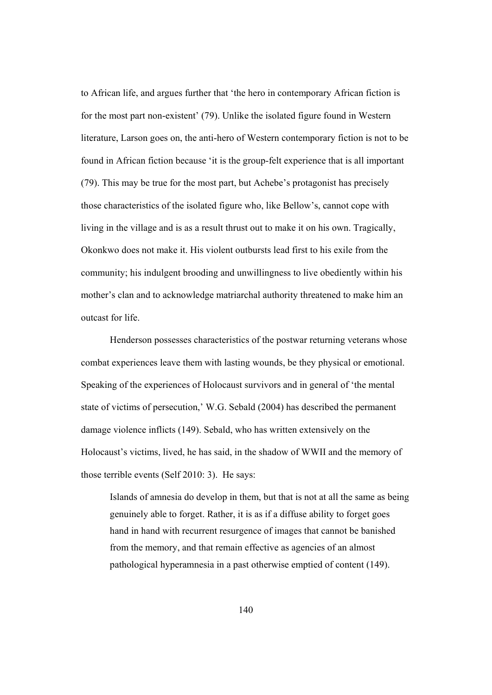to African life, and argues further that 'the hero in contemporary African fiction is for the most part non-existent' (79). Unlike the isolated figure found in Western literature, Larson goes on, the anti-hero of Western contemporary fiction is not to be found in African fiction because 'it is the group-felt experience that is all important (79). This may be true for the most part, but Achebe's protagonist has precisely those characteristics of the isolated figure who, like Bellow's, cannot cope with living in the village and is as a result thrust out to make it on his own. Tragically, Okonkwo does not make it. His violent outbursts lead first to his exile from the community; his indulgent brooding and unwillingness to live obediently within his mother's clan and to acknowledge matriarchal authority threatened to make him an outcast for life.

Henderson possesses characteristics of the postwar returning veterans whose combat experiences leave them with lasting wounds, be they physical or emotional. Speaking of the experiences of Holocaust survivors and in general of 'the mental state of victims of persecution,' W.G. Sebald (2004) has described the permanent damage violence inflicts (149). Sebald, who has written extensively on the Holocaust's victims, lived, he has said, in the shadow of WWII and the memory of those terrible events (Self 2010: 3). He says:

Islands of amnesia do develop in them, but that is not at all the same as being genuinely able to forget. Rather, it is as if a diffuse ability to forget goes hand in hand with recurrent resurgence of images that cannot be banished from the memory, and that remain effective as agencies of an almost pathological hyperamnesia in a past otherwise emptied of content (149).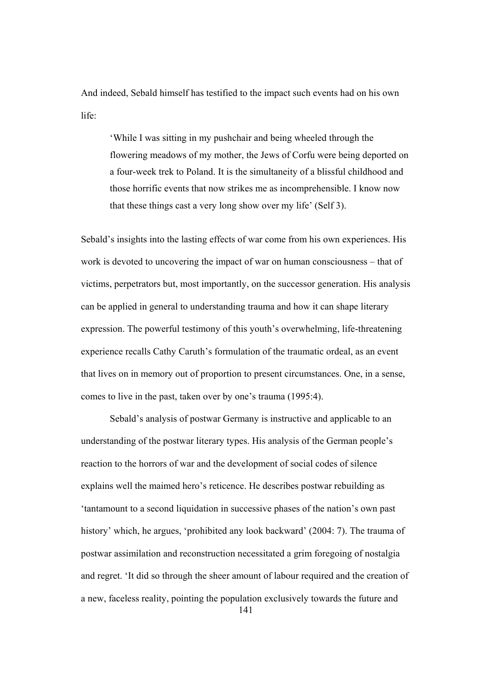And indeed, Sebald himself has testified to the impact such events had on his own life:

'While I was sitting in my pushchair and being wheeled through the flowering meadows of my mother, the Jews of Corfu were being deported on a four-week trek to Poland. It is the simultaneity of a blissful childhood and those horrific events that now strikes me as incomprehensible. I know now that these things cast a very long show over my life' (Self 3).

Sebald's insights into the lasting effects of war come from his own experiences. His work is devoted to uncovering the impact of war on human consciousness – that of victims, perpetrators but, most importantly, on the successor generation. His analysis can be applied in general to understanding trauma and how it can shape literary expression. The powerful testimony of this youth's overwhelming, life-threatening experience recalls Cathy Caruth's formulation of the traumatic ordeal, as an event that lives on in memory out of proportion to present circumstances. One, in a sense, comes to live in the past, taken over by one's trauma (1995:4).

141 Sebald's analysis of postwar Germany is instructive and applicable to an understanding of the postwar literary types. His analysis of the German people's reaction to the horrors of war and the development of social codes of silence explains well the maimed hero's reticence. He describes postwar rebuilding as 'tantamount to a second liquidation in successive phases of the nation's own past history' which, he argues, 'prohibited any look backward' (2004: 7). The trauma of postwar assimilation and reconstruction necessitated a grim foregoing of nostalgia and regret. 'It did so through the sheer amount of labour required and the creation of a new, faceless reality, pointing the population exclusively towards the future and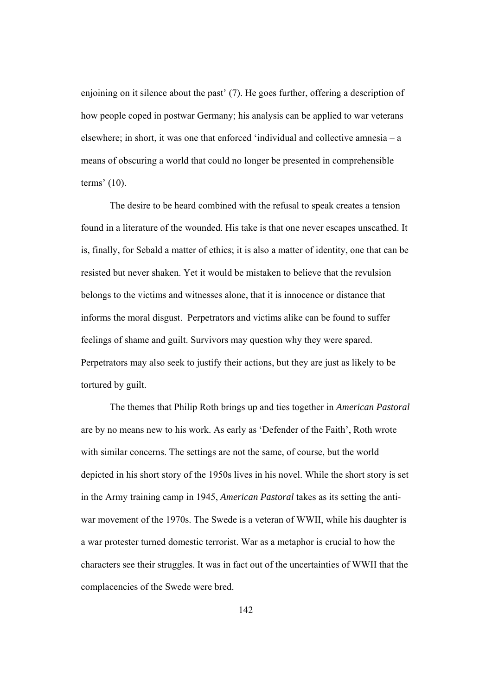enjoining on it silence about the past' (7). He goes further, offering a description of how people coped in postwar Germany; his analysis can be applied to war veterans elsewhere; in short, it was one that enforced 'individual and collective amnesia – a means of obscuring a world that could no longer be presented in comprehensible terms' (10).

The desire to be heard combined with the refusal to speak creates a tension found in a literature of the wounded. His take is that one never escapes unscathed. It is, finally, for Sebald a matter of ethics; it is also a matter of identity, one that can be resisted but never shaken. Yet it would be mistaken to believe that the revulsion belongs to the victims and witnesses alone, that it is innocence or distance that informs the moral disgust. Perpetrators and victims alike can be found to suffer feelings of shame and guilt. Survivors may question why they were spared. Perpetrators may also seek to justify their actions, but they are just as likely to be tortured by guilt.

 The themes that Philip Roth brings up and ties together in *American Pastoral* are by no means new to his work. As early as 'Defender of the Faith', Roth wrote with similar concerns. The settings are not the same, of course, but the world depicted in his short story of the 1950s lives in his novel. While the short story is set in the Army training camp in 1945, *American Pastoral* takes as its setting the antiwar movement of the 1970s. The Swede is a veteran of WWII, while his daughter is a war protester turned domestic terrorist. War as a metaphor is crucial to how the characters see their struggles. It was in fact out of the uncertainties of WWII that the complacencies of the Swede were bred.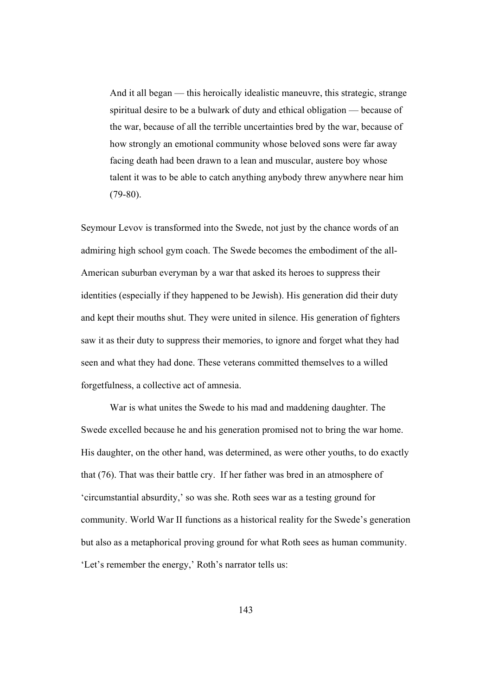And it all began — this heroically idealistic maneuvre, this strategic, strange spiritual desire to be a bulwark of duty and ethical obligation — because of the war, because of all the terrible uncertainties bred by the war, because of how strongly an emotional community whose beloved sons were far away facing death had been drawn to a lean and muscular, austere boy whose talent it was to be able to catch anything anybody threw anywhere near him  $(79-80)$ .

Seymour Levov is transformed into the Swede, not just by the chance words of an admiring high school gym coach. The Swede becomes the embodiment of the all-American suburban everyman by a war that asked its heroes to suppress their identities (especially if they happened to be Jewish). His generation did their duty and kept their mouths shut. They were united in silence. His generation of fighters saw it as their duty to suppress their memories, to ignore and forget what they had seen and what they had done. These veterans committed themselves to a willed forgetfulness, a collective act of amnesia.

 War is what unites the Swede to his mad and maddening daughter. The Swede excelled because he and his generation promised not to bring the war home. His daughter, on the other hand, was determined, as were other youths, to do exactly that (76). That was their battle cry. If her father was bred in an atmosphere of 'circumstantial absurdity,' so was she. Roth sees war as a testing ground for community. World War II functions as a historical reality for the Swede's generation but also as a metaphorical proving ground for what Roth sees as human community. 'Let's remember the energy,' Roth's narrator tells us: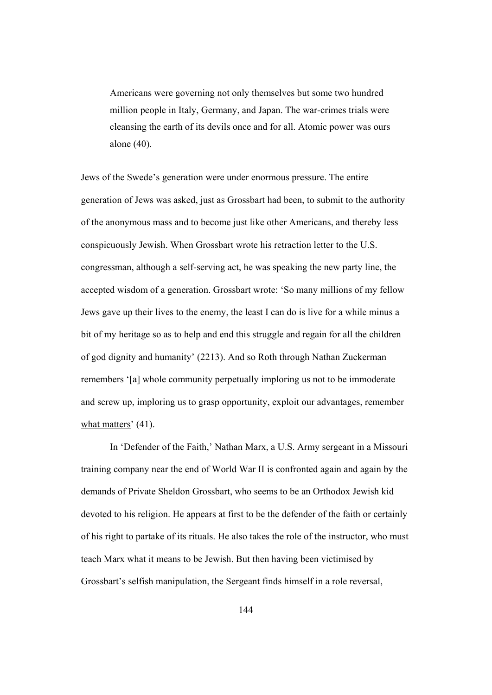Americans were governing not only themselves but some two hundred million people in Italy, Germany, and Japan. The war-crimes trials were cleansing the earth of its devils once and for all. Atomic power was ours alone (40).

Jews of the Swede's generation were under enormous pressure. The entire generation of Jews was asked, just as Grossbart had been, to submit to the authority of the anonymous mass and to become just like other Americans, and thereby less conspicuously Jewish. When Grossbart wrote his retraction letter to the U.S. congressman, although a self-serving act, he was speaking the new party line, the accepted wisdom of a generation. Grossbart wrote: 'So many millions of my fellow Jews gave up their lives to the enemy, the least I can do is live for a while minus a bit of my heritage so as to help and end this struggle and regain for all the children of god dignity and humanity' (2213). And so Roth through Nathan Zuckerman remembers '[a] whole community perpetually imploring us not to be immoderate and screw up, imploring us to grasp opportunity, exploit our advantages, remember what matters'  $(41)$ .

In 'Defender of the Faith,' Nathan Marx, a U.S. Army sergeant in a Missouri training company near the end of World War II is confronted again and again by the demands of Private Sheldon Grossbart, who seems to be an Orthodox Jewish kid devoted to his religion. He appears at first to be the defender of the faith or certainly of his right to partake of its rituals. He also takes the role of the instructor, who must teach Marx what it means to be Jewish. But then having been victimised by Grossbart's selfish manipulation, the Sergeant finds himself in a role reversal,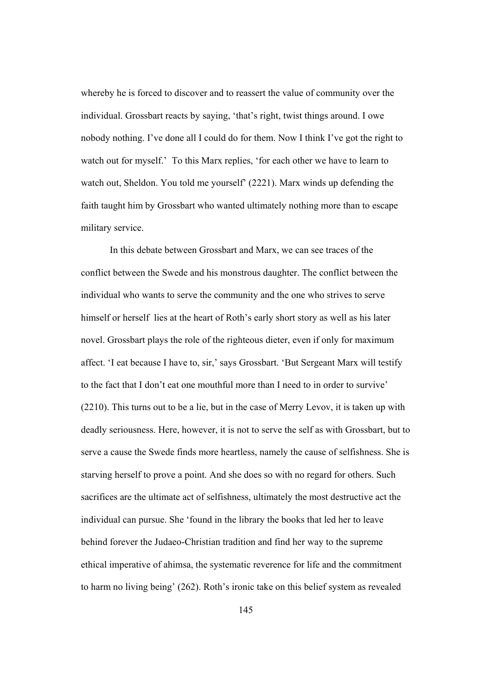whereby he is forced to discover and to reassert the value of community over the individual. Grossbart reacts by saying, 'that's right, twist things around. I owe nobody nothing. I've done all I could do for them. Now I think I've got the right to watch out for myself.' To this Marx replies, 'for each other we have to learn to watch out, Sheldon. You told me yourself' (2221). Marx winds up defending the faith taught him by Grossbart who wanted ultimately nothing more than to escape military service.

In this debate between Grossbart and Marx, we can see traces of the conflict between the Swede and his monstrous daughter. The conflict between the individual who wants to serve the community and the one who strives to serve himself or herself lies at the heart of Roth's early short story as well as his later novel. Grossbart plays the role of the righteous dieter, even if only for maximum affect. 'I eat because I have to, sir,' says Grossbart. 'But Sergeant Marx will testify to the fact that I don't eat one mouthful more than I need to in order to survive' (2210). This turns out to be a lie, but in the case of Merry Levov, it is taken up with deadly seriousness. Here, however, it is not to serve the self as with Grossbart, but to serve a cause the Swede finds more heartless, namely the cause of selfishness. She is starving herself to prove a point. And she does so with no regard for others. Such sacrifices are the ultimate act of selfishness, ultimately the most destructive act the individual can pursue. She 'found in the library the books that led her to leave behind forever the Judaeo-Christian tradition and find her way to the supreme ethical imperative of ahimsa, the systematic reverence for life and the commitment to harm no living being' (262). Roth's ironic take on this belief system as revealed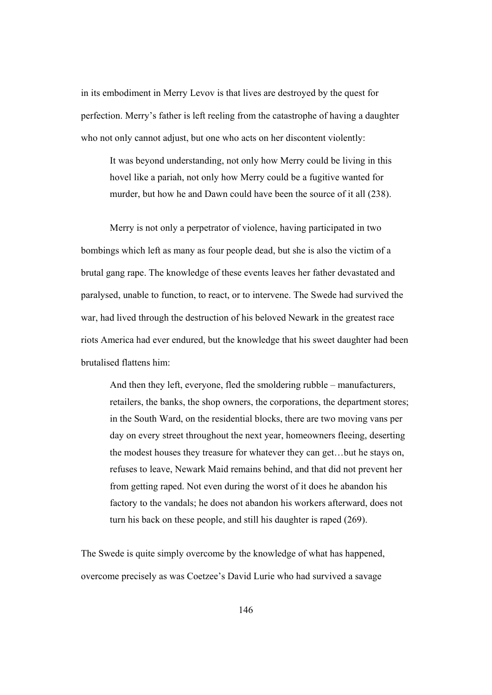in its embodiment in Merry Levov is that lives are destroyed by the quest for perfection. Merry's father is left reeling from the catastrophe of having a daughter who not only cannot adjust, but one who acts on her discontent violently:

It was beyond understanding, not only how Merry could be living in this hovel like a pariah, not only how Merry could be a fugitive wanted for murder, but how he and Dawn could have been the source of it all (238).

Merry is not only a perpetrator of violence, having participated in two bombings which left as many as four people dead, but she is also the victim of a brutal gang rape. The knowledge of these events leaves her father devastated and paralysed, unable to function, to react, or to intervene. The Swede had survived the war, had lived through the destruction of his beloved Newark in the greatest race riots America had ever endured, but the knowledge that his sweet daughter had been brutalised flattens him:

And then they left, everyone, fled the smoldering rubble – manufacturers, retailers, the banks, the shop owners, the corporations, the department stores; in the South Ward, on the residential blocks, there are two moving vans per day on every street throughout the next year, homeowners fleeing, deserting the modest houses they treasure for whatever they can get…but he stays on, refuses to leave, Newark Maid remains behind, and that did not prevent her from getting raped. Not even during the worst of it does he abandon his factory to the vandals; he does not abandon his workers afterward, does not turn his back on these people, and still his daughter is raped (269).

The Swede is quite simply overcome by the knowledge of what has happened, overcome precisely as was Coetzee's David Lurie who had survived a savage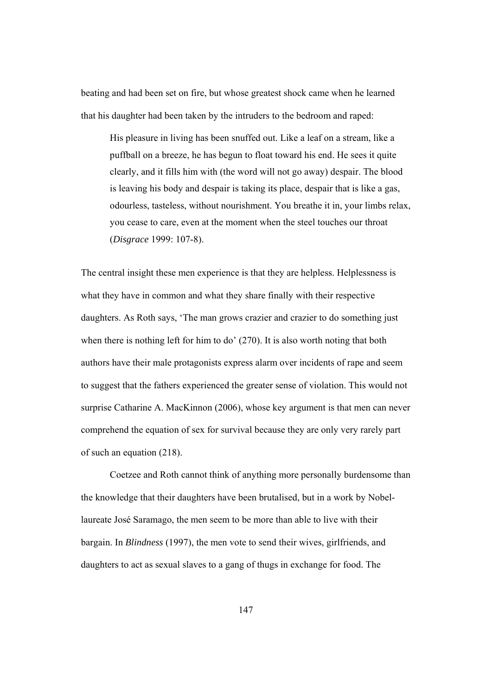beating and had been set on fire, but whose greatest shock came when he learned that his daughter had been taken by the intruders to the bedroom and raped:

His pleasure in living has been snuffed out. Like a leaf on a stream, like a puffball on a breeze, he has begun to float toward his end. He sees it quite clearly, and it fills him with (the word will not go away) despair. The blood is leaving his body and despair is taking its place, despair that is like a gas, odourless, tasteless, without nourishment. You breathe it in, your limbs relax, you cease to care, even at the moment when the steel touches our throat (*Disgrace* 1999: 107-8).

The central insight these men experience is that they are helpless. Helplessness is what they have in common and what they share finally with their respective daughters. As Roth says, 'The man grows crazier and crazier to do something just when there is nothing left for him to do' (270). It is also worth noting that both authors have their male protagonists express alarm over incidents of rape and seem to suggest that the fathers experienced the greater sense of violation. This would not surprise Catharine A. MacKinnon (2006), whose key argument is that men can never comprehend the equation of sex for survival because they are only very rarely part of such an equation (218).

Coetzee and Roth cannot think of anything more personally burdensome than the knowledge that their daughters have been brutalised, but in a work by Nobellaureate José Saramago, the men seem to be more than able to live with their bargain. In *Blindness* (1997), the men vote to send their wives, girlfriends, and daughters to act as sexual slaves to a gang of thugs in exchange for food. The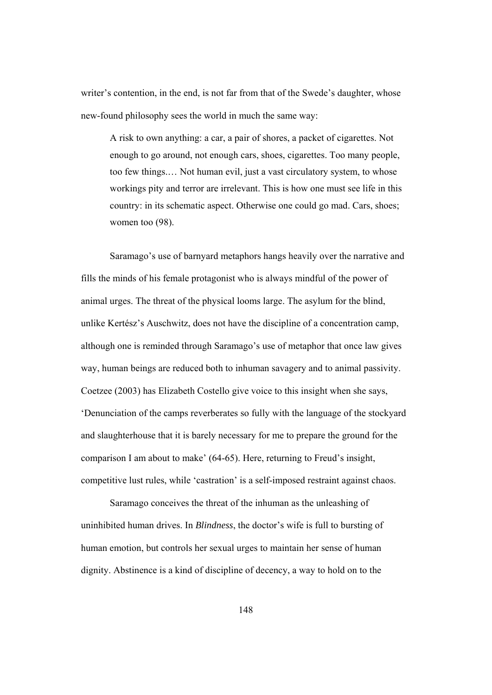writer's contention, in the end, is not far from that of the Swede's daughter, whose new-found philosophy sees the world in much the same way:

A risk to own anything: a car, a pair of shores, a packet of cigarettes. Not enough to go around, not enough cars, shoes, cigarettes. Too many people, too few things.… Not human evil, just a vast circulatory system, to whose workings pity and terror are irrelevant. This is how one must see life in this country: in its schematic aspect. Otherwise one could go mad. Cars, shoes; women too (98).

Saramago's use of barnyard metaphors hangs heavily over the narrative and fills the minds of his female protagonist who is always mindful of the power of animal urges. The threat of the physical looms large. The asylum for the blind, unlike Kertész's Auschwitz, does not have the discipline of a concentration camp, although one is reminded through Saramago's use of metaphor that once law gives way, human beings are reduced both to inhuman savagery and to animal passivity. Coetzee (2003) has Elizabeth Costello give voice to this insight when she says, 'Denunciation of the camps reverberates so fully with the language of the stockyard and slaughterhouse that it is barely necessary for me to prepare the ground for the comparison I am about to make' (64-65). Here, returning to Freud's insight, competitive lust rules, while 'castration' is a self-imposed restraint against chaos.

Saramago conceives the threat of the inhuman as the unleashing of uninhibited human drives. In *Blindness*, the doctor's wife is full to bursting of human emotion, but controls her sexual urges to maintain her sense of human dignity. Abstinence is a kind of discipline of decency, a way to hold on to the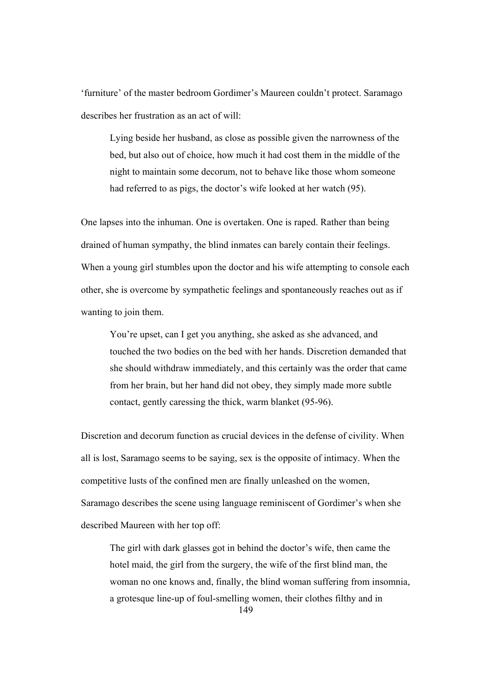'furniture' of the master bedroom Gordimer's Maureen couldn't protect. Saramago describes her frustration as an act of will:

Lying beside her husband, as close as possible given the narrowness of the bed, but also out of choice, how much it had cost them in the middle of the night to maintain some decorum, not to behave like those whom someone had referred to as pigs, the doctor's wife looked at her watch (95).

One lapses into the inhuman. One is overtaken. One is raped. Rather than being drained of human sympathy, the blind inmates can barely contain their feelings. When a young girl stumbles upon the doctor and his wife attempting to console each other, she is overcome by sympathetic feelings and spontaneously reaches out as if wanting to join them.

You're upset, can I get you anything, she asked as she advanced, and touched the two bodies on the bed with her hands. Discretion demanded that she should withdraw immediately, and this certainly was the order that came from her brain, but her hand did not obey, they simply made more subtle contact, gently caressing the thick, warm blanket (95-96).

Discretion and decorum function as crucial devices in the defense of civility. When all is lost, Saramago seems to be saying, sex is the opposite of intimacy. When the competitive lusts of the confined men are finally unleashed on the women, Saramago describes the scene using language reminiscent of Gordimer's when she described Maureen with her top off:

149 The girl with dark glasses got in behind the doctor's wife, then came the hotel maid, the girl from the surgery, the wife of the first blind man, the woman no one knows and, finally, the blind woman suffering from insomnia, a grotesque line-up of foul-smelling women, their clothes filthy and in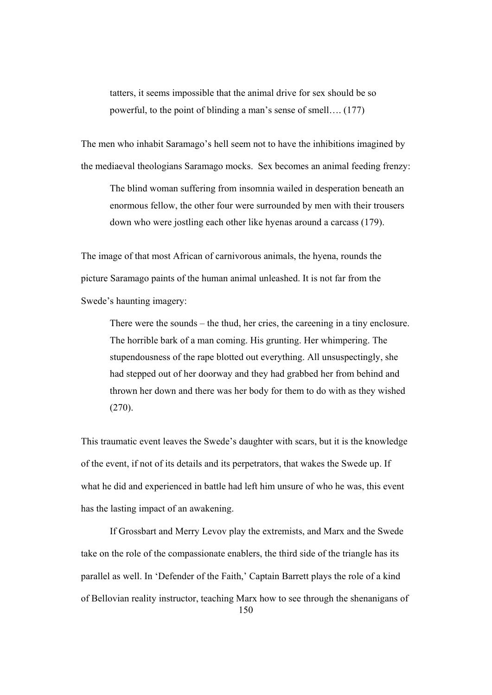tatters, it seems impossible that the animal drive for sex should be so powerful, to the point of blinding a man's sense of smell…. (177)

The men who inhabit Saramago's hell seem not to have the inhibitions imagined by the mediaeval theologians Saramago mocks. Sex becomes an animal feeding frenzy:

The blind woman suffering from insomnia wailed in desperation beneath an enormous fellow, the other four were surrounded by men with their trousers down who were jostling each other like hyenas around a carcass (179).

The image of that most African of carnivorous animals, the hyena, rounds the picture Saramago paints of the human animal unleashed. It is not far from the Swede's haunting imagery:

There were the sounds – the thud, her cries, the careening in a tiny enclosure. The horrible bark of a man coming. His grunting. Her whimpering. The stupendousness of the rape blotted out everything. All unsuspectingly, she had stepped out of her doorway and they had grabbed her from behind and thrown her down and there was her body for them to do with as they wished (270).

This traumatic event leaves the Swede's daughter with scars, but it is the knowledge of the event, if not of its details and its perpetrators, that wakes the Swede up. If what he did and experienced in battle had left him unsure of who he was, this event has the lasting impact of an awakening.

150 If Grossbart and Merry Levov play the extremists, and Marx and the Swede take on the role of the compassionate enablers, the third side of the triangle has its parallel as well. In 'Defender of the Faith,' Captain Barrett plays the role of a kind of Bellovian reality instructor, teaching Marx how to see through the shenanigans of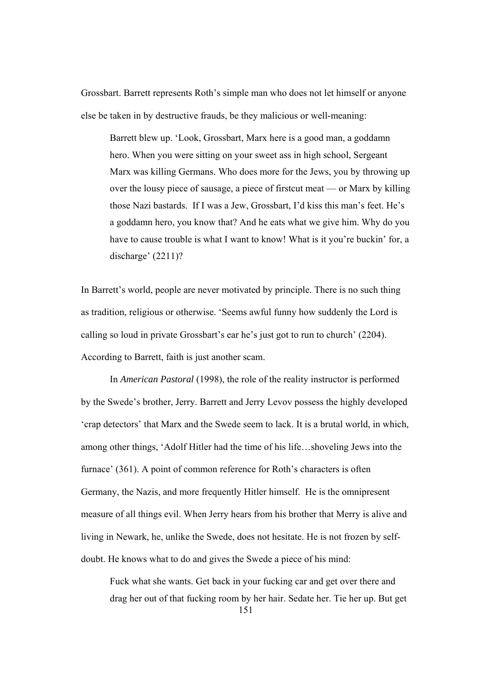Grossbart. Barrett represents Roth's simple man who does not let himself or anyone else be taken in by destructive frauds, be they malicious or well-meaning:

Barrett blew up. 'Look, Grossbart, Marx here is a good man, a goddamn hero. When you were sitting on your sweet ass in high school, Sergeant Marx was killing Germans. Who does more for the Jews, you by throwing up over the lousy piece of sausage, a piece of firstcut meat — or Marx by killing those Nazi bastards. If I was a Jew, Grossbart, I'd kiss this man's feet. He's a goddamn hero, you know that? And he eats what we give him. Why do you have to cause trouble is what I want to know! What is it you're buckin' for, a discharge' (2211)?

In Barrett's world, people are never motivated by principle. There is no such thing as tradition, religious or otherwise. 'Seems awful funny how suddenly the Lord is calling so loud in private Grossbart's ear he's just got to run to church' (2204). According to Barrett, faith is just another scam.

In *American Pastoral* (1998), the role of the reality instructor is performed by the Swede's brother, Jerry. Barrett and Jerry Levov possess the highly developed 'crap detectors' that Marx and the Swede seem to lack. It is a brutal world, in which, among other things, 'Adolf Hitler had the time of his life…shoveling Jews into the furnace' (361). A point of common reference for Roth's characters is often Germany, the Nazis, and more frequently Hitler himself. He is the omnipresent measure of all things evil. When Jerry hears from his brother that Merry is alive and living in Newark, he, unlike the Swede, does not hesitate. He is not frozen by selfdoubt. He knows what to do and gives the Swede a piece of his mind:

151 Fuck what she wants. Get back in your fucking car and get over there and drag her out of that fucking room by her hair. Sedate her. Tie her up. But get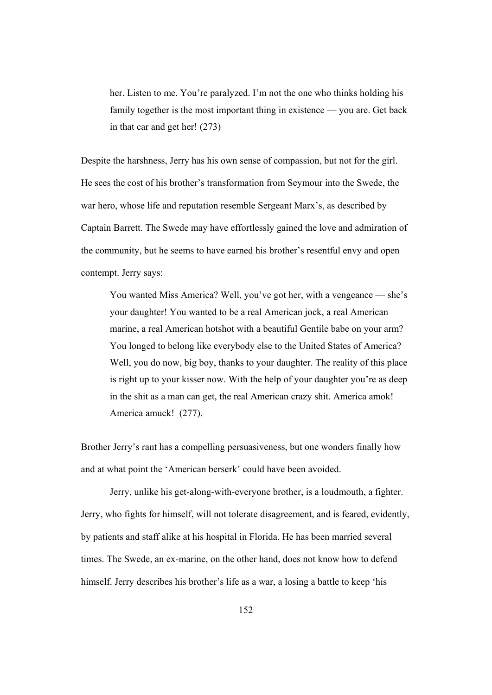her. Listen to me. You're paralyzed. I'm not the one who thinks holding his family together is the most important thing in existence — you are. Get back in that car and get her! (273)

Despite the harshness, Jerry has his own sense of compassion, but not for the girl. He sees the cost of his brother's transformation from Seymour into the Swede, the war hero, whose life and reputation resemble Sergeant Marx's, as described by Captain Barrett. The Swede may have effortlessly gained the love and admiration of the community, but he seems to have earned his brother's resentful envy and open contempt. Jerry says:

You wanted Miss America? Well, you've got her, with a vengeance — she's your daughter! You wanted to be a real American jock, a real American marine, a real American hotshot with a beautiful Gentile babe on your arm? You longed to belong like everybody else to the United States of America? Well, you do now, big boy, thanks to your daughter. The reality of this place is right up to your kisser now. With the help of your daughter you're as deep in the shit as a man can get, the real American crazy shit. America amok! America amuck! (277).

Brother Jerry's rant has a compelling persuasiveness, but one wonders finally how and at what point the 'American berserk' could have been avoided.

 Jerry, unlike his get-along-with-everyone brother, is a loudmouth, a fighter. Jerry, who fights for himself, will not tolerate disagreement, and is feared, evidently, by patients and staff alike at his hospital in Florida. He has been married several times. The Swede, an ex-marine, on the other hand, does not know how to defend himself. Jerry describes his brother's life as a war, a losing a battle to keep 'his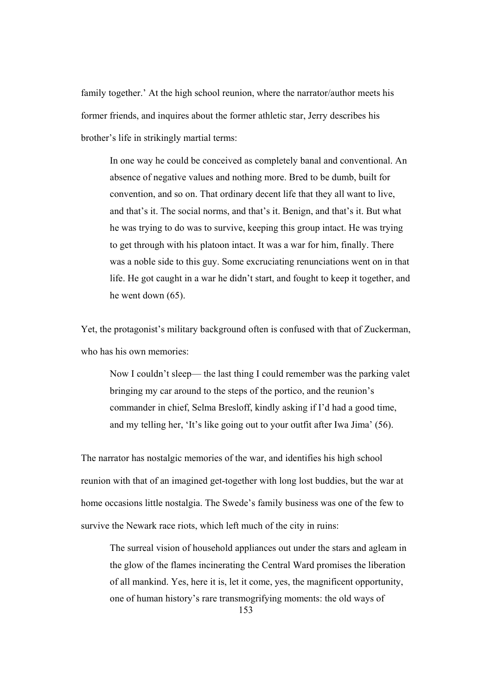family together.' At the high school reunion, where the narrator/author meets his former friends, and inquires about the former athletic star, Jerry describes his brother's life in strikingly martial terms:

In one way he could be conceived as completely banal and conventional. An absence of negative values and nothing more. Bred to be dumb, built for convention, and so on. That ordinary decent life that they all want to live, and that's it. The social norms, and that's it. Benign, and that's it. But what he was trying to do was to survive, keeping this group intact. He was trying to get through with his platoon intact. It was a war for him, finally. There was a noble side to this guy. Some excruciating renunciations went on in that life. He got caught in a war he didn't start, and fought to keep it together, and he went down (65).

Yet, the protagonist's military background often is confused with that of Zuckerman, who has his own memories:

Now I couldn't sleep— the last thing I could remember was the parking valet bringing my car around to the steps of the portico, and the reunion's commander in chief, Selma Bresloff, kindly asking if I'd had a good time, and my telling her, 'It's like going out to your outfit after Iwa Jima' (56).

The narrator has nostalgic memories of the war, and identifies his high school reunion with that of an imagined get-together with long lost buddies, but the war at home occasions little nostalgia. The Swede's family business was one of the few to survive the Newark race riots, which left much of the city in ruins:

The surreal vision of household appliances out under the stars and agleam in the glow of the flames incinerating the Central Ward promises the liberation of all mankind. Yes, here it is, let it come, yes, the magnificent opportunity, one of human history's rare transmogrifying moments: the old ways of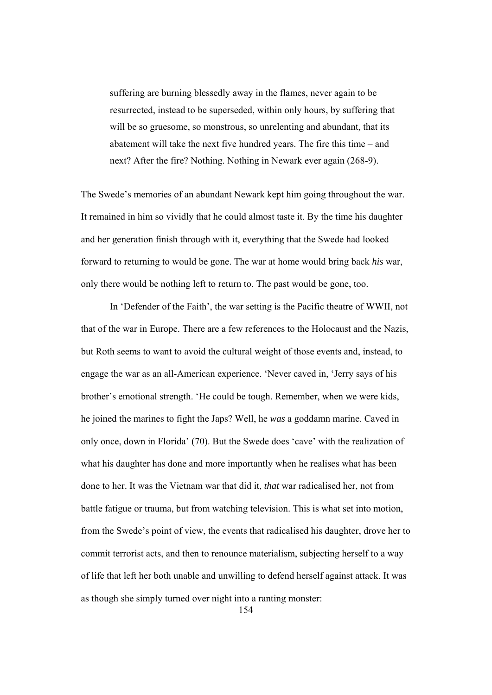suffering are burning blessedly away in the flames, never again to be resurrected, instead to be superseded, within only hours, by suffering that will be so gruesome, so monstrous, so unrelenting and abundant, that its abatement will take the next five hundred years. The fire this time – and next? After the fire? Nothing. Nothing in Newark ever again (268-9).

The Swede's memories of an abundant Newark kept him going throughout the war. It remained in him so vividly that he could almost taste it. By the time his daughter and her generation finish through with it, everything that the Swede had looked forward to returning to would be gone. The war at home would bring back *his* war, only there would be nothing left to return to. The past would be gone, too.

 In 'Defender of the Faith', the war setting is the Pacific theatre of WWII, not that of the war in Europe. There are a few references to the Holocaust and the Nazis, but Roth seems to want to avoid the cultural weight of those events and, instead, to engage the war as an all-American experience. 'Never caved in, 'Jerry says of his brother's emotional strength. 'He could be tough. Remember, when we were kids, he joined the marines to fight the Japs? Well, he *was* a goddamn marine. Caved in only once, down in Florida' (70). But the Swede does 'cave' with the realization of what his daughter has done and more importantly when he realises what has been done to her. It was the Vietnam war that did it, *that* war radicalised her, not from battle fatigue or trauma, but from watching television. This is what set into motion, from the Swede's point of view, the events that radicalised his daughter, drove her to commit terrorist acts, and then to renounce materialism, subjecting herself to a way of life that left her both unable and unwilling to defend herself against attack. It was as though she simply turned over night into a ranting monster:

154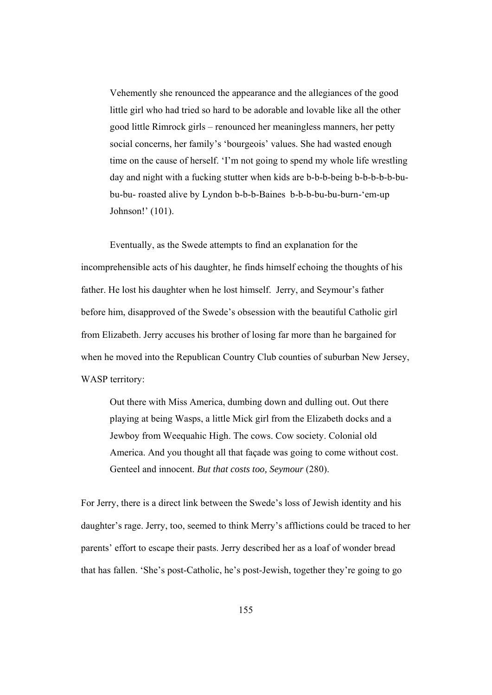Vehemently she renounced the appearance and the allegiances of the good little girl who had tried so hard to be adorable and lovable like all the other good little Rimrock girls – renounced her meaningless manners, her petty social concerns, her family's 'bourgeois' values. She had wasted enough time on the cause of herself. 'I'm not going to spend my whole life wrestling day and night with a fucking stutter when kids are b-b-b-being b-b-b-b-b-bubu-bu- roasted alive by Lyndon b-b-b-Baines b-b-b-bu-bu-burn-'em-up Johnson!' (101).

 Eventually, as the Swede attempts to find an explanation for the incomprehensible acts of his daughter, he finds himself echoing the thoughts of his father. He lost his daughter when he lost himself. Jerry, and Seymour's father before him, disapproved of the Swede's obsession with the beautiful Catholic girl from Elizabeth. Jerry accuses his brother of losing far more than he bargained for when he moved into the Republican Country Club counties of suburban New Jersey, WASP territory:

Out there with Miss America, dumbing down and dulling out. Out there playing at being Wasps, a little Mick girl from the Elizabeth docks and a Jewboy from Weequahic High. The cows. Cow society. Colonial old America. And you thought all that façade was going to come without cost. Genteel and innocent. *But that costs too, Seymour* (280).

For Jerry, there is a direct link between the Swede's loss of Jewish identity and his daughter's rage. Jerry, too, seemed to think Merry's afflictions could be traced to her parents' effort to escape their pasts. Jerry described her as a loaf of wonder bread that has fallen. 'She's post-Catholic, he's post-Jewish, together they're going to go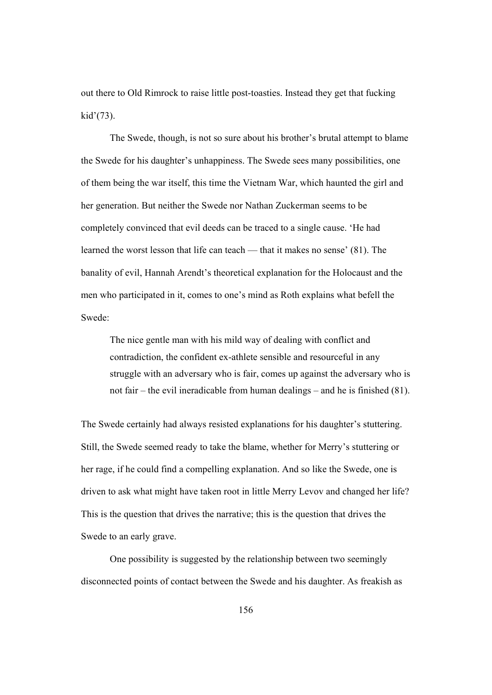out there to Old Rimrock to raise little post-toasties. Instead they get that fucking kid'(73).

 The Swede, though, is not so sure about his brother's brutal attempt to blame the Swede for his daughter's unhappiness. The Swede sees many possibilities, one of them being the war itself, this time the Vietnam War, which haunted the girl and her generation. But neither the Swede nor Nathan Zuckerman seems to be completely convinced that evil deeds can be traced to a single cause. 'He had learned the worst lesson that life can teach — that it makes no sense' (81). The banality of evil, Hannah Arendt's theoretical explanation for the Holocaust and the men who participated in it, comes to one's mind as Roth explains what befell the Swede:

The nice gentle man with his mild way of dealing with conflict and contradiction, the confident ex-athlete sensible and resourceful in any struggle with an adversary who is fair, comes up against the adversary who is not fair – the evil ineradicable from human dealings – and he is finished (81).

The Swede certainly had always resisted explanations for his daughter's stuttering. Still, the Swede seemed ready to take the blame, whether for Merry's stuttering or her rage, if he could find a compelling explanation. And so like the Swede, one is driven to ask what might have taken root in little Merry Levov and changed her life? This is the question that drives the narrative; this is the question that drives the Swede to an early grave.

 One possibility is suggested by the relationship between two seemingly disconnected points of contact between the Swede and his daughter. As freakish as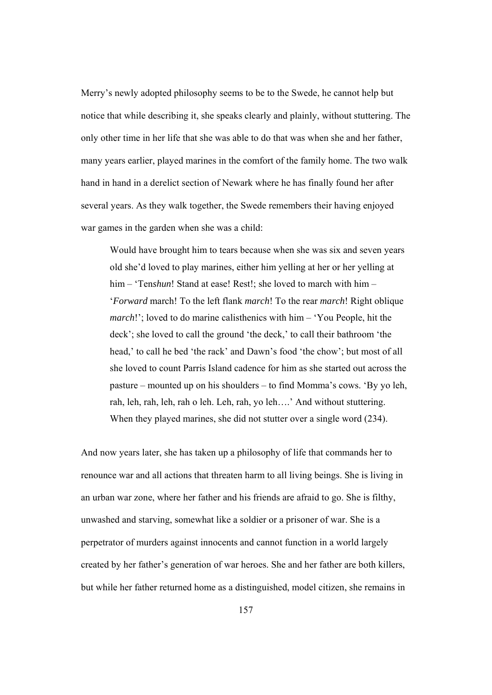Merry's newly adopted philosophy seems to be to the Swede, he cannot help but notice that while describing it, she speaks clearly and plainly, without stuttering. The only other time in her life that she was able to do that was when she and her father, many years earlier, played marines in the comfort of the family home. The two walk hand in hand in a derelict section of Newark where he has finally found her after several years. As they walk together, the Swede remembers their having enjoyed war games in the garden when she was a child:

Would have brought him to tears because when she was six and seven years old she'd loved to play marines, either him yelling at her or her yelling at him – 'Ten*shun*! Stand at ease! Rest!; she loved to march with him – '*Forward* march! To the left flank *march*! To the rear *march*! Right oblique *march*!'; loved to do marine calisthenics with him – 'You People, hit the deck'; she loved to call the ground 'the deck,' to call their bathroom 'the head,' to call he bed 'the rack' and Dawn's food 'the chow'; but most of all she loved to count Parris Island cadence for him as she started out across the pasture – mounted up on his shoulders – to find Momma's cows. 'By yo leh, rah, leh, rah, leh, rah o leh. Leh, rah, yo leh….' And without stuttering. When they played marines, she did not stutter over a single word (234).

And now years later, she has taken up a philosophy of life that commands her to renounce war and all actions that threaten harm to all living beings. She is living in an urban war zone, where her father and his friends are afraid to go. She is filthy, unwashed and starving, somewhat like a soldier or a prisoner of war. She is a perpetrator of murders against innocents and cannot function in a world largely created by her father's generation of war heroes. She and her father are both killers, but while her father returned home as a distinguished, model citizen, she remains in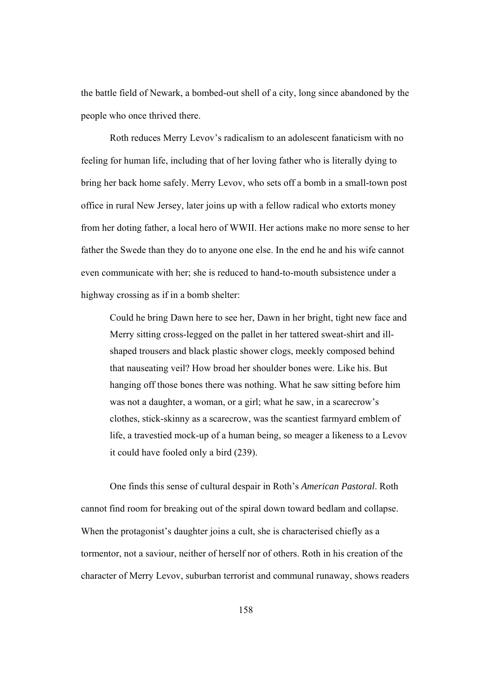the battle field of Newark, a bombed-out shell of a city, long since abandoned by the people who once thrived there.

Roth reduces Merry Levov's radicalism to an adolescent fanaticism with no feeling for human life, including that of her loving father who is literally dying to bring her back home safely. Merry Levov, who sets off a bomb in a small-town post office in rural New Jersey, later joins up with a fellow radical who extorts money from her doting father, a local hero of WWII. Her actions make no more sense to her father the Swede than they do to anyone one else. In the end he and his wife cannot even communicate with her; she is reduced to hand-to-mouth subsistence under a highway crossing as if in a bomb shelter:

Could he bring Dawn here to see her, Dawn in her bright, tight new face and Merry sitting cross-legged on the pallet in her tattered sweat-shirt and illshaped trousers and black plastic shower clogs, meekly composed behind that nauseating veil? How broad her shoulder bones were. Like his. But hanging off those bones there was nothing. What he saw sitting before him was not a daughter, a woman, or a girl; what he saw, in a scarecrow's clothes, stick-skinny as a scarecrow, was the scantiest farmyard emblem of life, a travestied mock-up of a human being, so meager a likeness to a Levov it could have fooled only a bird (239).

One finds this sense of cultural despair in Roth's *American Pastoral*. Roth cannot find room for breaking out of the spiral down toward bedlam and collapse. When the protagonist's daughter joins a cult, she is characterised chiefly as a tormentor, not a saviour, neither of herself nor of others. Roth in his creation of the character of Merry Levov, suburban terrorist and communal runaway, shows readers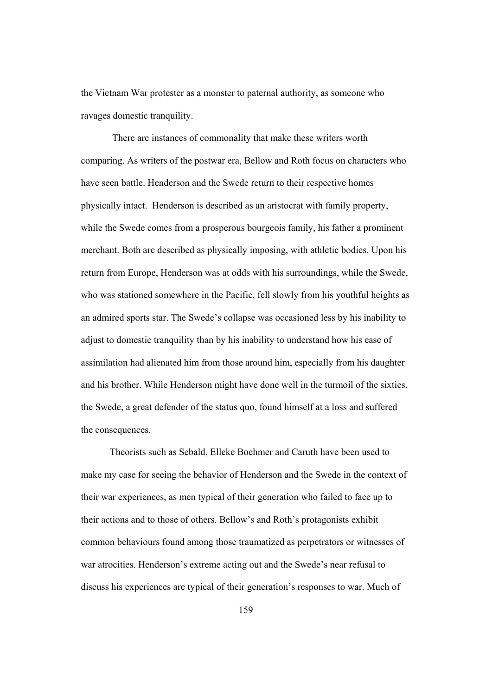the Vietnam War protester as a monster to paternal authority, as someone who ravages domestic tranquility.

 There are instances of commonality that make these writers worth comparing. As writers of the postwar era, Bellow and Roth focus on characters who have seen battle. Henderson and the Swede return to their respective homes physically intact. Henderson is described as an aristocrat with family property, while the Swede comes from a prosperous bourgeois family, his father a prominent merchant. Both are described as physically imposing, with athletic bodies. Upon his return from Europe, Henderson was at odds with his surroundings, while the Swede, who was stationed somewhere in the Pacific, fell slowly from his youthful heights as an admired sports star. The Swede's collapse was occasioned less by his inability to adjust to domestic tranquility than by his inability to understand how his ease of assimilation had alienated him from those around him, especially from his daughter and his brother. While Henderson might have done well in the turmoil of the sixties, the Swede, a great defender of the status quo, found himself at a loss and suffered the consequences.

Theorists such as Sebald, Elleke Boehmer and Caruth have been used to make my case for seeing the behavior of Henderson and the Swede in the context of their war experiences, as men typical of their generation who failed to face up to their actions and to those of others. Bellow's and Roth's protagonists exhibit common behaviours found among those traumatized as perpetrators or witnesses of war atrocities. Henderson's extreme acting out and the Swede's near refusal to discuss his experiences are typical of their generation's responses to war. Much of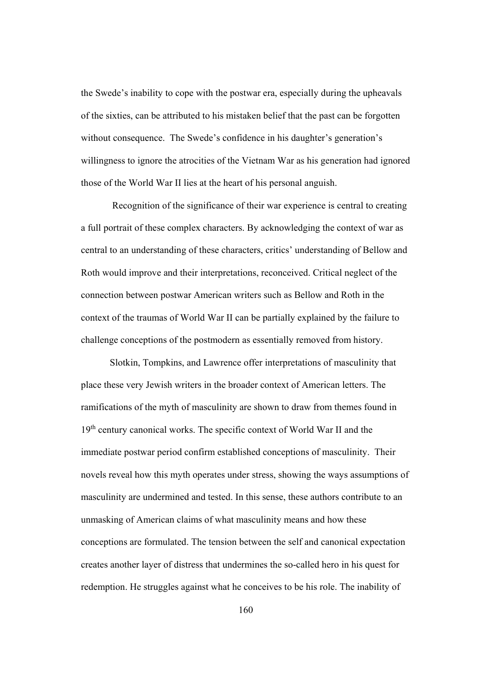the Swede's inability to cope with the postwar era, especially during the upheavals of the sixties, can be attributed to his mistaken belief that the past can be forgotten without consequence. The Swede's confidence in his daughter's generation's willingness to ignore the atrocities of the Vietnam War as his generation had ignored those of the World War II lies at the heart of his personal anguish.

 Recognition of the significance of their war experience is central to creating a full portrait of these complex characters. By acknowledging the context of war as central to an understanding of these characters, critics' understanding of Bellow and Roth would improve and their interpretations, reconceived. Critical neglect of the connection between postwar American writers such as Bellow and Roth in the context of the traumas of World War II can be partially explained by the failure to challenge conceptions of the postmodern as essentially removed from history.

Slotkin, Tompkins, and Lawrence offer interpretations of masculinity that place these very Jewish writers in the broader context of American letters. The ramifications of the myth of masculinity are shown to draw from themes found in 19<sup>th</sup> century canonical works. The specific context of World War II and the immediate postwar period confirm established conceptions of masculinity. Their novels reveal how this myth operates under stress, showing the ways assumptions of masculinity are undermined and tested. In this sense, these authors contribute to an unmasking of American claims of what masculinity means and how these conceptions are formulated. The tension between the self and canonical expectation creates another layer of distress that undermines the so-called hero in his quest for redemption. He struggles against what he conceives to be his role. The inability of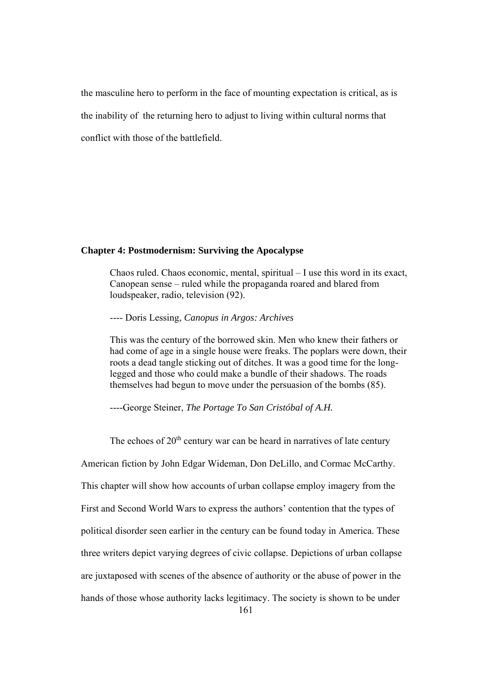the masculine hero to perform in the face of mounting expectation is critical, as is the inability of the returning hero to adjust to living within cultural norms that conflict with those of the battlefield.

## **Chapter 4: Postmodernism: Surviving the Apocalypse**

Chaos ruled. Chaos economic, mental, spiritual – I use this word in its exact, Canopean sense – ruled while the propaganda roared and blared from loudspeaker, radio, television (92).

---- Doris Lessing, *Canopus in Argos: Archives*

This was the century of the borrowed skin. Men who knew their fathers or had come of age in a single house were freaks. The poplars were down, their roots a dead tangle sticking out of ditches. It was a good time for the longlegged and those who could make a bundle of their shadows. The roads themselves had begun to move under the persuasion of the bombs (85).

----George Steiner, *The Portage To San Cristóbal of A.H.* 

The echoes of  $20<sup>th</sup>$  century war can be heard in narratives of late century American fiction by John Edgar Wideman, Don DeLillo, and Cormac McCarthy. This chapter will show how accounts of urban collapse employ imagery from the First and Second World Wars to express the authors' contention that the types of political disorder seen earlier in the century can be found today in America. These three writers depict varying degrees of civic collapse. Depictions of urban collapse are juxtaposed with scenes of the absence of authority or the abuse of power in the hands of those whose authority lacks legitimacy. The society is shown to be under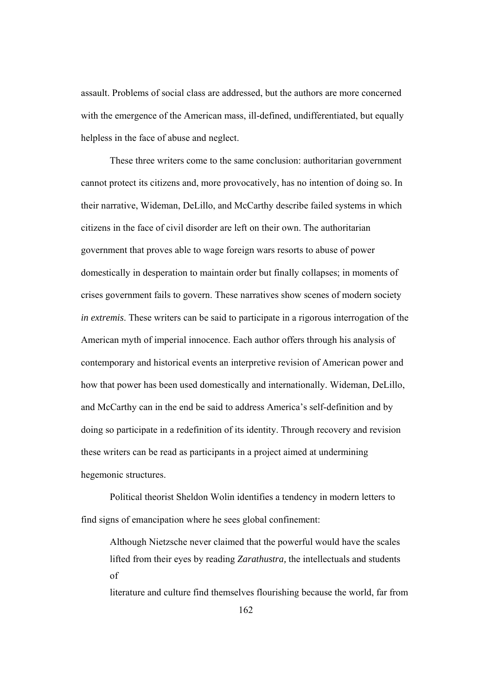assault. Problems of social class are addressed, but the authors are more concerned with the emergence of the American mass, ill-defined, undifferentiated, but equally helpless in the face of abuse and neglect.

These three writers come to the same conclusion: authoritarian government cannot protect its citizens and, more provocatively, has no intention of doing so. In their narrative, Wideman, DeLillo, and McCarthy describe failed systems in which citizens in the face of civil disorder are left on their own. The authoritarian government that proves able to wage foreign wars resorts to abuse of power domestically in desperation to maintain order but finally collapses; in moments of crises government fails to govern. These narratives show scenes of modern society *in extremis*. These writers can be said to participate in a rigorous interrogation of the American myth of imperial innocence. Each author offers through his analysis of contemporary and historical events an interpretive revision of American power and how that power has been used domestically and internationally. Wideman, DeLillo, and McCarthy can in the end be said to address America's self-definition and by doing so participate in a redefinition of its identity. Through recovery and revision these writers can be read as participants in a project aimed at undermining hegemonic structures.

Political theorist Sheldon Wolin identifies a tendency in modern letters to find signs of emancipation where he sees global confinement:

Although Nietzsche never claimed that the powerful would have the scales lifted from their eyes by reading *Zarathustra,* the intellectuals and students of

literature and culture find themselves flourishing because the world, far from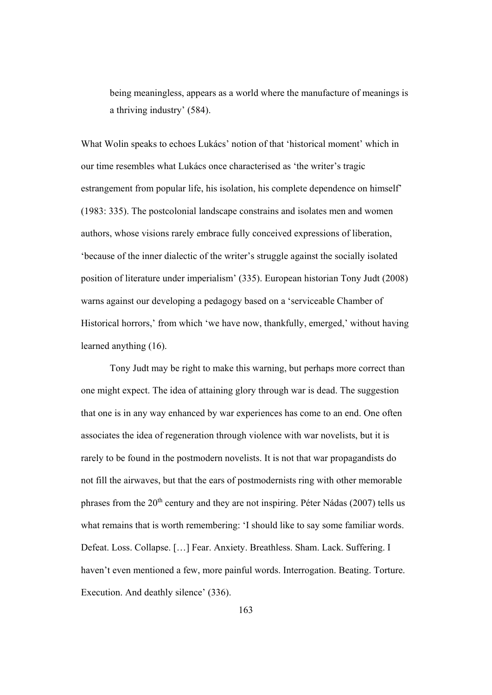being meaningless, appears as a world where the manufacture of meanings is a thriving industry' (584).

What Wolin speaks to echoes Lukács' notion of that 'historical moment' which in our time resembles what Lukács once characterised as 'the writer's tragic estrangement from popular life, his isolation, his complete dependence on himself' (1983: 335). The postcolonial landscape constrains and isolates men and women authors, whose visions rarely embrace fully conceived expressions of liberation, 'because of the inner dialectic of the writer's struggle against the socially isolated position of literature under imperialism' (335). European historian Tony Judt (2008) warns against our developing a pedagogy based on a 'serviceable Chamber of Historical horrors,' from which 'we have now, thankfully, emerged,' without having learned anything (16).

Tony Judt may be right to make this warning, but perhaps more correct than one might expect. The idea of attaining glory through war is dead. The suggestion that one is in any way enhanced by war experiences has come to an end. One often associates the idea of regeneration through violence with war novelists, but it is rarely to be found in the postmodern novelists. It is not that war propagandists do not fill the airwaves, but that the ears of postmodernists ring with other memorable phrases from the 20<sup>th</sup> century and they are not inspiring. Péter Nádas (2007) tells us what remains that is worth remembering: 'I should like to say some familiar words. Defeat. Loss. Collapse. […] Fear. Anxiety. Breathless. Sham. Lack. Suffering. I haven't even mentioned a few, more painful words. Interrogation. Beating. Torture. Execution. And deathly silence' (336).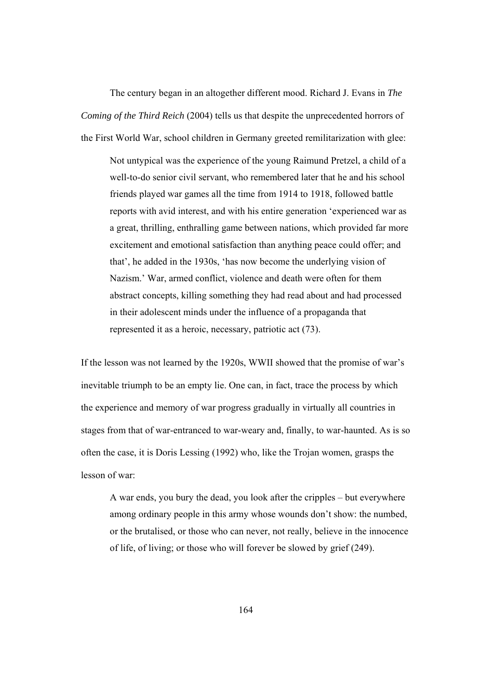The century began in an altogether different mood. Richard J. Evans in *The Coming of the Third Reich* (2004) tells us that despite the unprecedented horrors of the First World War, school children in Germany greeted remilitarization with glee:

Not untypical was the experience of the young Raimund Pretzel, a child of a well-to-do senior civil servant, who remembered later that he and his school friends played war games all the time from 1914 to 1918, followed battle reports with avid interest, and with his entire generation 'experienced war as a great, thrilling, enthralling game between nations, which provided far more excitement and emotional satisfaction than anything peace could offer; and that', he added in the 1930s, 'has now become the underlying vision of Nazism.' War, armed conflict, violence and death were often for them abstract concepts, killing something they had read about and had processed in their adolescent minds under the influence of a propaganda that represented it as a heroic, necessary, patriotic act (73).

If the lesson was not learned by the 1920s, WWII showed that the promise of war's inevitable triumph to be an empty lie. One can, in fact, trace the process by which the experience and memory of war progress gradually in virtually all countries in stages from that of war-entranced to war-weary and, finally, to war-haunted. As is so often the case, it is Doris Lessing (1992) who, like the Trojan women, grasps the lesson of war:

A war ends, you bury the dead, you look after the cripples – but everywhere among ordinary people in this army whose wounds don't show: the numbed, or the brutalised, or those who can never, not really, believe in the innocence of life, of living; or those who will forever be slowed by grief (249).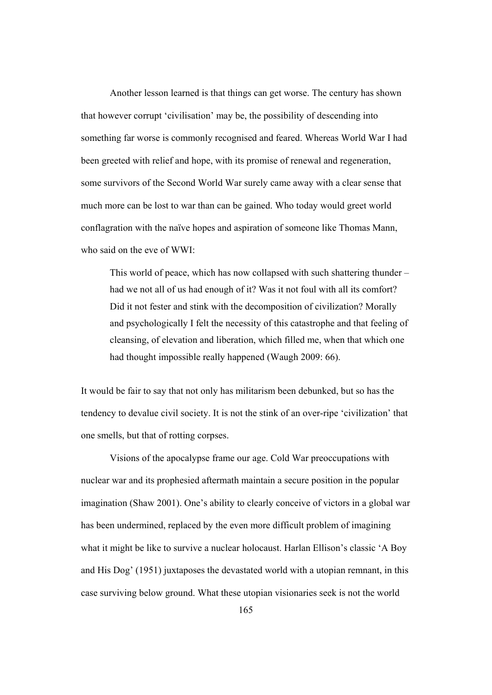Another lesson learned is that things can get worse. The century has shown that however corrupt 'civilisation' may be, the possibility of descending into something far worse is commonly recognised and feared. Whereas World War I had been greeted with relief and hope, with its promise of renewal and regeneration, some survivors of the Second World War surely came away with a clear sense that much more can be lost to war than can be gained. Who today would greet world conflagration with the naïve hopes and aspiration of someone like Thomas Mann, who said on the eve of WWI:

This world of peace, which has now collapsed with such shattering thunder – had we not all of us had enough of it? Was it not foul with all its comfort? Did it not fester and stink with the decomposition of civilization? Morally and psychologically I felt the necessity of this catastrophe and that feeling of cleansing, of elevation and liberation, which filled me, when that which one had thought impossible really happened (Waugh 2009: 66).

It would be fair to say that not only has militarism been debunked, but so has the tendency to devalue civil society. It is not the stink of an over-ripe 'civilization' that one smells, but that of rotting corpses.

 Visions of the apocalypse frame our age. Cold War preoccupations with nuclear war and its prophesied aftermath maintain a secure position in the popular imagination (Shaw 2001). One's ability to clearly conceive of victors in a global war has been undermined, replaced by the even more difficult problem of imagining what it might be like to survive a nuclear holocaust. Harlan Ellison's classic 'A Boy and His Dog' (1951) juxtaposes the devastated world with a utopian remnant, in this case surviving below ground. What these utopian visionaries seek is not the world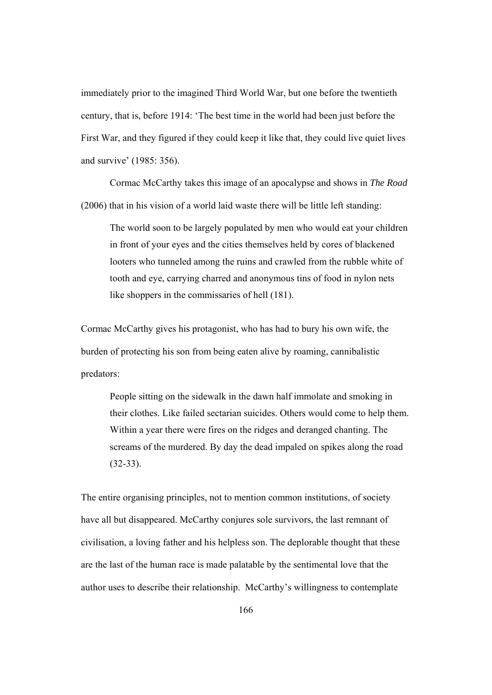immediately prior to the imagined Third World War, but one before the twentieth century, that is, before 1914: 'The best time in the world had been just before the First War, and they figured if they could keep it like that, they could live quiet lives and survive' (1985: 356).

Cormac McCarthy takes this image of an apocalypse and shows in *The Road* (2006) that in his vision of a world laid waste there will be little left standing:

The world soon to be largely populated by men who would eat your children in front of your eyes and the cities themselves held by cores of blackened looters who tunneled among the ruins and crawled from the rubble white of tooth and eye, carrying charred and anonymous tins of food in nylon nets like shoppers in the commissaries of hell (181).

Cormac McCarthy gives his protagonist, who has had to bury his own wife, the burden of protecting his son from being eaten alive by roaming, cannibalistic predators:

People sitting on the sidewalk in the dawn half immolate and smoking in their clothes. Like failed sectarian suicides. Others would come to help them. Within a year there were fires on the ridges and deranged chanting. The screams of the murdered. By day the dead impaled on spikes along the road (32-33).

The entire organising principles, not to mention common institutions, of society have all but disappeared. McCarthy conjures sole survivors, the last remnant of civilisation, a loving father and his helpless son. The deplorable thought that these are the last of the human race is made palatable by the sentimental love that the author uses to describe their relationship. McCarthy's willingness to contemplate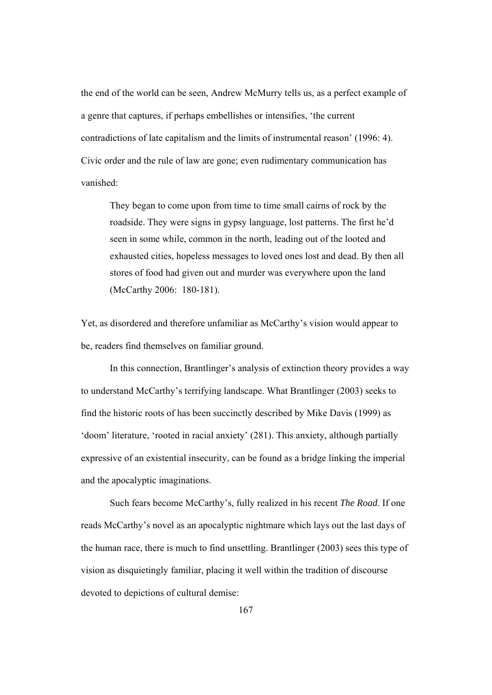the end of the world can be seen, Andrew McMurry tells us, as a perfect example of a genre that captures, if perhaps embellishes or intensifies, 'the current contradictions of late capitalism and the limits of instrumental reason' (1996: 4). Civic order and the rule of law are gone; even rudimentary communication has vanished:

They began to come upon from time to time small cairns of rock by the roadside. They were signs in gypsy language, lost patterns. The first he'd seen in some while, common in the north, leading out of the looted and exhausted cities, hopeless messages to loved ones lost and dead. By then all stores of food had given out and murder was everywhere upon the land (McCarthy 2006: 180-181).

Yet, as disordered and therefore unfamiliar as McCarthy's vision would appear to be, readers find themselves on familiar ground.

In this connection, Brantlinger's analysis of extinction theory provides a way to understand McCarthy's terrifying landscape. What Brantlinger (2003) seeks to find the historic roots of has been succinctly described by Mike Davis (1999) as 'doom' literature, 'rooted in racial anxiety' (281). This anxiety, although partially expressive of an existential insecurity, can be found as a bridge linking the imperial and the apocalyptic imaginations.

Such fears become McCarthy's, fully realized in his recent *The Road*. If one reads McCarthy's novel as an apocalyptic nightmare which lays out the last days of the human race, there is much to find unsettling. Brantlinger (2003) sees this type of vision as disquietingly familiar, placing it well within the tradition of discourse devoted to depictions of cultural demise: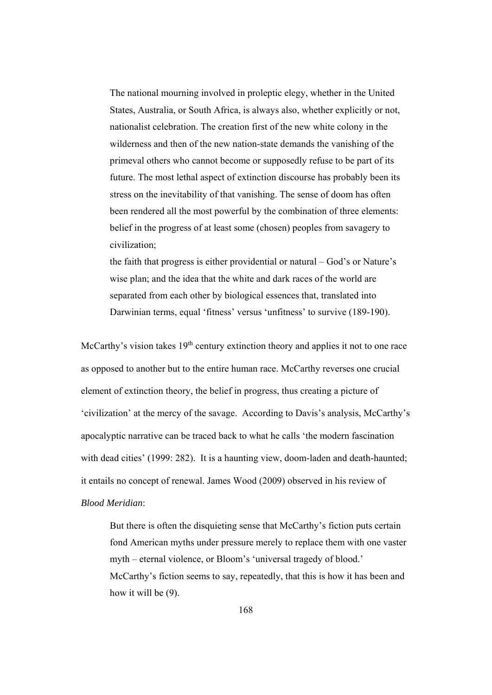The national mourning involved in proleptic elegy, whether in the United States, Australia, or South Africa, is always also, whether explicitly or not, nationalist celebration. The creation first of the new white colony in the wilderness and then of the new nation-state demands the vanishing of the primeval others who cannot become or supposedly refuse to be part of its future. The most lethal aspect of extinction discourse has probably been its stress on the inevitability of that vanishing. The sense of doom has often been rendered all the most powerful by the combination of three elements: belief in the progress of at least some (chosen) peoples from savagery to civilization;

the faith that progress is either providential or natural – God's or Nature's wise plan; and the idea that the white and dark races of the world are separated from each other by biological essences that, translated into Darwinian terms, equal 'fitness' versus 'unfitness' to survive (189-190).

McCarthy's vision takes  $19<sup>th</sup>$  century extinction theory and applies it not to one race as opposed to another but to the entire human race. McCarthy reverses one crucial element of extinction theory, the belief in progress, thus creating a picture of 'civilization' at the mercy of the savage. According to Davis's analysis, McCarthy's apocalyptic narrative can be traced back to what he calls 'the modern fascination with dead cities' (1999: 282). It is a haunting view, doom-laden and death-haunted; it entails no concept of renewal. James Wood (2009) observed in his review of *Blood Meridian*:

But there is often the disquieting sense that McCarthy's fiction puts certain fond American myths under pressure merely to replace them with one vaster myth – eternal violence, or Bloom's 'universal tragedy of blood.' McCarthy's fiction seems to say, repeatedly, that this is how it has been and how it will be (9).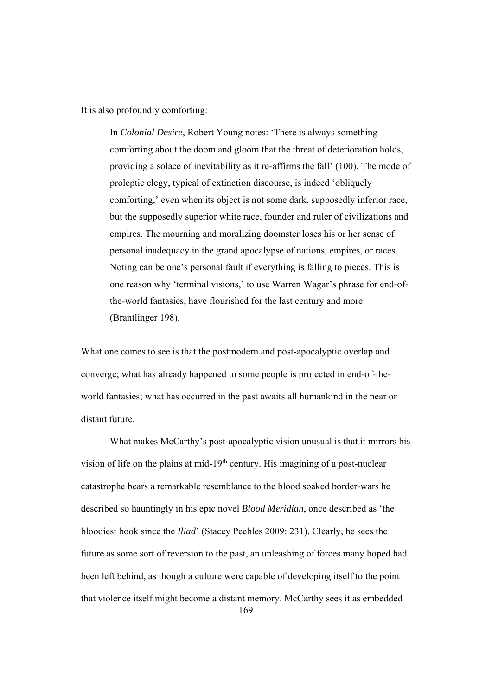It is also profoundly comforting:

In *Colonial Desire*, Robert Young notes: 'There is always something comforting about the doom and gloom that the threat of deterioration holds, providing a solace of inevitability as it re-affirms the fall' (100). The mode of proleptic elegy, typical of extinction discourse, is indeed 'obliquely comforting,' even when its object is not some dark, supposedly inferior race, but the supposedly superior white race, founder and ruler of civilizations and empires. The mourning and moralizing doomster loses his or her sense of personal inadequacy in the grand apocalypse of nations, empires, or races. Noting can be one's personal fault if everything is falling to pieces. This is one reason why 'terminal visions,' to use Warren Wagar's phrase for end-ofthe-world fantasies, have flourished for the last century and more (Brantlinger 198).

What one comes to see is that the postmodern and post-apocalyptic overlap and converge; what has already happened to some people is projected in end-of-theworld fantasies; what has occurred in the past awaits all humankind in the near or distant future.

169 What makes McCarthy's post-apocalyptic vision unusual is that it mirrors his vision of life on the plains at mid-19<sup>th</sup> century. His imagining of a post-nuclear catastrophe bears a remarkable resemblance to the blood soaked border-wars he described so hauntingly in his epic novel *Blood Meridian*, once described as 'the bloodiest book since the *Iliad*' (Stacey Peebles 2009: 231). Clearly, he sees the future as some sort of reversion to the past, an unleashing of forces many hoped had been left behind, as though a culture were capable of developing itself to the point that violence itself might become a distant memory. McCarthy sees it as embedded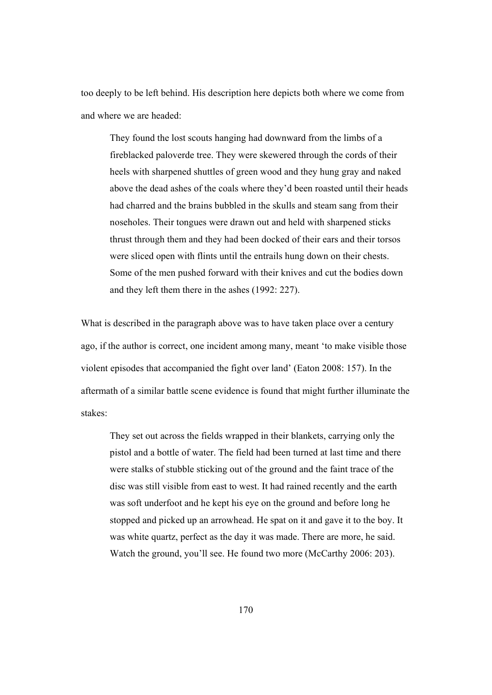too deeply to be left behind. His description here depicts both where we come from and where we are headed:

They found the lost scouts hanging had downward from the limbs of a fireblacked paloverde tree. They were skewered through the cords of their heels with sharpened shuttles of green wood and they hung gray and naked above the dead ashes of the coals where they'd been roasted until their heads had charred and the brains bubbled in the skulls and steam sang from their noseholes. Their tongues were drawn out and held with sharpened sticks thrust through them and they had been docked of their ears and their torsos were sliced open with flints until the entrails hung down on their chests. Some of the men pushed forward with their knives and cut the bodies down and they left them there in the ashes (1992: 227).

What is described in the paragraph above was to have taken place over a century ago, if the author is correct, one incident among many, meant 'to make visible those violent episodes that accompanied the fight over land' (Eaton 2008: 157). In the aftermath of a similar battle scene evidence is found that might further illuminate the stakes:

They set out across the fields wrapped in their blankets, carrying only the pistol and a bottle of water. The field had been turned at last time and there were stalks of stubble sticking out of the ground and the faint trace of the disc was still visible from east to west. It had rained recently and the earth was soft underfoot and he kept his eye on the ground and before long he stopped and picked up an arrowhead. He spat on it and gave it to the boy. It was white quartz, perfect as the day it was made. There are more, he said. Watch the ground, you'll see. He found two more (McCarthy 2006: 203).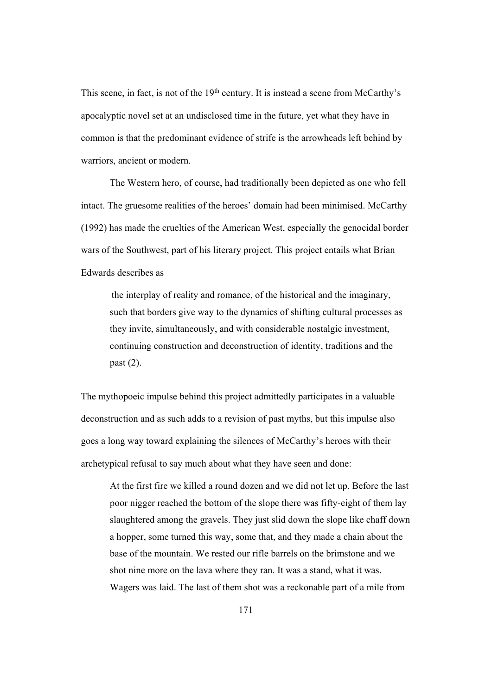This scene, in fact, is not of the 19<sup>th</sup> century. It is instead a scene from McCarthy's apocalyptic novel set at an undisclosed time in the future, yet what they have in common is that the predominant evidence of strife is the arrowheads left behind by warriors, ancient or modern.

The Western hero, of course, had traditionally been depicted as one who fell intact. The gruesome realities of the heroes' domain had been minimised. McCarthy (1992) has made the cruelties of the American West, especially the genocidal border wars of the Southwest, part of his literary project. This project entails what Brian Edwards describes as

the interplay of reality and romance, of the historical and the imaginary, such that borders give way to the dynamics of shifting cultural processes as they invite, simultaneously, and with considerable nostalgic investment, continuing construction and deconstruction of identity, traditions and the past (2).

The mythopoeic impulse behind this project admittedly participates in a valuable deconstruction and as such adds to a revision of past myths, but this impulse also goes a long way toward explaining the silences of McCarthy's heroes with their archetypical refusal to say much about what they have seen and done:

At the first fire we killed a round dozen and we did not let up. Before the last poor nigger reached the bottom of the slope there was fifty-eight of them lay slaughtered among the gravels. They just slid down the slope like chaff down a hopper, some turned this way, some that, and they made a chain about the base of the mountain. We rested our rifle barrels on the brimstone and we shot nine more on the lava where they ran. It was a stand, what it was. Wagers was laid. The last of them shot was a reckonable part of a mile from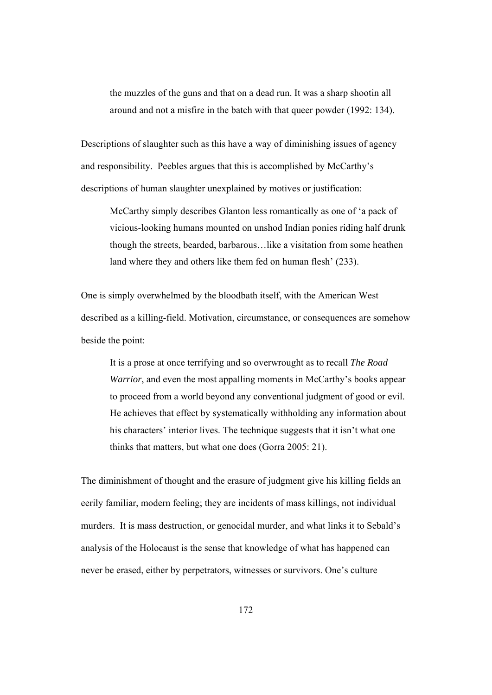the muzzles of the guns and that on a dead run. It was a sharp shootin all around and not a misfire in the batch with that queer powder (1992: 134).

Descriptions of slaughter such as this have a way of diminishing issues of agency and responsibility. Peebles argues that this is accomplished by McCarthy's descriptions of human slaughter unexplained by motives or justification:

McCarthy simply describes Glanton less romantically as one of 'a pack of vicious-looking humans mounted on unshod Indian ponies riding half drunk though the streets, bearded, barbarous…like a visitation from some heathen land where they and others like them fed on human flesh' (233).

One is simply overwhelmed by the bloodbath itself, with the American West described as a killing-field. Motivation, circumstance, or consequences are somehow beside the point:

It is a prose at once terrifying and so overwrought as to recall *The Road Warrior*, and even the most appalling moments in McCarthy's books appear to proceed from a world beyond any conventional judgment of good or evil. He achieves that effect by systematically withholding any information about his characters' interior lives. The technique suggests that it isn't what one thinks that matters, but what one does (Gorra 2005: 21).

The diminishment of thought and the erasure of judgment give his killing fields an eerily familiar, modern feeling; they are incidents of mass killings, not individual murders. It is mass destruction, or genocidal murder, and what links it to Sebald's analysis of the Holocaust is the sense that knowledge of what has happened can never be erased, either by perpetrators, witnesses or survivors. One's culture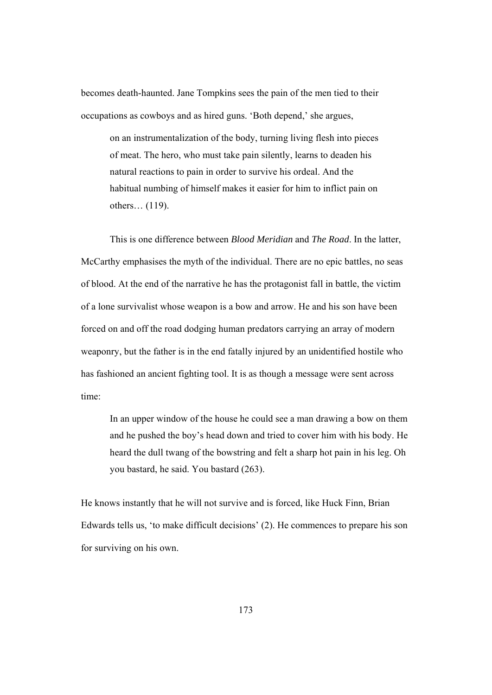becomes death-haunted. Jane Tompkins sees the pain of the men tied to their occupations as cowboys and as hired guns. 'Both depend,' she argues,

on an instrumentalization of the body, turning living flesh into pieces of meat. The hero, who must take pain silently, learns to deaden his natural reactions to pain in order to survive his ordeal. And the habitual numbing of himself makes it easier for him to inflict pain on others… (119).

 This is one difference between *Blood Meridian* and *The Road*. In the latter, McCarthy emphasises the myth of the individual. There are no epic battles, no seas of blood. At the end of the narrative he has the protagonist fall in battle, the victim of a lone survivalist whose weapon is a bow and arrow. He and his son have been forced on and off the road dodging human predators carrying an array of modern weaponry, but the father is in the end fatally injured by an unidentified hostile who has fashioned an ancient fighting tool. It is as though a message were sent across time:

In an upper window of the house he could see a man drawing a bow on them and he pushed the boy's head down and tried to cover him with his body. He heard the dull twang of the bowstring and felt a sharp hot pain in his leg. Oh you bastard, he said. You bastard (263).

He knows instantly that he will not survive and is forced, like Huck Finn, Brian Edwards tells us, 'to make difficult decisions' (2). He commences to prepare his son for surviving on his own.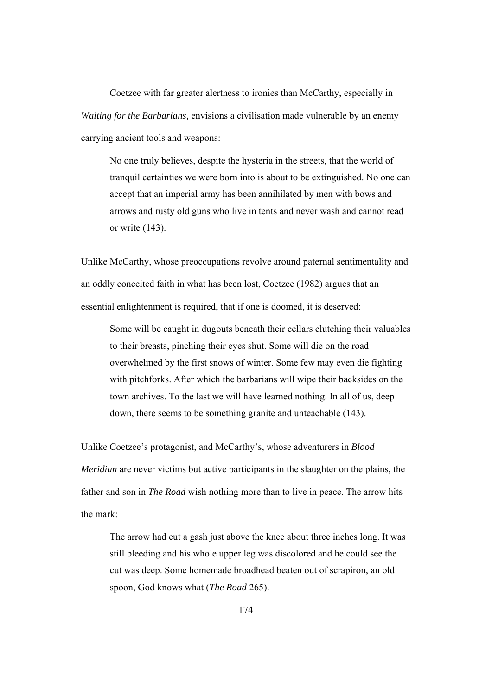Coetzee with far greater alertness to ironies than McCarthy, especially in *Waiting for the Barbarians,* envisions a civilisation made vulnerable by an enemy carrying ancient tools and weapons:

No one truly believes, despite the hysteria in the streets, that the world of tranquil certainties we were born into is about to be extinguished. No one can accept that an imperial army has been annihilated by men with bows and arrows and rusty old guns who live in tents and never wash and cannot read or write (143).

Unlike McCarthy, whose preoccupations revolve around paternal sentimentality and an oddly conceited faith in what has been lost, Coetzee (1982) argues that an essential enlightenment is required, that if one is doomed, it is deserved:

Some will be caught in dugouts beneath their cellars clutching their valuables to their breasts, pinching their eyes shut. Some will die on the road overwhelmed by the first snows of winter. Some few may even die fighting with pitchforks. After which the barbarians will wipe their backsides on the town archives. To the last we will have learned nothing. In all of us, deep down, there seems to be something granite and unteachable (143).

Unlike Coetzee's protagonist, and McCarthy's, whose adventurers in *Blood Meridian* are never victims but active participants in the slaughter on the plains, the father and son in *The Road* wish nothing more than to live in peace. The arrow hits the mark:

The arrow had cut a gash just above the knee about three inches long. It was still bleeding and his whole upper leg was discolored and he could see the cut was deep. Some homemade broadhead beaten out of scrapiron, an old spoon, God knows what (*The Road* 265).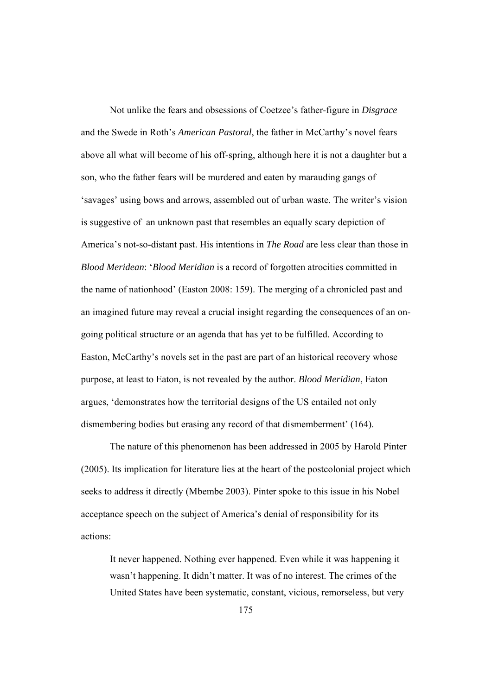Not unlike the fears and obsessions of Coetzee's father-figure in *Disgrace*  and the Swede in Roth's *American Pastoral*, the father in McCarthy's novel fears above all what will become of his off-spring, although here it is not a daughter but a son, who the father fears will be murdered and eaten by marauding gangs of 'savages' using bows and arrows, assembled out of urban waste. The writer's vision is suggestive of an unknown past that resembles an equally scary depiction of America's not-so-distant past. His intentions in *The Road* are less clear than those in *Blood Meridean*: '*Blood Meridian* is a record of forgotten atrocities committed in the name of nationhood' (Easton 2008: 159). The merging of a chronicled past and an imagined future may reveal a crucial insight regarding the consequences of an ongoing political structure or an agenda that has yet to be fulfilled. According to Easton, McCarthy's novels set in the past are part of an historical recovery whose purpose, at least to Eaton, is not revealed by the author. *Blood Meridian*, Eaton argues, 'demonstrates how the territorial designs of the US entailed not only dismembering bodies but erasing any record of that dismemberment' (164).

The nature of this phenomenon has been addressed in 2005 by Harold Pinter (2005). Its implication for literature lies at the heart of the postcolonial project which seeks to address it directly (Mbembe 2003). Pinter spoke to this issue in his Nobel acceptance speech on the subject of America's denial of responsibility for its actions:

It never happened. Nothing ever happened. Even while it was happening it wasn't happening. It didn't matter. It was of no interest. The crimes of the United States have been systematic, constant, vicious, remorseless, but very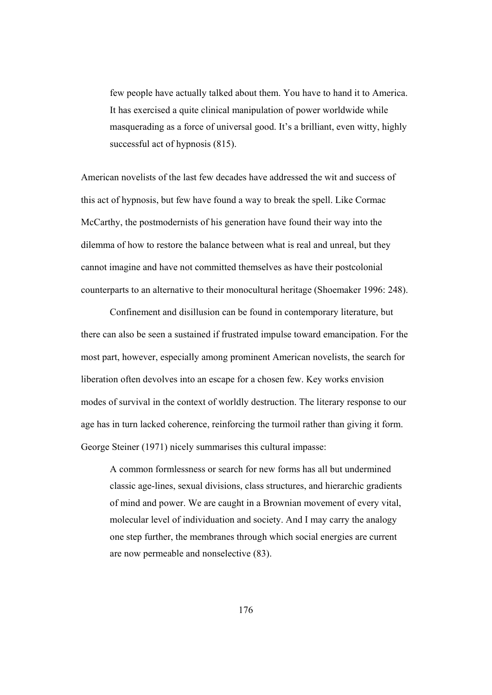few people have actually talked about them. You have to hand it to America. It has exercised a quite clinical manipulation of power worldwide while masquerading as a force of universal good. It's a brilliant, even witty, highly successful act of hypnosis (815).

American novelists of the last few decades have addressed the wit and success of this act of hypnosis, but few have found a way to break the spell. Like Cormac McCarthy, the postmodernists of his generation have found their way into the dilemma of how to restore the balance between what is real and unreal, but they cannot imagine and have not committed themselves as have their postcolonial counterparts to an alternative to their monocultural heritage (Shoemaker 1996: 248).

Confinement and disillusion can be found in contemporary literature, but there can also be seen a sustained if frustrated impulse toward emancipation. For the most part, however, especially among prominent American novelists, the search for liberation often devolves into an escape for a chosen few. Key works envision modes of survival in the context of worldly destruction. The literary response to our age has in turn lacked coherence, reinforcing the turmoil rather than giving it form. George Steiner (1971) nicely summarises this cultural impasse:

A common formlessness or search for new forms has all but undermined classic age-lines, sexual divisions, class structures, and hierarchic gradients of mind and power. We are caught in a Brownian movement of every vital, molecular level of individuation and society. And I may carry the analogy one step further, the membranes through which social energies are current are now permeable and nonselective (83).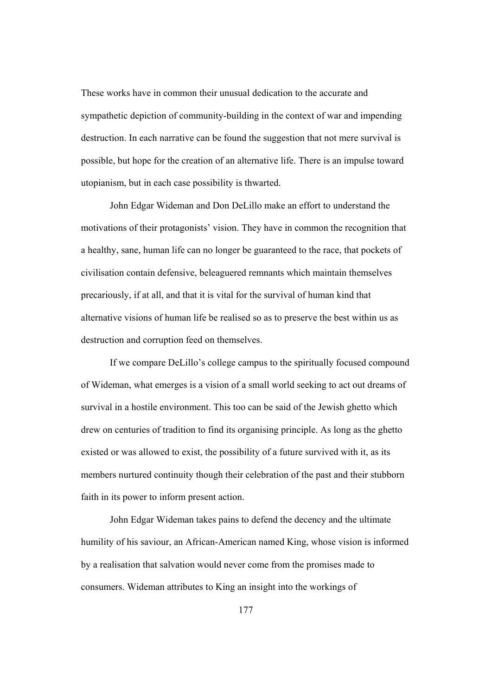These works have in common their unusual dedication to the accurate and sympathetic depiction of community-building in the context of war and impending destruction. In each narrative can be found the suggestion that not mere survival is possible, but hope for the creation of an alternative life. There is an impulse toward utopianism, but in each case possibility is thwarted.

John Edgar Wideman and Don DeLillo make an effort to understand the motivations of their protagonists' vision. They have in common the recognition that a healthy, sane, human life can no longer be guaranteed to the race, that pockets of civilisation contain defensive, beleaguered remnants which maintain themselves precariously, if at all, and that it is vital for the survival of human kind that alternative visions of human life be realised so as to preserve the best within us as destruction and corruption feed on themselves.

If we compare DeLillo's college campus to the spiritually focused compound of Wideman, what emerges is a vision of a small world seeking to act out dreams of survival in a hostile environment. This too can be said of the Jewish ghetto which drew on centuries of tradition to find its organising principle. As long as the ghetto existed or was allowed to exist, the possibility of a future survived with it, as its members nurtured continuity though their celebration of the past and their stubborn faith in its power to inform present action.

John Edgar Wideman takes pains to defend the decency and the ultimate humility of his saviour, an African-American named King, whose vision is informed by a realisation that salvation would never come from the promises made to consumers. Wideman attributes to King an insight into the workings of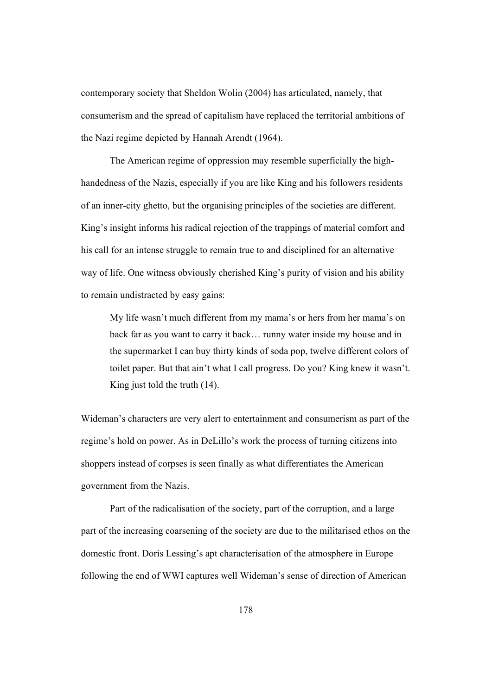contemporary society that Sheldon Wolin (2004) has articulated, namely, that consumerism and the spread of capitalism have replaced the territorial ambitions of the Nazi regime depicted by Hannah Arendt (1964).

The American regime of oppression may resemble superficially the highhandedness of the Nazis, especially if you are like King and his followers residents of an inner-city ghetto, but the organising principles of the societies are different. King's insight informs his radical rejection of the trappings of material comfort and his call for an intense struggle to remain true to and disciplined for an alternative way of life. One witness obviously cherished King's purity of vision and his ability to remain undistracted by easy gains:

My life wasn't much different from my mama's or hers from her mama's on back far as you want to carry it back… runny water inside my house and in the supermarket I can buy thirty kinds of soda pop, twelve different colors of toilet paper. But that ain't what I call progress. Do you? King knew it wasn't. King just told the truth (14).

Wideman's characters are very alert to entertainment and consumerism as part of the regime's hold on power. As in DeLillo's work the process of turning citizens into shoppers instead of corpses is seen finally as what differentiates the American government from the Nazis.

Part of the radicalisation of the society, part of the corruption, and a large part of the increasing coarsening of the society are due to the militarised ethos on the domestic front. Doris Lessing's apt characterisation of the atmosphere in Europe following the end of WWI captures well Wideman's sense of direction of American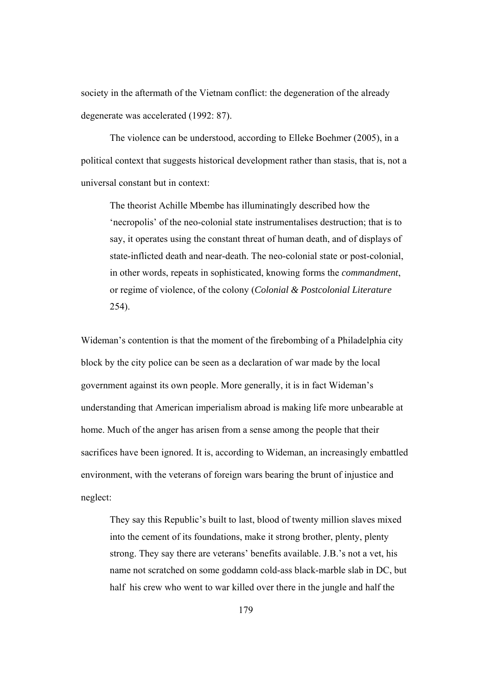society in the aftermath of the Vietnam conflict: the degeneration of the already degenerate was accelerated (1992: 87).

The violence can be understood, according to Elleke Boehmer (2005), in a political context that suggests historical development rather than stasis, that is, not a universal constant but in context:

The theorist Achille Mbembe has illuminatingly described how the 'necropolis' of the neo-colonial state instrumentalises destruction; that is to say, it operates using the constant threat of human death, and of displays of state-inflicted death and near-death. The neo-colonial state or post-colonial, in other words, repeats in sophisticated, knowing forms the *commandment*, or regime of violence, of the colony (*Colonial & Postcolonial Literature*  254).

Wideman's contention is that the moment of the firebombing of a Philadelphia city block by the city police can be seen as a declaration of war made by the local government against its own people. More generally, it is in fact Wideman's understanding that American imperialism abroad is making life more unbearable at home. Much of the anger has arisen from a sense among the people that their sacrifices have been ignored. It is, according to Wideman, an increasingly embattled environment, with the veterans of foreign wars bearing the brunt of injustice and neglect:

They say this Republic's built to last, blood of twenty million slaves mixed into the cement of its foundations, make it strong brother, plenty, plenty strong. They say there are veterans' benefits available. J.B.'s not a vet, his name not scratched on some goddamn cold-ass black-marble slab in DC, but half his crew who went to war killed over there in the jungle and half the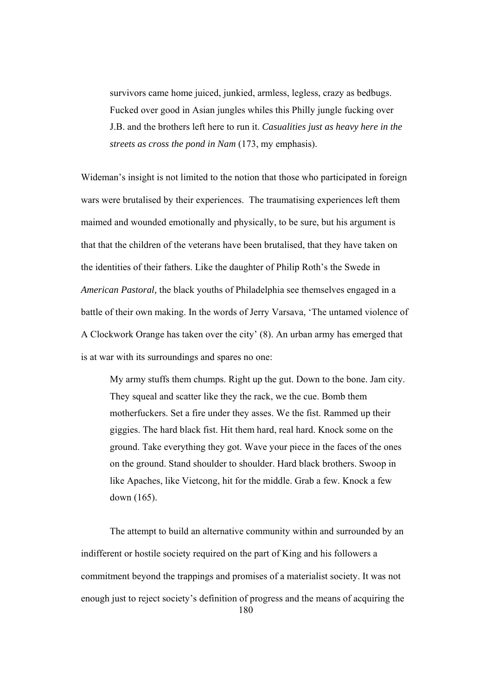survivors came home juiced, junkied, armless, legless, crazy as bedbugs. Fucked over good in Asian jungles whiles this Philly jungle fucking over J.B. and the brothers left here to run it. *Casualities just as heavy here in the streets as cross the pond in Nam* (173, my emphasis).

Wideman's insight is not limited to the notion that those who participated in foreign wars were brutalised by their experiences. The traumatising experiences left them maimed and wounded emotionally and physically, to be sure, but his argument is that that the children of the veterans have been brutalised, that they have taken on the identities of their fathers. Like the daughter of Philip Roth's the Swede in *American Pastoral,* the black youths of Philadelphia see themselves engaged in a battle of their own making. In the words of Jerry Varsava, 'The untamed violence of A Clockwork Orange has taken over the city' (8). An urban army has emerged that is at war with its surroundings and spares no one:

My army stuffs them chumps. Right up the gut. Down to the bone. Jam city. They squeal and scatter like they the rack, we the cue. Bomb them motherfuckers. Set a fire under they asses. We the fist. Rammed up their giggies. The hard black fist. Hit them hard, real hard. Knock some on the ground. Take everything they got. Wave your piece in the faces of the ones on the ground. Stand shoulder to shoulder. Hard black brothers. Swoop in like Apaches, like Vietcong, hit for the middle. Grab a few. Knock a few down (165).

180 The attempt to build an alternative community within and surrounded by an indifferent or hostile society required on the part of King and his followers a commitment beyond the trappings and promises of a materialist society. It was not enough just to reject society's definition of progress and the means of acquiring the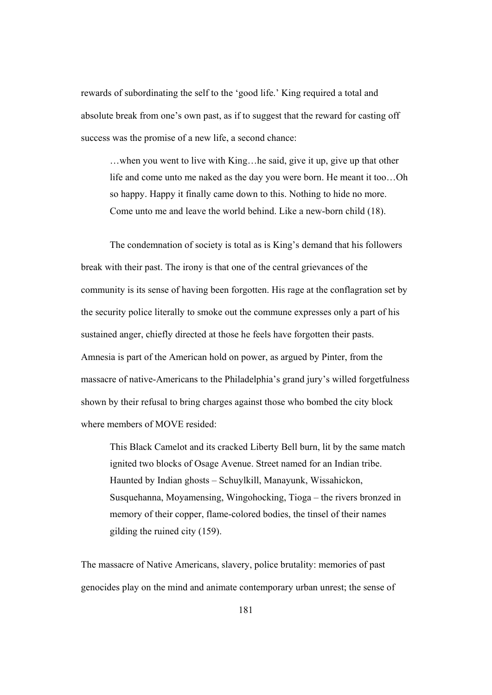rewards of subordinating the self to the 'good life.' King required a total and absolute break from one's own past, as if to suggest that the reward for casting off success was the promise of a new life, a second chance:

…when you went to live with King…he said, give it up, give up that other life and come unto me naked as the day you were born. He meant it too…Oh so happy. Happy it finally came down to this. Nothing to hide no more. Come unto me and leave the world behind. Like a new-born child (18).

 The condemnation of society is total as is King's demand that his followers break with their past. The irony is that one of the central grievances of the community is its sense of having been forgotten. His rage at the conflagration set by the security police literally to smoke out the commune expresses only a part of his sustained anger, chiefly directed at those he feels have forgotten their pasts. Amnesia is part of the American hold on power, as argued by Pinter, from the massacre of native-Americans to the Philadelphia's grand jury's willed forgetfulness shown by their refusal to bring charges against those who bombed the city block where members of MOVE resided:

This Black Camelot and its cracked Liberty Bell burn, lit by the same match ignited two blocks of Osage Avenue. Street named for an Indian tribe. Haunted by Indian ghosts – Schuylkill, Manayunk, Wissahickon, Susquehanna, Moyamensing, Wingohocking, Tioga – the rivers bronzed in memory of their copper, flame-colored bodies, the tinsel of their names gilding the ruined city (159).

The massacre of Native Americans, slavery, police brutality: memories of past genocides play on the mind and animate contemporary urban unrest; the sense of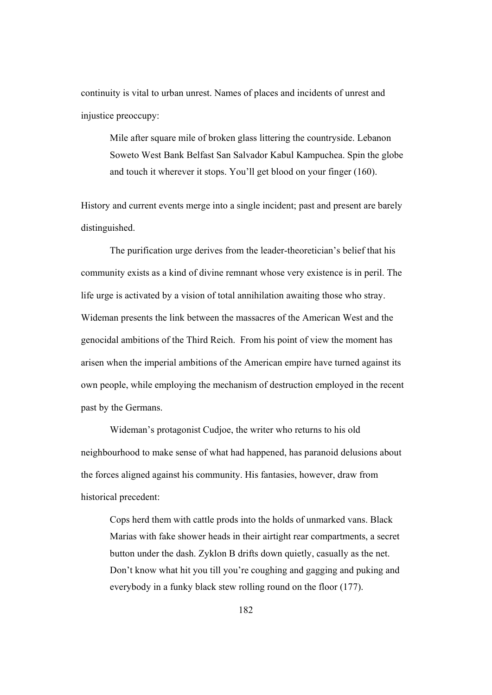continuity is vital to urban unrest. Names of places and incidents of unrest and injustice preoccupy:

Mile after square mile of broken glass littering the countryside. Lebanon Soweto West Bank Belfast San Salvador Kabul Kampuchea. Spin the globe and touch it wherever it stops. You'll get blood on your finger (160).

History and current events merge into a single incident; past and present are barely distinguished.

The purification urge derives from the leader-theoretician's belief that his community exists as a kind of divine remnant whose very existence is in peril. The life urge is activated by a vision of total annihilation awaiting those who stray. Wideman presents the link between the massacres of the American West and the genocidal ambitions of the Third Reich. From his point of view the moment has arisen when the imperial ambitions of the American empire have turned against its own people, while employing the mechanism of destruction employed in the recent past by the Germans.

Wideman's protagonist Cudjoe, the writer who returns to his old neighbourhood to make sense of what had happened, has paranoid delusions about the forces aligned against his community. His fantasies, however, draw from historical precedent:

Cops herd them with cattle prods into the holds of unmarked vans. Black Marias with fake shower heads in their airtight rear compartments, a secret button under the dash. Zyklon B drifts down quietly, casually as the net. Don't know what hit you till you're coughing and gagging and puking and everybody in a funky black stew rolling round on the floor (177).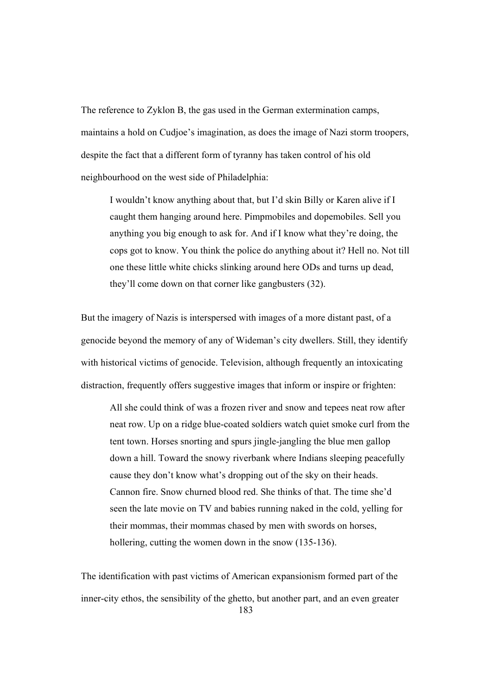The reference to Zyklon B, the gas used in the German extermination camps, maintains a hold on Cudjoe's imagination, as does the image of Nazi storm troopers, despite the fact that a different form of tyranny has taken control of his old neighbourhood on the west side of Philadelphia:

I wouldn't know anything about that, but I'd skin Billy or Karen alive if I caught them hanging around here. Pimpmobiles and dopemobiles. Sell you anything you big enough to ask for. And if I know what they're doing, the cops got to know. You think the police do anything about it? Hell no. Not till one these little white chicks slinking around here ODs and turns up dead, they'll come down on that corner like gangbusters (32).

But the imagery of Nazis is interspersed with images of a more distant past, of a genocide beyond the memory of any of Wideman's city dwellers. Still, they identify with historical victims of genocide. Television, although frequently an intoxicating distraction, frequently offers suggestive images that inform or inspire or frighten:

All she could think of was a frozen river and snow and tepees neat row after neat row. Up on a ridge blue-coated soldiers watch quiet smoke curl from the tent town. Horses snorting and spurs jingle-jangling the blue men gallop down a hill. Toward the snowy riverbank where Indians sleeping peacefully cause they don't know what's dropping out of the sky on their heads. Cannon fire. Snow churned blood red. She thinks of that. The time she'd seen the late movie on TV and babies running naked in the cold, yelling for their mommas, their mommas chased by men with swords on horses, hollering, cutting the women down in the snow (135-136).

183 The identification with past victims of American expansionism formed part of the inner-city ethos, the sensibility of the ghetto, but another part, and an even greater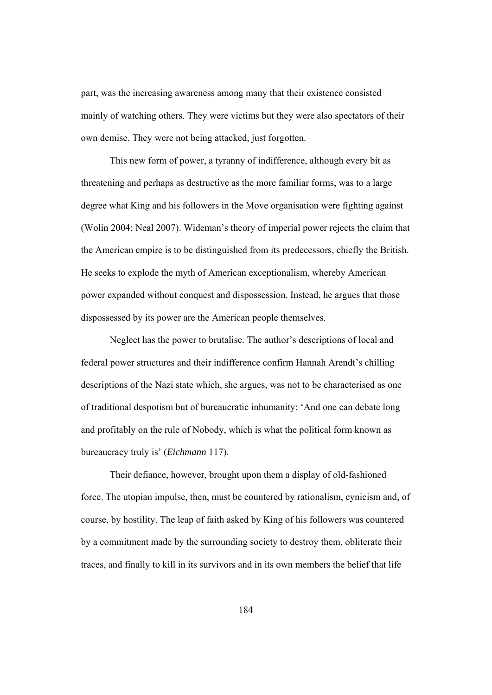part, was the increasing awareness among many that their existence consisted mainly of watching others. They were victims but they were also spectators of their own demise. They were not being attacked, just forgotten.

This new form of power, a tyranny of indifference, although every bit as threatening and perhaps as destructive as the more familiar forms, was to a large degree what King and his followers in the Move organisation were fighting against (Wolin 2004; Neal 2007). Wideman's theory of imperial power rejects the claim that the American empire is to be distinguished from its predecessors, chiefly the British. He seeks to explode the myth of American exceptionalism, whereby American power expanded without conquest and dispossession. Instead, he argues that those dispossessed by its power are the American people themselves.

Neglect has the power to brutalise. The author's descriptions of local and federal power structures and their indifference confirm Hannah Arendt's chilling descriptions of the Nazi state which, she argues, was not to be characterised as one of traditional despotism but of bureaucratic inhumanity: 'And one can debate long and profitably on the rule of Nobody, which is what the political form known as bureaucracy truly is' (*Eichmann* 117).

Their defiance, however, brought upon them a display of old-fashioned force. The utopian impulse, then, must be countered by rationalism, cynicism and, of course, by hostility. The leap of faith asked by King of his followers was countered by a commitment made by the surrounding society to destroy them, obliterate their traces, and finally to kill in its survivors and in its own members the belief that life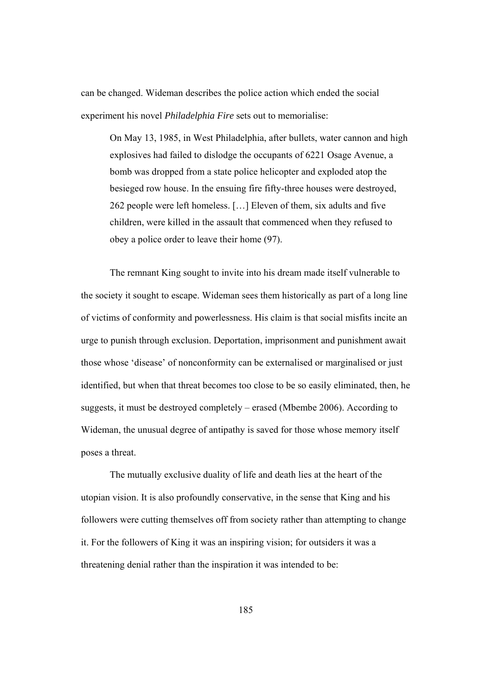can be changed. Wideman describes the police action which ended the social experiment his novel *Philadelphia Fire* sets out to memorialise:

On May 13, 1985, in West Philadelphia, after bullets, water cannon and high explosives had failed to dislodge the occupants of 6221 Osage Avenue, a bomb was dropped from a state police helicopter and exploded atop the besieged row house. In the ensuing fire fifty-three houses were destroyed, 262 people were left homeless. […] Eleven of them, six adults and five children, were killed in the assault that commenced when they refused to obey a police order to leave their home (97).

The remnant King sought to invite into his dream made itself vulnerable to the society it sought to escape. Wideman sees them historically as part of a long line of victims of conformity and powerlessness. His claim is that social misfits incite an urge to punish through exclusion. Deportation, imprisonment and punishment await those whose 'disease' of nonconformity can be externalised or marginalised or just identified, but when that threat becomes too close to be so easily eliminated, then, he suggests, it must be destroyed completely – erased (Mbembe 2006). According to Wideman, the unusual degree of antipathy is saved for those whose memory itself poses a threat.

 The mutually exclusive duality of life and death lies at the heart of the utopian vision. It is also profoundly conservative, in the sense that King and his followers were cutting themselves off from society rather than attempting to change it. For the followers of King it was an inspiring vision; for outsiders it was a threatening denial rather than the inspiration it was intended to be: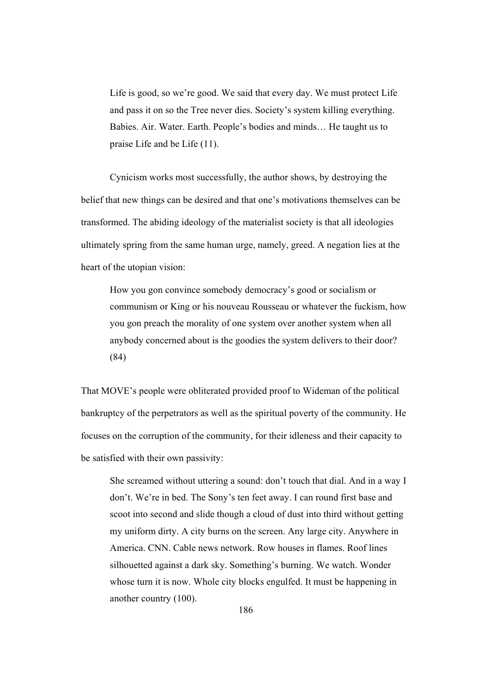Life is good, so we're good. We said that every day. We must protect Life and pass it on so the Tree never dies. Society's system killing everything. Babies. Air. Water. Earth. People's bodies and minds… He taught us to praise Life and be Life (11).

Cynicism works most successfully, the author shows, by destroying the belief that new things can be desired and that one's motivations themselves can be transformed. The abiding ideology of the materialist society is that all ideologies ultimately spring from the same human urge, namely, greed. A negation lies at the heart of the utopian vision:

How you gon convince somebody democracy's good or socialism or communism or King or his nouveau Rousseau or whatever the fuckism, how you gon preach the morality of one system over another system when all anybody concerned about is the goodies the system delivers to their door? (84)

That MOVE's people were obliterated provided proof to Wideman of the political bankruptcy of the perpetrators as well as the spiritual poverty of the community. He focuses on the corruption of the community, for their idleness and their capacity to be satisfied with their own passivity:

She screamed without uttering a sound: don't touch that dial. And in a way I don't. We're in bed. The Sony's ten feet away. I can round first base and scoot into second and slide though a cloud of dust into third without getting my uniform dirty. A city burns on the screen. Any large city. Anywhere in America. CNN. Cable news network. Row houses in flames. Roof lines silhouetted against a dark sky. Something's burning. We watch. Wonder whose turn it is now. Whole city blocks engulfed. It must be happening in another country (100).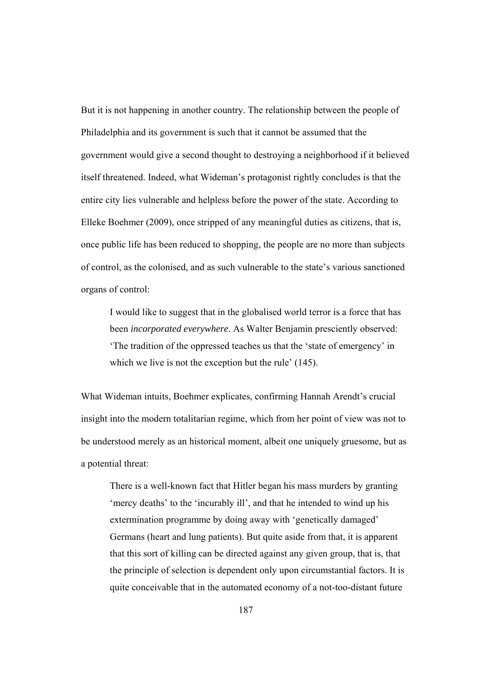But it is not happening in another country. The relationship between the people of Philadelphia and its government is such that it cannot be assumed that the government would give a second thought to destroying a neighborhood if it believed itself threatened. Indeed, what Wideman's protagonist rightly concludes is that the entire city lies vulnerable and helpless before the power of the state. According to Elleke Boehmer (2009), once stripped of any meaningful duties as citizens, that is, once public life has been reduced to shopping, the people are no more than subjects of control, as the colonised, and as such vulnerable to the state's various sanctioned organs of control:

I would like to suggest that in the globalised world terror is a force that has been *incorporated everywhere*. As Walter Benjamin presciently observed: 'The tradition of the oppressed teaches us that the 'state of emergency' in which we live is not the exception but the rule' (145).

What Wideman intuits, Boehmer explicates, confirming Hannah Arendt's crucial insight into the modern totalitarian regime, which from her point of view was not to be understood merely as an historical moment, albeit one uniquely gruesome, but as a potential threat:

There is a well-known fact that Hitler began his mass murders by granting 'mercy deaths' to the 'incurably ill', and that he intended to wind up his extermination programme by doing away with 'genetically damaged' Germans (heart and lung patients). But quite aside from that, it is apparent that this sort of killing can be directed against any given group, that is, that the principle of selection is dependent only upon circumstantial factors. It is quite conceivable that in the automated economy of a not-too-distant future

187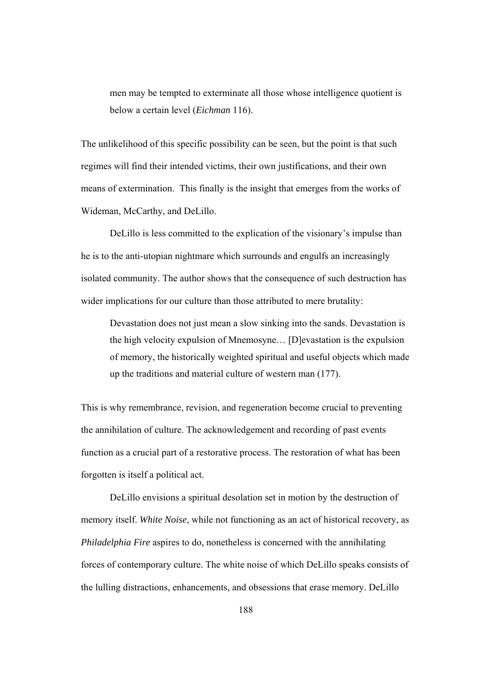men may be tempted to exterminate all those whose intelligence quotient is below a certain level (*Eichman* 116).

The unlikelihood of this specific possibility can be seen, but the point is that such regimes will find their intended victims, their own justifications, and their own means of extermination. This finally is the insight that emerges from the works of Wideman, McCarthy, and DeLillo.

DeLillo is less committed to the explication of the visionary's impulse than he is to the anti-utopian nightmare which surrounds and engulfs an increasingly isolated community. The author shows that the consequence of such destruction has wider implications for our culture than those attributed to mere brutality:

Devastation does not just mean a slow sinking into the sands. Devastation is the high velocity expulsion of Mnemosyne… [D]evastation is the expulsion of memory, the historically weighted spiritual and useful objects which made up the traditions and material culture of western man (177).

This is why remembrance, revision, and regeneration become crucial to preventing the annihilation of culture. The acknowledgement and recording of past events function as a crucial part of a restorative process. The restoration of what has been forgotten is itself a political act.

DeLillo envisions a spiritual desolation set in motion by the destruction of memory itself. *White Noise*, while not functioning as an act of historical recovery, as *Philadelphia Fire* aspires to do*,* nonetheless is concerned with the annihilating forces of contemporary culture. The white noise of which DeLillo speaks consists of the lulling distractions, enhancements, and obsessions that erase memory. DeLillo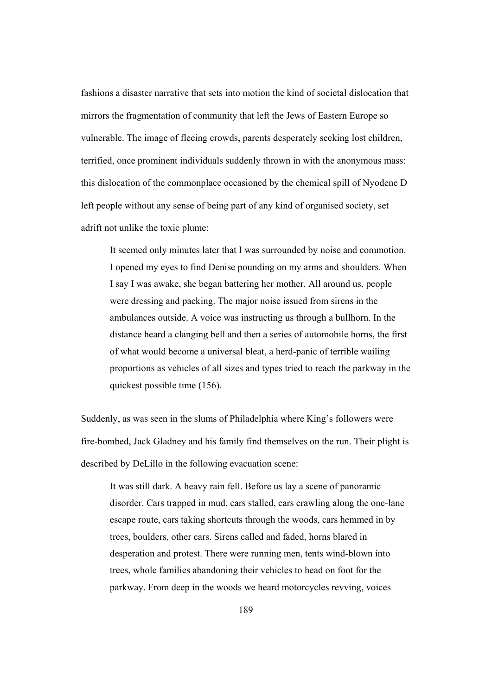fashions a disaster narrative that sets into motion the kind of societal dislocation that mirrors the fragmentation of community that left the Jews of Eastern Europe so vulnerable. The image of fleeing crowds, parents desperately seeking lost children, terrified, once prominent individuals suddenly thrown in with the anonymous mass: this dislocation of the commonplace occasioned by the chemical spill of Nyodene D left people without any sense of being part of any kind of organised society, set adrift not unlike the toxic plume:

It seemed only minutes later that I was surrounded by noise and commotion. I opened my eyes to find Denise pounding on my arms and shoulders. When I say I was awake, she began battering her mother. All around us, people were dressing and packing. The major noise issued from sirens in the ambulances outside. A voice was instructing us through a bullhorn. In the distance heard a clanging bell and then a series of automobile horns, the first of what would become a universal bleat, a herd-panic of terrible wailing proportions as vehicles of all sizes and types tried to reach the parkway in the quickest possible time (156).

Suddenly, as was seen in the slums of Philadelphia where King's followers were fire-bombed, Jack Gladney and his family find themselves on the run. Their plight is described by DeLillo in the following evacuation scene:

It was still dark. A heavy rain fell. Before us lay a scene of panoramic disorder. Cars trapped in mud, cars stalled, cars crawling along the one-lane escape route, cars taking shortcuts through the woods, cars hemmed in by trees, boulders, other cars. Sirens called and faded, horns blared in desperation and protest. There were running men, tents wind-blown into trees, whole families abandoning their vehicles to head on foot for the parkway. From deep in the woods we heard motorcycles revving, voices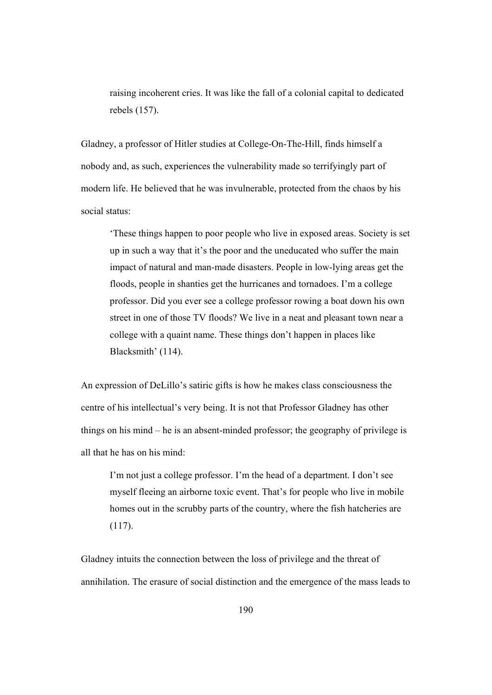raising incoherent cries. It was like the fall of a colonial capital to dedicated rebels (157).

Gladney, a professor of Hitler studies at College-On-The-Hill, finds himself a nobody and, as such, experiences the vulnerability made so terrifyingly part of modern life. He believed that he was invulnerable, protected from the chaos by his social status:

'These things happen to poor people who live in exposed areas. Society is set up in such a way that it's the poor and the uneducated who suffer the main impact of natural and man-made disasters. People in low-lying areas get the floods, people in shanties get the hurricanes and tornadoes. I'm a college professor. Did you ever see a college professor rowing a boat down his own street in one of those TV floods? We live in a neat and pleasant town near a college with a quaint name. These things don't happen in places like Blacksmith' (114).

An expression of DeLillo's satiric gifts is how he makes class consciousness the centre of his intellectual's very being. It is not that Professor Gladney has other things on his mind – he is an absent-minded professor; the geography of privilege is all that he has on his mind:

I'm not just a college professor. I'm the head of a department. I don't see myself fleeing an airborne toxic event. That's for people who live in mobile homes out in the scrubby parts of the country, where the fish hatcheries are (117).

Gladney intuits the connection between the loss of privilege and the threat of annihilation. The erasure of social distinction and the emergence of the mass leads to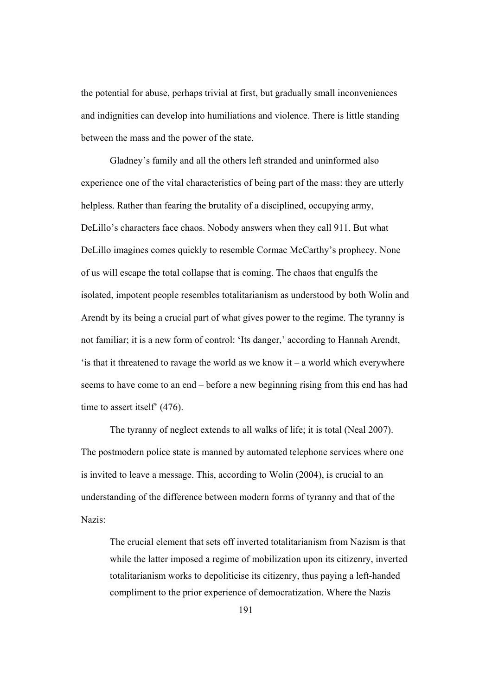the potential for abuse, perhaps trivial at first, but gradually small inconveniences and indignities can develop into humiliations and violence. There is little standing between the mass and the power of the state.

Gladney's family and all the others left stranded and uninformed also experience one of the vital characteristics of being part of the mass: they are utterly helpless. Rather than fearing the brutality of a disciplined, occupying army, DeLillo's characters face chaos. Nobody answers when they call 911. But what DeLillo imagines comes quickly to resemble Cormac McCarthy's prophecy. None of us will escape the total collapse that is coming. The chaos that engulfs the isolated, impotent people resembles totalitarianism as understood by both Wolin and Arendt by its being a crucial part of what gives power to the regime. The tyranny is not familiar; it is a new form of control: 'Its danger,' according to Hannah Arendt, 'is that it threatened to ravage the world as we know it – a world which everywhere seems to have come to an end – before a new beginning rising from this end has had time to assert itself' (476).

The tyranny of neglect extends to all walks of life; it is total (Neal 2007). The postmodern police state is manned by automated telephone services where one is invited to leave a message. This, according to Wolin (2004), is crucial to an understanding of the difference between modern forms of tyranny and that of the Nazis:

The crucial element that sets off inverted totalitarianism from Nazism is that while the latter imposed a regime of mobilization upon its citizenry, inverted totalitarianism works to depoliticise its citizenry, thus paying a left-handed compliment to the prior experience of democratization. Where the Nazis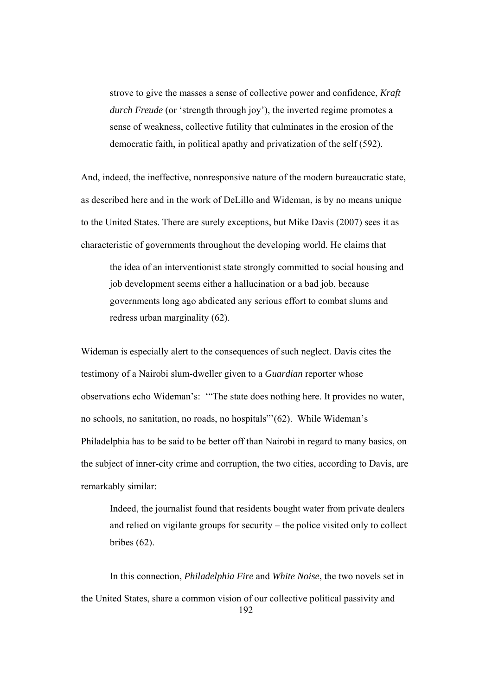strove to give the masses a sense of collective power and confidence, *Kraft durch Freude* (or 'strength through joy'), the inverted regime promotes a sense of weakness, collective futility that culminates in the erosion of the democratic faith, in political apathy and privatization of the self (592).

And, indeed, the ineffective, nonresponsive nature of the modern bureaucratic state, as described here and in the work of DeLillo and Wideman, is by no means unique to the United States. There are surely exceptions, but Mike Davis (2007) sees it as characteristic of governments throughout the developing world. He claims that

the idea of an interventionist state strongly committed to social housing and job development seems either a hallucination or a bad job, because governments long ago abdicated any serious effort to combat slums and redress urban marginality (62).

Wideman is especially alert to the consequences of such neglect. Davis cites the testimony of a Nairobi slum-dweller given to a *Guardian* reporter whose observations echo Wideman's: '"The state does nothing here. It provides no water, no schools, no sanitation, no roads, no hospitals"'(62). While Wideman's Philadelphia has to be said to be better off than Nairobi in regard to many basics, on the subject of inner-city crime and corruption, the two cities, according to Davis, are remarkably similar:

Indeed, the journalist found that residents bought water from private dealers and relied on vigilante groups for security – the police visited only to collect bribes (62).

192 In this connection, *Philadelphia Fire* and *White Noise*, the two novels set in the United States, share a common vision of our collective political passivity and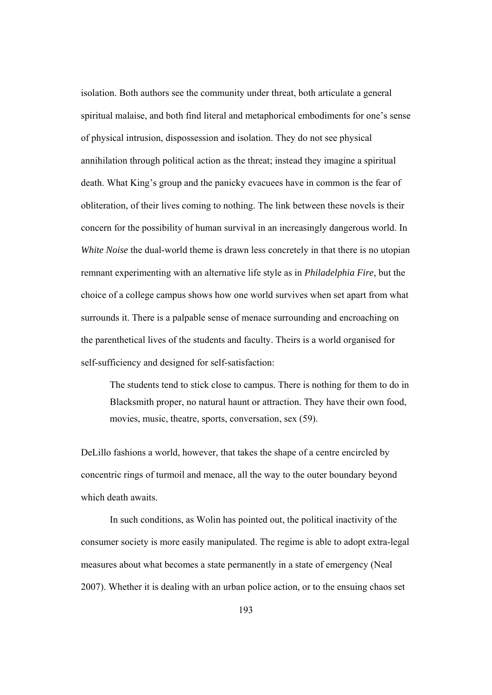isolation. Both authors see the community under threat, both articulate a general spiritual malaise, and both find literal and metaphorical embodiments for one's sense of physical intrusion, dispossession and isolation. They do not see physical annihilation through political action as the threat; instead they imagine a spiritual death. What King's group and the panicky evacuees have in common is the fear of obliteration, of their lives coming to nothing. The link between these novels is their concern for the possibility of human survival in an increasingly dangerous world. In *White Noise* the dual-world theme is drawn less concretely in that there is no utopian remnant experimenting with an alternative life style as in *Philadelphia Fire*, but the choice of a college campus shows how one world survives when set apart from what surrounds it. There is a palpable sense of menace surrounding and encroaching on the parenthetical lives of the students and faculty. Theirs is a world organised for self-sufficiency and designed for self-satisfaction:

The students tend to stick close to campus. There is nothing for them to do in Blacksmith proper, no natural haunt or attraction. They have their own food, movies, music, theatre, sports, conversation, sex (59).

DeLillo fashions a world, however, that takes the shape of a centre encircled by concentric rings of turmoil and menace, all the way to the outer boundary beyond which death awaits.

In such conditions, as Wolin has pointed out, the political inactivity of the consumer society is more easily manipulated. The regime is able to adopt extra-legal measures about what becomes a state permanently in a state of emergency (Neal 2007). Whether it is dealing with an urban police action, or to the ensuing chaos set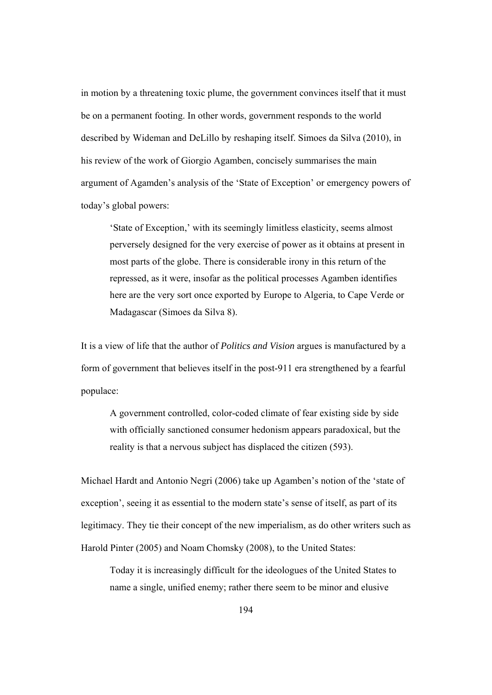in motion by a threatening toxic plume, the government convinces itself that it must be on a permanent footing. In other words, government responds to the world described by Wideman and DeLillo by reshaping itself. Simoes da Silva (2010), in his review of the work of Giorgio Agamben, concisely summarises the main argument of Agamden's analysis of the 'State of Exception' or emergency powers of today's global powers:

'State of Exception,' with its seemingly limitless elasticity, seems almost perversely designed for the very exercise of power as it obtains at present in most parts of the globe. There is considerable irony in this return of the repressed, as it were, insofar as the political processes Agamben identifies here are the very sort once exported by Europe to Algeria, to Cape Verde or Madagascar (Simoes da Silva 8).

It is a view of life that the author of *Politics and Vision* argues is manufactured by a form of government that believes itself in the post-911 era strengthened by a fearful populace:

A government controlled, color-coded climate of fear existing side by side with officially sanctioned consumer hedonism appears paradoxical, but the reality is that a nervous subject has displaced the citizen (593).

Michael Hardt and Antonio Negri (2006) take up Agamben's notion of the 'state of exception', seeing it as essential to the modern state's sense of itself, as part of its legitimacy. They tie their concept of the new imperialism, as do other writers such as Harold Pinter (2005) and Noam Chomsky (2008), to the United States:

 Today it is increasingly difficult for the ideologues of the United States to name a single, unified enemy; rather there seem to be minor and elusive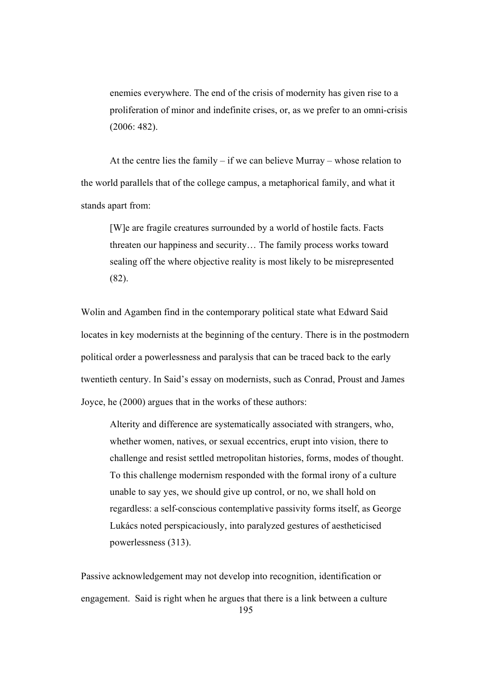enemies everywhere. The end of the crisis of modernity has given rise to a proliferation of minor and indefinite crises, or, as we prefer to an omni-crisis (2006: 482).

 At the centre lies the family – if we can believe Murray – whose relation to the world parallels that of the college campus, a metaphorical family, and what it stands apart from:

[W]e are fragile creatures surrounded by a world of hostile facts. Facts threaten our happiness and security… The family process works toward sealing off the where objective reality is most likely to be misrepresented (82).

Wolin and Agamben find in the contemporary political state what Edward Said locates in key modernists at the beginning of the century. There is in the postmodern political order a powerlessness and paralysis that can be traced back to the early twentieth century. In Said's essay on modernists, such as Conrad, Proust and James Joyce, he (2000) argues that in the works of these authors:

Alterity and difference are systematically associated with strangers, who, whether women, natives, or sexual eccentrics, erupt into vision, there to challenge and resist settled metropolitan histories, forms, modes of thought. To this challenge modernism responded with the formal irony of a culture unable to say yes, we should give up control, or no, we shall hold on regardless: a self-conscious contemplative passivity forms itself, as George Lukács noted perspicaciously, into paralyzed gestures of aestheticised powerlessness (313).

195 Passive acknowledgement may not develop into recognition, identification or engagement. Said is right when he argues that there is a link between a culture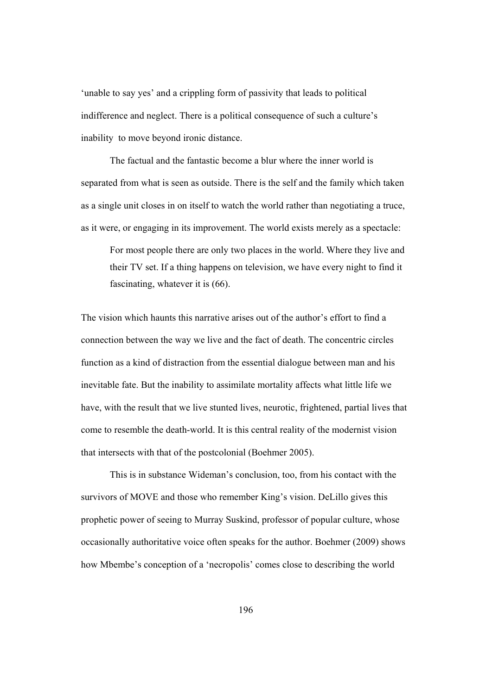'unable to say yes' and a crippling form of passivity that leads to political indifference and neglect. There is a political consequence of such a culture's inability to move beyond ironic distance.

The factual and the fantastic become a blur where the inner world is separated from what is seen as outside. There is the self and the family which taken as a single unit closes in on itself to watch the world rather than negotiating a truce, as it were, or engaging in its improvement. The world exists merely as a spectacle:

For most people there are only two places in the world. Where they live and their TV set. If a thing happens on television, we have every night to find it fascinating, whatever it is (66).

The vision which haunts this narrative arises out of the author's effort to find a connection between the way we live and the fact of death. The concentric circles function as a kind of distraction from the essential dialogue between man and his inevitable fate. But the inability to assimilate mortality affects what little life we have, with the result that we live stunted lives, neurotic, frightened, partial lives that come to resemble the death-world. It is this central reality of the modernist vision that intersects with that of the postcolonial (Boehmer 2005).

This is in substance Wideman's conclusion, too, from his contact with the survivors of MOVE and those who remember King's vision. DeLillo gives this prophetic power of seeing to Murray Suskind, professor of popular culture, whose occasionally authoritative voice often speaks for the author. Boehmer (2009) shows how Mbembe's conception of a 'necropolis' comes close to describing the world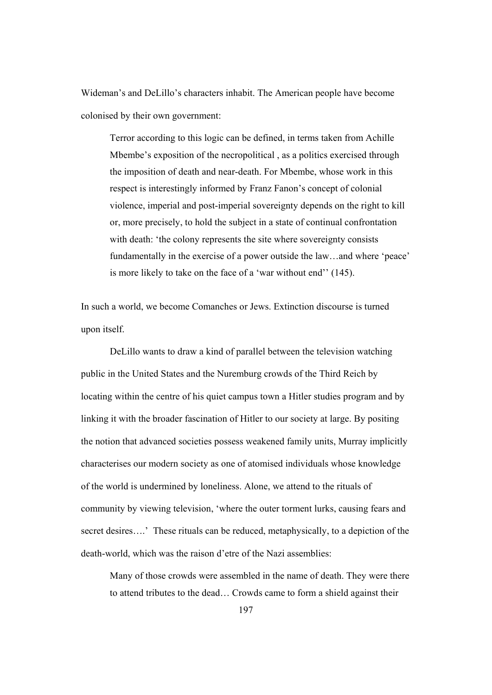Wideman's and DeLillo's characters inhabit. The American people have become colonised by their own government:

Terror according to this logic can be defined, in terms taken from Achille Mbembe's exposition of the necropolitical , as a politics exercised through the imposition of death and near-death. For Mbembe, whose work in this respect is interestingly informed by Franz Fanon's concept of colonial violence, imperial and post-imperial sovereignty depends on the right to kill or, more precisely, to hold the subject in a state of continual confrontation with death: 'the colony represents the site where sovereignty consists fundamentally in the exercise of a power outside the law…and where 'peace' is more likely to take on the face of a 'war without end'' (145).

In such a world, we become Comanches or Jews. Extinction discourse is turned upon itself.

DeLillo wants to draw a kind of parallel between the television watching public in the United States and the Nuremburg crowds of the Third Reich by locating within the centre of his quiet campus town a Hitler studies program and by linking it with the broader fascination of Hitler to our society at large. By positing the notion that advanced societies possess weakened family units, Murray implicitly characterises our modern society as one of atomised individuals whose knowledge of the world is undermined by loneliness. Alone, we attend to the rituals of community by viewing television, 'where the outer torment lurks, causing fears and secret desires....' These rituals can be reduced, metaphysically, to a depiction of the death-world, which was the raison d'etre of the Nazi assemblies:

Many of those crowds were assembled in the name of death. They were there to attend tributes to the dead… Crowds came to form a shield against their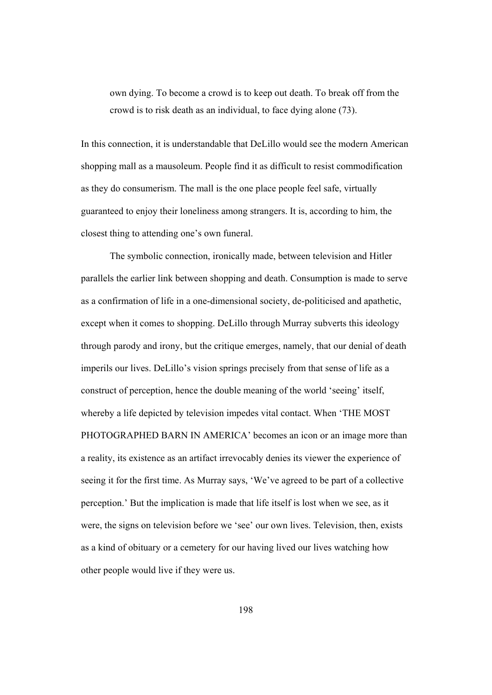own dying. To become a crowd is to keep out death. To break off from the crowd is to risk death as an individual, to face dying alone (73).

In this connection, it is understandable that DeLillo would see the modern American shopping mall as a mausoleum. People find it as difficult to resist commodification as they do consumerism. The mall is the one place people feel safe, virtually guaranteed to enjoy their loneliness among strangers. It is, according to him, the closest thing to attending one's own funeral.

The symbolic connection, ironically made, between television and Hitler parallels the earlier link between shopping and death. Consumption is made to serve as a confirmation of life in a one-dimensional society, de-politicised and apathetic, except when it comes to shopping. DeLillo through Murray subverts this ideology through parody and irony, but the critique emerges, namely, that our denial of death imperils our lives. DeLillo's vision springs precisely from that sense of life as a construct of perception, hence the double meaning of the world 'seeing' itself, whereby a life depicted by television impedes vital contact. When 'THE MOST PHOTOGRAPHED BARN IN AMERICA' becomes an icon or an image more than a reality, its existence as an artifact irrevocably denies its viewer the experience of seeing it for the first time. As Murray says, 'We've agreed to be part of a collective perception.' But the implication is made that life itself is lost when we see, as it were, the signs on television before we 'see' our own lives. Television, then, exists as a kind of obituary or a cemetery for our having lived our lives watching how other people would live if they were us.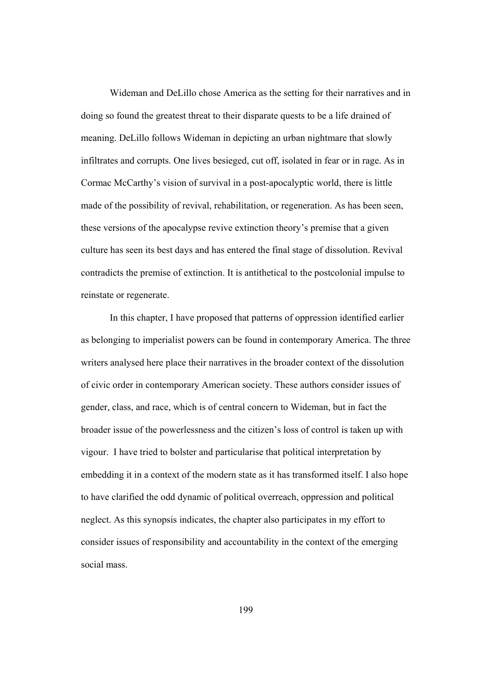Wideman and DeLillo chose America as the setting for their narratives and in doing so found the greatest threat to their disparate quests to be a life drained of meaning. DeLillo follows Wideman in depicting an urban nightmare that slowly infiltrates and corrupts. One lives besieged, cut off, isolated in fear or in rage. As in Cormac McCarthy's vision of survival in a post-apocalyptic world, there is little made of the possibility of revival, rehabilitation, or regeneration. As has been seen, these versions of the apocalypse revive extinction theory's premise that a given culture has seen its best days and has entered the final stage of dissolution. Revival contradicts the premise of extinction. It is antithetical to the postcolonial impulse to reinstate or regenerate.

In this chapter, I have proposed that patterns of oppression identified earlier as belonging to imperialist powers can be found in contemporary America. The three writers analysed here place their narratives in the broader context of the dissolution of civic order in contemporary American society. These authors consider issues of gender, class, and race, which is of central concern to Wideman, but in fact the broader issue of the powerlessness and the citizen's loss of control is taken up with vigour. I have tried to bolster and particularise that political interpretation by embedding it in a context of the modern state as it has transformed itself. I also hope to have clarified the odd dynamic of political overreach, oppression and political neglect. As this synopsis indicates, the chapter also participates in my effort to consider issues of responsibility and accountability in the context of the emerging social mass.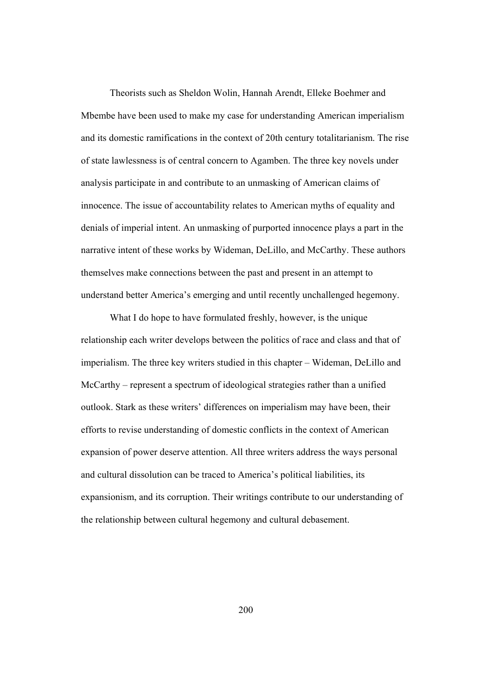Theorists such as Sheldon Wolin, Hannah Arendt, Elleke Boehmer and Mbembe have been used to make my case for understanding American imperialism and its domestic ramifications in the context of 20th century totalitarianism. The rise of state lawlessness is of central concern to Agamben. The three key novels under analysis participate in and contribute to an unmasking of American claims of innocence. The issue of accountability relates to American myths of equality and denials of imperial intent. An unmasking of purported innocence plays a part in the narrative intent of these works by Wideman, DeLillo, and McCarthy. These authors themselves make connections between the past and present in an attempt to understand better America's emerging and until recently unchallenged hegemony.

What I do hope to have formulated freshly, however, is the unique relationship each writer develops between the politics of race and class and that of imperialism. The three key writers studied in this chapter – Wideman, DeLillo and McCarthy – represent a spectrum of ideological strategies rather than a unified outlook. Stark as these writers' differences on imperialism may have been, their efforts to revise understanding of domestic conflicts in the context of American expansion of power deserve attention. All three writers address the ways personal and cultural dissolution can be traced to America's political liabilities, its expansionism, and its corruption. Their writings contribute to our understanding of the relationship between cultural hegemony and cultural debasement.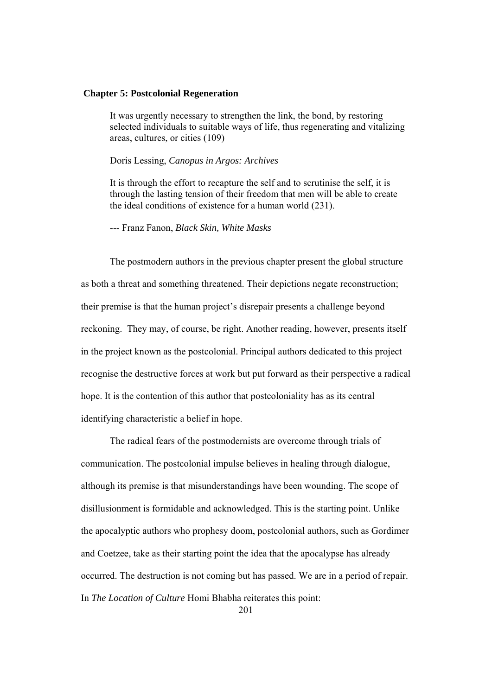## **Chapter 5: Postcolonial Regeneration**

It was urgently necessary to strengthen the link, the bond, by restoring selected individuals to suitable ways of life, thus regenerating and vitalizing areas, cultures, or cities (109)

Doris Lessing, *Canopus in Argos: Archives*

It is through the effort to recapture the self and to scrutinise the self, it is through the lasting tension of their freedom that men will be able to create the ideal conditions of existence for a human world (231).

--- Franz Fanon, *Black Skin, White Masks* 

The postmodern authors in the previous chapter present the global structure as both a threat and something threatened. Their depictions negate reconstruction; their premise is that the human project's disrepair presents a challenge beyond reckoning. They may, of course, be right. Another reading, however, presents itself in the project known as the postcolonial. Principal authors dedicated to this project recognise the destructive forces at work but put forward as their perspective a radical hope. It is the contention of this author that postcoloniality has as its central identifying characteristic a belief in hope.

The radical fears of the postmodernists are overcome through trials of communication. The postcolonial impulse believes in healing through dialogue, although its premise is that misunderstandings have been wounding. The scope of disillusionment is formidable and acknowledged. This is the starting point. Unlike the apocalyptic authors who prophesy doom, postcolonial authors, such as Gordimer and Coetzee, take as their starting point the idea that the apocalypse has already occurred. The destruction is not coming but has passed. We are in a period of repair. In *The Location of Culture* Homi Bhabha reiterates this point: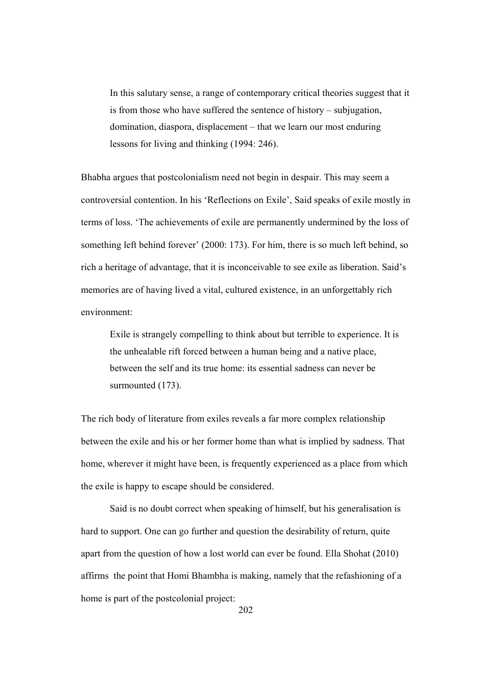In this salutary sense, a range of contemporary critical theories suggest that it is from those who have suffered the sentence of history – subjugation, domination, diaspora, displacement – that we learn our most enduring lessons for living and thinking (1994: 246).

Bhabha argues that postcolonialism need not begin in despair. This may seem a controversial contention. In his 'Reflections on Exile', Said speaks of exile mostly in terms of loss. 'The achievements of exile are permanently undermined by the loss of something left behind forever' (2000: 173). For him, there is so much left behind, so rich a heritage of advantage, that it is inconceivable to see exile as liberation. Said's memories are of having lived a vital, cultured existence, in an unforgettably rich environment:

Exile is strangely compelling to think about but terrible to experience. It is the unhealable rift forced between a human being and a native place, between the self and its true home: its essential sadness can never be surmounted (173).

The rich body of literature from exiles reveals a far more complex relationship between the exile and his or her former home than what is implied by sadness. That home, wherever it might have been, is frequently experienced as a place from which the exile is happy to escape should be considered.

 Said is no doubt correct when speaking of himself, but his generalisation is hard to support. One can go further and question the desirability of return, quite apart from the question of how a lost world can ever be found. Ella Shohat (2010) affirms the point that Homi Bhambha is making, namely that the refashioning of a home is part of the postcolonial project: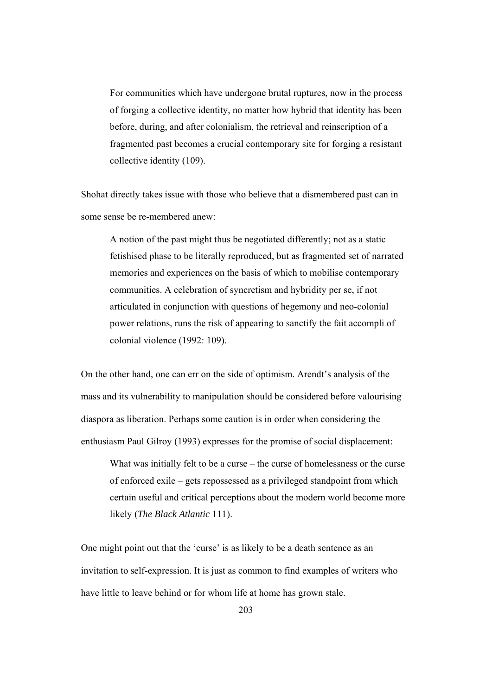For communities which have undergone brutal ruptures, now in the process of forging a collective identity, no matter how hybrid that identity has been before, during, and after colonialism, the retrieval and reinscription of a fragmented past becomes a crucial contemporary site for forging a resistant collective identity (109).

Shohat directly takes issue with those who believe that a dismembered past can in some sense be re-membered anew:

A notion of the past might thus be negotiated differently; not as a static fetishised phase to be literally reproduced, but as fragmented set of narrated memories and experiences on the basis of which to mobilise contemporary communities. A celebration of syncretism and hybridity per se, if not articulated in conjunction with questions of hegemony and neo-colonial power relations, runs the risk of appearing to sanctify the fait accompli of colonial violence (1992: 109).

On the other hand, one can err on the side of optimism. Arendt's analysis of the mass and its vulnerability to manipulation should be considered before valourising diaspora as liberation. Perhaps some caution is in order when considering the enthusiasm Paul Gilroy (1993) expresses for the promise of social displacement:

What was initially felt to be a curse – the curse of homelessness or the curse of enforced exile – gets repossessed as a privileged standpoint from which certain useful and critical perceptions about the modern world become more likely (*The Black Atlantic* 111).

One might point out that the 'curse' is as likely to be a death sentence as an invitation to self-expression. It is just as common to find examples of writers who have little to leave behind or for whom life at home has grown stale.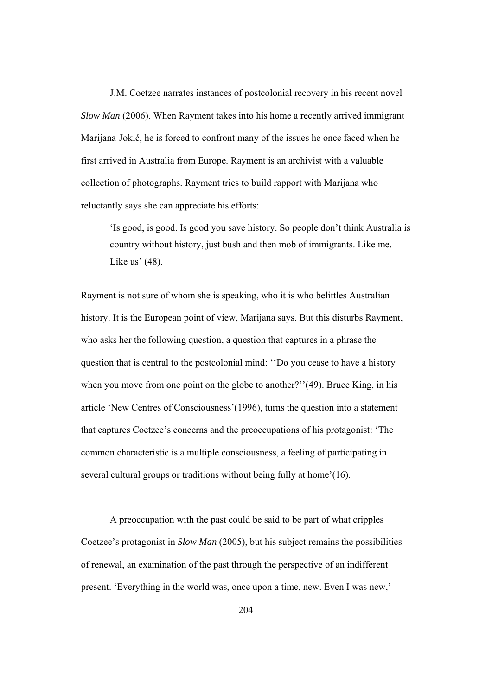J.M. Coetzee narrates instances of postcolonial recovery in his recent novel *Slow Man* (2006). When Rayment takes into his home a recently arrived immigrant Marijana Jokić, he is forced to confront many of the issues he once faced when he first arrived in Australia from Europe. Rayment is an archivist with a valuable collection of photographs. Rayment tries to build rapport with Marijana who reluctantly says she can appreciate his efforts:

'Is good, is good. Is good you save history. So people don't think Australia is country without history, just bush and then mob of immigrants. Like me. Like us' (48).

Rayment is not sure of whom she is speaking, who it is who belittles Australian history. It is the European point of view, Marijana says. But this disturbs Rayment, who asks her the following question, a question that captures in a phrase the question that is central to the postcolonial mind: ''Do you cease to have a history when you move from one point on the globe to another?"(49). Bruce King, in his article 'New Centres of Consciousness'(1996), turns the question into a statement that captures Coetzee's concerns and the preoccupations of his protagonist: 'The common characteristic is a multiple consciousness, a feeling of participating in several cultural groups or traditions without being fully at home'(16).

A preoccupation with the past could be said to be part of what cripples Coetzee's protagonist in *Slow Man* (2005), but his subject remains the possibilities of renewal, an examination of the past through the perspective of an indifferent present. 'Everything in the world was, once upon a time, new. Even I was new,'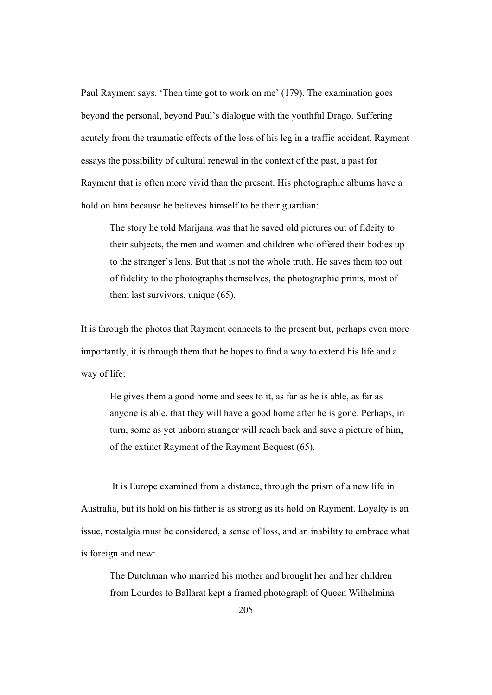Paul Rayment says. 'Then time got to work on me' (179). The examination goes beyond the personal, beyond Paul's dialogue with the youthful Drago. Suffering acutely from the traumatic effects of the loss of his leg in a traffic accident, Rayment essays the possibility of cultural renewal in the context of the past, a past for Rayment that is often more vivid than the present. His photographic albums have a hold on him because he believes himself to be their guardian:

The story he told Marijana was that he saved old pictures out of fideity to their subjects, the men and women and children who offered their bodies up to the stranger's lens. But that is not the whole truth. He saves them too out of fidelity to the photographs themselves, the photographic prints, most of them last survivors, unique (65).

It is through the photos that Rayment connects to the present but, perhaps even more importantly, it is through them that he hopes to find a way to extend his life and a way of life:

He gives them a good home and sees to it, as far as he is able, as far as anyone is able, that they will have a good home after he is gone. Perhaps, in turn, some as yet unborn stranger will reach back and save a picture of him, of the extinct Rayment of the Rayment Bequest (65).

 It is Europe examined from a distance, through the prism of a new life in Australia, but its hold on his father is as strong as its hold on Rayment. Loyalty is an issue, nostalgia must be considered, a sense of loss, and an inability to embrace what is foreign and new:

The Dutchman who married his mother and brought her and her children from Lourdes to Ballarat kept a framed photograph of Queen Wilhelmina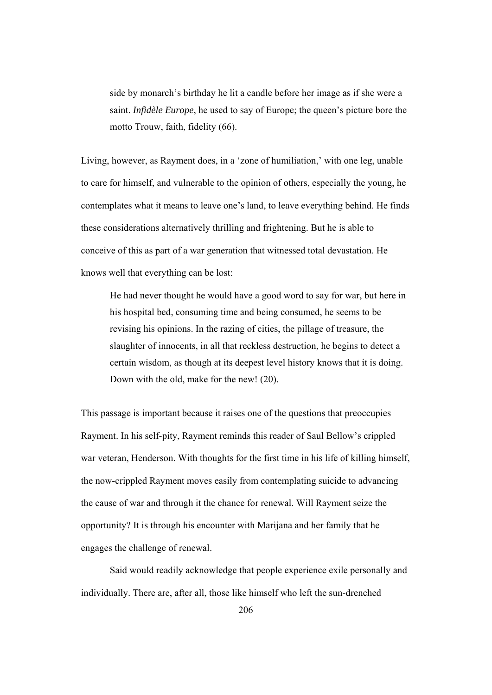side by monarch's birthday he lit a candle before her image as if she were a saint. *Infidèle Europe*, he used to say of Europe; the queen's picture bore the motto Trouw, faith, fidelity (66).

Living, however, as Rayment does, in a 'zone of humiliation,' with one leg, unable to care for himself, and vulnerable to the opinion of others, especially the young, he contemplates what it means to leave one's land, to leave everything behind. He finds these considerations alternatively thrilling and frightening. But he is able to conceive of this as part of a war generation that witnessed total devastation. He knows well that everything can be lost:

He had never thought he would have a good word to say for war, but here in his hospital bed, consuming time and being consumed, he seems to be revising his opinions. In the razing of cities, the pillage of treasure, the slaughter of innocents, in all that reckless destruction, he begins to detect a certain wisdom, as though at its deepest level history knows that it is doing. Down with the old, make for the new! (20).

This passage is important because it raises one of the questions that preoccupies Rayment. In his self-pity, Rayment reminds this reader of Saul Bellow's crippled war veteran, Henderson. With thoughts for the first time in his life of killing himself, the now-crippled Rayment moves easily from contemplating suicide to advancing the cause of war and through it the chance for renewal. Will Rayment seize the opportunity? It is through his encounter with Marijana and her family that he engages the challenge of renewal.

Said would readily acknowledge that people experience exile personally and individually. There are, after all, those like himself who left the sun-drenched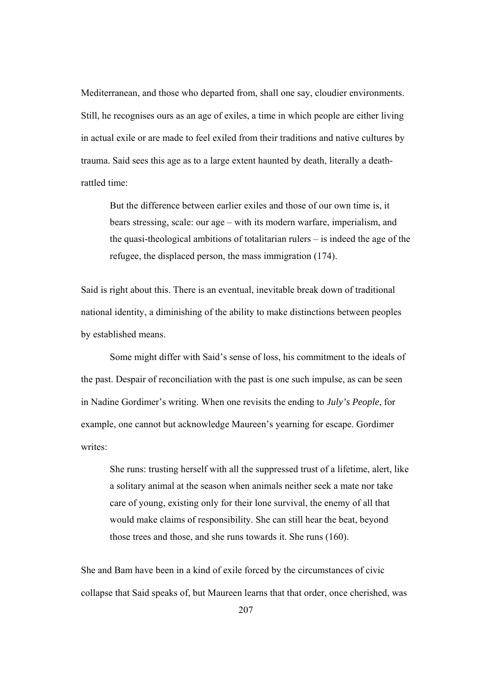Mediterranean, and those who departed from, shall one say, cloudier environments. Still, he recognises ours as an age of exiles, a time in which people are either living in actual exile or are made to feel exiled from their traditions and native cultures by trauma. Said sees this age as to a large extent haunted by death, literally a deathrattled time:

But the difference between earlier exiles and those of our own time is, it bears stressing, scale: our age – with its modern warfare, imperialism, and the quasi-theological ambitions of totalitarian rulers – is indeed the age of the refugee, the displaced person, the mass immigration (174).

Said is right about this. There is an eventual, inevitable break down of traditional national identity, a diminishing of the ability to make distinctions between peoples by established means.

Some might differ with Said's sense of loss, his commitment to the ideals of the past. Despair of reconciliation with the past is one such impulse, as can be seen in Nadine Gordimer's writing. When one revisits the ending to *July's People*, for example, one cannot but acknowledge Maureen's yearning for escape. Gordimer writes:

She runs: trusting herself with all the suppressed trust of a lifetime, alert, like a solitary animal at the season when animals neither seek a mate nor take care of young, existing only for their lone survival, the enemy of all that would make claims of responsibility. She can still hear the beat, beyond those trees and those, and she runs towards it. She runs (160).

She and Bam have been in a kind of exile forced by the circumstances of civic collapse that Said speaks of, but Maureen learns that that order, once cherished, was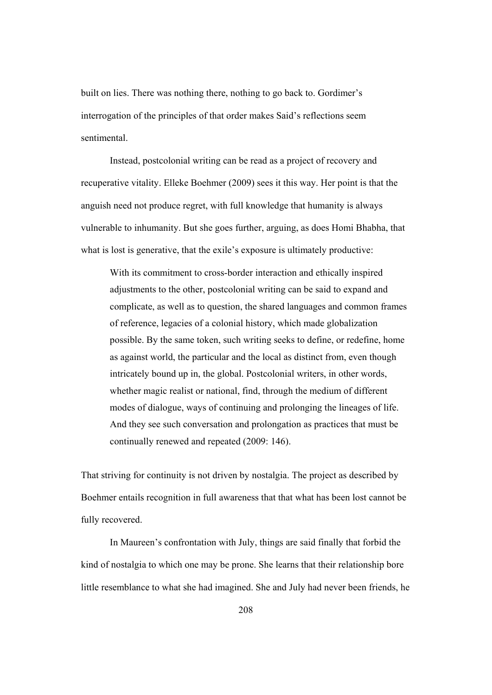built on lies. There was nothing there, nothing to go back to. Gordimer's interrogation of the principles of that order makes Said's reflections seem sentimental.

 Instead, postcolonial writing can be read as a project of recovery and recuperative vitality. Elleke Boehmer (2009) sees it this way. Her point is that the anguish need not produce regret, with full knowledge that humanity is always vulnerable to inhumanity. But she goes further, arguing, as does Homi Bhabha, that what is lost is generative, that the exile's exposure is ultimately productive:

With its commitment to cross-border interaction and ethically inspired adjustments to the other, postcolonial writing can be said to expand and complicate, as well as to question, the shared languages and common frames of reference, legacies of a colonial history, which made globalization possible. By the same token, such writing seeks to define, or redefine, home as against world, the particular and the local as distinct from, even though intricately bound up in, the global. Postcolonial writers, in other words, whether magic realist or national, find, through the medium of different modes of dialogue, ways of continuing and prolonging the lineages of life. And they see such conversation and prolongation as practices that must be continually renewed and repeated (2009: 146).

That striving for continuity is not driven by nostalgia. The project as described by Boehmer entails recognition in full awareness that that what has been lost cannot be fully recovered.

In Maureen's confrontation with July, things are said finally that forbid the kind of nostalgia to which one may be prone. She learns that their relationship bore little resemblance to what she had imagined. She and July had never been friends, he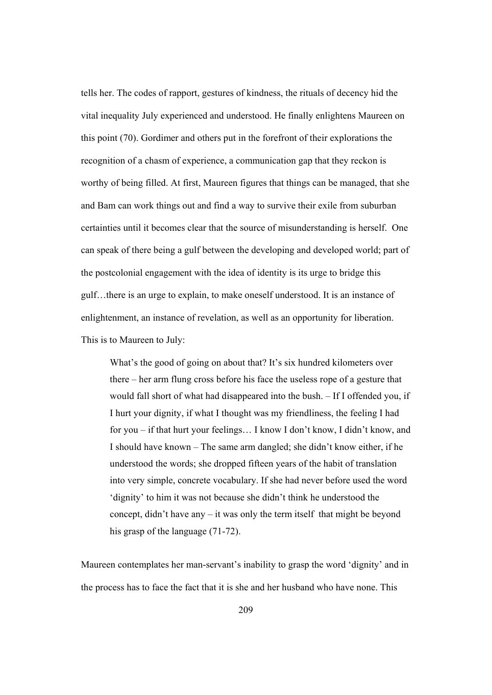tells her. The codes of rapport, gestures of kindness, the rituals of decency hid the vital inequality July experienced and understood. He finally enlightens Maureen on this point (70). Gordimer and others put in the forefront of their explorations the recognition of a chasm of experience, a communication gap that they reckon is worthy of being filled. At first, Maureen figures that things can be managed, that she and Bam can work things out and find a way to survive their exile from suburban certainties until it becomes clear that the source of misunderstanding is herself. One can speak of there being a gulf between the developing and developed world; part of the postcolonial engagement with the idea of identity is its urge to bridge this gulf…there is an urge to explain, to make oneself understood. It is an instance of enlightenment, an instance of revelation, as well as an opportunity for liberation. This is to Maureen to July:

What's the good of going on about that? It's six hundred kilometers over there – her arm flung cross before his face the useless rope of a gesture that would fall short of what had disappeared into the bush. – If I offended you, if I hurt your dignity, if what I thought was my friendliness, the feeling I had for you – if that hurt your feelings… I know I don't know, I didn't know, and I should have known – The same arm dangled; she didn't know either, if he understood the words; she dropped fifteen years of the habit of translation into very simple, concrete vocabulary. If she had never before used the word 'dignity' to him it was not because she didn't think he understood the concept, didn't have any – it was only the term itself that might be beyond his grasp of the language (71-72).

Maureen contemplates her man-servant's inability to grasp the word 'dignity' and in the process has to face the fact that it is she and her husband who have none. This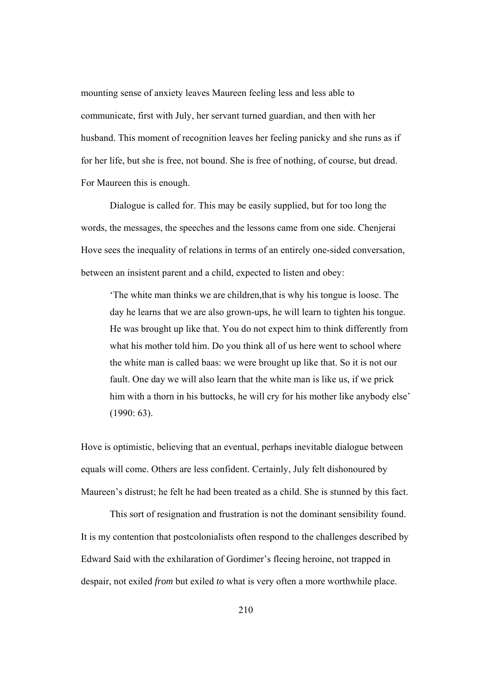mounting sense of anxiety leaves Maureen feeling less and less able to communicate, first with July, her servant turned guardian, and then with her husband. This moment of recognition leaves her feeling panicky and she runs as if for her life, but she is free, not bound. She is free of nothing, of course, but dread. For Maureen this is enough.

Dialogue is called for. This may be easily supplied, but for too long the words, the messages, the speeches and the lessons came from one side. Chenjerai Hove sees the inequality of relations in terms of an entirely one-sided conversation, between an insistent parent and a child, expected to listen and obey:

'The white man thinks we are children,that is why his tongue is loose. The day he learns that we are also grown-ups, he will learn to tighten his tongue. He was brought up like that. You do not expect him to think differently from what his mother told him. Do you think all of us here went to school where the white man is called baas: we were brought up like that. So it is not our fault. One day we will also learn that the white man is like us, if we prick him with a thorn in his buttocks, he will cry for his mother like anybody else' (1990: 63).

Hove is optimistic, believing that an eventual, perhaps inevitable dialogue between equals will come. Others are less confident. Certainly, July felt dishonoured by Maureen's distrust; he felt he had been treated as a child. She is stunned by this fact.

This sort of resignation and frustration is not the dominant sensibility found. It is my contention that postcolonialists often respond to the challenges described by Edward Said with the exhilaration of Gordimer's fleeing heroine, not trapped in despair, not exiled *from* but exiled *to* what is very often a more worthwhile place.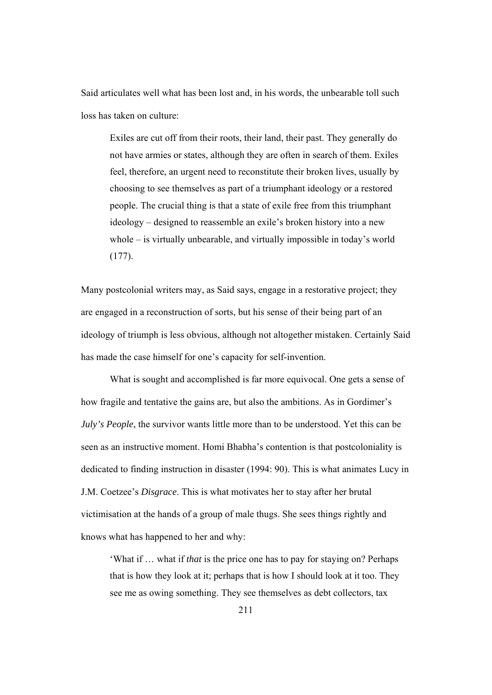Said articulates well what has been lost and, in his words, the unbearable toll such loss has taken on culture:

Exiles are cut off from their roots, their land, their past. They generally do not have armies or states, although they are often in search of them. Exiles feel, therefore, an urgent need to reconstitute their broken lives, usually by choosing to see themselves as part of a triumphant ideology or a restored people. The crucial thing is that a state of exile free from this triumphant ideology – designed to reassemble an exile's broken history into a new whole – is virtually unbearable, and virtually impossible in today's world (177).

Many postcolonial writers may, as Said says, engage in a restorative project; they are engaged in a reconstruction of sorts, but his sense of their being part of an ideology of triumph is less obvious, although not altogether mistaken. Certainly Said has made the case himself for one's capacity for self-invention.

What is sought and accomplished is far more equivocal. One gets a sense of how fragile and tentative the gains are, but also the ambitions. As in Gordimer's *July's People*, the survivor wants little more than to be understood. Yet this can be seen as an instructive moment. Homi Bhabha's contention is that postcoloniality is dedicated to finding instruction in disaster (1994: 90). This is what animates Lucy in J.M. Coetzee's *Disgrace*. This is what motivates her to stay after her brutal victimisation at the hands of a group of male thugs. She sees things rightly and knows what has happened to her and why:

'What if … what if *that* is the price one has to pay for staying on? Perhaps that is how they look at it; perhaps that is how I should look at it too. They see me as owing something. They see themselves as debt collectors, tax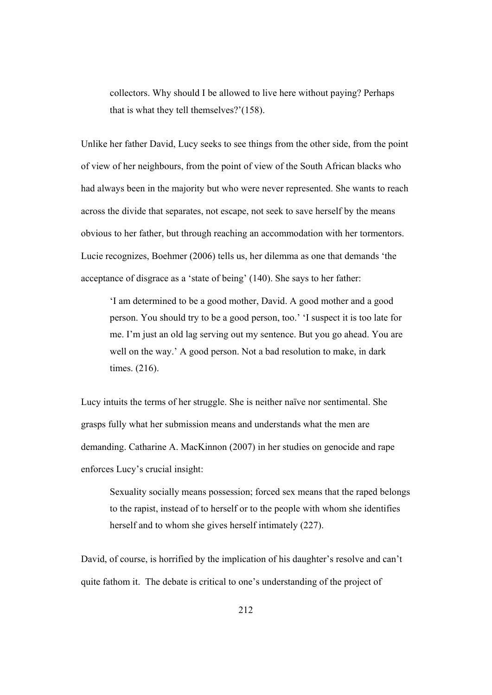collectors. Why should I be allowed to live here without paying? Perhaps that is what they tell themselves?'(158).

Unlike her father David, Lucy seeks to see things from the other side, from the point of view of her neighbours, from the point of view of the South African blacks who had always been in the majority but who were never represented. She wants to reach across the divide that separates, not escape, not seek to save herself by the means obvious to her father, but through reaching an accommodation with her tormentors. Lucie recognizes, Boehmer (2006) tells us, her dilemma as one that demands 'the acceptance of disgrace as a 'state of being' (140). She says to her father:

'I am determined to be a good mother, David. A good mother and a good person. You should try to be a good person, too.' 'I suspect it is too late for me. I'm just an old lag serving out my sentence. But you go ahead. You are well on the way.' A good person. Not a bad resolution to make, in dark times. (216).

Lucy intuits the terms of her struggle. She is neither naïve nor sentimental. She grasps fully what her submission means and understands what the men are demanding. Catharine A. MacKinnon (2007) in her studies on genocide and rape enforces Lucy's crucial insight:

Sexuality socially means possession; forced sex means that the raped belongs to the rapist, instead of to herself or to the people with whom she identifies herself and to whom she gives herself intimately (227).

David, of course, is horrified by the implication of his daughter's resolve and can't quite fathom it. The debate is critical to one's understanding of the project of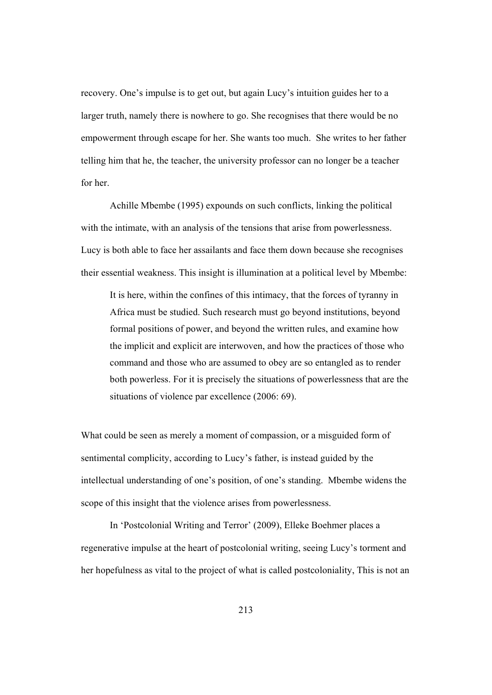recovery. One's impulse is to get out, but again Lucy's intuition guides her to a larger truth, namely there is nowhere to go. She recognises that there would be no empowerment through escape for her. She wants too much. She writes to her father telling him that he, the teacher, the university professor can no longer be a teacher for her.

Achille Mbembe (1995) expounds on such conflicts, linking the political with the intimate, with an analysis of the tensions that arise from powerlessness. Lucy is both able to face her assailants and face them down because she recognises their essential weakness. This insight is illumination at a political level by Mbembe:

It is here, within the confines of this intimacy, that the forces of tyranny in Africa must be studied. Such research must go beyond institutions, beyond formal positions of power, and beyond the written rules, and examine how the implicit and explicit are interwoven, and how the practices of those who command and those who are assumed to obey are so entangled as to render both powerless. For it is precisely the situations of powerlessness that are the situations of violence par excellence (2006: 69).

What could be seen as merely a moment of compassion, or a misguided form of sentimental complicity, according to Lucy's father, is instead guided by the intellectual understanding of one's position, of one's standing. Mbembe widens the scope of this insight that the violence arises from powerlessness.

 In 'Postcolonial Writing and Terror' (2009), Elleke Boehmer places a regenerative impulse at the heart of postcolonial writing, seeing Lucy's torment and her hopefulness as vital to the project of what is called postcoloniality, This is not an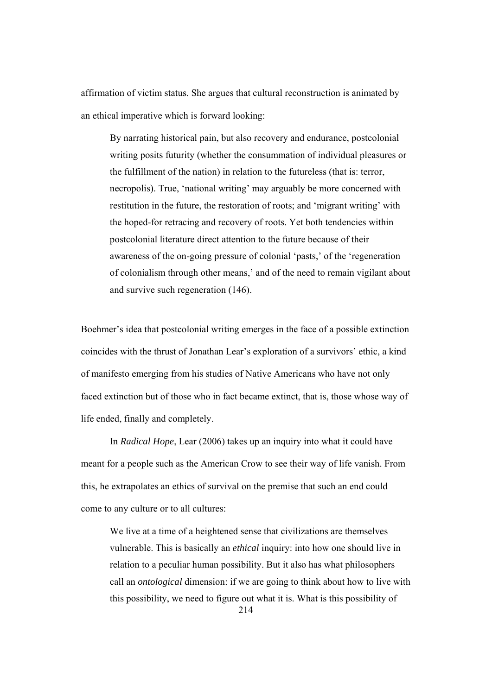affirmation of victim status. She argues that cultural reconstruction is animated by an ethical imperative which is forward looking:

By narrating historical pain, but also recovery and endurance, postcolonial writing posits futurity (whether the consummation of individual pleasures or the fulfillment of the nation) in relation to the futureless (that is: terror, necropolis). True, 'national writing' may arguably be more concerned with restitution in the future, the restoration of roots; and 'migrant writing' with the hoped-for retracing and recovery of roots. Yet both tendencies within postcolonial literature direct attention to the future because of their awareness of the on-going pressure of colonial 'pasts,' of the 'regeneration of colonialism through other means,' and of the need to remain vigilant about and survive such regeneration (146).

Boehmer's idea that postcolonial writing emerges in the face of a possible extinction coincides with the thrust of Jonathan Lear's exploration of a survivors' ethic, a kind of manifesto emerging from his studies of Native Americans who have not only faced extinction but of those who in fact became extinct, that is, those whose way of life ended, finally and completely.

In *Radical Hope*, Lear (2006) takes up an inquiry into what it could have meant for a people such as the American Crow to see their way of life vanish. From this, he extrapolates an ethics of survival on the premise that such an end could come to any culture or to all cultures:

We live at a time of a heightened sense that civilizations are themselves vulnerable. This is basically an *ethical* inquiry: into how one should live in relation to a peculiar human possibility. But it also has what philosophers call an *ontological* dimension: if we are going to think about how to live with this possibility, we need to figure out what it is. What is this possibility of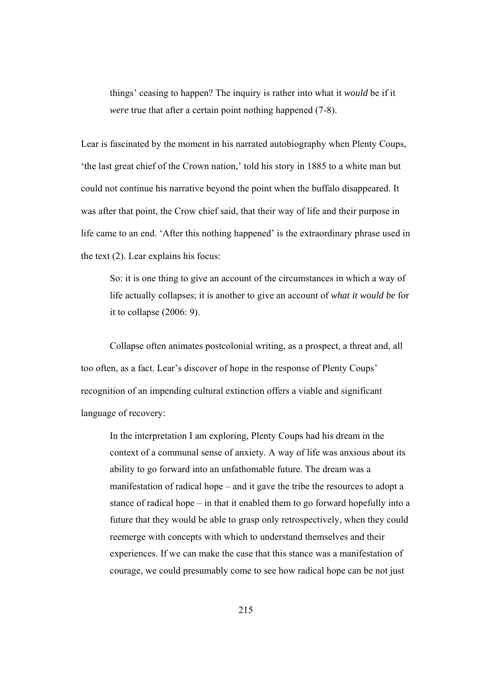things' ceasing to happen? The inquiry is rather into what it *would* be if it *were* true that after a certain point nothing happened (7-8).

Lear is fascinated by the moment in his narrated autobiography when Plenty Coups, 'the last great chief of the Crown nation,' told his story in 1885 to a white man but could not continue his narrative beyond the point when the buffalo disappeared. It was after that point, the Crow chief said, that their way of life and their purpose in life came to an end. 'After this nothing happened' is the extraordinary phrase used in the text (2). Lear explains his focus:

So: it is one thing to give an account of the circumstances in which a way of life actually collapses; it is another to give an account of *what it would be* for it to collapse (2006: 9).

Collapse often animates postcolonial writing, as a prospect, a threat and, all too often, as a fact. Lear's discover of hope in the response of Plenty Coups' recognition of an impending cultural extinction offers a viable and significant language of recovery:

In the interpretation I am exploring, Plenty Coups had his dream in the context of a communal sense of anxiety. A way of life was anxious about its ability to go forward into an unfathomable future. The dream was a manifestation of radical hope – and it gave the tribe the resources to adopt a stance of radical hope – in that it enabled them to go forward hopefully into a future that they would be able to grasp only retrospectively, when they could reemerge with concepts with which to understand themselves and their experiences. If we can make the case that this stance was a manifestation of courage, we could presumably come to see how radical hope can be not just

215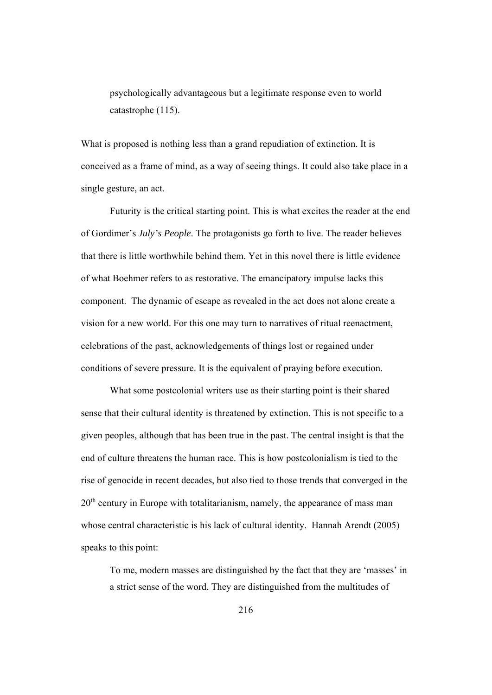psychologically advantageous but a legitimate response even to world catastrophe (115).

What is proposed is nothing less than a grand repudiation of extinction. It is conceived as a frame of mind, as a way of seeing things. It could also take place in a single gesture, an act.

Futurity is the critical starting point. This is what excites the reader at the end of Gordimer's *July's People*. The protagonists go forth to live. The reader believes that there is little worthwhile behind them. Yet in this novel there is little evidence of what Boehmer refers to as restorative. The emancipatory impulse lacks this component. The dynamic of escape as revealed in the act does not alone create a vision for a new world. For this one may turn to narratives of ritual reenactment, celebrations of the past, acknowledgements of things lost or regained under conditions of severe pressure. It is the equivalent of praying before execution.

What some postcolonial writers use as their starting point is their shared sense that their cultural identity is threatened by extinction. This is not specific to a given peoples, although that has been true in the past. The central insight is that the end of culture threatens the human race. This is how postcolonialism is tied to the rise of genocide in recent decades, but also tied to those trends that converged in the 20<sup>th</sup> century in Europe with totalitarianism, namely, the appearance of mass man whose central characteristic is his lack of cultural identity. Hannah Arendt (2005) speaks to this point:

To me, modern masses are distinguished by the fact that they are 'masses' in a strict sense of the word. They are distinguished from the multitudes of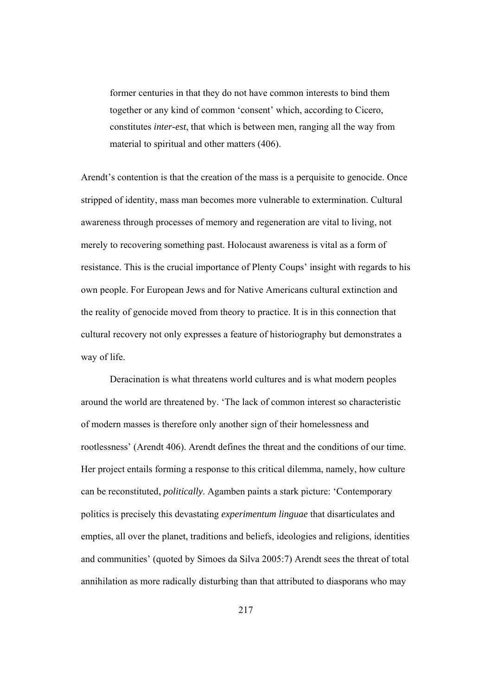former centuries in that they do not have common interests to bind them together or any kind of common 'consent' which, according to Cicero, constitutes *inter-est*, that which is between men, ranging all the way from material to spiritual and other matters (406).

Arendt's contention is that the creation of the mass is a perquisite to genocide. Once stripped of identity, mass man becomes more vulnerable to extermination. Cultural awareness through processes of memory and regeneration are vital to living, not merely to recovering something past. Holocaust awareness is vital as a form of resistance. This is the crucial importance of Plenty Coups' insight with regards to his own people. For European Jews and for Native Americans cultural extinction and the reality of genocide moved from theory to practice. It is in this connection that cultural recovery not only expresses a feature of historiography but demonstrates a way of life.

Deracination is what threatens world cultures and is what modern peoples around the world are threatened by. 'The lack of common interest so characteristic of modern masses is therefore only another sign of their homelessness and rootlessness' (Arendt 406). Arendt defines the threat and the conditions of our time. Her project entails forming a response to this critical dilemma, namely, how culture can be reconstituted, *politically*. Agamben paints a stark picture: 'Contemporary politics is precisely this devastating *experimentum linguae* that disarticulates and empties, all over the planet, traditions and beliefs, ideologies and religions, identities and communities' (quoted by Simoes da Silva 2005:7) Arendt sees the threat of total annihilation as more radically disturbing than that attributed to diasporans who may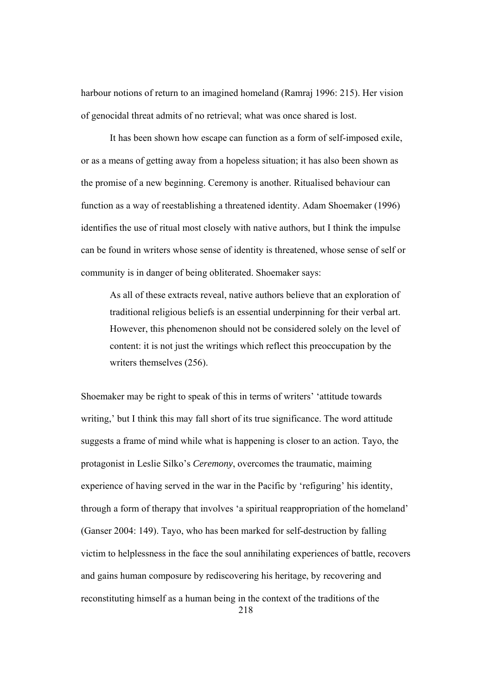harbour notions of return to an imagined homeland (Ramraj 1996: 215). Her vision of genocidal threat admits of no retrieval; what was once shared is lost.

It has been shown how escape can function as a form of self-imposed exile, or as a means of getting away from a hopeless situation; it has also been shown as the promise of a new beginning. Ceremony is another. Ritualised behaviour can function as a way of reestablishing a threatened identity. Adam Shoemaker (1996) identifies the use of ritual most closely with native authors, but I think the impulse can be found in writers whose sense of identity is threatened, whose sense of self or community is in danger of being obliterated. Shoemaker says:

As all of these extracts reveal, native authors believe that an exploration of traditional religious beliefs is an essential underpinning for their verbal art. However, this phenomenon should not be considered solely on the level of content: it is not just the writings which reflect this preoccupation by the writers themselves (256).

Shoemaker may be right to speak of this in terms of writers' 'attitude towards writing,' but I think this may fall short of its true significance. The word attitude suggests a frame of mind while what is happening is closer to an action. Tayo, the protagonist in Leslie Silko's *Ceremony*, overcomes the traumatic, maiming experience of having served in the war in the Pacific by 'refiguring' his identity, through a form of therapy that involves 'a spiritual reappropriation of the homeland' (Ganser 2004: 149). Tayo, who has been marked for self-destruction by falling victim to helplessness in the face the soul annihilating experiences of battle, recovers and gains human composure by rediscovering his heritage, by recovering and reconstituting himself as a human being in the context of the traditions of the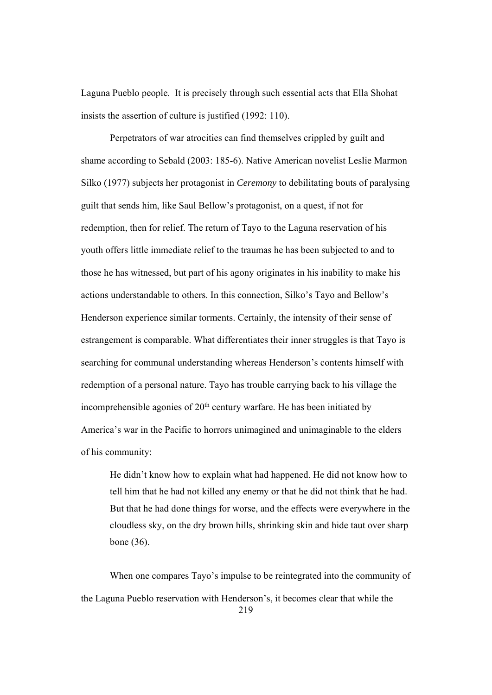Laguna Pueblo people. It is precisely through such essential acts that Ella Shohat insists the assertion of culture is justified (1992: 110).

Perpetrators of war atrocities can find themselves crippled by guilt and shame according to Sebald (2003: 185-6). Native American novelist Leslie Marmon Silko (1977) subjects her protagonist in *Ceremony* to debilitating bouts of paralysing guilt that sends him, like Saul Bellow's protagonist, on a quest, if not for redemption, then for relief. The return of Tayo to the Laguna reservation of his youth offers little immediate relief to the traumas he has been subjected to and to those he has witnessed, but part of his agony originates in his inability to make his actions understandable to others. In this connection, Silko's Tayo and Bellow's Henderson experience similar torments. Certainly, the intensity of their sense of estrangement is comparable. What differentiates their inner struggles is that Tayo is searching for communal understanding whereas Henderson's contents himself with redemption of a personal nature. Tayo has trouble carrying back to his village the incomprehensible agonies of  $20<sup>th</sup>$  century warfare. He has been initiated by America's war in the Pacific to horrors unimagined and unimaginable to the elders of his community:

He didn't know how to explain what had happened. He did not know how to tell him that he had not killed any enemy or that he did not think that he had. But that he had done things for worse, and the effects were everywhere in the cloudless sky, on the dry brown hills, shrinking skin and hide taut over sharp bone (36).

219 When one compares Tayo's impulse to be reintegrated into the community of the Laguna Pueblo reservation with Henderson's, it becomes clear that while the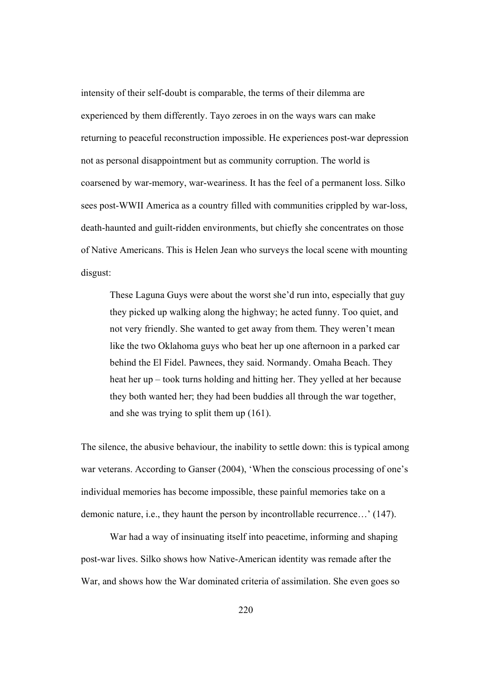intensity of their self-doubt is comparable, the terms of their dilemma are experienced by them differently. Tayo zeroes in on the ways wars can make returning to peaceful reconstruction impossible. He experiences post-war depression not as personal disappointment but as community corruption. The world is coarsened by war-memory, war-weariness. It has the feel of a permanent loss. Silko sees post-WWII America as a country filled with communities crippled by war-loss, death-haunted and guilt-ridden environments, but chiefly she concentrates on those of Native Americans. This is Helen Jean who surveys the local scene with mounting disgust:

These Laguna Guys were about the worst she'd run into, especially that guy they picked up walking along the highway; he acted funny. Too quiet, and not very friendly. She wanted to get away from them. They weren't mean like the two Oklahoma guys who beat her up one afternoon in a parked car behind the El Fidel. Pawnees, they said. Normandy. Omaha Beach. They heat her up – took turns holding and hitting her. They yelled at her because they both wanted her; they had been buddies all through the war together, and she was trying to split them up (161).

The silence, the abusive behaviour, the inability to settle down: this is typical among war veterans. According to Ganser (2004), 'When the conscious processing of one's individual memories has become impossible, these painful memories take on a demonic nature, i.e., they haunt the person by incontrollable recurrence…' (147).

War had a way of insinuating itself into peacetime, informing and shaping post-war lives. Silko shows how Native-American identity was remade after the War, and shows how the War dominated criteria of assimilation. She even goes so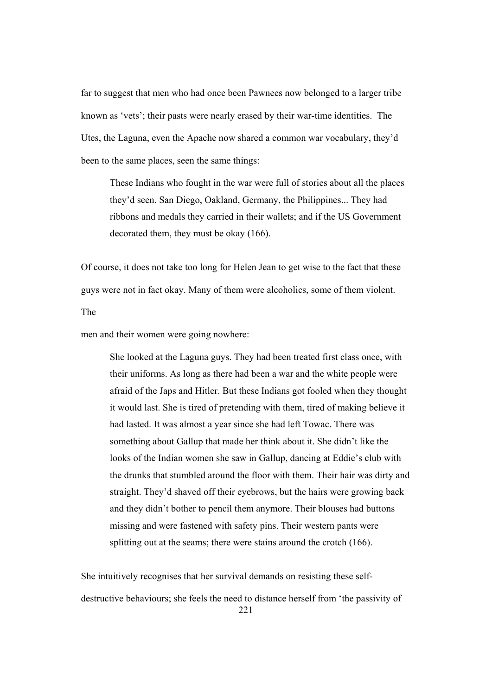far to suggest that men who had once been Pawnees now belonged to a larger tribe known as 'vets'; their pasts were nearly erased by their war-time identities. The Utes, the Laguna, even the Apache now shared a common war vocabulary, they'd been to the same places, seen the same things:

These Indians who fought in the war were full of stories about all the places they'd seen. San Diego, Oakland, Germany, the Philippines... They had ribbons and medals they carried in their wallets; and if the US Government decorated them, they must be okay (166).

Of course, it does not take too long for Helen Jean to get wise to the fact that these guys were not in fact okay. Many of them were alcoholics, some of them violent.

The

men and their women were going nowhere:

She looked at the Laguna guys. They had been treated first class once, with their uniforms. As long as there had been a war and the white people were afraid of the Japs and Hitler. But these Indians got fooled when they thought it would last. She is tired of pretending with them, tired of making believe it had lasted. It was almost a year since she had left Towac. There was something about Gallup that made her think about it. She didn't like the looks of the Indian women she saw in Gallup, dancing at Eddie's club with the drunks that stumbled around the floor with them. Their hair was dirty and straight. They'd shaved off their eyebrows, but the hairs were growing back and they didn't bother to pencil them anymore. Their blouses had buttons missing and were fastened with safety pins. Their western pants were splitting out at the seams; there were stains around the crotch  $(166)$ .

She intuitively recognises that her survival demands on resisting these selfdestructive behaviours; she feels the need to distance herself from 'the passivity of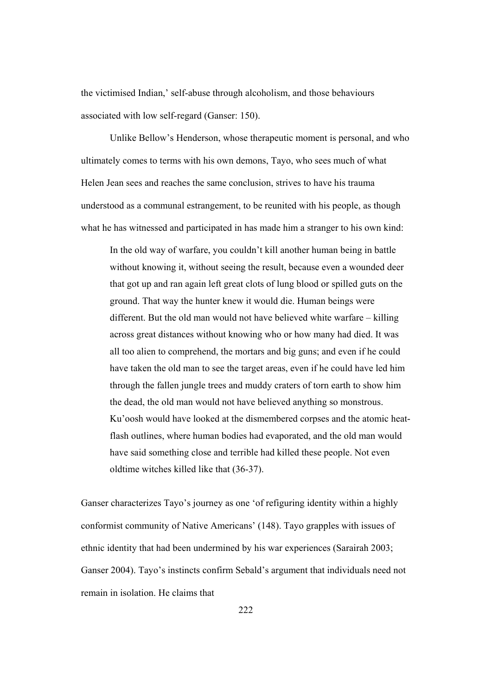the victimised Indian,' self-abuse through alcoholism, and those behaviours associated with low self-regard (Ganser: 150).

Unlike Bellow's Henderson, whose therapeutic moment is personal, and who ultimately comes to terms with his own demons, Tayo, who sees much of what Helen Jean sees and reaches the same conclusion, strives to have his trauma understood as a communal estrangement, to be reunited with his people, as though what he has witnessed and participated in has made him a stranger to his own kind:

In the old way of warfare, you couldn't kill another human being in battle without knowing it, without seeing the result, because even a wounded deer that got up and ran again left great clots of lung blood or spilled guts on the ground. That way the hunter knew it would die. Human beings were different. But the old man would not have believed white warfare – killing across great distances without knowing who or how many had died. It was all too alien to comprehend, the mortars and big guns; and even if he could have taken the old man to see the target areas, even if he could have led him through the fallen jungle trees and muddy craters of torn earth to show him the dead, the old man would not have believed anything so monstrous. Ku'oosh would have looked at the dismembered corpses and the atomic heatflash outlines, where human bodies had evaporated, and the old man would have said something close and terrible had killed these people. Not even oldtime witches killed like that (36-37).

Ganser characterizes Tayo's journey as one 'of refiguring identity within a highly conformist community of Native Americans' (148). Tayo grapples with issues of ethnic identity that had been undermined by his war experiences (Sarairah 2003; Ganser 2004). Tayo's instincts confirm Sebald's argument that individuals need not remain in isolation. He claims that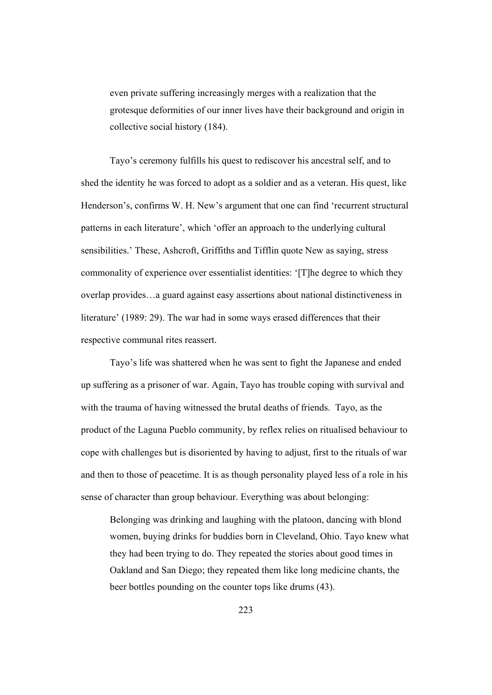even private suffering increasingly merges with a realization that the grotesque deformities of our inner lives have their background and origin in collective social history (184).

Tayo's ceremony fulfills his quest to rediscover his ancestral self, and to shed the identity he was forced to adopt as a soldier and as a veteran. His quest, like Henderson's, confirms W. H. New's argument that one can find 'recurrent structural patterns in each literature', which 'offer an approach to the underlying cultural sensibilities.' These, Ashcroft, Griffiths and Tifflin quote New as saying, stress commonality of experience over essentialist identities: '[T]he degree to which they overlap provides…a guard against easy assertions about national distinctiveness in literature' (1989: 29). The war had in some ways erased differences that their respective communal rites reassert.

Tayo's life was shattered when he was sent to fight the Japanese and ended up suffering as a prisoner of war. Again, Tayo has trouble coping with survival and with the trauma of having witnessed the brutal deaths of friends. Tayo, as the product of the Laguna Pueblo community, by reflex relies on ritualised behaviour to cope with challenges but is disoriented by having to adjust, first to the rituals of war and then to those of peacetime. It is as though personality played less of a role in his sense of character than group behaviour. Everything was about belonging:

Belonging was drinking and laughing with the platoon, dancing with blond women, buying drinks for buddies born in Cleveland, Ohio. Tayo knew what they had been trying to do. They repeated the stories about good times in Oakland and San Diego; they repeated them like long medicine chants, the beer bottles pounding on the counter tops like drums (43).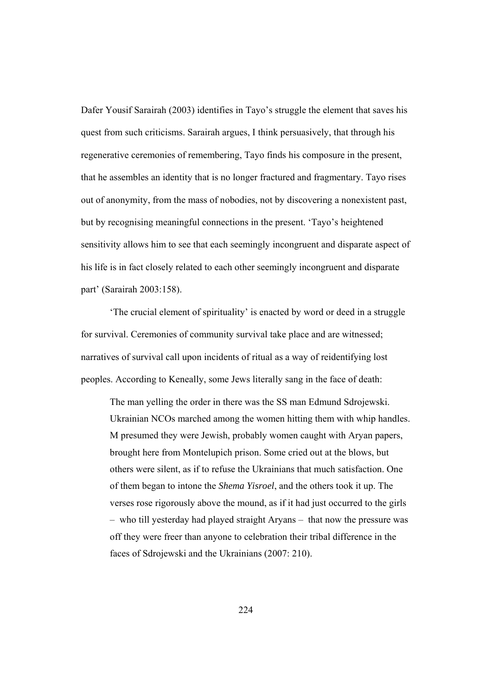Dafer Yousif Sarairah (2003) identifies in Tayo's struggle the element that saves his quest from such criticisms. Sarairah argues, I think persuasively, that through his regenerative ceremonies of remembering, Tayo finds his composure in the present, that he assembles an identity that is no longer fractured and fragmentary. Tayo rises out of anonymity, from the mass of nobodies, not by discovering a nonexistent past, but by recognising meaningful connections in the present. 'Tayo's heightened sensitivity allows him to see that each seemingly incongruent and disparate aspect of his life is in fact closely related to each other seemingly incongruent and disparate part' (Sarairah 2003:158).

 'The crucial element of spirituality' is enacted by word or deed in a struggle for survival. Ceremonies of community survival take place and are witnessed; narratives of survival call upon incidents of ritual as a way of reidentifying lost peoples. According to Keneally, some Jews literally sang in the face of death:

The man yelling the order in there was the SS man Edmund Sdrojewski. Ukrainian NCOs marched among the women hitting them with whip handles. M presumed they were Jewish, probably women caught with Aryan papers, brought here from Montelupich prison. Some cried out at the blows, but others were silent, as if to refuse the Ukrainians that much satisfaction. One of them began to intone the *Shema Yisroel*, and the others took it up. The verses rose rigorously above the mound, as if it had just occurred to the girls – who till yesterday had played straight Aryans – that now the pressure was off they were freer than anyone to celebration their tribal difference in the faces of Sdrojewski and the Ukrainians (2007: 210).

224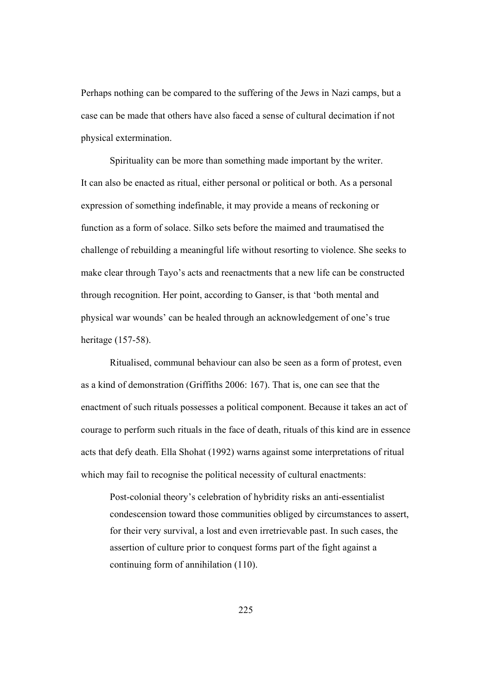Perhaps nothing can be compared to the suffering of the Jews in Nazi camps, but a case can be made that others have also faced a sense of cultural decimation if not physical extermination.

Spirituality can be more than something made important by the writer. It can also be enacted as ritual, either personal or political or both. As a personal expression of something indefinable, it may provide a means of reckoning or function as a form of solace. Silko sets before the maimed and traumatised the challenge of rebuilding a meaningful life without resorting to violence. She seeks to make clear through Tayo's acts and reenactments that a new life can be constructed through recognition. Her point, according to Ganser, is that 'both mental and physical war wounds' can be healed through an acknowledgement of one's true heritage (157-58).

Ritualised, communal behaviour can also be seen as a form of protest, even as a kind of demonstration (Griffiths 2006: 167). That is, one can see that the enactment of such rituals possesses a political component. Because it takes an act of courage to perform such rituals in the face of death, rituals of this kind are in essence acts that defy death. Ella Shohat (1992) warns against some interpretations of ritual which may fail to recognise the political necessity of cultural enactments:

Post-colonial theory's celebration of hybridity risks an anti-essentialist condescension toward those communities obliged by circumstances to assert, for their very survival, a lost and even irretrievable past. In such cases, the assertion of culture prior to conquest forms part of the fight against a continuing form of annihilation (110).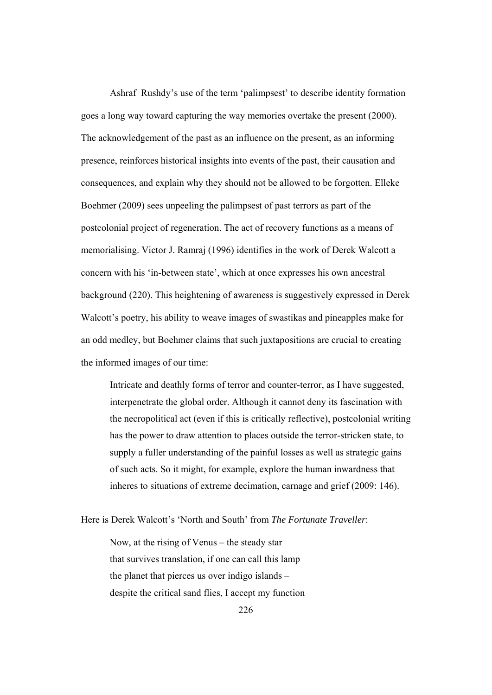Ashraf Rushdy's use of the term 'palimpsest' to describe identity formation goes a long way toward capturing the way memories overtake the present (2000). The acknowledgement of the past as an influence on the present, as an informing presence, reinforces historical insights into events of the past, their causation and consequences, and explain why they should not be allowed to be forgotten. Elleke Boehmer (2009) sees unpeeling the palimpsest of past terrors as part of the postcolonial project of regeneration. The act of recovery functions as a means of memorialising. Victor J. Ramraj (1996) identifies in the work of Derek Walcott a concern with his 'in-between state', which at once expresses his own ancestral background (220). This heightening of awareness is suggestively expressed in Derek Walcott's poetry, his ability to weave images of swastikas and pineapples make for an odd medley, but Boehmer claims that such juxtapositions are crucial to creating the informed images of our time:

Intricate and deathly forms of terror and counter-terror, as I have suggested, interpenetrate the global order. Although it cannot deny its fascination with the necropolitical act (even if this is critically reflective), postcolonial writing has the power to draw attention to places outside the terror-stricken state, to supply a fuller understanding of the painful losses as well as strategic gains of such acts. So it might, for example, explore the human inwardness that inheres to situations of extreme decimation, carnage and grief (2009: 146).

Here is Derek Walcott's 'North and South' from *The Fortunate Traveller*:

Now, at the rising of Venus – the steady star that survives translation, if one can call this lamp the planet that pierces us over indigo islands – despite the critical sand flies, I accept my function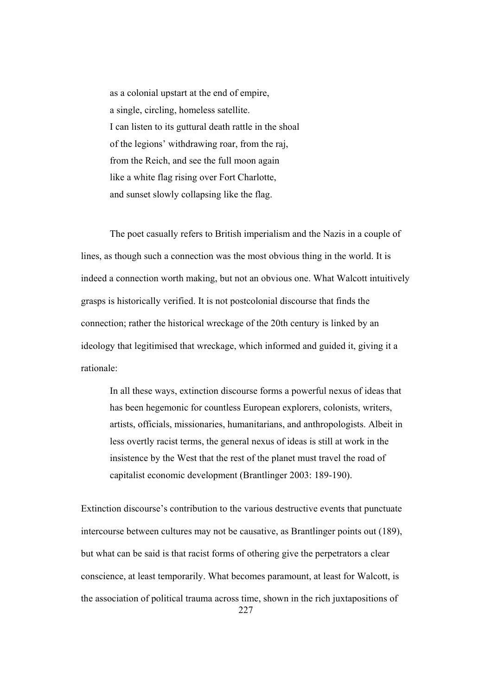as a colonial upstart at the end of empire, a single, circling, homeless satellite. I can listen to its guttural death rattle in the shoal of the legions' withdrawing roar, from the raj, from the Reich, and see the full moon again like a white flag rising over Fort Charlotte, and sunset slowly collapsing like the flag.

The poet casually refers to British imperialism and the Nazis in a couple of lines, as though such a connection was the most obvious thing in the world. It is indeed a connection worth making, but not an obvious one. What Walcott intuitively grasps is historically verified. It is not postcolonial discourse that finds the connection; rather the historical wreckage of the 20th century is linked by an ideology that legitimised that wreckage, which informed and guided it, giving it a rationale:

 In all these ways, extinction discourse forms a powerful nexus of ideas that has been hegemonic for countless European explorers, colonists, writers, artists, officials, missionaries, humanitarians, and anthropologists. Albeit in less overtly racist terms, the general nexus of ideas is still at work in the insistence by the West that the rest of the planet must travel the road of capitalist economic development (Brantlinger 2003: 189-190).

227 Extinction discourse's contribution to the various destructive events that punctuate intercourse between cultures may not be causative, as Brantlinger points out (189), but what can be said is that racist forms of othering give the perpetrators a clear conscience, at least temporarily. What becomes paramount, at least for Walcott, is the association of political trauma across time, shown in the rich juxtapositions of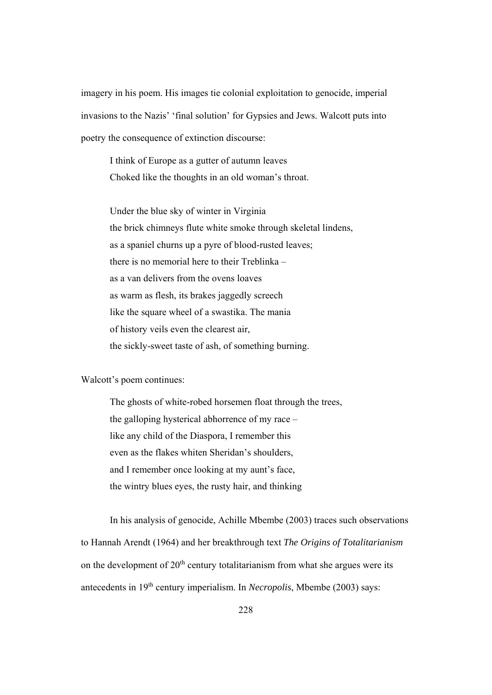imagery in his poem. His images tie colonial exploitation to genocide, imperial invasions to the Nazis' 'final solution' for Gypsies and Jews. Walcott puts into poetry the consequence of extinction discourse:

I think of Europe as a gutter of autumn leaves Choked like the thoughts in an old woman's throat.

Under the blue sky of winter in Virginia the brick chimneys flute white smoke through skeletal lindens, as a spaniel churns up a pyre of blood-rusted leaves; there is no memorial here to their Treblinka – as a van delivers from the ovens loaves as warm as flesh, its brakes jaggedly screech like the square wheel of a swastika. The mania of history veils even the clearest air, the sickly-sweet taste of ash, of something burning.

Walcott's poem continues:

The ghosts of white-robed horsemen float through the trees, the galloping hysterical abhorrence of my race – like any child of the Diaspora, I remember this even as the flakes whiten Sheridan's shoulders, and I remember once looking at my aunt's face, the wintry blues eyes, the rusty hair, and thinking

In his analysis of genocide, Achille Mbembe (2003) traces such observations to Hannah Arendt (1964) and her breakthrough text *The Origins of Totalitarianism* on the development of  $20<sup>th</sup>$  century totalitarianism from what she argues were its antecedents in 19th century imperialism. In *Necropolis*, Mbembe (2003) says: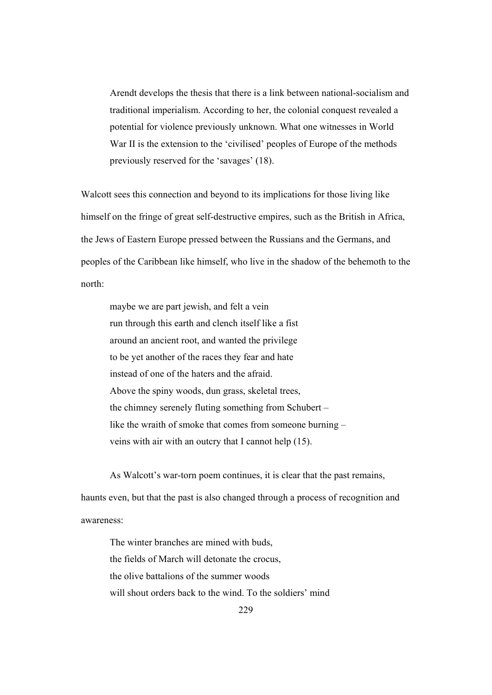Arendt develops the thesis that there is a link between national-socialism and traditional imperialism. According to her, the colonial conquest revealed a potential for violence previously unknown. What one witnesses in World War II is the extension to the 'civilised' peoples of Europe of the methods previously reserved for the 'savages' (18).

Walcott sees this connection and beyond to its implications for those living like himself on the fringe of great self-destructive empires, such as the British in Africa, the Jews of Eastern Europe pressed between the Russians and the Germans, and peoples of the Caribbean like himself, who live in the shadow of the behemoth to the north:

maybe we are part jewish, and felt a vein run through this earth and clench itself like a fist around an ancient root, and wanted the privilege to be yet another of the races they fear and hate instead of one of the haters and the afraid. Above the spiny woods, dun grass, skeletal trees, the chimney serenely fluting something from Schubert – like the wraith of smoke that comes from someone burning – veins with air with an outcry that I cannot help (15).

 As Walcott's war-torn poem continues, it is clear that the past remains, haunts even, but that the past is also changed through a process of recognition and awareness:

The winter branches are mined with buds, the fields of March will detonate the crocus, the olive battalions of the summer woods will shout orders back to the wind. To the soldiers' mind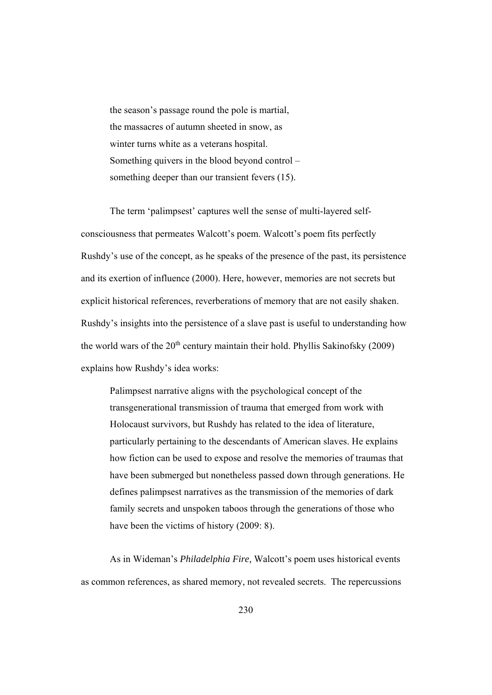the season's passage round the pole is martial, the massacres of autumn sheeted in snow, as winter turns white as a veterans hospital. Something quivers in the blood beyond control – something deeper than our transient fevers (15).

 The term 'palimpsest' captures well the sense of multi-layered selfconsciousness that permeates Walcott's poem. Walcott's poem fits perfectly Rushdy's use of the concept, as he speaks of the presence of the past, its persistence and its exertion of influence (2000). Here, however, memories are not secrets but explicit historical references, reverberations of memory that are not easily shaken. Rushdy's insights into the persistence of a slave past is useful to understanding how the world wars of the  $20<sup>th</sup>$  century maintain their hold. Phyllis Sakinofsky (2009) explains how Rushdy's idea works:

Palimpsest narrative aligns with the psychological concept of the transgenerational transmission of trauma that emerged from work with Holocaust survivors, but Rushdy has related to the idea of literature, particularly pertaining to the descendants of American slaves. He explains how fiction can be used to expose and resolve the memories of traumas that have been submerged but nonetheless passed down through generations. He defines palimpsest narratives as the transmission of the memories of dark family secrets and unspoken taboos through the generations of those who have been the victims of history (2009: 8).

As in Wideman's *Philadelphia Fire,* Walcott's poem uses historical events as common references, as shared memory, not revealed secrets. The repercussions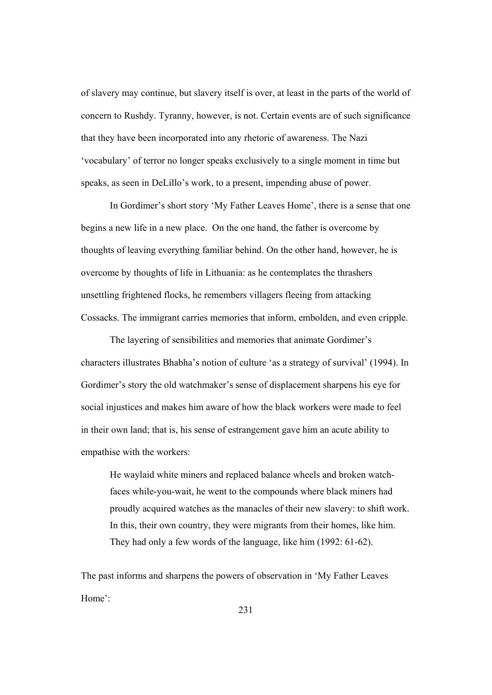of slavery may continue, but slavery itself is over, at least in the parts of the world of concern to Rushdy. Tyranny, however, is not. Certain events are of such significance that they have been incorporated into any rhetoric of awareness. The Nazi 'vocabulary' of terror no longer speaks exclusively to a single moment in time but speaks, as seen in DeLillo's work, to a present, impending abuse of power.

In Gordimer's short story 'My Father Leaves Home', there is a sense that one begins a new life in a new place. On the one hand, the father is overcome by thoughts of leaving everything familiar behind. On the other hand, however, he is overcome by thoughts of life in Lithuania: as he contemplates the thrashers unsettling frightened flocks, he remembers villagers fleeing from attacking Cossacks. The immigrant carries memories that inform, embolden, and even cripple.

The layering of sensibilities and memories that animate Gordimer's characters illustrates Bhabha's notion of culture 'as a strategy of survival' (1994). In Gordimer's story the old watchmaker's sense of displacement sharpens his eye for social injustices and makes him aware of how the black workers were made to feel in their own land; that is, his sense of estrangement gave him an acute ability to empathise with the workers:

He waylaid white miners and replaced balance wheels and broken watchfaces while-you-wait, he went to the compounds where black miners had proudly acquired watches as the manacles of their new slavery: to shift work. In this, their own country, they were migrants from their homes, like him. They had only a few words of the language, like him (1992: 61-62).

The past informs and sharpens the powers of observation in 'My Father Leaves Home':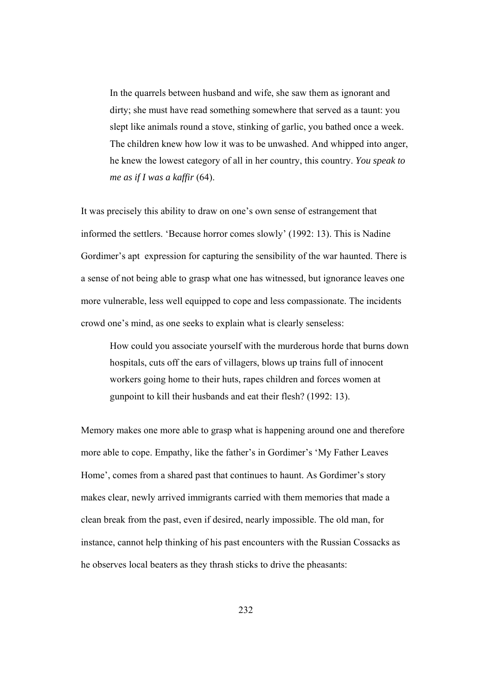In the quarrels between husband and wife, she saw them as ignorant and dirty; she must have read something somewhere that served as a taunt: you slept like animals round a stove, stinking of garlic, you bathed once a week. The children knew how low it was to be unwashed. And whipped into anger, he knew the lowest category of all in her country, this country. *You speak to me as if I was a kaffir* (64).

It was precisely this ability to draw on one's own sense of estrangement that informed the settlers. 'Because horror comes slowly' (1992: 13). This is Nadine Gordimer's apt expression for capturing the sensibility of the war haunted. There is a sense of not being able to grasp what one has witnessed, but ignorance leaves one more vulnerable, less well equipped to cope and less compassionate. The incidents crowd one's mind, as one seeks to explain what is clearly senseless:

How could you associate yourself with the murderous horde that burns down hospitals, cuts off the ears of villagers, blows up trains full of innocent workers going home to their huts, rapes children and forces women at gunpoint to kill their husbands and eat their flesh? (1992: 13).

Memory makes one more able to grasp what is happening around one and therefore more able to cope. Empathy, like the father's in Gordimer's 'My Father Leaves Home', comes from a shared past that continues to haunt. As Gordimer's story makes clear, newly arrived immigrants carried with them memories that made a clean break from the past, even if desired, nearly impossible. The old man, for instance, cannot help thinking of his past encounters with the Russian Cossacks as he observes local beaters as they thrash sticks to drive the pheasants: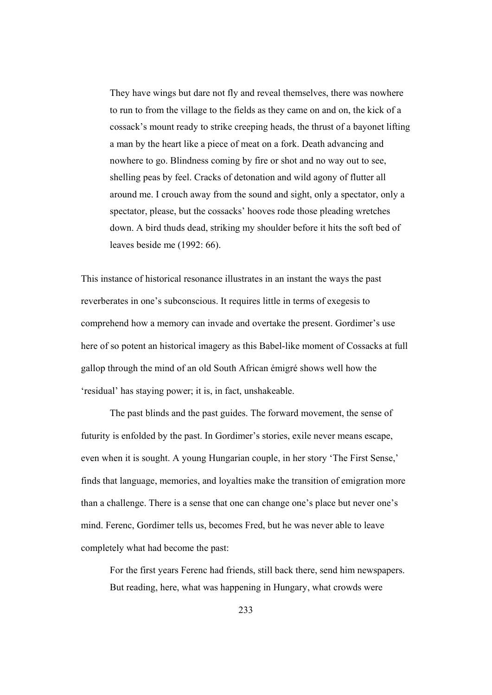They have wings but dare not fly and reveal themselves, there was nowhere to run to from the village to the fields as they came on and on, the kick of a cossack's mount ready to strike creeping heads, the thrust of a bayonet lifting a man by the heart like a piece of meat on a fork. Death advancing and nowhere to go. Blindness coming by fire or shot and no way out to see, shelling peas by feel. Cracks of detonation and wild agony of flutter all around me. I crouch away from the sound and sight, only a spectator, only a spectator, please, but the cossacks' hooves rode those pleading wretches down. A bird thuds dead, striking my shoulder before it hits the soft bed of leaves beside me (1992: 66).

This instance of historical resonance illustrates in an instant the ways the past reverberates in one's subconscious. It requires little in terms of exegesis to comprehend how a memory can invade and overtake the present. Gordimer's use here of so potent an historical imagery as this Babel-like moment of Cossacks at full gallop through the mind of an old South African émigré shows well how the 'residual' has staying power; it is, in fact, unshakeable.

The past blinds and the past guides. The forward movement, the sense of futurity is enfolded by the past. In Gordimer's stories, exile never means escape, even when it is sought. A young Hungarian couple, in her story 'The First Sense,' finds that language, memories, and loyalties make the transition of emigration more than a challenge. There is a sense that one can change one's place but never one's mind. Ferenc, Gordimer tells us, becomes Fred, but he was never able to leave completely what had become the past:

For the first years Ferenc had friends, still back there, send him newspapers. But reading, here, what was happening in Hungary, what crowds were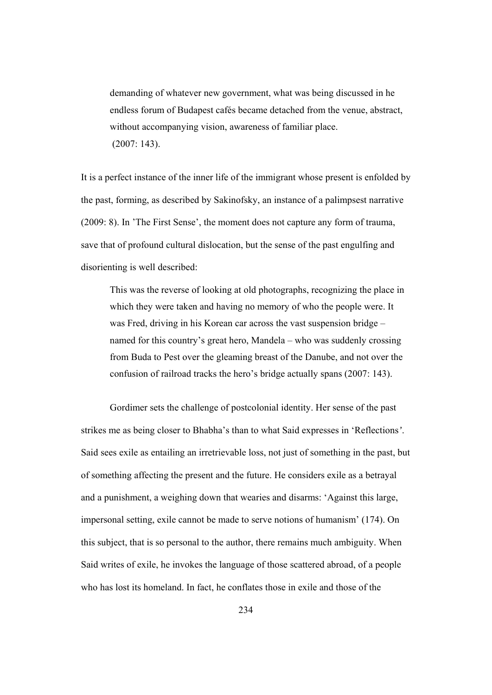demanding of whatever new government, what was being discussed in he endless forum of Budapest cafés became detached from the venue, abstract, without accompanying vision, awareness of familiar place. (2007: 143).

It is a perfect instance of the inner life of the immigrant whose present is enfolded by the past, forming, as described by Sakinofsky, an instance of a palimpsest narrative (2009: 8). In 'The First Sense', the moment does not capture any form of trauma, save that of profound cultural dislocation, but the sense of the past engulfing and disorienting is well described:

This was the reverse of looking at old photographs, recognizing the place in which they were taken and having no memory of who the people were. It was Fred, driving in his Korean car across the vast suspension bridge – named for this country's great hero, Mandela – who was suddenly crossing from Buda to Pest over the gleaming breast of the Danube, and not over the confusion of railroad tracks the hero's bridge actually spans (2007: 143).

Gordimer sets the challenge of postcolonial identity. Her sense of the past strikes me as being closer to Bhabha's than to what Said expresses in 'Reflections*'*. Said sees exile as entailing an irretrievable loss, not just of something in the past, but of something affecting the present and the future. He considers exile as a betrayal and a punishment, a weighing down that wearies and disarms: 'Against this large, impersonal setting, exile cannot be made to serve notions of humanism' (174). On this subject, that is so personal to the author, there remains much ambiguity. When Said writes of exile, he invokes the language of those scattered abroad, of a people who has lost its homeland. In fact, he conflates those in exile and those of the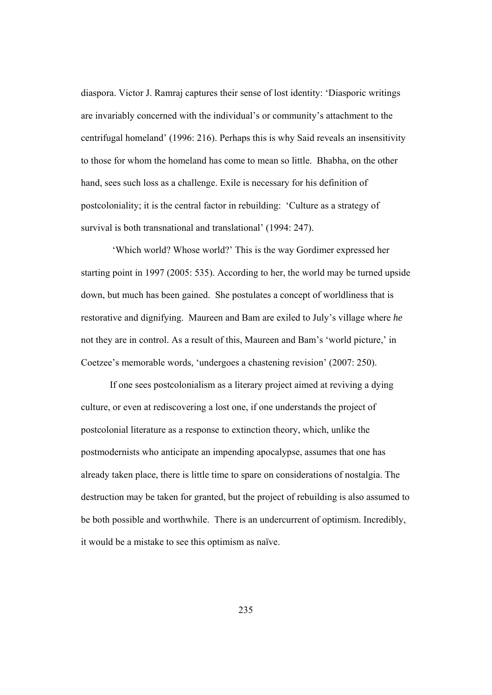diaspora. Victor J. Ramraj captures their sense of lost identity: 'Diasporic writings are invariably concerned with the individual's or community's attachment to the centrifugal homeland' (1996: 216). Perhaps this is why Said reveals an insensitivity to those for whom the homeland has come to mean so little. Bhabha, on the other hand, sees such loss as a challenge. Exile is necessary for his definition of postcoloniality; it is the central factor in rebuilding: 'Culture as a strategy of survival is both transnational and translational' (1994: 247).

 'Which world? Whose world?' This is the way Gordimer expressed her starting point in 1997 (2005: 535). According to her, the world may be turned upside down, but much has been gained. She postulates a concept of worldliness that is restorative and dignifying. Maureen and Bam are exiled to July's village where *he* not they are in control. As a result of this, Maureen and Bam's 'world picture,' in Coetzee's memorable words, 'undergoes a chastening revision' (2007: 250).

If one sees postcolonialism as a literary project aimed at reviving a dying culture, or even at rediscovering a lost one, if one understands the project of postcolonial literature as a response to extinction theory, which, unlike the postmodernists who anticipate an impending apocalypse, assumes that one has already taken place, there is little time to spare on considerations of nostalgia. The destruction may be taken for granted, but the project of rebuilding is also assumed to be both possible and worthwhile. There is an undercurrent of optimism. Incredibly, it would be a mistake to see this optimism as naïve.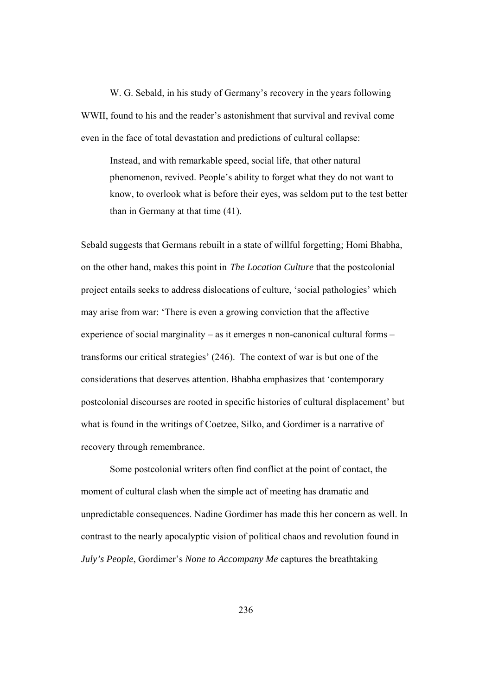W. G. Sebald, in his study of Germany's recovery in the years following WWII, found to his and the reader's astonishment that survival and revival come even in the face of total devastation and predictions of cultural collapse:

Instead, and with remarkable speed, social life, that other natural phenomenon, revived. People's ability to forget what they do not want to know, to overlook what is before their eyes, was seldom put to the test better than in Germany at that time (41).

Sebald suggests that Germans rebuilt in a state of willful forgetting; Homi Bhabha, on the other hand, makes this point in *The Location Culture* that the postcolonial project entails seeks to address dislocations of culture, 'social pathologies' which may arise from war: 'There is even a growing conviction that the affective experience of social marginality – as it emerges n non-canonical cultural forms – transforms our critical strategies' (246). The context of war is but one of the considerations that deserves attention. Bhabha emphasizes that 'contemporary postcolonial discourses are rooted in specific histories of cultural displacement' but what is found in the writings of Coetzee, Silko, and Gordimer is a narrative of recovery through remembrance.

Some postcolonial writers often find conflict at the point of contact, the moment of cultural clash when the simple act of meeting has dramatic and unpredictable consequences. Nadine Gordimer has made this her concern as well. In contrast to the nearly apocalyptic vision of political chaos and revolution found in *July's People*, Gordimer's *None to Accompany Me* captures the breathtaking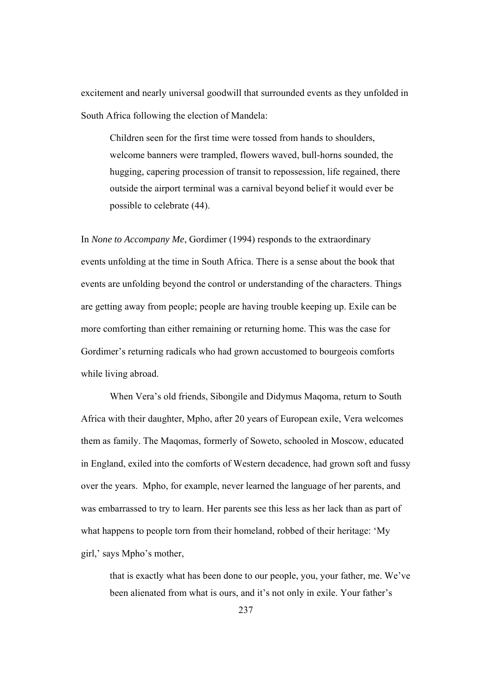excitement and nearly universal goodwill that surrounded events as they unfolded in South Africa following the election of Mandela:

Children seen for the first time were tossed from hands to shoulders, welcome banners were trampled, flowers waved, bull-horns sounded, the hugging, capering procession of transit to repossession, life regained, there outside the airport terminal was a carnival beyond belief it would ever be possible to celebrate (44).

In *None to Accompany Me*, Gordimer (1994) responds to the extraordinary events unfolding at the time in South Africa. There is a sense about the book that events are unfolding beyond the control or understanding of the characters. Things are getting away from people; people are having trouble keeping up. Exile can be more comforting than either remaining or returning home. This was the case for Gordimer's returning radicals who had grown accustomed to bourgeois comforts while living abroad.

When Vera's old friends, Sibongile and Didymus Maqoma, return to South Africa with their daughter, Mpho, after 20 years of European exile, Vera welcomes them as family. The Maqomas, formerly of Soweto, schooled in Moscow, educated in England, exiled into the comforts of Western decadence, had grown soft and fussy over the years. Mpho, for example, never learned the language of her parents, and was embarrassed to try to learn. Her parents see this less as her lack than as part of what happens to people torn from their homeland, robbed of their heritage: 'My girl,' says Mpho's mother,

that is exactly what has been done to our people, you, your father, me. We've been alienated from what is ours, and it's not only in exile. Your father's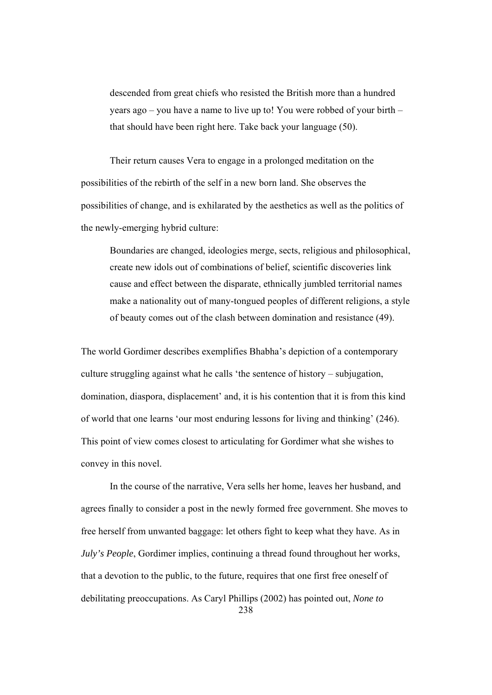descended from great chiefs who resisted the British more than a hundred years ago – you have a name to live up to! You were robbed of your birth – that should have been right here. Take back your language (50).

Their return causes Vera to engage in a prolonged meditation on the possibilities of the rebirth of the self in a new born land. She observes the possibilities of change, and is exhilarated by the aesthetics as well as the politics of the newly-emerging hybrid culture:

Boundaries are changed, ideologies merge, sects, religious and philosophical, create new idols out of combinations of belief, scientific discoveries link cause and effect between the disparate, ethnically jumbled territorial names make a nationality out of many-tongued peoples of different religions, a style of beauty comes out of the clash between domination and resistance (49).

The world Gordimer describes exemplifies Bhabha's depiction of a contemporary culture struggling against what he calls 'the sentence of history – subjugation, domination, diaspora, displacement' and, it is his contention that it is from this kind of world that one learns 'our most enduring lessons for living and thinking' (246). This point of view comes closest to articulating for Gordimer what she wishes to convey in this novel.

238 In the course of the narrative, Vera sells her home, leaves her husband, and agrees finally to consider a post in the newly formed free government. She moves to free herself from unwanted baggage: let others fight to keep what they have. As in *July's People*, Gordimer implies, continuing a thread found throughout her works, that a devotion to the public, to the future, requires that one first free oneself of debilitating preoccupations. As Caryl Phillips (2002) has pointed out, *None to*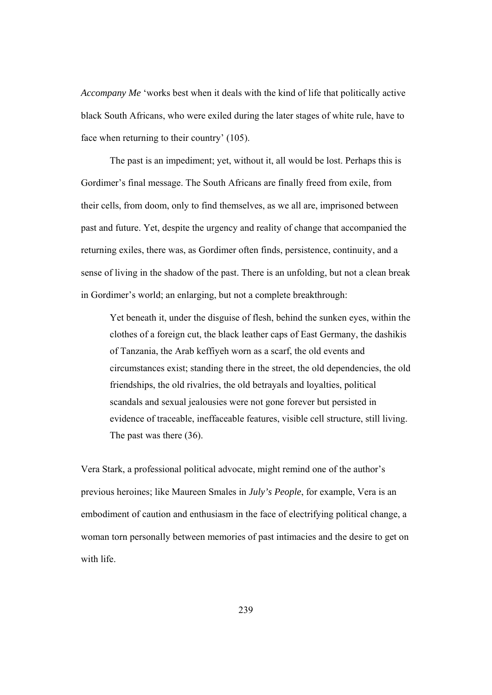*Accompany Me* 'works best when it deals with the kind of life that politically active black South Africans, who were exiled during the later stages of white rule, have to face when returning to their country' (105).

The past is an impediment; yet, without it, all would be lost. Perhaps this is Gordimer's final message. The South Africans are finally freed from exile, from their cells, from doom, only to find themselves, as we all are, imprisoned between past and future. Yet, despite the urgency and reality of change that accompanied the returning exiles, there was, as Gordimer often finds, persistence, continuity, and a sense of living in the shadow of the past. There is an unfolding, but not a clean break in Gordimer's world; an enlarging, but not a complete breakthrough:

Yet beneath it, under the disguise of flesh, behind the sunken eyes, within the clothes of a foreign cut, the black leather caps of East Germany, the dashikis of Tanzania, the Arab keffiyeh worn as a scarf, the old events and circumstances exist; standing there in the street, the old dependencies, the old friendships, the old rivalries, the old betrayals and loyalties, political scandals and sexual jealousies were not gone forever but persisted in evidence of traceable, ineffaceable features, visible cell structure, still living. The past was there (36).

Vera Stark, a professional political advocate, might remind one of the author's previous heroines; like Maureen Smales in *July's People*, for example, Vera is an embodiment of caution and enthusiasm in the face of electrifying political change, a woman torn personally between memories of past intimacies and the desire to get on with life.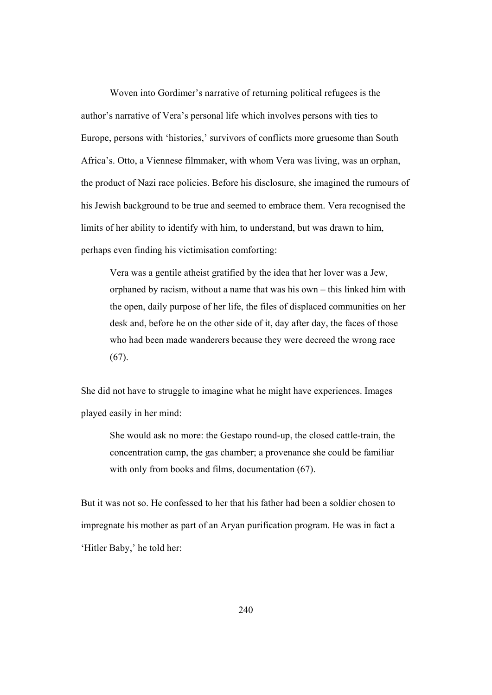Woven into Gordimer's narrative of returning political refugees is the author's narrative of Vera's personal life which involves persons with ties to Europe, persons with 'histories,' survivors of conflicts more gruesome than South Africa's. Otto, a Viennese filmmaker, with whom Vera was living, was an orphan, the product of Nazi race policies. Before his disclosure, she imagined the rumours of his Jewish background to be true and seemed to embrace them. Vera recognised the limits of her ability to identify with him, to understand, but was drawn to him, perhaps even finding his victimisation comforting:

Vera was a gentile atheist gratified by the idea that her lover was a Jew, orphaned by racism, without a name that was his own – this linked him with the open, daily purpose of her life, the files of displaced communities on her desk and, before he on the other side of it, day after day, the faces of those who had been made wanderers because they were decreed the wrong race  $(67)$ .

She did not have to struggle to imagine what he might have experiences. Images played easily in her mind:

She would ask no more: the Gestapo round-up, the closed cattle-train, the concentration camp, the gas chamber; a provenance she could be familiar with only from books and films, documentation (67).

But it was not so. He confessed to her that his father had been a soldier chosen to impregnate his mother as part of an Aryan purification program. He was in fact a 'Hitler Baby,' he told her: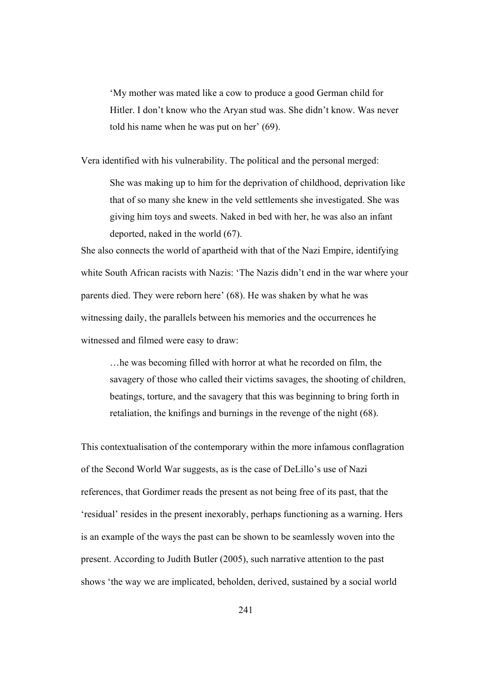'My mother was mated like a cow to produce a good German child for Hitler. I don't know who the Aryan stud was. She didn't know. Was never told his name when he was put on her' (69).

Vera identified with his vulnerability. The political and the personal merged:

She was making up to him for the deprivation of childhood, deprivation like that of so many she knew in the veld settlements she investigated. She was giving him toys and sweets. Naked in bed with her, he was also an infant deported, naked in the world (67).

She also connects the world of apartheid with that of the Nazi Empire, identifying white South African racists with Nazis: 'The Nazis didn't end in the war where your parents died. They were reborn here' (68). He was shaken by what he was witnessing daily, the parallels between his memories and the occurrences he witnessed and filmed were easy to draw:

…he was becoming filled with horror at what he recorded on film, the savagery of those who called their victims savages, the shooting of children, beatings, torture, and the savagery that this was beginning to bring forth in retaliation, the knifings and burnings in the revenge of the night (68).

This contextualisation of the contemporary within the more infamous conflagration of the Second World War suggests, as is the case of DeLillo's use of Nazi references, that Gordimer reads the present as not being free of its past, that the 'residual' resides in the present inexorably, perhaps functioning as a warning. Hers is an example of the ways the past can be shown to be seamlessly woven into the present. According to Judith Butler (2005), such narrative attention to the past shows 'the way we are implicated, beholden, derived, sustained by a social world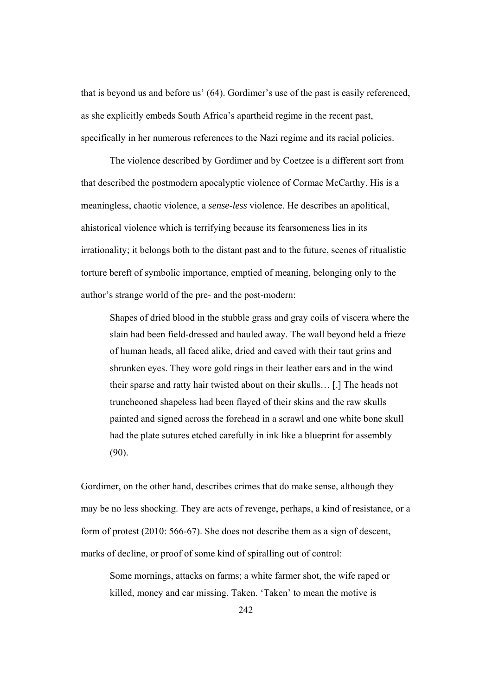that is beyond us and before us' (64). Gordimer's use of the past is easily referenced, as she explicitly embeds South Africa's apartheid regime in the recent past, specifically in her numerous references to the Nazi regime and its racial policies.

The violence described by Gordimer and by Coetzee is a different sort from that described the postmodern apocalyptic violence of Cormac McCarthy. His is a meaningless, chaotic violence, a *sense-less* violence. He describes an apolitical, ahistorical violence which is terrifying because its fearsomeness lies in its irrationality; it belongs both to the distant past and to the future, scenes of ritualistic torture bereft of symbolic importance, emptied of meaning, belonging only to the author's strange world of the pre- and the post-modern:

Shapes of dried blood in the stubble grass and gray coils of viscera where the slain had been field-dressed and hauled away. The wall beyond held a frieze of human heads, all faced alike, dried and caved with their taut grins and shrunken eyes. They wore gold rings in their leather ears and in the wind their sparse and ratty hair twisted about on their skulls… [.] The heads not truncheoned shapeless had been flayed of their skins and the raw skulls painted and signed across the forehead in a scrawl and one white bone skull had the plate sutures etched carefully in ink like a blueprint for assembly (90).

Gordimer, on the other hand, describes crimes that do make sense, although they may be no less shocking. They are acts of revenge, perhaps, a kind of resistance, or a form of protest (2010: 566-67). She does not describe them as a sign of descent, marks of decline, or proof of some kind of spiralling out of control:

Some mornings, attacks on farms; a white farmer shot, the wife raped or killed, money and car missing. Taken. 'Taken' to mean the motive is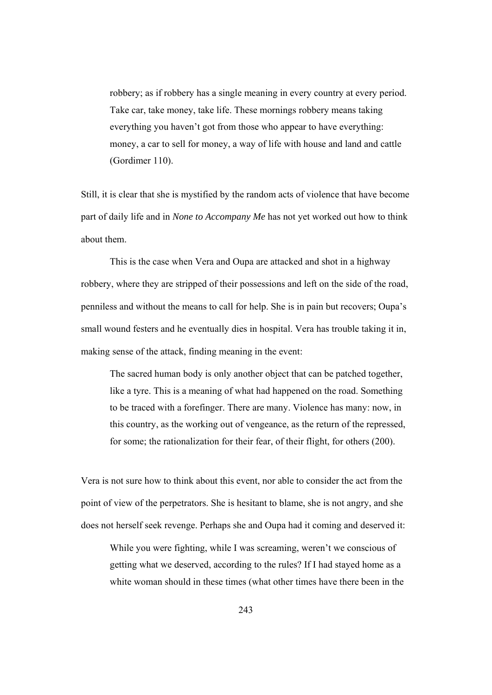robbery; as if robbery has a single meaning in every country at every period. Take car, take money, take life. These mornings robbery means taking everything you haven't got from those who appear to have everything: money, a car to sell for money, a way of life with house and land and cattle (Gordimer 110).

Still, it is clear that she is mystified by the random acts of violence that have become part of daily life and in *None to Accompany Me* has not yet worked out how to think about them.

 This is the case when Vera and Oupa are attacked and shot in a highway robbery, where they are stripped of their possessions and left on the side of the road, penniless and without the means to call for help. She is in pain but recovers; Oupa's small wound festers and he eventually dies in hospital. Vera has trouble taking it in, making sense of the attack, finding meaning in the event:

The sacred human body is only another object that can be patched together, like a tyre. This is a meaning of what had happened on the road. Something to be traced with a forefinger. There are many. Violence has many: now, in this country, as the working out of vengeance, as the return of the repressed, for some; the rationalization for their fear, of their flight, for others (200).

Vera is not sure how to think about this event, nor able to consider the act from the point of view of the perpetrators. She is hesitant to blame, she is not angry, and she does not herself seek revenge. Perhaps she and Oupa had it coming and deserved it:

While you were fighting, while I was screaming, weren't we conscious of getting what we deserved, according to the rules? If I had stayed home as a white woman should in these times (what other times have there been in the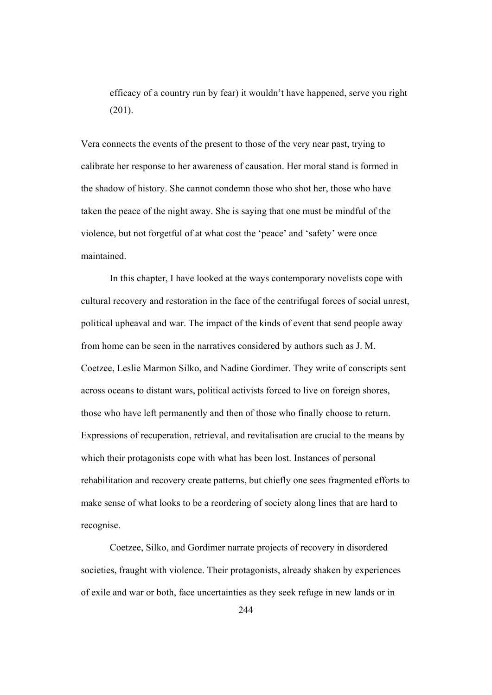efficacy of a country run by fear) it wouldn't have happened, serve you right (201).

Vera connects the events of the present to those of the very near past, trying to calibrate her response to her awareness of causation. Her moral stand is formed in the shadow of history. She cannot condemn those who shot her, those who have taken the peace of the night away. She is saying that one must be mindful of the violence, but not forgetful of at what cost the 'peace' and 'safety' were once maintained.

In this chapter, I have looked at the ways contemporary novelists cope with cultural recovery and restoration in the face of the centrifugal forces of social unrest, political upheaval and war. The impact of the kinds of event that send people away from home can be seen in the narratives considered by authors such as J. M. Coetzee, Leslie Marmon Silko, and Nadine Gordimer. They write of conscripts sent across oceans to distant wars, political activists forced to live on foreign shores, those who have left permanently and then of those who finally choose to return. Expressions of recuperation, retrieval, and revitalisation are crucial to the means by which their protagonists cope with what has been lost. Instances of personal rehabilitation and recovery create patterns, but chiefly one sees fragmented efforts to make sense of what looks to be a reordering of society along lines that are hard to recognise.

Coetzee, Silko, and Gordimer narrate projects of recovery in disordered societies, fraught with violence. Their protagonists, already shaken by experiences of exile and war or both, face uncertainties as they seek refuge in new lands or in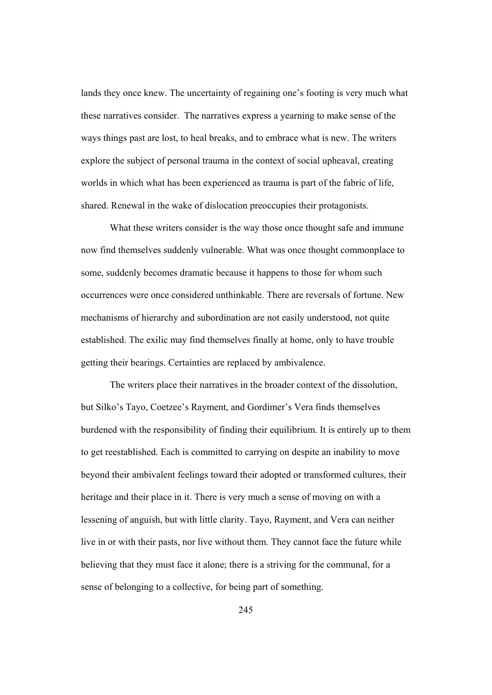lands they once knew. The uncertainty of regaining one's footing is very much what these narratives consider. The narratives express a yearning to make sense of the ways things past are lost, to heal breaks, and to embrace what is new. The writers explore the subject of personal trauma in the context of social upheaval, creating worlds in which what has been experienced as trauma is part of the fabric of life, shared. Renewal in the wake of dislocation preoccupies their protagonists.

What these writers consider is the way those once thought safe and immune now find themselves suddenly vulnerable. What was once thought commonplace to some, suddenly becomes dramatic because it happens to those for whom such occurrences were once considered unthinkable. There are reversals of fortune. New mechanisms of hierarchy and subordination are not easily understood, not quite established. The exilic may find themselves finally at home, only to have trouble getting their bearings. Certainties are replaced by ambivalence.

The writers place their narratives in the broader context of the dissolution, but Silko's Tayo, Coetzee's Rayment, and Gordimer's Vera finds themselves burdened with the responsibility of finding their equilibrium. It is entirely up to them to get reestablished. Each is committed to carrying on despite an inability to move beyond their ambivalent feelings toward their adopted or transformed cultures, their heritage and their place in it. There is very much a sense of moving on with a lessening of anguish, but with little clarity. Tayo, Rayment, and Vera can neither live in or with their pasts, nor live without them. They cannot face the future while believing that they must face it alone; there is a striving for the communal, for a sense of belonging to a collective, for being part of something.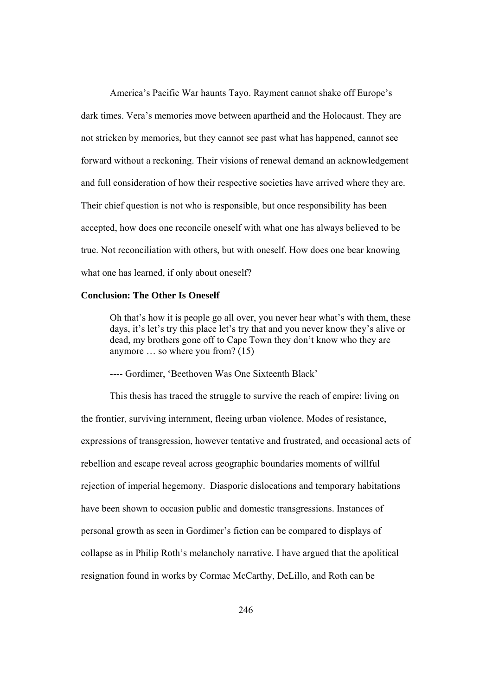America's Pacific War haunts Tayo. Rayment cannot shake off Europe's dark times. Vera's memories move between apartheid and the Holocaust. They are not stricken by memories, but they cannot see past what has happened, cannot see forward without a reckoning. Their visions of renewal demand an acknowledgement and full consideration of how their respective societies have arrived where they are. Their chief question is not who is responsible, but once responsibility has been accepted, how does one reconcile oneself with what one has always believed to be true. Not reconciliation with others, but with oneself. How does one bear knowing what one has learned, if only about oneself?

## **Conclusion: The Other Is Oneself**

Oh that's how it is people go all over, you never hear what's with them, these days, it's let's try this place let's try that and you never know they's alive or dead, my brothers gone off to Cape Town they don't know who they are anymore … so where you from? (15)

---- Gordimer, 'Beethoven Was One Sixteenth Black'

 This thesis has traced the struggle to survive the reach of empire: living on the frontier, surviving internment, fleeing urban violence. Modes of resistance, expressions of transgression, however tentative and frustrated, and occasional acts of rebellion and escape reveal across geographic boundaries moments of willful rejection of imperial hegemony. Diasporic dislocations and temporary habitations have been shown to occasion public and domestic transgressions. Instances of personal growth as seen in Gordimer's fiction can be compared to displays of collapse as in Philip Roth's melancholy narrative. I have argued that the apolitical resignation found in works by Cormac McCarthy, DeLillo, and Roth can be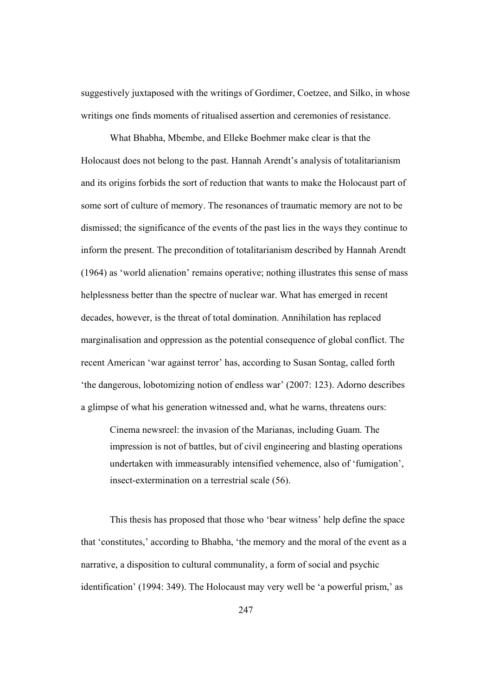suggestively juxtaposed with the writings of Gordimer, Coetzee, and Silko, in whose writings one finds moments of ritualised assertion and ceremonies of resistance.

 What Bhabha, Mbembe, and Elleke Boehmer make clear is that the Holocaust does not belong to the past. Hannah Arendt's analysis of totalitarianism and its origins forbids the sort of reduction that wants to make the Holocaust part of some sort of culture of memory. The resonances of traumatic memory are not to be dismissed; the significance of the events of the past lies in the ways they continue to inform the present. The precondition of totalitarianism described by Hannah Arendt (1964) as 'world alienation' remains operative; nothing illustrates this sense of mass helplessness better than the spectre of nuclear war. What has emerged in recent decades, however, is the threat of total domination. Annihilation has replaced marginalisation and oppression as the potential consequence of global conflict. The recent American 'war against terror' has, according to Susan Sontag, called forth 'the dangerous, lobotomizing notion of endless war' (2007: 123). Adorno describes a glimpse of what his generation witnessed and, what he warns, threatens ours:

 Cinema newsreel: the invasion of the Marianas, including Guam. The impression is not of battles, but of civil engineering and blasting operations undertaken with immeasurably intensified vehemence, also of 'fumigation', insect-extermination on a terrestrial scale (56).

 This thesis has proposed that those who 'bear witness' help define the space that 'constitutes,' according to Bhabha, 'the memory and the moral of the event as a narrative, a disposition to cultural communality, a form of social and psychic identification' (1994: 349). The Holocaust may very well be 'a powerful prism,' as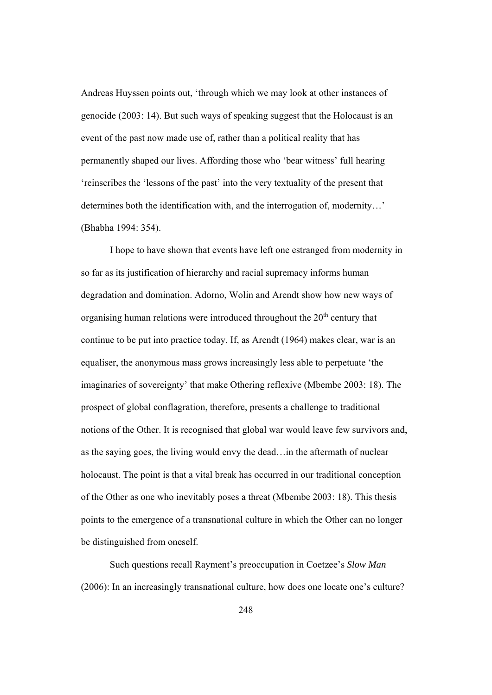Andreas Huyssen points out, 'through which we may look at other instances of genocide (2003: 14). But such ways of speaking suggest that the Holocaust is an event of the past now made use of, rather than a political reality that has permanently shaped our lives. Affording those who 'bear witness' full hearing 'reinscribes the 'lessons of the past' into the very textuality of the present that determines both the identification with, and the interrogation of, modernity…' (Bhabha 1994: 354).

 I hope to have shown that events have left one estranged from modernity in so far as its justification of hierarchy and racial supremacy informs human degradation and domination. Adorno, Wolin and Arendt show how new ways of organising human relations were introduced throughout the 20<sup>th</sup> century that continue to be put into practice today. If, as Arendt (1964) makes clear, war is an equaliser, the anonymous mass grows increasingly less able to perpetuate 'the imaginaries of sovereignty' that make Othering reflexive (Mbembe 2003: 18). The prospect of global conflagration, therefore, presents a challenge to traditional notions of the Other. It is recognised that global war would leave few survivors and, as the saying goes, the living would envy the dead…in the aftermath of nuclear holocaust. The point is that a vital break has occurred in our traditional conception of the Other as one who inevitably poses a threat (Mbembe 2003: 18). This thesis points to the emergence of a transnational culture in which the Other can no longer be distinguished from oneself.

 Such questions recall Rayment's preoccupation in Coetzee's *Slow Man* (2006): In an increasingly transnational culture, how does one locate one's culture?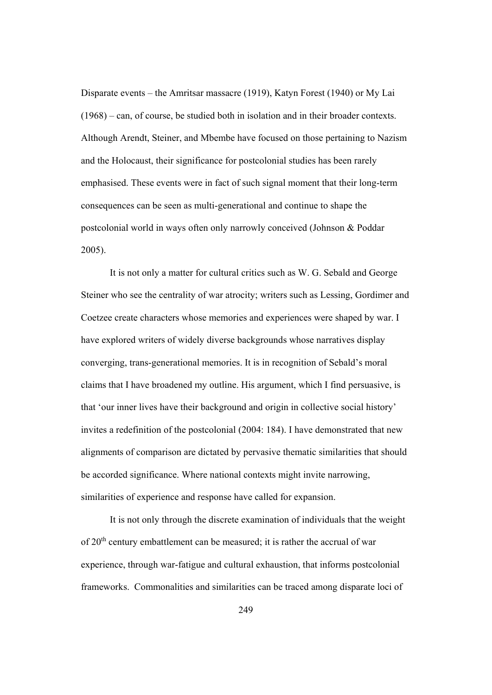Disparate events – the Amritsar massacre (1919), Katyn Forest (1940) or My Lai (1968) – can, of course, be studied both in isolation and in their broader contexts. Although Arendt, Steiner, and Mbembe have focused on those pertaining to Nazism and the Holocaust, their significance for postcolonial studies has been rarely emphasised. These events were in fact of such signal moment that their long-term consequences can be seen as multi-generational and continue to shape the postcolonial world in ways often only narrowly conceived (Johnson & Poddar 2005).

 It is not only a matter for cultural critics such as W. G. Sebald and George Steiner who see the centrality of war atrocity; writers such as Lessing, Gordimer and Coetzee create characters whose memories and experiences were shaped by war. I have explored writers of widely diverse backgrounds whose narratives display converging, trans-generational memories. It is in recognition of Sebald's moral claims that I have broadened my outline. His argument, which I find persuasive, is that 'our inner lives have their background and origin in collective social history' invites a redefinition of the postcolonial (2004: 184). I have demonstrated that new alignments of comparison are dictated by pervasive thematic similarities that should be accorded significance. Where national contexts might invite narrowing, similarities of experience and response have called for expansion.

 It is not only through the discrete examination of individuals that the weight of 20th century embattlement can be measured; it is rather the accrual of war experience, through war-fatigue and cultural exhaustion, that informs postcolonial frameworks. Commonalities and similarities can be traced among disparate loci of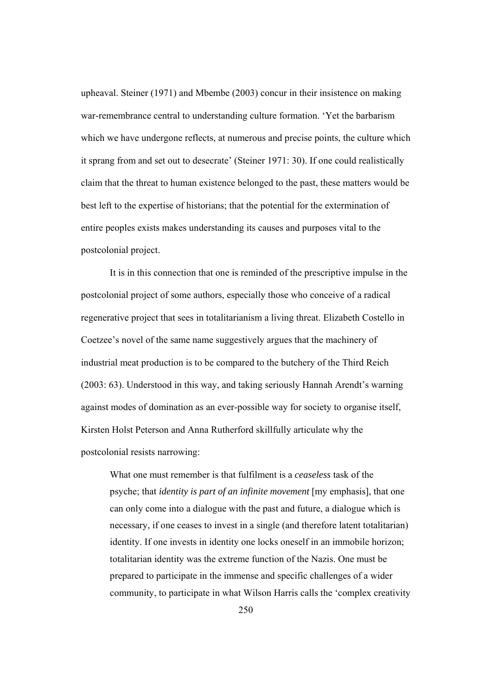upheaval. Steiner (1971) and Mbembe (2003) concur in their insistence on making war-remembrance central to understanding culture formation. 'Yet the barbarism which we have undergone reflects, at numerous and precise points, the culture which it sprang from and set out to desecrate' (Steiner 1971: 30). If one could realistically claim that the threat to human existence belonged to the past, these matters would be best left to the expertise of historians; that the potential for the extermination of entire peoples exists makes understanding its causes and purposes vital to the postcolonial project.

 It is in this connection that one is reminded of the prescriptive impulse in the postcolonial project of some authors, especially those who conceive of a radical regenerative project that sees in totalitarianism a living threat. Elizabeth Costello in Coetzee's novel of the same name suggestively argues that the machinery of industrial meat production is to be compared to the butchery of the Third Reich (2003: 63). Understood in this way, and taking seriously Hannah Arendt's warning against modes of domination as an ever-possible way for society to organise itself, Kirsten Holst Peterson and Anna Rutherford skillfully articulate why the postcolonial resists narrowing:

What one must remember is that fulfilment is a *ceaseless* task of the psyche; that *identity is part of an infinite movement* [my emphasis], that one can only come into a dialogue with the past and future, a dialogue which is necessary, if one ceases to invest in a single (and therefore latent totalitarian) identity. If one invests in identity one locks oneself in an immobile horizon; totalitarian identity was the extreme function of the Nazis. One must be prepared to participate in the immense and specific challenges of a wider community, to participate in what Wilson Harris calls the 'complex creativity

250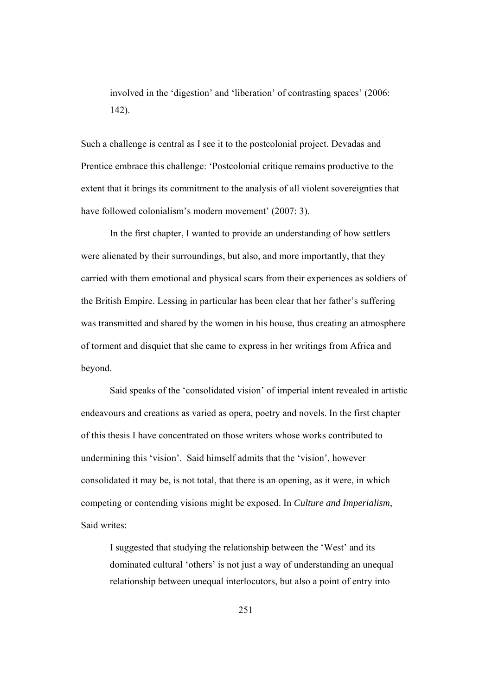involved in the 'digestion' and 'liberation' of contrasting spaces' (2006: 142).

Such a challenge is central as I see it to the postcolonial project. Devadas and Prentice embrace this challenge: 'Postcolonial critique remains productive to the extent that it brings its commitment to the analysis of all violent sovereignties that have followed colonialism's modern movement' (2007: 3).

 In the first chapter, I wanted to provide an understanding of how settlers were alienated by their surroundings, but also, and more importantly, that they carried with them emotional and physical scars from their experiences as soldiers of the British Empire. Lessing in particular has been clear that her father's suffering was transmitted and shared by the women in his house, thus creating an atmosphere of torment and disquiet that she came to express in her writings from Africa and beyond.

Said speaks of the 'consolidated vision' of imperial intent revealed in artistic endeavours and creations as varied as opera, poetry and novels. In the first chapter of this thesis I have concentrated on those writers whose works contributed to undermining this 'vision'. Said himself admits that the 'vision', however consolidated it may be, is not total, that there is an opening, as it were, in which competing or contending visions might be exposed. In *Culture and Imperialism*, Said writes:

I suggested that studying the relationship between the 'West' and its dominated cultural 'others' is not just a way of understanding an unequal relationship between unequal interlocutors, but also a point of entry into

251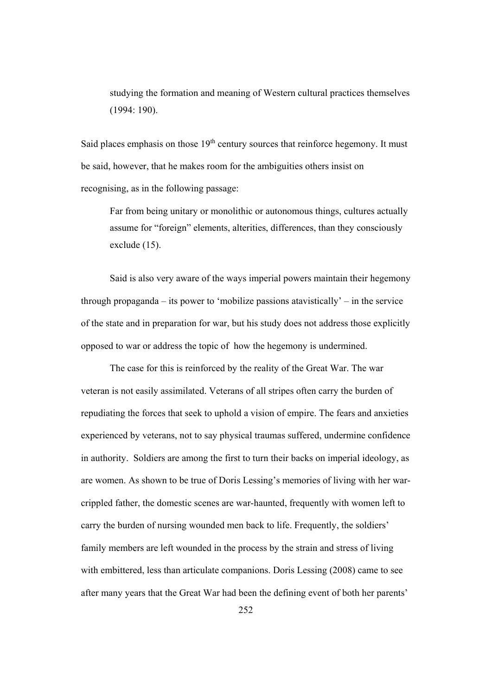studying the formation and meaning of Western cultural practices themselves (1994: 190).

Said places emphasis on those  $19<sup>th</sup>$  century sources that reinforce hegemony. It must be said, however, that he makes room for the ambiguities others insist on recognising, as in the following passage:

Far from being unitary or monolithic or autonomous things, cultures actually assume for "foreign" elements, alterities, differences, than they consciously exclude (15).

 Said is also very aware of the ways imperial powers maintain their hegemony through propaganda – its power to 'mobilize passions atavistically' – in the service of the state and in preparation for war, but his study does not address those explicitly opposed to war or address the topic of how the hegemony is undermined.

The case for this is reinforced by the reality of the Great War. The war veteran is not easily assimilated. Veterans of all stripes often carry the burden of repudiating the forces that seek to uphold a vision of empire. The fears and anxieties experienced by veterans, not to say physical traumas suffered, undermine confidence in authority. Soldiers are among the first to turn their backs on imperial ideology, as are women. As shown to be true of Doris Lessing's memories of living with her warcrippled father, the domestic scenes are war-haunted, frequently with women left to carry the burden of nursing wounded men back to life. Frequently, the soldiers' family members are left wounded in the process by the strain and stress of living with embittered, less than articulate companions. Doris Lessing (2008) came to see after many years that the Great War had been the defining event of both her parents'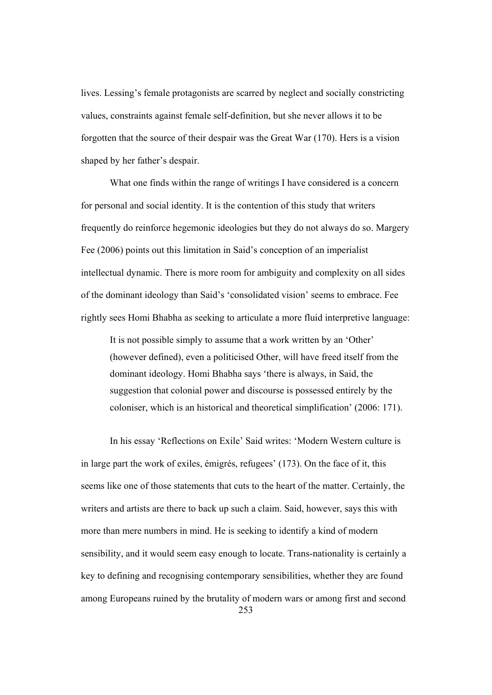lives. Lessing's female protagonists are scarred by neglect and socially constricting values, constraints against female self-definition, but she never allows it to be forgotten that the source of their despair was the Great War (170). Hers is a vision shaped by her father's despair.

What one finds within the range of writings I have considered is a concern for personal and social identity. It is the contention of this study that writers frequently do reinforce hegemonic ideologies but they do not always do so. Margery Fee (2006) points out this limitation in Said's conception of an imperialist intellectual dynamic. There is more room for ambiguity and complexity on all sides of the dominant ideology than Said's 'consolidated vision' seems to embrace. Fee rightly sees Homi Bhabha as seeking to articulate a more fluid interpretive language:

 It is not possible simply to assume that a work written by an 'Other' (however defined), even a politicised Other, will have freed itself from the dominant ideology. Homi Bhabha says 'there is always, in Said, the suggestion that colonial power and discourse is possessed entirely by the coloniser, which is an historical and theoretical simplification' (2006: 171).

253 In his essay 'Reflections on Exile' Said writes: 'Modern Western culture is in large part the work of exiles, émigrés, refugees' (173). On the face of it, this seems like one of those statements that cuts to the heart of the matter. Certainly, the writers and artists are there to back up such a claim. Said, however, says this with more than mere numbers in mind. He is seeking to identify a kind of modern sensibility, and it would seem easy enough to locate. Trans-nationality is certainly a key to defining and recognising contemporary sensibilities, whether they are found among Europeans ruined by the brutality of modern wars or among first and second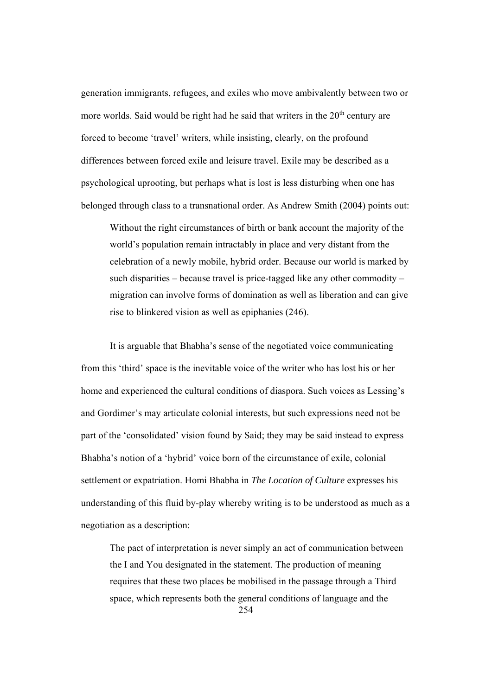generation immigrants, refugees, and exiles who move ambivalently between two or more worlds. Said would be right had he said that writers in the  $20<sup>th</sup>$  century are forced to become 'travel' writers, while insisting, clearly, on the profound differences between forced exile and leisure travel. Exile may be described as a psychological uprooting, but perhaps what is lost is less disturbing when one has belonged through class to a transnational order. As Andrew Smith (2004) points out:

Without the right circumstances of birth or bank account the majority of the world's population remain intractably in place and very distant from the celebration of a newly mobile, hybrid order. Because our world is marked by such disparities – because travel is price-tagged like any other commodity – migration can involve forms of domination as well as liberation and can give rise to blinkered vision as well as epiphanies (246).

It is arguable that Bhabha's sense of the negotiated voice communicating from this 'third' space is the inevitable voice of the writer who has lost his or her home and experienced the cultural conditions of diaspora. Such voices as Lessing's and Gordimer's may articulate colonial interests, but such expressions need not be part of the 'consolidated' vision found by Said; they may be said instead to express Bhabha's notion of a 'hybrid' voice born of the circumstance of exile, colonial settlement or expatriation. Homi Bhabha in *The Location of Culture* expresses his understanding of this fluid by-play whereby writing is to be understood as much as a negotiation as a description:

254 The pact of interpretation is never simply an act of communication between the I and You designated in the statement. The production of meaning requires that these two places be mobilised in the passage through a Third space, which represents both the general conditions of language and the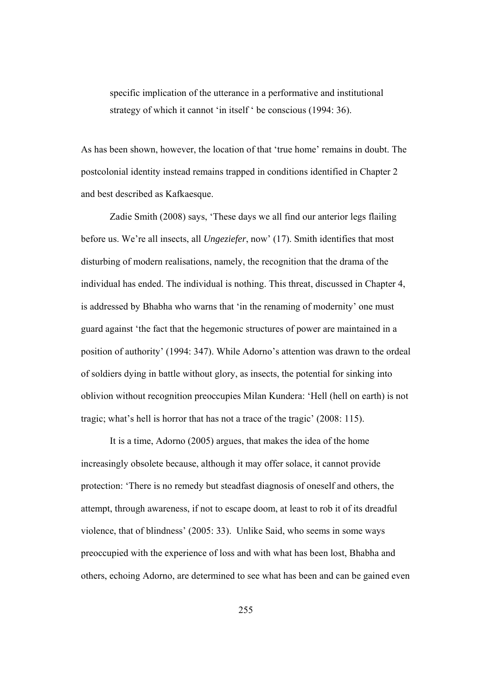specific implication of the utterance in a performative and institutional strategy of which it cannot 'in itself ' be conscious (1994: 36).

As has been shown, however, the location of that 'true home' remains in doubt. The postcolonial identity instead remains trapped in conditions identified in Chapter 2 and best described as Kafkaesque.

Zadie Smith (2008) says, 'These days we all find our anterior legs flailing before us. We're all insects, all *Ungeziefer*, now' (17). Smith identifies that most disturbing of modern realisations, namely, the recognition that the drama of the individual has ended. The individual is nothing. This threat, discussed in Chapter 4, is addressed by Bhabha who warns that 'in the renaming of modernity' one must guard against 'the fact that the hegemonic structures of power are maintained in a position of authority' (1994: 347). While Adorno's attention was drawn to the ordeal of soldiers dying in battle without glory, as insects, the potential for sinking into oblivion without recognition preoccupies Milan Kundera: 'Hell (hell on earth) is not tragic; what's hell is horror that has not a trace of the tragic' (2008: 115).

 It is a time, Adorno (2005) argues, that makes the idea of the home increasingly obsolete because, although it may offer solace, it cannot provide protection: 'There is no remedy but steadfast diagnosis of oneself and others, the attempt, through awareness, if not to escape doom, at least to rob it of its dreadful violence, that of blindness' (2005: 33). Unlike Said, who seems in some ways preoccupied with the experience of loss and with what has been lost, Bhabha and others, echoing Adorno, are determined to see what has been and can be gained even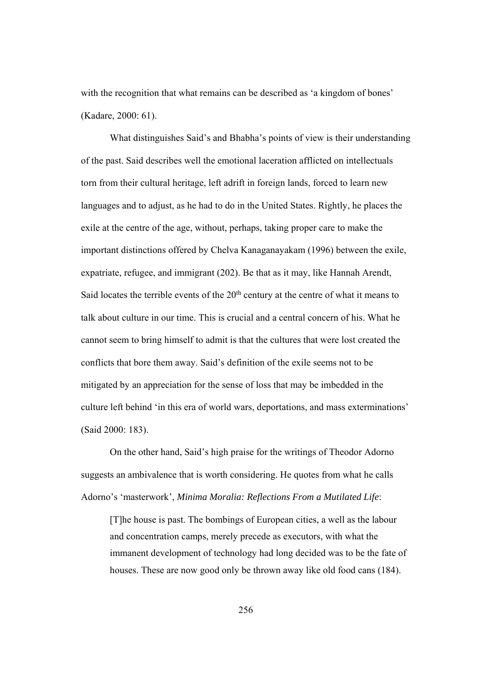with the recognition that what remains can be described as 'a kingdom of bones' (Kadare, 2000: 61).

What distinguishes Said's and Bhabha's points of view is their understanding of the past. Said describes well the emotional laceration afflicted on intellectuals torn from their cultural heritage, left adrift in foreign lands, forced to learn new languages and to adjust, as he had to do in the United States. Rightly, he places the exile at the centre of the age, without, perhaps, taking proper care to make the important distinctions offered by Chelva Kanaganayakam (1996) between the exile, expatriate, refugee, and immigrant (202). Be that as it may, like Hannah Arendt, Said locates the terrible events of the  $20<sup>th</sup>$  century at the centre of what it means to talk about culture in our time. This is crucial and a central concern of his. What he cannot seem to bring himself to admit is that the cultures that were lost created the conflicts that bore them away. Said's definition of the exile seems not to be mitigated by an appreciation for the sense of loss that may be imbedded in the culture left behind 'in this era of world wars, deportations, and mass exterminations' (Said 2000: 183).

On the other hand, Said's high praise for the writings of Theodor Adorno suggests an ambivalence that is worth considering. He quotes from what he calls Adorno's 'masterwork', *Minima Moralia: Reflections From a Mutilated Life*:

[T]he house is past. The bombings of European cities, a well as the labour and concentration camps, merely precede as executors, with what the immanent development of technology had long decided was to be the fate of houses. These are now good only be thrown away like old food cans (184).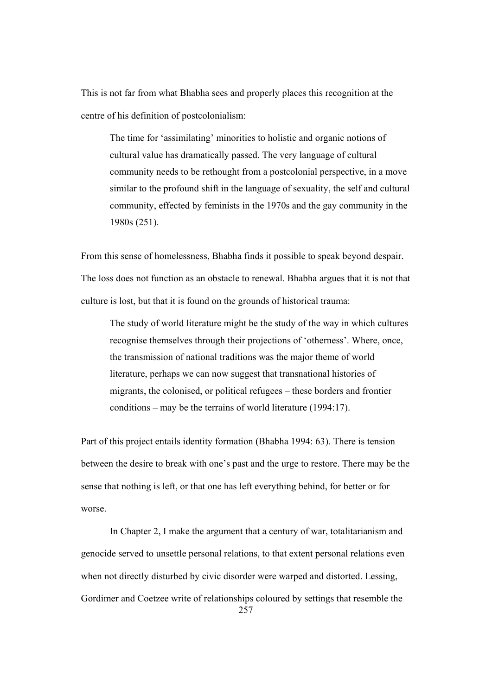This is not far from what Bhabha sees and properly places this recognition at the centre of his definition of postcolonialism:

The time for 'assimilating' minorities to holistic and organic notions of cultural value has dramatically passed. The very language of cultural community needs to be rethought from a postcolonial perspective, in a move similar to the profound shift in the language of sexuality, the self and cultural community, effected by feminists in the 1970s and the gay community in the 1980s (251).

From this sense of homelessness, Bhabha finds it possible to speak beyond despair. The loss does not function as an obstacle to renewal. Bhabha argues that it is not that culture is lost, but that it is found on the grounds of historical trauma:

The study of world literature might be the study of the way in which cultures recognise themselves through their projections of 'otherness'. Where, once, the transmission of national traditions was the major theme of world literature, perhaps we can now suggest that transnational histories of migrants, the colonised, or political refugees – these borders and frontier conditions – may be the terrains of world literature (1994:17).

Part of this project entails identity formation (Bhabha 1994: 63). There is tension between the desire to break with one's past and the urge to restore. There may be the sense that nothing is left, or that one has left everything behind, for better or for worse.

257 In Chapter 2, I make the argument that a century of war, totalitarianism and genocide served to unsettle personal relations, to that extent personal relations even when not directly disturbed by civic disorder were warped and distorted. Lessing, Gordimer and Coetzee write of relationships coloured by settings that resemble the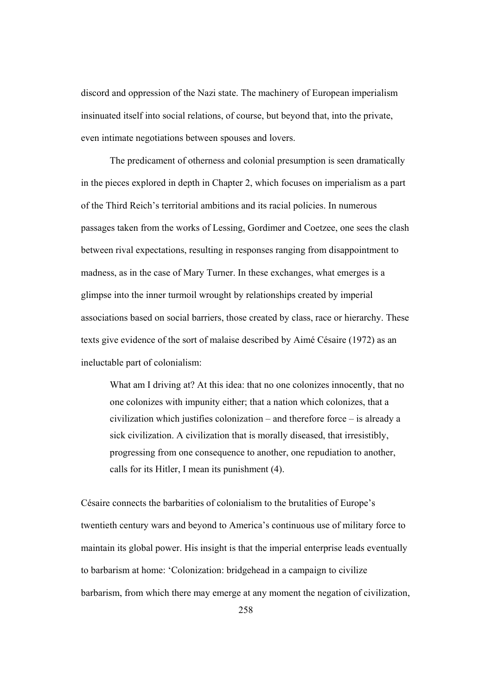discord and oppression of the Nazi state. The machinery of European imperialism insinuated itself into social relations, of course, but beyond that, into the private, even intimate negotiations between spouses and lovers.

The predicament of otherness and colonial presumption is seen dramatically in the pieces explored in depth in Chapter 2, which focuses on imperialism as a part of the Third Reich's territorial ambitions and its racial policies. In numerous passages taken from the works of Lessing, Gordimer and Coetzee, one sees the clash between rival expectations, resulting in responses ranging from disappointment to madness, as in the case of Mary Turner. In these exchanges, what emerges is a glimpse into the inner turmoil wrought by relationships created by imperial associations based on social barriers, those created by class, race or hierarchy. These texts give evidence of the sort of malaise described by Aimé Césaire (1972) as an ineluctable part of colonialism:

What am I driving at? At this idea: that no one colonizes innocently, that no one colonizes with impunity either; that a nation which colonizes, that a civilization which justifies colonization – and therefore force – is already a sick civilization. A civilization that is morally diseased, that irresistibly, progressing from one consequence to another, one repudiation to another, calls for its Hitler, I mean its punishment (4).

Césaire connects the barbarities of colonialism to the brutalities of Europe's twentieth century wars and beyond to America's continuous use of military force to maintain its global power. His insight is that the imperial enterprise leads eventually to barbarism at home: 'Colonization: bridgehead in a campaign to civilize barbarism, from which there may emerge at any moment the negation of civilization,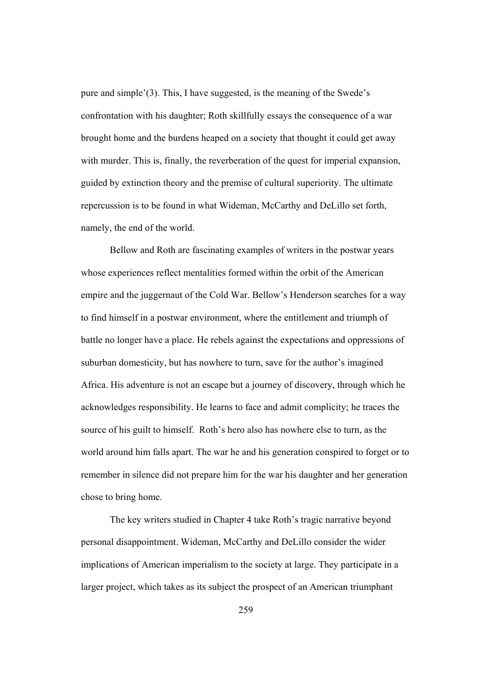pure and simple'(3). This, I have suggested, is the meaning of the Swede's confrontation with his daughter; Roth skillfully essays the consequence of a war brought home and the burdens heaped on a society that thought it could get away with murder. This is, finally, the reverberation of the quest for imperial expansion, guided by extinction theory and the premise of cultural superiority. The ultimate repercussion is to be found in what Wideman, McCarthy and DeLillo set forth, namely, the end of the world.

Bellow and Roth are fascinating examples of writers in the postwar years whose experiences reflect mentalities formed within the orbit of the American empire and the juggernaut of the Cold War. Bellow's Henderson searches for a way to find himself in a postwar environment, where the entitlement and triumph of battle no longer have a place. He rebels against the expectations and oppressions of suburban domesticity, but has nowhere to turn, save for the author's imagined Africa. His adventure is not an escape but a journey of discovery, through which he acknowledges responsibility. He learns to face and admit complicity; he traces the source of his guilt to himself. Roth's hero also has nowhere else to turn, as the world around him falls apart. The war he and his generation conspired to forget or to remember in silence did not prepare him for the war his daughter and her generation chose to bring home.

The key writers studied in Chapter 4 take Roth's tragic narrative beyond personal disappointment. Wideman, McCarthy and DeLillo consider the wider implications of American imperialism to the society at large. They participate in a larger project, which takes as its subject the prospect of an American triumphant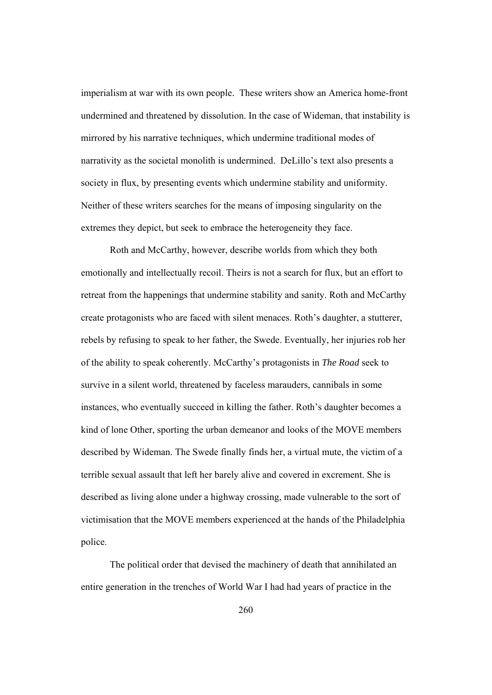imperialism at war with its own people. These writers show an America home-front undermined and threatened by dissolution. In the case of Wideman, that instability is mirrored by his narrative techniques, which undermine traditional modes of narrativity as the societal monolith is undermined. DeLillo's text also presents a society in flux, by presenting events which undermine stability and uniformity. Neither of these writers searches for the means of imposing singularity on the extremes they depict, but seek to embrace the heterogeneity they face.

Roth and McCarthy, however, describe worlds from which they both emotionally and intellectually recoil. Theirs is not a search for flux, but an effort to retreat from the happenings that undermine stability and sanity. Roth and McCarthy create protagonists who are faced with silent menaces. Roth's daughter, a stutterer, rebels by refusing to speak to her father, the Swede. Eventually, her injuries rob her of the ability to speak coherently. McCarthy's protagonists in *The Road* seek to survive in a silent world, threatened by faceless marauders, cannibals in some instances, who eventually succeed in killing the father. Roth's daughter becomes a kind of lone Other, sporting the urban demeanor and looks of the MOVE members described by Wideman. The Swede finally finds her, a virtual mute, the victim of a terrible sexual assault that left her barely alive and covered in excrement. She is described as living alone under a highway crossing, made vulnerable to the sort of victimisation that the MOVE members experienced at the hands of the Philadelphia police.

The political order that devised the machinery of death that annihilated an entire generation in the trenches of World War I had had years of practice in the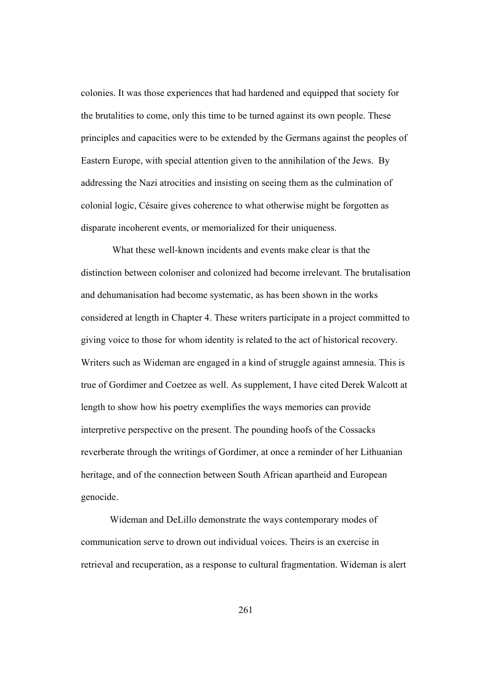colonies. It was those experiences that had hardened and equipped that society for the brutalities to come, only this time to be turned against its own people. These principles and capacities were to be extended by the Germans against the peoples of Eastern Europe, with special attention given to the annihilation of the Jews. By addressing the Nazi atrocities and insisting on seeing them as the culmination of colonial logic, Césaire gives coherence to what otherwise might be forgotten as disparate incoherent events, or memorialized for their uniqueness.

 What these well-known incidents and events make clear is that the distinction between coloniser and colonized had become irrelevant. The brutalisation and dehumanisation had become systematic, as has been shown in the works considered at length in Chapter 4. These writers participate in a project committed to giving voice to those for whom identity is related to the act of historical recovery. Writers such as Wideman are engaged in a kind of struggle against amnesia. This is true of Gordimer and Coetzee as well. As supplement, I have cited Derek Walcott at length to show how his poetry exemplifies the ways memories can provide interpretive perspective on the present. The pounding hoofs of the Cossacks reverberate through the writings of Gordimer, at once a reminder of her Lithuanian heritage, and of the connection between South African apartheid and European genocide.

Wideman and DeLillo demonstrate the ways contemporary modes of communication serve to drown out individual voices. Theirs is an exercise in retrieval and recuperation, as a response to cultural fragmentation. Wideman is alert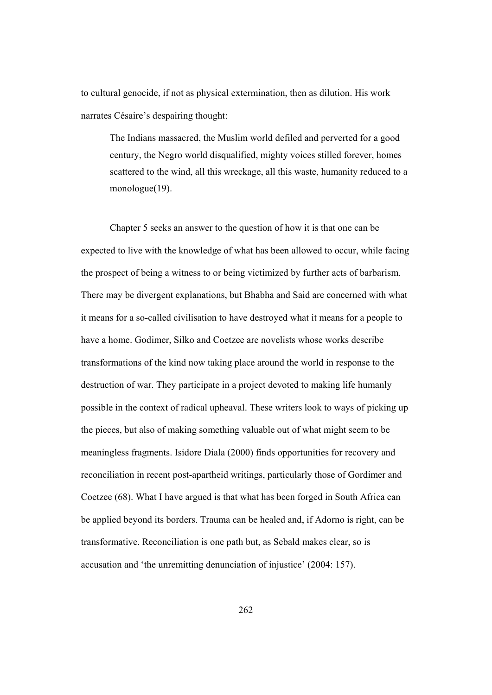to cultural genocide, if not as physical extermination, then as dilution. His work narrates Césaire's despairing thought:

The Indians massacred, the Muslim world defiled and perverted for a good century, the Negro world disqualified, mighty voices stilled forever, homes scattered to the wind, all this wreckage, all this waste, humanity reduced to a monologue(19).

Chapter 5 seeks an answer to the question of how it is that one can be expected to live with the knowledge of what has been allowed to occur, while facing the prospect of being a witness to or being victimized by further acts of barbarism. There may be divergent explanations, but Bhabha and Said are concerned with what it means for a so-called civilisation to have destroyed what it means for a people to have a home. Godimer, Silko and Coetzee are novelists whose works describe transformations of the kind now taking place around the world in response to the destruction of war. They participate in a project devoted to making life humanly possible in the context of radical upheaval. These writers look to ways of picking up the pieces, but also of making something valuable out of what might seem to be meaningless fragments. Isidore Diala (2000) finds opportunities for recovery and reconciliation in recent post-apartheid writings, particularly those of Gordimer and Coetzee (68). What I have argued is that what has been forged in South Africa can be applied beyond its borders. Trauma can be healed and, if Adorno is right, can be transformative. Reconciliation is one path but, as Sebald makes clear, so is accusation and 'the unremitting denunciation of injustice' (2004: 157).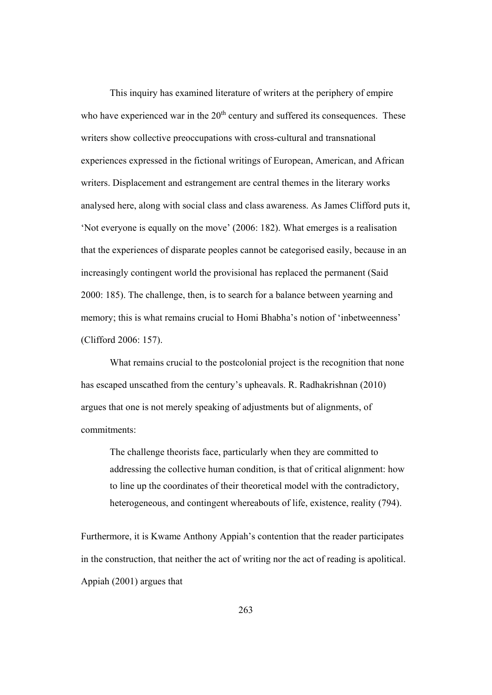This inquiry has examined literature of writers at the periphery of empire who have experienced war in the  $20<sup>th</sup>$  century and suffered its consequences. These writers show collective preoccupations with cross-cultural and transnational experiences expressed in the fictional writings of European, American, and African writers. Displacement and estrangement are central themes in the literary works analysed here, along with social class and class awareness. As James Clifford puts it, 'Not everyone is equally on the move' (2006: 182). What emerges is a realisation that the experiences of disparate peoples cannot be categorised easily, because in an increasingly contingent world the provisional has replaced the permanent (Said 2000: 185). The challenge, then, is to search for a balance between yearning and memory; this is what remains crucial to Homi Bhabha's notion of 'inbetweenness' (Clifford 2006: 157).

What remains crucial to the postcolonial project is the recognition that none has escaped unscathed from the century's upheavals. R. Radhakrishnan (2010) argues that one is not merely speaking of adjustments but of alignments, of commitments:

The challenge theorists face, particularly when they are committed to addressing the collective human condition, is that of critical alignment: how to line up the coordinates of their theoretical model with the contradictory, heterogeneous, and contingent whereabouts of life, existence, reality (794).

Furthermore, it is Kwame Anthony Appiah's contention that the reader participates in the construction, that neither the act of writing nor the act of reading is apolitical. Appiah (2001) argues that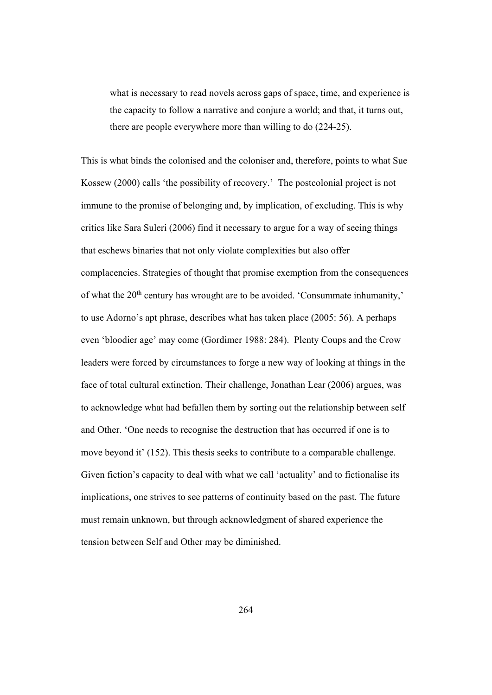what is necessary to read novels across gaps of space, time, and experience is the capacity to follow a narrative and conjure a world; and that, it turns out, there are people everywhere more than willing to do (224-25).

This is what binds the colonised and the coloniser and, therefore, points to what Sue Kossew (2000) calls 'the possibility of recovery.' The postcolonial project is not immune to the promise of belonging and, by implication, of excluding. This is why critics like Sara Suleri (2006) find it necessary to argue for a way of seeing things that eschews binaries that not only violate complexities but also offer complacencies. Strategies of thought that promise exemption from the consequences of what the 20<sup>th</sup> century has wrought are to be avoided. 'Consummate inhumanity,' to use Adorno's apt phrase, describes what has taken place (2005: 56). A perhaps even 'bloodier age' may come (Gordimer 1988: 284). Plenty Coups and the Crow leaders were forced by circumstances to forge a new way of looking at things in the face of total cultural extinction. Their challenge, Jonathan Lear (2006) argues, was to acknowledge what had befallen them by sorting out the relationship between self and Other. 'One needs to recognise the destruction that has occurred if one is to move beyond it' (152). This thesis seeks to contribute to a comparable challenge. Given fiction's capacity to deal with what we call 'actuality' and to fictionalise its implications, one strives to see patterns of continuity based on the past. The future must remain unknown, but through acknowledgment of shared experience the tension between Self and Other may be diminished.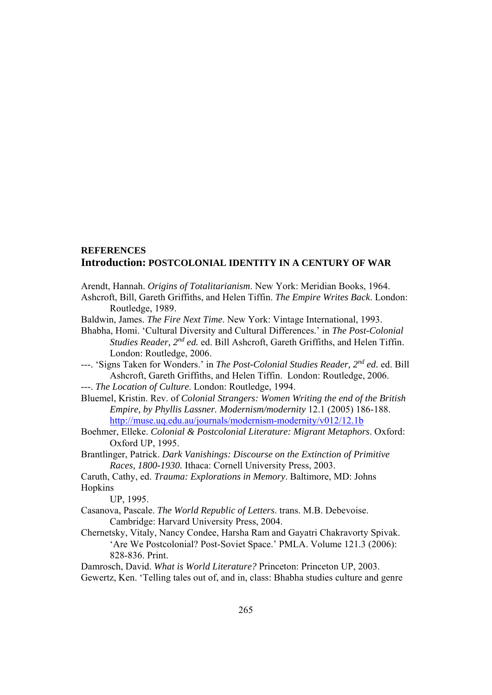# **REFERENCES Introduction: POSTCOLONIAL IDENTITY IN A CENTURY OF WAR**

Arendt, Hannah. *Origins of Totalitarianism*. New York: Meridian Books, 1964.

Ashcroft, Bill, Gareth Griffiths, and Helen Tiffin. *The Empire Writes Back*. London: Routledge, 1989.

Baldwin, James. *The Fire Next Time*. New York: Vintage International, 1993.

Bhabha, Homi. 'Cultural Diversity and Cultural Differences.' in *The Post-Colonial Studies Reader, 2nd ed.* ed. Bill Ashcroft, Gareth Griffiths, and Helen Tiffin. London: Routledge, 2006.

---. 'Signs Taken for Wonders.' in *The Post-Colonial Studies Reader, 2nd ed.* ed. Bill Ashcroft, Gareth Griffiths, and Helen Tiffin. London: Routledge, 2006.

---. *The Location of Culture*. London: Routledge, 1994.

Bluemel, Kristin. Rev. of *Colonial Strangers: Women Writing the end of the British Empire, by Phyllis Lassner. Modernism/modernity* 12.1 (2005) 186-188. http://muse.uq.edu.au/journals/modernism-modernity/v012/12.1b

Boehmer, Elleke. *Colonial & Postcolonial Literature: Migrant Metaphors*. Oxford: Oxford UP, 1995.

Brantlinger, Patrick. *Dark Vanishings: Discourse on the Extinction of Primitive Races, 1800-1930.* Ithaca: Cornell University Press, 2003.

Caruth, Cathy, ed. *Trauma: Explorations in Memory*. Baltimore, MD: Johns Hopkins

UP, 1995.

Casanova, Pascale. *The World Republic of Letters*. trans. M.B. Debevoise. Cambridge: Harvard University Press, 2004.

Chernetsky, Vitaly, Nancy Condee, Harsha Ram and Gayatri Chakravorty Spivak. 'Are We Postcolonial? Post-Soviet Space.' PMLA. Volume 121.3 (2006): 828-836. Print.

Damrosch, David. *What is World Literature?* Princeton: Princeton UP, 2003. Gewertz, Ken. 'Telling tales out of, and in, class: Bhabha studies culture and genre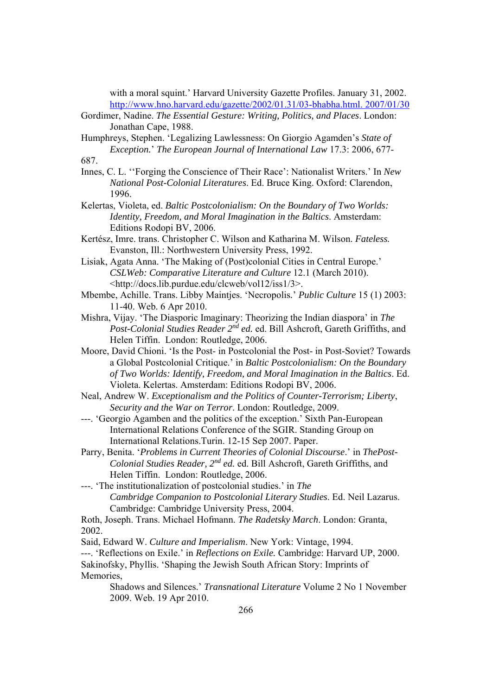with a moral squint.' Harvard University Gazette Profiles. January 31, 2002. http://www.hno.harvard.edu/gazette/2002/01.31/03-bhabha.html. 2007/01/30

Gordimer, Nadine. *The Essential Gesture: Writing, Politics, and Places*. London: Jonathan Cape, 1988.

Humphreys, Stephen. 'Legalizing Lawlessness: On Giorgio Agamden's *State of Exception.*' *The European Journal of International Law* 17.3: 2006, 677- 687.

Innes, C. L. ''Forging the Conscience of Their Race': Nationalist Writers.' In *New National Post-Colonial Literatures*. Ed. Bruce King. Oxford: Clarendon, 1996.

Kelertas, Violeta, ed. *Baltic Postcolonialism: On the Boundary of Two Worlds: Identity, Freedom, and Moral Imagination in the Baltics*. Amsterdam: Editions Rodopi BV, 2006.

- Kertész, Imre. trans. Christopher C. Wilson and Katharina M. Wilson. *Fateless.* Evanston, Ill.: Northwestern University Press, 1992.
- Lisiak, Agata Anna. 'The Making of (Post)colonial Cities in Central Europe.' *CSLWeb: Comparative Literature and Culture* 12.1 (March 2010). <http://docs.lib.purdue.edu/clcweb/vol12/iss1/3>.
- Mbembe, Achille. Trans. Libby Maintjes. 'Necropolis*.*' *Public Culture* 15 (1) 2003: 11-40. Web. 6 Apr 2010.
- Mishra, Vijay. 'The Diasporic Imaginary: Theorizing the Indian diaspora' in *The Post-Colonial Studies Reader 2nd ed.* ed. Bill Ashcroft, Gareth Griffiths, and Helen Tiffin. London: Routledge, 2006.
- Moore, David Chioni. 'Is the Post- in Postcolonial the Post- in Post-Soviet? Towards a Global Postcolonial Critique.' in *Baltic Postcolonialism: On the Boundary of Two Worlds: Identify, Freedom, and Moral Imagination in the Baltics*. Ed. Violeta. Kelertas. Amsterdam: Editions Rodopi BV, 2006.
- Neal, Andrew W. *Exceptionalism and the Politics of Counter-Terrorism; Liberty*,  *Security and the War on Terror*. London: Routledge, 2009.
- ---. 'Georgio Agamben and the politics of the exception.' Sixth Pan-European International Relations Conference of the SGIR. Standing Group on International Relations.Turin. 12-15 Sep 2007. Paper.
- Parry, Benita. '*Problems in Current Theories of Colonial Discourse*.' in *ThePost-Colonial Studies Reader, 2nd ed.* ed. Bill Ashcroft, Gareth Griffiths, and Helen Tiffin. London: Routledge, 2006.
- ---. 'The institutionalization of postcolonial studies.' in *The Cambridge Companion to Postcolonial Literary Studies*. Ed. Neil Lazarus. Cambridge: Cambridge University Press, 2004.
- Roth, Joseph. Trans. Michael Hofmann. *The Radetsky March*. London: Granta, 2002.

Said, Edward W. *Culture and Imperialism*. New York: Vintage, 1994.

---. 'Reflections on Exile.' in *Reflections on Exile.* Cambridge: Harvard UP, 2000. Sakinofsky, Phyllis. 'Shaping the Jewish South African Story: Imprints of Memories,

Shadows and Silences.' *Transnational Literature* Volume 2 No 1 November 2009. Web. 19 Apr 2010.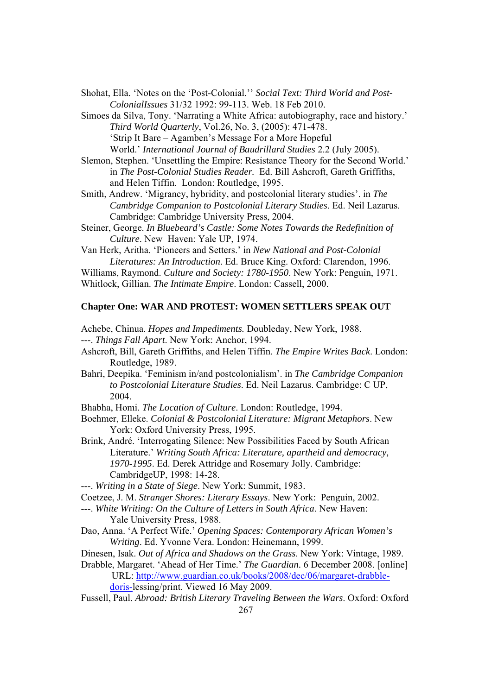Shohat, Ella. 'Notes on the 'Post-Colonial.'' *Social Text: Third World and Post- ColonialIssues* 31/32 1992: 99-113. Web. 18 Feb 2010.

Simoes da Silva, Tony. 'Narrating a White Africa: autobiography, race and history.' *Third World Quarterly*, Vol.26, No. 3, (2005): 471-478. 'Strip It Bare – Agamben's Message For a More Hopeful World.' *International Journal of Baudrillard Studies* 2.2 (July 2005).

Slemon, Stephen. 'Unsettling the Empire: Resistance Theory for the Second World.' in *The Post-Colonial Studies Reader.* Ed. Bill Ashcroft, Gareth Griffiths, and Helen Tiffin. London: Routledge, 1995.

Smith, Andrew. 'Migrancy, hybridity, and postcolonial literary studies'. in *The Cambridge Companion to Postcolonial Literary Studies*. Ed. Neil Lazarus. Cambridge: Cambridge University Press, 2004.

Steiner, George. *In Bluebeard's Castle: Some Notes Towards the Redefinition of Culture*. New Haven: Yale UP, 1974.

Van Herk, Aritha. 'Pioneers and Setters.' in *New National and Post-Colonial Literatures: An Introduction*. Ed. Bruce King. Oxford: Clarendon, 1996.

Williams, Raymond. *Culture and Society: 1780-1950*. New York: Penguin, 1971. Whitlock, Gillian. *The Intimate Empire*. London: Cassell, 2000.

#### **Chapter One: WAR AND PROTEST: WOMEN SETTLERS SPEAK OUT**

Achebe, Chinua. *Hopes and Impediments.* Doubleday, New York, 1988.

- ---. *Things Fall Apart*. New York: Anchor, 1994.
- Ashcroft, Bill, Gareth Griffiths, and Helen Tiffin. *The Empire Writes Back*. London: Routledge, 1989.
- Bahri, Deepika. 'Feminism in/and postcolonialism'. in *The Cambridge Companion to Postcolonial Literature Studies*. Ed. Neil Lazarus. Cambridge: C UP, 2004.
- Bhabha, Homi. *The Location of Culture*. London: Routledge, 1994.
- Boehmer, Elleke. *Colonial & Postcolonial Literature: Migrant Metaphors*. New York: Oxford University Press, 1995.
- Brink, André. 'Interrogating Silence: New Possibilities Faced by South African Literature.' *Writing South Africa: Literature, apartheid and democracy, 1970-1995*. Ed. Derek Attridge and Rosemary Jolly. Cambridge: CambridgeUP, 1998: 14-28.

---. *Writing in a State of Siege*. New York: Summit, 1983.

- Coetzee, J. M. *Stranger Shores: Literary Essays*. New York: Penguin, 2002.
- ---. *White Writing: On the Culture of Letters in South Africa*. New Haven: Yale University Press, 1988.
- Dao, Anna. 'A Perfect Wife.' *Opening Spaces: Contemporary African Women's Writing*. Ed. Yvonne Vera. London: Heinemann, 1999.
- Dinesen, Isak. *Out of Africa and Shadows on the Grass*. New York: Vintage, 1989.
- Drabble, Margaret. 'Ahead of Her Time.' *The Guardian.* 6 December 2008. [online] URL: http://www.guardian.co.uk/books/2008/dec/06/margaret-drabble-

doris-lessing/print. Viewed 16 May 2009.

267 Fussell, Paul. *Abroad: British Literary Traveling Between the Wars*. Oxford: Oxford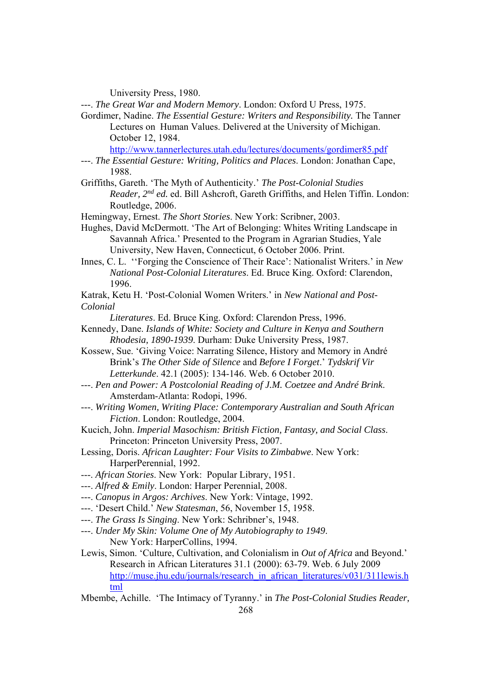University Press, 1980.

---. *The Great War and Modern Memory*. London: Oxford U Press, 1975.

Gordimer, Nadine. *The Essential Gesture: Writers and Responsibility.* The Tanner Lectures on Human Values. Delivered at the University of Michigan. October 12, 1984.

http://www.tannerlectures.utah.edu/lectures/documents/gordimer85.pdf

- ---. *The Essential Gesture: Writing, Politics and Places*. London: Jonathan Cape, 1988.
- Griffiths, Gareth. 'The Myth of Authenticity.' *The Post-Colonial Studies Reader, 2nd ed.* ed. Bill Ashcroft, Gareth Griffiths, and Helen Tiffin. London: Routledge, 2006.
- Hemingway, Ernest. *The Short Stories*. New York: Scribner, 2003.
- Hughes, David McDermott. 'The Art of Belonging: Whites Writing Landscape in Savannah Africa.' Presented to the Program in Agrarian Studies, Yale University, New Haven, Connecticut, 6 October 2006. Print.
- Innes, C. L. ''Forging the Conscience of Their Race': Nationalist Writers.' in *New National Post-Colonial Literatures*. Ed. Bruce King. Oxford: Clarendon, 1996.
- Katrak, Ketu H. 'Post-Colonial Women Writers.' in *New National and Post-Colonial*
	- *Literatures*. Ed. Bruce King. Oxford: Clarendon Press, 1996.
- Kennedy, Dane. *Islands of White: Society and Culture in Kenya and Southern Rhodesia, 1890-1939*. Durham: Duke University Press, 1987.
- Kossew, Sue. 'Giving Voice: Narrating Silence, History and Memory in André Brink's *The Other Side of Silence* and *Before I Forget*.' *Tydskrif Vir Letterkunde*. 42.1 (2005): 134-146. Web. 6 October 2010.
- ---. *Pen and Power: A Postcolonial Reading of J.M. Coetzee and André Brink*. Amsterdam-Atlanta: Rodopi, 1996.
- ---. *Writing Women, Writing Place: Contemporary Australian and South African Fiction*. London: Routledge, 2004.
- Kucich, John. *Imperial Masochism: British Fiction, Fantasy, and Social Class*. Princeton: Princeton University Press, 2007.
- Lessing, Doris. *African Laughter: Four Visits to Zimbabwe*. New York: HarperPerennial, 1992.
- ---. *African Stories*. New York: Popular Library, 1951.
- ---. *Alfred & Emily*. London: Harper Perennial, 2008.
- ---. *Canopus in Argos: Archives*. New York: Vintage, 1992.
- ---. 'Desert Child.' *New Statesman*, 56, November 15, 1958.
- ---. *The Grass Is Singing*. New York: Schribner's, 1948.
- ---. *Under My Skin: Volume One of My Autobiography to 1949*. New York: HarperCollins, 1994.
- Lewis, Simon. 'Culture, Cultivation, and Colonialism in *Out of Africa* and Beyond.' Research in African Literatures 31.1 (2000): 63-79. Web. 6 July 2009 http://muse.jhu.edu/journals/research\_in\_african\_literatures/v031/311lewis.h tml
- Mbembe, Achille. 'The Intimacy of Tyranny.' in *The Post-Colonial Studies Reader,*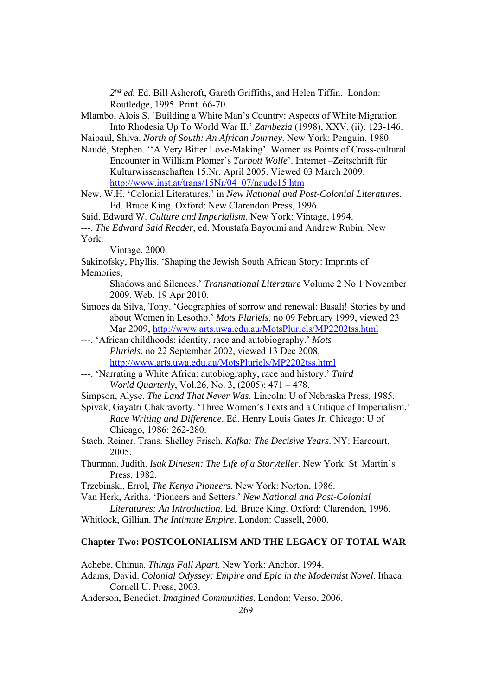*2nd ed.* Ed. Bill Ashcroft, Gareth Griffiths, and Helen Tiffin. London: Routledge, 1995. Print. 66-70.

Mlambo, Alois S. 'Building a White Man's Country: Aspects of White Migration Into Rhodesia Up To World War II.' *Zambezia* (1998), XXV, (ii): 123-146.

Naipaul, Shiva. *North of South: An African Journey*. New York: Penguin, 1980.

Naudé, Stephen. ''A Very Bitter Love-Making'. Women as Points of Cross-cultural Encounter in William Plomer's *Turbott Wolfe*'. Internet –Zeitschrift fűr Kulturwissenschaften 15.Nr. April 2005. Viewed 03 March 2009. http://www.inst.at/trans/15Nr/04\_07/naude15.htm

New, W.H. 'Colonial Literatures.' in *New National and Post-Colonial Literatures*. Ed. Bruce King. Oxford: New Clarendon Press, 1996.

Said, Edward W. *Culture and Imperialism*. New York: Vintage, 1994.

---. *The Edward Said Reader*, ed. Moustafa Bayoumi and Andrew Rubin. New York:

Vintage, 2000.

Sakinofsky, Phyllis. 'Shaping the Jewish South African Story: Imprints of Memories,

Shadows and Silences.' *Transnational Literature* Volume 2 No 1 November 2009. Web. 19 Apr 2010.

Simoes da Silva, Tony. 'Geographies of sorrow and renewal: Basali! Stories by and about Women in Lesotho.' *Mots Pluriels*, no 09 February 1999, viewed 23 Mar 2009, http://www.arts.uwa.edu.au/MotsPluriels/MP2202tss.html

---. 'African childhoods: identity, race and autobiography.' *Mots Pluriels*, no 22 September 2002, viewed 13 Dec 2008, http://www.arts.uwa.edu.au/MotsPluriels/MP2202tss.html

- ---. 'Narrating a White Africa: autobiography, race and history.' *Third World Quarterly*, Vol.26, No. 3, (2005): 471 – 478.
- Simpson, Alyse. *The Land That Never Was*. Lincoln: U of Nebraska Press, 1985.

Spivak, Gayatri Chakravorty. 'Three Women's Texts and a Critique of Imperialism.' *Race Writing and Difference*. Ed. Henry Louis Gates Jr. Chicago: U of Chicago, 1986: 262-280.

- Stach, Reiner. Trans. Shelley Frisch. *Kafka: The Decisive Years*. NY: Harcourt, 2005.
- Thurman, Judith. *Isak Dinesen: The Life of a Storyteller*. New York: St. Martin's Press, 1982.

Trzebinski, Errol, *The Kenya Pioneers.* New York: Norton, 1986.

Van Herk, Aritha. 'Pioneers and Setters.' *New National and Post-Colonial*

*Literatures: An Introduction*. Ed. Bruce King. Oxford: Clarendon, 1996. Whitlock, Gillian. *The Intimate Empire*. London: Cassell, 2000.

## **Chapter Two: POSTCOLONIALISM AND THE LEGACY OF TOTAL WAR**

Achebe, Chinua. *Things Fall Apart*. New York: Anchor, 1994.

Adams, David. *Colonial Odyssey: Empire and Epic in the Modernist Novel*. Ithaca: Cornell U. Press, 2003.

Anderson, Benedict. *Imagined Communities*. London: Verso, 2006.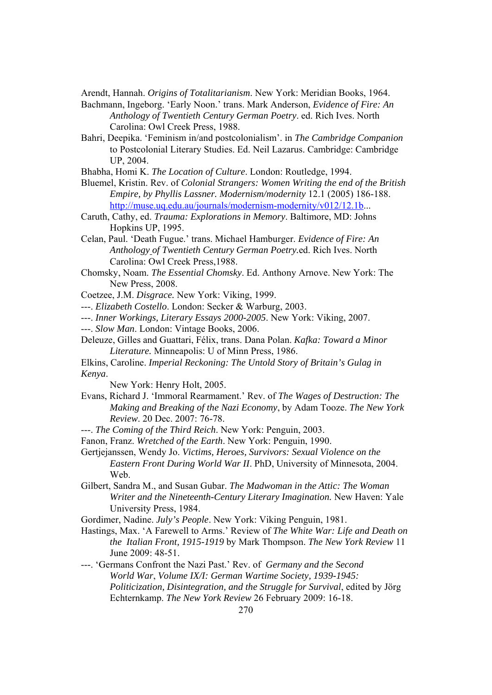Arendt, Hannah. *Origins of Totalitarianism*. New York: Meridian Books, 1964.

- Bachmann, Ingeborg. 'Early Noon.' trans. Mark Anderson, *Evidence of Fire: An Anthology of Twentieth Century German Poetry*. ed. Rich Ives. North Carolina: Owl Creek Press, 1988.
- Bahri, Deepika. 'Feminism in/and postcolonialism'. in *The Cambridge Companion*  to Postcolonial Literary Studies. Ed. Neil Lazarus. Cambridge: Cambridge UP, 2004.
- Bhabha, Homi K. *The Location of Culture*. London: Routledge, 1994.

Bluemel, Kristin. Rev. of *Colonial Strangers: Women Writing the end of the British Empire, by Phyllis Lassner. Modernism/modernity* 12.1 (2005) 186-188. http://muse.uq.edu.au/journals/modernism-modernity/v012/12.1b...

- Caruth, Cathy, ed. *Trauma: Explorations in Memory*. Baltimore, MD: Johns Hopkins UP, 1995.
- Celan, Paul. 'Death Fugue.' trans. Michael Hamburger. *Evidence of Fire: An Anthology of Twentieth Century German Poetry.*ed. Rich Ives. North Carolina: Owl Creek Press,1988.
- Chomsky, Noam. *The Essential Chomsky*. Ed. Anthony Arnove. New York: The New Press, 2008.

Coetzee, J.M. *Disgrace.* New York: Viking, 1999.

- ---. *Elizabeth Costello*. London: Secker & Warburg, 2003.
- ---. *Inner Workings, Literary Essays 2000-2005*. New York: Viking, 2007.
- ---. *Slow Man*. London: Vintage Books, 2006.
- Deleuze, Gilles and Guattari, Félix, trans. Dana Polan. *Kafka: Toward a Minor Literature.* Minneapolis: U of Minn Press, 1986.
- Elkins, Caroline. *Imperial Reckoning: The Untold Story of Britain's Gulag in Kenya*.

New York: Henry Holt, 2005.

- Evans, Richard J. 'Immoral Rearmament.' Rev. of *The Wages of Destruction: The Making and Breaking of the Nazi Economy*, by Adam Tooze. *The New York Review*. 20 Dec. 2007: 76-78.
- ---. *The Coming of the Third Reich*. New York: Penguin, 2003.

Fanon, Franz. *Wretched of the Earth*. New York: Penguin, 1990.

Gertjejanssen, Wendy Jo. *Victims, Heroes, Survivors: Sexual Violence on the Eastern Front During World War II*. PhD, University of Minnesota, 2004. Web.

Gilbert, Sandra M., and Susan Gubar. *The Madwoman in the Attic: The Woman Writer and the Nineteenth-Century Literary Imagination.* New Haven: Yale University Press, 1984.

Gordimer, Nadine. *July's People*. New York: Viking Penguin, 1981.

Hastings, Max. 'A Farewell to Arms.' Review of *The White War: Life and Death on the Italian Front, 1915-1919* by Mark Thompson. *The New York Review* 11 June 2009: 48-51.

---. 'Germans Confront the Nazi Past.' Rev. of *Germany and the Second World War*, *Volume IX/I: German Wartime Society, 1939-1945: Politicization, Disintegration, and the Struggle for Survival*, edited by Jörg Echternkamp. *The New York Review* 26 February 2009: 16-18.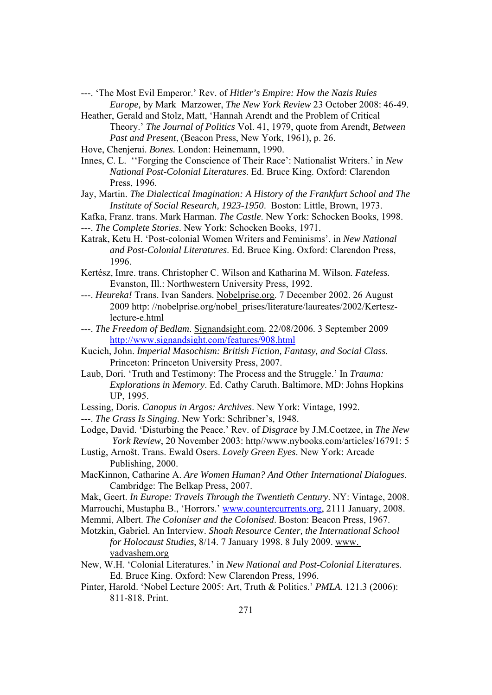- ---. 'The Most Evil Emperor.' Rev. of *Hitler's Empire: How the Nazis Rules Europe,* by Mark Marzower, *The New York Review* 23 October 2008: 46-49.
- Heather, Gerald and Stolz, Matt, 'Hannah Arendt and the Problem of Critical Theory.' *The Journal of Politics* Vol. 41, 1979, quote from Arendt, *Between Past and Present*, (Beacon Press, New York, 1961), p. 26.
- Hove, Chenjerai. *Bones.* London: Heinemann, 1990.

Innes, C. L. ''Forging the Conscience of Their Race': Nationalist Writers.' in *New National Post-Colonial Literatures*. Ed. Bruce King. Oxford: Clarendon Press, 1996.

Jay, Martin. *The Dialectical Imagination: A History of the Frankfurt School and The Institute of Social Research, 1923-1950*. Boston: Little, Brown, 1973.

Kafka, Franz. trans. Mark Harman. *The Castle*. New York: Schocken Books, 1998. ---. *The Complete Stories*. New York: Schocken Books, 1971.

Katrak, Ketu H. 'Post-colonial Women Writers and Feminisms'. in *New National and Post-Colonial Literatures*. Ed. Bruce King. Oxford: Clarendon Press, 1996.

- Kertész, Imre. trans. Christopher C. Wilson and Katharina M. Wilson. *Fateless.* Evanston, Ill.: Northwestern University Press, 1992.
- ---. *Heureka!* Trans. Ivan Sanders. Nobelprise.org. 7 December 2002. 26 August 2009 http: //nobelprise.org/nobel\_prises/literature/laureates/2002/Kerteszlecture-e.html
- ---. *The Freedom of Bedlam*. Signandsight.com. 22/08/2006. 3 September 2009 http://www.signandsight.com/features/908.html
- Kucich, John. *Imperial Masochism: British Fiction, Fantasy, and Social Class*. Princeton: Princeton University Press, 2007.
- Laub, Dori. 'Truth and Testimony: The Process and the Struggle.' In *Trauma: Explorations in Memory*. Ed. Cathy Caruth. Baltimore, MD: Johns Hopkins UP, 1995.
- Lessing, Doris. *Canopus in Argos: Archives*. New York: Vintage, 1992.
- ---. *The Grass Is Singing*. New York: Schribner's, 1948.
- Lodge, David. 'Disturbing the Peace.' Rev. of *Disgrace* by J.M.Coetzee, in *The New York Review*, 20 November 2003: http//www.nybooks.com/articles/16791: 5
- Lustig, Arnošt. Trans. Ewald Osers. *Lovely Green Eyes*. New York: Arcade Publishing, 2000.
- MacKinnon, Catharine A. *Are Women Human? And Other International Dialogues*. Cambridge: The Belkap Press, 2007.
- Mak, Geert. *In Europe: Travels Through the Twentieth Century*. NY: Vintage, 2008.
- Marrouchi, Mustapha B., 'Horrors.' www.countercurrents.org, 2111 January, 2008.
- Memmi, Albert. *The Coloniser and the Colonised*. Boston: Beacon Press, 1967.
- Motzkin, Gabriel. An Interview. *Shoah Resource Center, the International School for Holocaust Studies*, 8/14. 7 January 1998. 8 July 2009. www. yadvashem.org
- New, W.H. 'Colonial Literatures.' in *New National and Post-Colonial Literatures*. Ed. Bruce King. Oxford: New Clarendon Press, 1996.
- Pinter, Harold. 'Nobel Lecture 2005: Art, Truth & Politics.' *PMLA*. 121.3 (2006): 811-818. Print.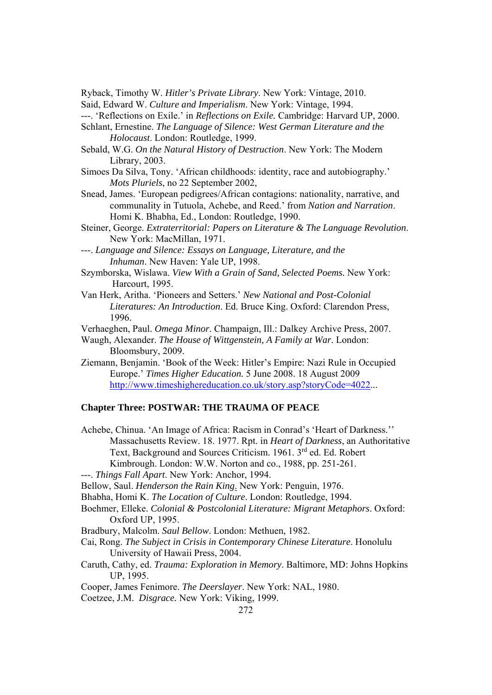Ryback, Timothy W. *Hitler's Private Library*. New York: Vintage, 2010.

Said, Edward W. *Culture and Imperialism*. New York: Vintage, 1994.

---. 'Reflections on Exile.' in *Reflections on Exile.* Cambridge: Harvard UP, 2000.

- Schlant, Ernestine. *The Language of Silence: West German Literature and the Holocaust*. London: Routledge, 1999.
- Sebald, W.G. *On the Natural History of Destruction*. New York: The Modern Library, 2003.
- Simoes Da Silva, Tony. 'African childhoods: identity, race and autobiography.' *Mots Pluriels*, no 22 September 2002,
- Snead, James. 'European pedigrees/African contagions: nationality, narrative, and communality in Tutuola, Achebe, and Reed.' from *Nation and Narration*. Homi K. Bhabha, Ed., London: Routledge, 1990.
- Steiner, George. *Extraterritorial: Papers on Literature & The Language Revolution*. New York: MacMillan, 1971.

---. *Language and Silence: Essays on Language, Literature, and the Inhuman*. New Haven: Yale UP, 1998.

- Szymborska, Wislawa. *View With a Grain of Sand, Selected Poems.* New York: Harcourt, 1995.
- Van Herk, Aritha. 'Pioneers and Setters.' *New National and Post-Colonial Literatures: An Introduction*. Ed. Bruce King. Oxford: Clarendon Press, 1996.
- Verhaeghen, Paul. *Omega Minor*. Champaign, Ill.: Dalkey Archive Press, 2007.
- Waugh, Alexander. *The House of Wittgenstein, A Family at War*. London: Bloomsbury, 2009.
- Ziemann, Benjamin. 'Book of the Week: Hitler's Empire: Nazi Rule in Occupied Europe.' *Times Higher Education.* 5 June 2008. 18 August 2009 http://www.timeshighereducation.co.uk/story.asp?storyCode=4022...

#### **Chapter Three: POSTWAR: THE TRAUMA OF PEACE**

- Achebe, Chinua. 'An Image of Africa: Racism in Conrad's 'Heart of Darkness.'' Massachusetts Review. 18. 1977. Rpt. in *Heart of Darkness*, an Authoritative Text, Background and Sources Criticism. 1961. 3<sup>rd</sup> ed. Ed. Robert Kimbrough. London: W.W. Norton and co., 1988, pp. 251-261.
- ---. *Things Fall Apart*. New York: Anchor, 1994.
- Bellow, Saul. *Henderson the Rain King*. New York: Penguin, 1976.
- Bhabha, Homi K. *The Location of Culture*. London: Routledge, 1994.
- Boehmer, Elleke. *Colonial & Postcolonial Literature: Migrant Metaphors*. Oxford: Oxford UP, 1995.
- Bradbury, Malcolm. *Saul Bellow*. London: Methuen, 1982.
- Cai, Rong. *The Subject in Crisis in Contemporary Chinese Literature*. Honolulu University of Hawaii Press, 2004.
- Caruth, Cathy, ed. *Trauma: Exploration in Memory*. Baltimore, MD: Johns Hopkins UP, 1995.
- Cooper, James Fenimore. *The Deerslayer*. New York: NAL, 1980.
- Coetzee, J.M. *Disgrace.* New York: Viking, 1999.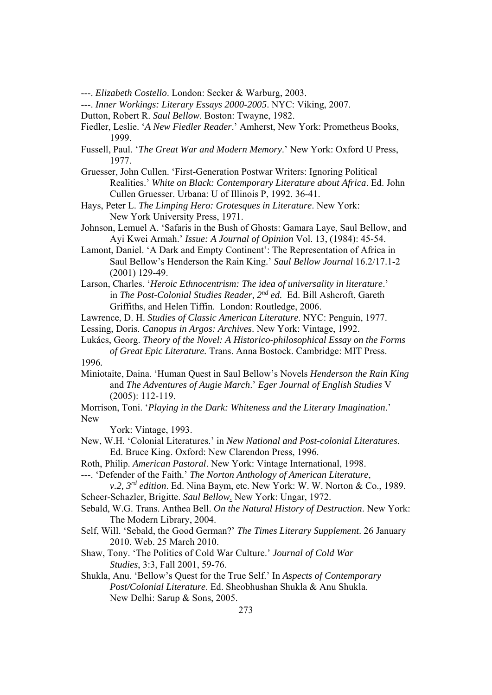---. *Elizabeth Costello*. London: Secker & Warburg, 2003.

---. *Inner Workings: Literary Essays 2000-2005*. NYC: Viking, 2007.

- Dutton, Robert R. *Saul Bellow*. Boston: Twayne, 1982.
- Fiedler, Leslie. '*A New Fiedler Reader*.' Amherst, New York: Prometheus Books, 1999.
- Fussell, Paul. '*The Great War and Modern Memory*.' New York: Oxford U Press, 1977.
- Gruesser, John Cullen. 'First-Generation Postwar Writers: Ignoring Political Realities.' *White on Black: Contemporary Literature about Africa*. Ed. John Cullen Gruesser. Urbana: U of Illinois P, 1992. 36-41.
- Hays, Peter L. *The Limping Hero: Grotesques in Literature*. New York: New York University Press, 1971.
- Johnson, Lemuel A. 'Safaris in the Bush of Ghosts: Gamara Laye, Saul Bellow, and Ayi Kwei Armah.' *Issue: A Journal of Opinion* Vol. 13, (1984): 45-54.

Lamont, Daniel. 'A Dark and Empty Continent': The Representation of Africa in Saul Bellow's Henderson the Rain King.' *Saul Bellow Journal* 16.2/17.1-2 (2001) 129-49.

- Larson, Charles. '*Heroic Ethnocentrism: The idea of universality in literature*.' in *The Post-Colonial Studies Reader, 2nd ed.* Ed. Bill Ashcroft, Gareth Griffiths, and Helen Tiffin. London: Routledge, 2006.
- Lawrence, D. H. *Studies of Classic American Literature*. NYC: Penguin, 1977.
- Lessing, Doris. *Canopus in Argos: Archives*. New York: Vintage, 1992.
- Lukács, Georg. *Theory of the Novel: A Historico-philosophical Essay on the Forms of Great Epic Literature.* Trans. Anna Bostock. Cambridge: MIT Press. 1996*.*
- Miniotaite, Daina. 'Human Quest in Saul Bellow's Novels *Henderson the Rain King* and *The Adventures of Augie March*.' *Eger Journal of English Studies* V (2005): 112-119.

Morrison, Toni. '*Playing in the Dark: Whiteness and the Literary Imagination*.' New

York: Vintage, 1993.

- New, W.H. 'Colonial Literatures.' in *New National and Post-colonial Literatures*. Ed. Bruce King. Oxford: New Clarendon Press, 1996.
- Roth, Philip. *American Pastoral*. New York: Vintage International, 1998.
- ---. 'Defender of the Faith.' *The Norton Anthology of American Literature*,

*v.2, 3rd edition*. Ed. Nina Baym, etc. New York: W. W. Norton & Co., 1989. Scheer-Schazler, Brigitte. *Saul Bellow*. New York: Ungar, 1972.

- Sebald, W.G. Trans. Anthea Bell. *On the Natural History of Destruction*. New York: The Modern Library, 2004.
- Self, Will. 'Sebald, the Good German?' *The Times Literary Supplement*. 26 January 2010. Web. 25 March 2010.
- Shaw, Tony. 'The Politics of Cold War Culture.' *Journal of Cold War Studies*, 3:3, Fall 2001, 59-76.
- Shukla, Anu. 'Bellow's Quest for the True Self.' In *Aspects of Contemporary Post/Colonial Literature*. Ed. Sheobhushan Shukla & Anu Shukla. New Delhi: Sarup & Sons, 2005.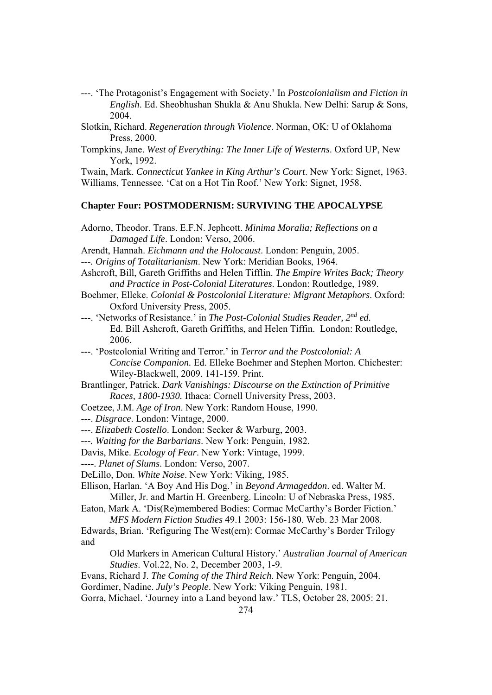- ---. 'The Protagonist's Engagement with Society.' In *Postcolonialism and Fiction in English*. Ed. Sheobhushan Shukla & Anu Shukla. New Delhi: Sarup & Sons, 2004.
- Slotkin, Richard. *Regeneration through Violence*. Norman, OK: U of Oklahoma Press, 2000.
- Tompkins, Jane. *West of Everything: The Inner Life of Westerns*. Oxford UP, New York, 1992.

Twain, Mark. *Connecticut Yankee in King Arthur's Court*. New York: Signet, 1963. Williams, Tennessee. 'Cat on a Hot Tin Roof.' New York: Signet, 1958.

#### **Chapter Four: POSTMODERNISM: SURVIVING THE APOCALYPSE**

- Adorno, Theodor. Trans. E.F.N. Jephcott. *Minima Moralia; Reflections on a Damaged Life*. London: Verso, 2006.
- Arendt, Hannah. *Eichmann and the Holocaust*. London: Penguin, 2005.
- *---. Origins of Totalitarianism*. New York: Meridian Books, 1964.
- Ashcroft, Bill, Gareth Griffiths and Helen Tifflin. *The Empire Writes Back; Theory and Practice in Post-Colonial Literatures*. London: Routledge, 1989.
- Boehmer, Elleke. *Colonial & Postcolonial Literature: Migrant Metaphors*. Oxford: Oxford University Press, 2005.
- ---. 'Networks of Resistance.' in *The Post-Colonial Studies Reader, 2nd ed.* Ed. Bill Ashcroft, Gareth Griffiths, and Helen Tiffin. London: Routledge, 2006.

---. 'Postcolonial Writing and Terror.' in *Terror and the Postcolonial: A Concise Companion.* Ed. Elleke Boehmer and Stephen Morton. Chichester: Wiley-Blackwell, 2009. 141-159. Print.

- Brantlinger, Patrick. *Dark Vanishings: Discourse on the Extinction of Primitive Races, 1800-1930.* Ithaca: Cornell University Press, 2003.
- Coetzee, J.M. *Age of Iron*. New York: Random House, 1990.

---. *Disgrace*. London: Vintage, 2000.

---. *Elizabeth Costello*. London: Secker & Warburg, 2003.

*---. Waiting for the Barbarians*. New York: Penguin, 1982.

Davis, Mike. *Ecology of Fear*. New York: Vintage, 1999.

----. *Planet of Slums*. London: Verso, 2007.

DeLillo, Don. *White Noise*. New York: Viking, 1985.

Ellison, Harlan. 'A Boy And His Dog.' in *Beyond Armageddon*. ed. Walter M. Miller, Jr. and Martin H. Greenberg. Lincoln: U of Nebraska Press, 1985.

Eaton, Mark A. 'Dis(Re)membered Bodies: Cormac McCarthy's Border Fiction.' *MFS Modern Fiction Studies* 49.1 2003: 156-180. Web. 23 Mar 2008.

Edwards, Brian. 'Refiguring The West(ern): Cormac McCarthy's Border Trilogy and

Old Markers in American Cultural History.' *Australian Journal of American Studies*. Vol.22, No. 2, December 2003, 1-9.

- Evans, Richard J. *The Coming of the Third Reich*. New York: Penguin, 2004.
- Gordimer, Nadine. *July's People*. New York: Viking Penguin, 1981.

Gorra, Michael. 'Journey into a Land beyond law.' TLS, October 28, 2005: 21.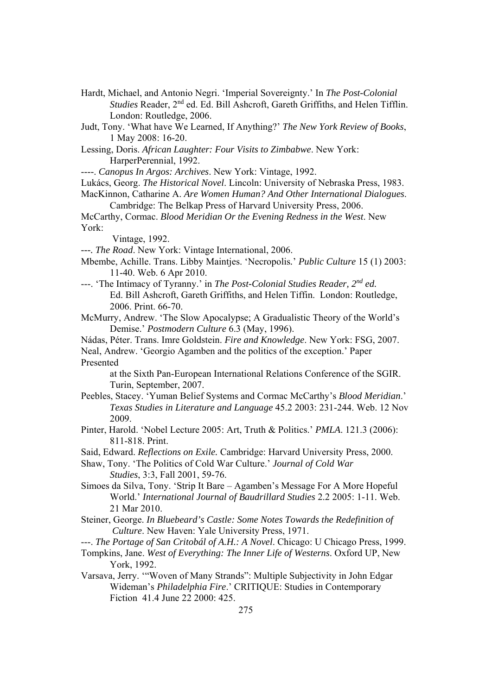- Hardt, Michael, and Antonio Negri. 'Imperial Sovereignty.' In *The Post-Colonial Studies* Reader, 2nd ed. Ed. Bill Ashcroft, Gareth Griffiths, and Helen Tifflin. London: Routledge, 2006.
- Judt, Tony. 'What have We Learned, If Anything?' *The New York Review of Books*, 1 May 2008: 16-20.

Lessing, Doris. *African Laughter: Four Visits to Zimbabwe*. New York: HarperPerennial, 1992.

----. *Canopus In Argos: Archives*. New York: Vintage, 1992.

Lukács, Georg. *The Historical Novel*. Lincoln: University of Nebraska Press, 1983.

MacKinnon, Catharine A. *Are Women Human? And Other International Dialogues*. Cambridge: The Belkap Press of Harvard University Press, 2006.

McCarthy, Cormac. *Blood Meridian Or the Evening Redness in the West*. New York:

Vintage, 1992.

*---. The Road*. New York: Vintage International, 2006.

- Mbembe, Achille. Trans. Libby Maintjes. 'Necropolis*.*' *Public Culture* 15 (1) 2003: 11-40. Web. 6 Apr 2010.
- ---. 'The Intimacy of Tyranny.' in *The Post-Colonial Studies Reader, 2nd ed.* Ed. Bill Ashcroft, Gareth Griffiths, and Helen Tiffin. London: Routledge, 2006. Print. 66-70.
- McMurry, Andrew. 'The Slow Apocalypse; A Gradualistic Theory of the World's Demise.' *Postmodern Culture* 6.3 (May, 1996).
- Nádas, Péter. Trans. Imre Goldstein. *Fire and Knowledge*. New York: FSG, 2007.
- Neal, Andrew. 'Georgio Agamben and the politics of the exception.' Paper Presented

 at the Sixth Pan-European International Relations Conference of the SGIR. Turin, September, 2007.

- Peebles, Stacey. 'Yuman Belief Systems and Cormac McCarthy's *Blood Meridian*.' *Texas Studies in Literature and Language* 45.2 2003: 231-244. Web. 12 Nov 2009.
- Pinter, Harold. 'Nobel Lecture 2005: Art, Truth & Politics.' *PMLA*. 121.3 (2006): 811-818. Print.

Said, Edward. *Reflections on Exile.* Cambridge: Harvard University Press, 2000.

- Shaw, Tony. 'The Politics of Cold War Culture.' *Journal of Cold War Studies*, 3:3, Fall 2001, 59-76.
- Simoes da Silva, Tony. 'Strip It Bare Agamben's Message For A More Hopeful World.' *International Journal of Baudrillard Studies* 2.2 2005: 1-11. Web. 21 Mar 2010.
- Steiner, George. *In Bluebeard's Castle: Some Notes Towards the Redefinition of Culture*. New Haven: Yale University Press, 1971.
- ---. *The Portage of San Critobál of A.H.: A Novel*. Chicago: U Chicago Press, 1999.
- Tompkins, Jane. *West of Everything: The Inner Life of Westerns*. Oxford UP, New York, 1992.
- Varsava, Jerry. '"Woven of Many Strands": Multiple Subjectivity in John Edgar Wideman's *Philadelphia Fire*.' CRITIQUE: Studies in Contemporary Fiction 41.4 June 22 2000: 425.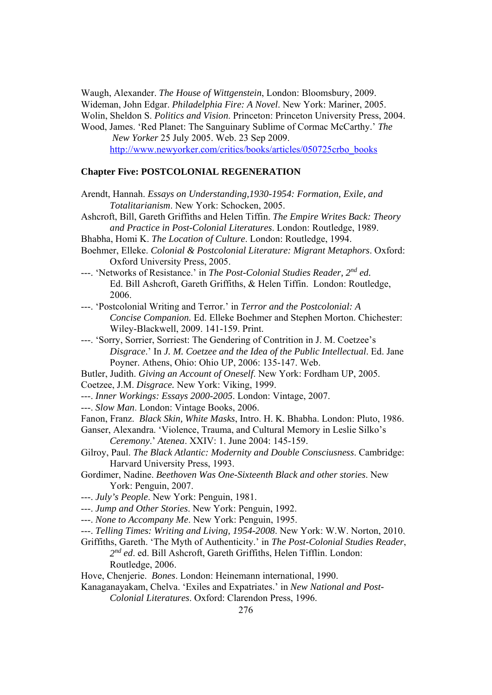Waugh, Alexander. *The House of Wittgenstein*, London: Bloomsbury, 2009. Wideman, John Edgar. *Philadelphia Fire: A Novel*. New York: Mariner, 2005. Wolin, Sheldon S. *Politics and Vision*. Princeton: Princeton University Press, 2004.

Wood, James. 'Red Planet: The Sanguinary Sublime of Cormac McCarthy.' *The New Yorker* 25 July 2005. Web. 23 Sep 2009.

http://www.newyorker.com/critics/books/articles/050725crbo\_books

### **Chapter Five: POSTCOLONIAL REGENERATION**

- Arendt, Hannah. *Essays on Understanding,1930-1954: Formation, Exile, and Totalitarianism*. New York: Schocken, 2005.
- Ashcroft, Bill, Gareth Griffiths and Helen Tiffin. *The Empire Writes Back: Theory and Practice in Post-Colonial Literatures*. London: Routledge, 1989.
- Bhabha, Homi K. *The Location of Culture*. London: Routledge, 1994.
- Boehmer, Elleke. *Colonial & Postcolonial Literature: Migrant Metaphors*. Oxford: Oxford University Press, 2005.
- ---. 'Networks of Resistance.' in *The Post-Colonial Studies Reader, 2nd ed.* Ed. Bill Ashcroft, Gareth Griffiths, & Helen Tiffin. London: Routledge, 2006.
- ---. 'Postcolonial Writing and Terror.' in *Terror and the Postcolonial: A Concise Companion.* Ed. Elleke Boehmer and Stephen Morton. Chichester: Wiley-Blackwell, 2009. 141-159. Print.
- ---. 'Sorry, Sorrier, Sorriest: The Gendering of Contrition in J. M. Coetzee's *Disgrace*.' In *J. M. Coetzee and the Idea of the Public Intellectual*. Ed. Jane Poyner. Athens, Ohio: Ohio UP, 2006: 135-147. Web.
- Butler, Judith. *Giving an Account of Oneself*. New York: Fordham UP, 2005.
- Coetzee, J.M. *Disgrace.* New York: Viking, 1999.
- ---. *Inner Workings: Essays 2000-2005*. London: Vintage, 2007.
- ---. *Slow Man*. London: Vintage Books, 2006.
- Fanon, Franz. *Black Skin, White Masks*, Intro. H. K. Bhabha. London: Pluto, 1986.

Ganser, Alexandra. 'Violence, Trauma, and Cultural Memory in Leslie Silko's  *Ceremony*.' *Atenea*. XXIV: 1. June 2004: 145-159.

- Gilroy, Paul. *The Black Atlantic: Modernity and Double Consciusness*. Cambridge: Harvard University Press, 1993.
- Gordimer, Nadine. *Beethoven Was One-Sixteenth Black and other stories*. New York: Penguin, 2007.
- ---. *July's People*. New York: Penguin, 1981.
- ---. *Jump and Other Stories*. New York: Penguin, 1992.
- ---. *None to Accompany Me*. New York: Penguin, 1995.
- ---. *Telling Times: Writing and Living, 1954-2008*. New York: W.W. Norton, 2010.
- Griffiths, Gareth. 'The Myth of Authenticity.' in *The Post-Colonial Studies Reader*, *2nd ed*. ed. Bill Ashcroft, Gareth Griffiths, Helen Tifflin. London: Routledge, 2006.
- Hove, Chenjerie. *Bones*. London: Heinemann international, 1990.
- Kanaganayakam, Chelva. 'Exiles and Expatriates.' in *New National and Post-Colonial Literatures*. Oxford: Clarendon Press, 1996.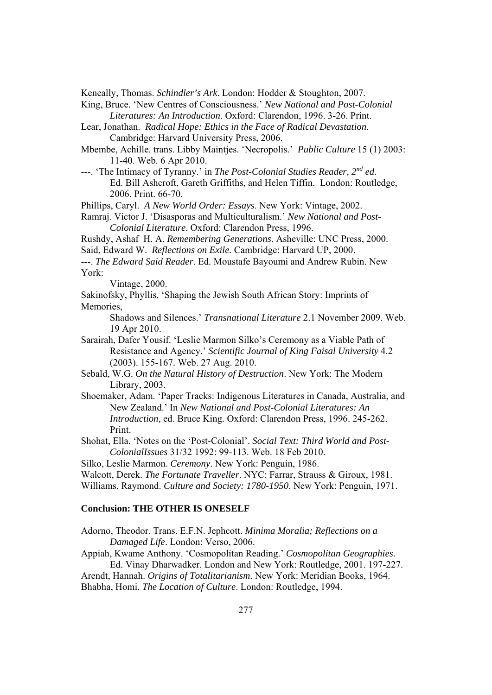Keneally, Thomas. *Schindler's Ark*. London: Hodder & Stoughton, 2007.

King, Bruce. 'New Centres of Consciousness.' *New National and Post-Colonial Literatures: An Introduction*. Oxford: Clarendon, 1996. 3-26. Print.

- Lear, Jonathan. *Radical Hope: Ethics in the Face of Radical Devastation*. Cambridge: Harvard University Press, 2006.
- Mbembe, Achille. trans. Libby Maintjes. 'Necropolis*.*' *Public Culture* 15 (1) 2003: 11-40. Web. 6 Apr 2010.
- ---. 'The Intimacy of Tyranny.' in *The Post-Colonial Studies Reader, 2nd ed.* Ed. Bill Ashcroft, Gareth Griffiths, and Helen Tiffin. London: Routledge, 2006. Print. 66-70.

Phillips, Caryl. *A New World Order: Essays*. New York: Vintage, 2002.

- Ramraj. Victor J. 'Disasporas and Multiculturalism.' *New National and Post- Colonial Literature*. Oxford: Clarendon Press, 1996.
- Rushdy, Ashaf H. A. *Remembering Generations*. Asheville: UNC Press, 2000.
- Said, Edward W. *Reflections on Exile.* Cambridge: Harvard UP, 2000.
- ---. *The Edward Said Reader*. Ed. Moustafe Bayoumi and Andrew Rubin. New York:

Vintage, 2000.

Sakinofsky, Phyllis. 'Shaping the Jewish South African Story: Imprints of Memories,

Shadows and Silences.' *Transnational Literature* 2.1 November 2009. Web. 19 Apr 2010.

- Sarairah, Dafer Yousif. 'Leslie Marmon Silko's Ceremony as a Viable Path of Resistance and Agency.' *Scientific Journal of King Faisal University* 4.2 (2003). 155-167. Web. 27 Aug. 2010.
- Sebald, W.G. *On the Natural History of Destruction*. New York: The Modern Library, 2003.
- Shoemaker, Adam. 'Paper Tracks: Indigenous Literatures in Canada, Australia, and New Zealand.' In *New National and Post-Colonial Literatures: An Introduction,* ed. Bruce King*.* Oxford: Clarendon Press, 1996. 245-262. Print.
- Shohat, Ella. 'Notes on the 'Post-Colonial'. *Social Text: Third World and Post- ColonialIssues* 31/32 1992: 99-113. Web. 18 Feb 2010.

Silko, Leslie Marmon. *Ceremony*. New York: Penguin, 1986.

- Walcott, Derek. *The Fortunate Traveller*. NYC: Farrar, Strauss & Giroux, 1981.
- Williams, Raymond. *Culture and Society: 1780-1950*. New York: Penguin, 1971.

### **Conclusion: THE OTHER IS ONESELF**

- Adorno, Theodor. Trans. E.F.N. Jephcott. *Minima Moralia; Reflections on a Damaged Life*. London: Verso, 2006.
- Appiah, Kwame Anthony. 'Cosmopolitan Reading.' *Cosmopolitan Geographies*. Ed. Vinay Dharwadker. London and New York: Routledge, 2001. 197-227.
- Arendt, Hannah. *Origins of Totalitarianism*. New York: Meridian Books, 1964. Bhabha, Homi. *The Location of Culture*. London: Routledge, 1994.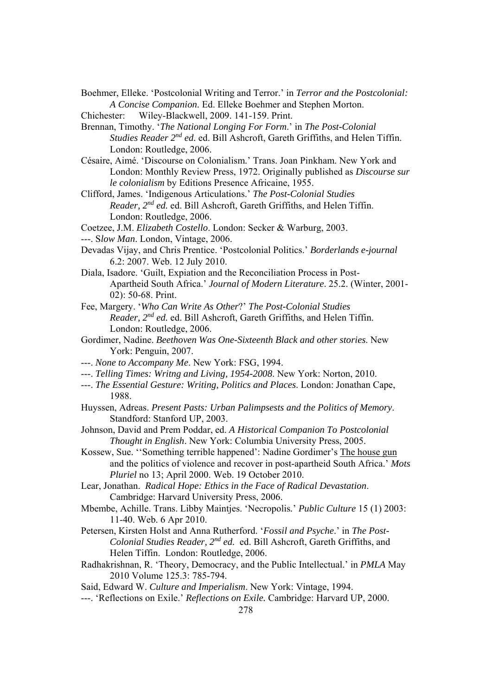- Boehmer, Elleke. 'Postcolonial Writing and Terror.' in *Terror and the Postcolonial: A Concise Companion.* Ed. Elleke Boehmer and Stephen Morton.
- Chichester: Wiley-Blackwell, 2009. 141-159. Print.
- Brennan, Timothy. '*The National Longing For Form*.' in *The Post-Colonial Studies Reader 2nd ed.* ed. Bill Ashcroft, Gareth Griffiths, and Helen Tiffin. London: Routledge, 2006.
- Césaire, Aimé. 'Discourse on Colonialism.' Trans. Joan Pinkham. New York and London: Monthly Review Press, 1972. Originally published as *Discourse sur le colonialism* by Editions Presence Africaine, 1955.
- Clifford, James. 'Indigenous Articulations.' *The Post-Colonial Studies Reader, 2nd ed.* ed. Bill Ashcroft, Gareth Griffiths, and Helen Tiffin. London: Routledge, 2006.
- Coetzee, J.M. *Elizabeth Costello*. London: Secker & Warburg, 2003.
- ---. S*low Man*. London, Vintage, 2006.
- Devadas Vijay, and Chris Prentice. 'Postcolonial Politics.' *Borderlands e-journal* 6.2: 2007. Web. 12 July 2010.
- Diala, Isadore. 'Guilt, Expiation and the Reconciliation Process in Post- Apartheid South Africa.' *Journal of Modern Literature*. 25.2. (Winter, 2001- 02): 50-68. Print.
- Fee, Margery. '*Who Can Write As Other*?' *The Post-Colonial Studies Reader, 2nd ed.* ed. Bill Ashcroft, Gareth Griffiths, and Helen Tiffin. London: Routledge, 2006.
- Gordimer, Nadine. *Beethoven Was One-Sixteenth Black and other stories*. New York: Penguin, 2007.
- ---. *None to Accompany Me*. New York: FSG, 1994.
- ---. *Telling Times: Writng and Living, 1954-2008*. New York: Norton, 2010.
- ---. *The Essential Gesture: Writing, Politics and Places*. London: Jonathan Cape, 1988.
- Huyssen, Adreas. *Present Pasts: Urban Palimpsests and the Politics of Memory*. Standford: Stanford UP, 2003.
- Johnson, David and Prem Poddar, ed. *A Historical Companion To Postcolonial Thought in English*. New York: Columbia University Press, 2005.
- Kossew, Sue. ''Something terrible happened': Nadine Gordimer's The house gun and the politics of violence and recover in post-apartheid South Africa.' *Mots Pluriel* no 13; April 2000. Web. 19 October 2010.
- Lear, Jonathan. *Radical Hope: Ethics in the Face of Radical Devastation*. Cambridge: Harvard University Press, 2006.
- Mbembe, Achille. Trans. Libby Maintjes. 'Necropolis*.*' *Public Culture* 15 (1) 2003: 11-40. Web. 6 Apr 2010.
- Petersen, Kirsten Holst and Anna Rutherford. '*Fossil and Psyche*.' in *The Post-Colonial Studies Reader, 2nd ed.* ed. Bill Ashcroft, Gareth Griffiths, and Helen Tiffin. London: Routledge, 2006.
- Radhakrishnan, R. 'Theory, Democracy, and the Public Intellectual.' in *PMLA* May 2010 Volume 125.3: 785-794.
- Said, Edward W. *Culture and Imperialism*. New York: Vintage, 1994.
- ---. 'Reflections on Exile.' *Reflections on Exile.* Cambridge: Harvard UP, 2000.